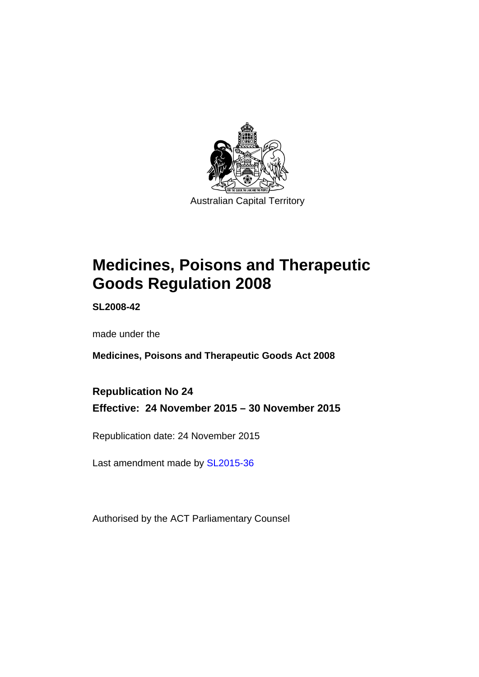

# **Medicines, Poisons and Therapeutic Goods Regulation 2008**

**SL2008-42** 

made under the

**Medicines, Poisons and Therapeutic Goods Act 2008** 

**Republication No 24 Effective: 24 November 2015 – 30 November 2015** 

Republication date: 24 November 2015

Last amendment made by [SL2015-36](http://www.legislation.act.gov.au/sl/2015-36)

Authorised by the ACT Parliamentary Counsel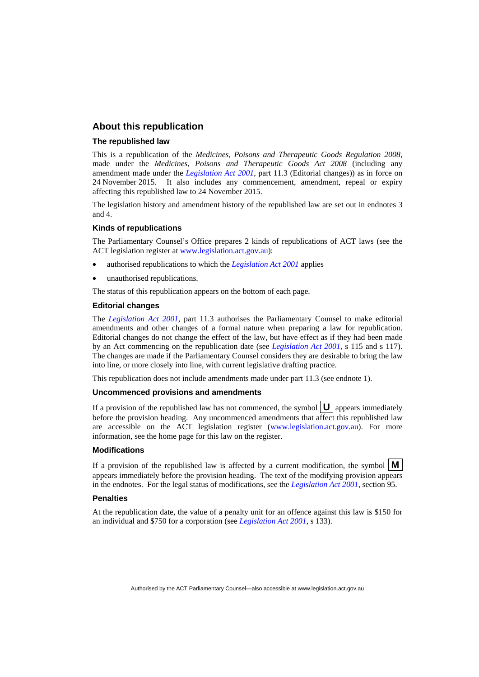### **About this republication**

#### **The republished law**

This is a republication of the *Medicines, Poisons and Therapeutic Goods Regulation 2008*, made under the *Medicines, Poisons and Therapeutic Goods Act 2008* (including any amendment made under the *[Legislation Act 2001](http://www.legislation.act.gov.au/a/2001-14)*, part 11.3 (Editorial changes)) as in force on 24 November 2015*.* It also includes any commencement, amendment, repeal or expiry affecting this republished law to 24 November 2015.

The legislation history and amendment history of the republished law are set out in endnotes 3 and 4.

#### **Kinds of republications**

The Parliamentary Counsel's Office prepares 2 kinds of republications of ACT laws (see the ACT legislation register at [www.legislation.act.gov.au](http://www.legislation.act.gov.au/)):

- authorised republications to which the *[Legislation Act 2001](http://www.legislation.act.gov.au/a/2001-14)* applies
- unauthorised republications.

The status of this republication appears on the bottom of each page.

#### **Editorial changes**

The *[Legislation Act 2001](http://www.legislation.act.gov.au/a/2001-14)*, part 11.3 authorises the Parliamentary Counsel to make editorial amendments and other changes of a formal nature when preparing a law for republication. Editorial changes do not change the effect of the law, but have effect as if they had been made by an Act commencing on the republication date (see *[Legislation Act 2001](http://www.legislation.act.gov.au/a/2001-14)*, s 115 and s 117). The changes are made if the Parliamentary Counsel considers they are desirable to bring the law into line, or more closely into line, with current legislative drafting practice.

This republication does not include amendments made under part 11.3 (see endnote 1).

#### **Uncommenced provisions and amendments**

If a provision of the republished law has not commenced, the symbol  $\mathbf{U}$  appears immediately before the provision heading. Any uncommenced amendments that affect this republished law are accessible on the ACT legislation register [\(www.legislation.act.gov.au\)](http://www.legislation.act.gov.au/). For more information, see the home page for this law on the register.

#### **Modifications**

If a provision of the republished law is affected by a current modification, the symbol  $\mathbf{M}$ appears immediately before the provision heading. The text of the modifying provision appears in the endnotes. For the legal status of modifications, see the *[Legislation Act 2001](http://www.legislation.act.gov.au/a/2001-14)*, section 95.

#### **Penalties**

At the republication date, the value of a penalty unit for an offence against this law is \$150 for an individual and \$750 for a corporation (see *[Legislation Act 2001](http://www.legislation.act.gov.au/a/2001-14)*, s 133).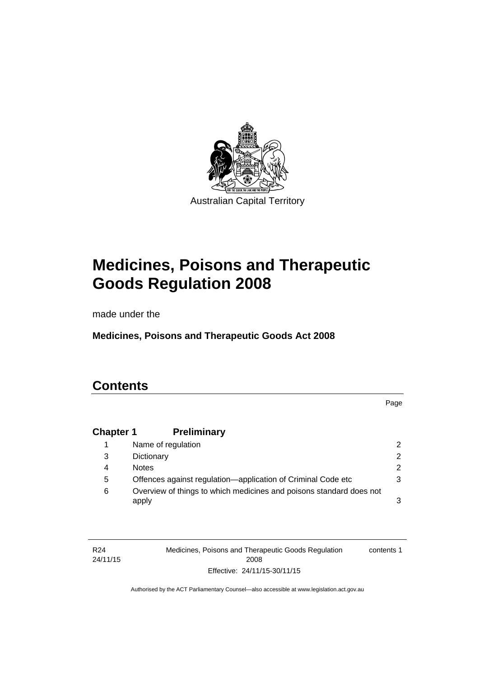

# **Medicines, Poisons and Therapeutic Goods Regulation 2008**

made under the

**Medicines, Poisons and Therapeutic Goods Act 2008** 

# **Contents**

Page

# **Chapter 1 [Preliminary](#page-25-0)**

|   | Name of regulation                                                           |   |
|---|------------------------------------------------------------------------------|---|
| 3 | Dictionary                                                                   |   |
| 4 | <b>Notes</b>                                                                 | 2 |
| 5 | Offences against regulation-application of Criminal Code etc                 |   |
| 6 | Overview of things to which medicines and poisons standard does not<br>apply |   |

| R24      | Medicines, Poisons and Therapeutic Goods Regulation | contents 1 |
|----------|-----------------------------------------------------|------------|
| 24/11/15 | 2008                                                |            |
|          | Effective: 24/11/15-30/11/15                        |            |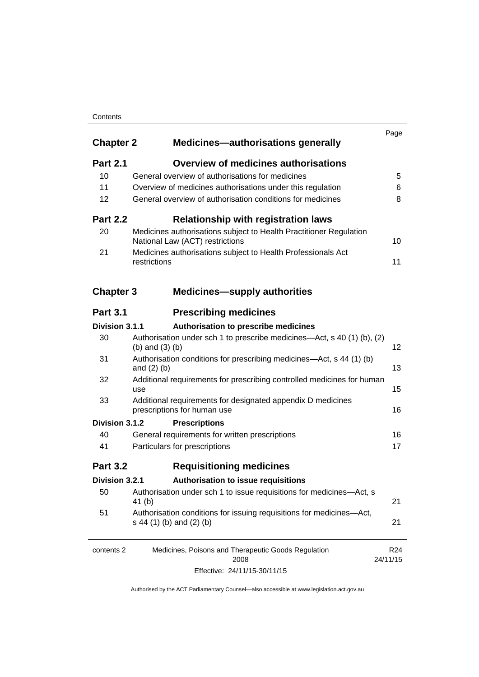### **Contents**

| <b>Chapter 2</b> | Medicines-authorisations generally                                                                    | Page                        |
|------------------|-------------------------------------------------------------------------------------------------------|-----------------------------|
| <b>Part 2.1</b>  | <b>Overview of medicines authorisations</b>                                                           |                             |
| 10               | General overview of authorisations for medicines                                                      | 5                           |
| 11               | Overview of medicines authorisations under this regulation                                            | 6                           |
| 12               | General overview of authorisation conditions for medicines                                            | 8                           |
| <b>Part 2.2</b>  | <b>Relationship with registration laws</b>                                                            |                             |
| 20               | Medicines authorisations subject to Health Practitioner Regulation<br>National Law (ACT) restrictions | 10                          |
| 21               | Medicines authorisations subject to Health Professionals Act<br>restrictions                          | 11                          |
| <b>Chapter 3</b> | <b>Medicines-supply authorities</b>                                                                   |                             |
| <b>Part 3.1</b>  | <b>Prescribing medicines</b>                                                                          |                             |
| Division 3.1.1   | Authorisation to prescribe medicines                                                                  |                             |
| 30               | Authorisation under sch 1 to prescribe medicines—Act, s 40 (1) (b), (2)<br>(b) and $(3)$ (b)          | 12                          |
| 31               | Authorisation conditions for prescribing medicines—Act, s 44 (1) (b)<br>and $(2)$ $(b)$               | 13                          |
| 32               | Additional requirements for prescribing controlled medicines for human<br>use                         | 15                          |
| 33               | Additional requirements for designated appendix D medicines<br>prescriptions for human use            | 16                          |
| Division 3.1.2   | <b>Prescriptions</b>                                                                                  |                             |
| 40               | General requirements for written prescriptions                                                        | 16                          |
| 41               | Particulars for prescriptions                                                                         | 17                          |
| <b>Part 3.2</b>  | <b>Requisitioning medicines</b>                                                                       |                             |
| Division 3.2.1   | Authorisation to issue requisitions                                                                   |                             |
| 50               | Authorisation under sch 1 to issue requisitions for medicines-Act, s<br>41 (b)                        | 21                          |
| 51               | Authorisation conditions for issuing requisitions for medicines-Act,<br>s 44 (1) (b) and (2) (b)      | 21                          |
| contents 2       | Medicines, Poisons and Therapeutic Goods Regulation<br>2008                                           | R <sub>24</sub><br>24/11/15 |

Effective: 24/11/15-30/11/15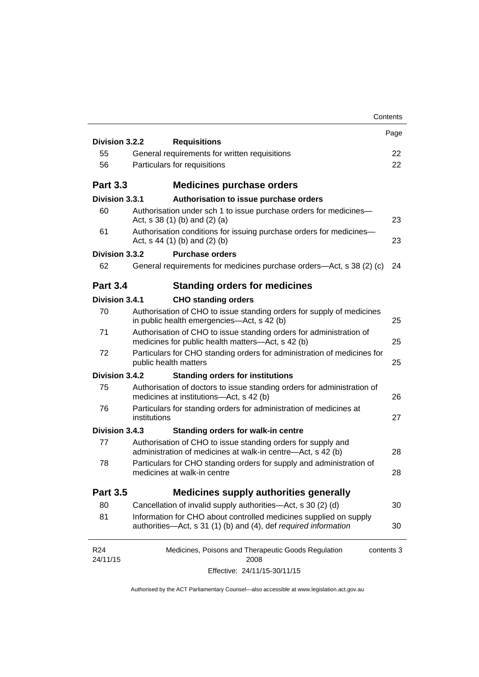|                 |                                 |                                                                                                                                      | Contents   |
|-----------------|---------------------------------|--------------------------------------------------------------------------------------------------------------------------------------|------------|
| Division 3.2.2  |                                 |                                                                                                                                      | Page       |
| 55              |                                 | <b>Requisitions</b><br>General requirements for written requisitions                                                                 | 22         |
| 56              | Particulars for requisitions    |                                                                                                                                      | 22         |
|                 |                                 |                                                                                                                                      |            |
| <b>Part 3.3</b> |                                 | <b>Medicines purchase orders</b>                                                                                                     |            |
| Division 3.3.1  |                                 | Authorisation to issue purchase orders                                                                                               |            |
| 60              | Act, $s$ 38 (1) (b) and (2) (a) | Authorisation under sch 1 to issue purchase orders for medicines-                                                                    | 23         |
| 61              | Act, $s$ 44 (1) (b) and (2) (b) | Authorisation conditions for issuing purchase orders for medicines-                                                                  | 23         |
| Division 3.3.2  |                                 | <b>Purchase orders</b>                                                                                                               |            |
| 62              |                                 | General requirements for medicines purchase orders—Act, s 38 (2) (c)                                                                 | 24         |
| <b>Part 3.4</b> |                                 | <b>Standing orders for medicines</b>                                                                                                 |            |
| Division 3.4.1  |                                 | <b>CHO standing orders</b>                                                                                                           |            |
| 70              |                                 | Authorisation of CHO to issue standing orders for supply of medicines<br>in public health emergencies—Act, s 42 (b)                  | 25         |
| 71              |                                 | Authorisation of CHO to issue standing orders for administration of<br>medicines for public health matters-Act, s 42 (b)             | 25         |
| 72              | public health matters           | Particulars for CHO standing orders for administration of medicines for                                                              | 25         |
| Division 3.4.2  |                                 | <b>Standing orders for institutions</b>                                                                                              |            |
| 75              |                                 | Authorisation of doctors to issue standing orders for administration of<br>medicines at institutions-Act, s 42 (b)                   | 26         |
| 76              | institutions                    | Particulars for standing orders for administration of medicines at                                                                   | 27         |
| Division 3.4.3  |                                 | <b>Standing orders for walk-in centre</b>                                                                                            |            |
| 77              |                                 | Authorisation of CHO to issue standing orders for supply and<br>administration of medicines at walk-in centre-Act, s 42 (b)          | 28         |
| 78              | medicines at walk-in centre     | Particulars for CHO standing orders for supply and administration of                                                                 | 28         |
| <b>Part 3.5</b> |                                 | <b>Medicines supply authorities generally</b>                                                                                        |            |
| 80              |                                 | Cancellation of invalid supply authorities—Act, s 30 (2) (d)                                                                         | 30         |
| 81              |                                 | Information for CHO about controlled medicines supplied on supply<br>authorities-Act, s 31 (1) (b) and (4), def required information | 30         |
| R <sub>24</sub> |                                 | Medicines, Poisons and Therapeutic Goods Regulation                                                                                  | contents 3 |
| 24/11/15        |                                 | 2008                                                                                                                                 |            |
|                 |                                 | Effective: 24/11/15-30/11/15                                                                                                         |            |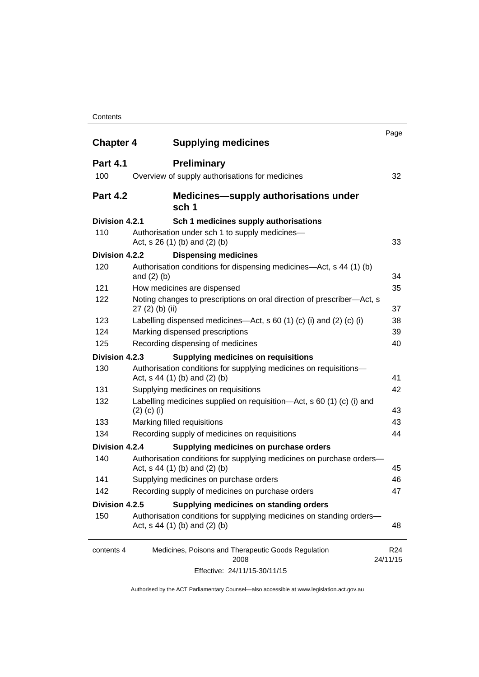#### **Contents**

| <b>Chapter 4</b> | <b>Supplying medicines</b>                                                                              | Page                        |
|------------------|---------------------------------------------------------------------------------------------------------|-----------------------------|
| <b>Part 4.1</b>  | <b>Preliminary</b>                                                                                      |                             |
| 100              | Overview of supply authorisations for medicines                                                         | 32                          |
| <b>Part 4.2</b>  | <b>Medicines—supply authorisations under</b><br>sch 1                                                   |                             |
| Division 4.2.1   | Sch 1 medicines supply authorisations                                                                   |                             |
| 110              | Authorisation under sch 1 to supply medicines-<br>Act, s 26 (1) (b) and (2) (b)                         | 33                          |
| Division 4.2.2   | <b>Dispensing medicines</b>                                                                             |                             |
| 120              | Authorisation conditions for dispensing medicines—Act, s 44 (1) (b)<br>and $(2)$ $(b)$                  | 34                          |
| 121              | How medicines are dispensed                                                                             | 35                          |
| 122              | Noting changes to prescriptions on oral direction of prescriber-Act, s<br>$27(2)$ (b) (ii)              | 37                          |
| 123              | Labelling dispensed medicines—Act, s 60 (1) (c) (i) and (2) (c) (i)                                     | 38                          |
| 124              | Marking dispensed prescriptions                                                                         | 39                          |
| 125              | Recording dispensing of medicines                                                                       | 40                          |
| Division 4.2.3   | <b>Supplying medicines on requisitions</b>                                                              |                             |
| 130              | Authorisation conditions for supplying medicines on requisitions-<br>Act, $s$ 44 (1) (b) and (2) (b)    | 41                          |
| 131              | Supplying medicines on requisitions                                                                     | 42                          |
| 132              | Labelling medicines supplied on requisition-Act, s 60 (1) (c) (i) and<br>$(2)$ (c) (i)                  | 43                          |
| 133              | Marking filled requisitions                                                                             | 43                          |
| 134              | Recording supply of medicines on requisitions                                                           | 44                          |
| Division 4.2.4   | Supplying medicines on purchase orders                                                                  |                             |
| 140              | Authorisation conditions for supplying medicines on purchase orders-<br>Act, $s$ 44 (1) (b) and (2) (b) | 45                          |
| 141              | Supplying medicines on purchase orders                                                                  | 46                          |
| 142              | Recording supply of medicines on purchase orders                                                        | 47                          |
| Division 4.2.5   | Supplying medicines on standing orders                                                                  |                             |
| 150              | Authorisation conditions for supplying medicines on standing orders-<br>Act, $s$ 44 (1) (b) and (2) (b) | 48                          |
| contents 4       | Medicines, Poisons and Therapeutic Goods Regulation<br>2008                                             | R <sub>24</sub><br>24/11/15 |
|                  | Effective: 24/11/15-30/11/15                                                                            |                             |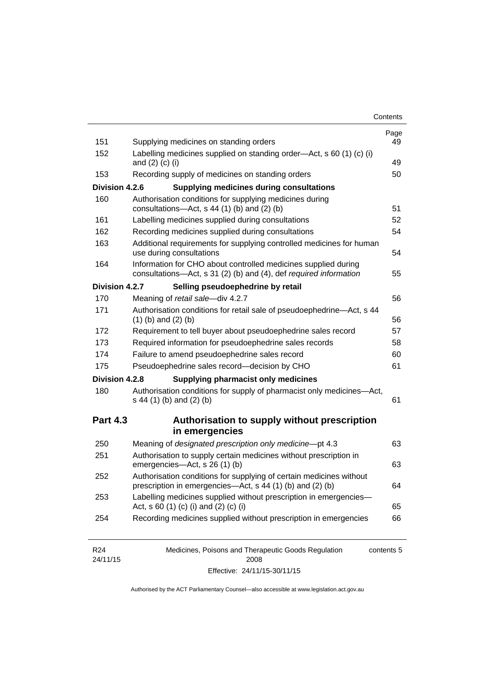| Contents |
|----------|
|----------|

| 151             | Supplying medicines on standing orders                                                                                              | Page<br>49 |
|-----------------|-------------------------------------------------------------------------------------------------------------------------------------|------------|
| 152             | Labelling medicines supplied on standing order-Act, s 60 (1) (c) (i)<br>and $(2)$ $(c)$ $(i)$                                       | 49         |
| 153             | Recording supply of medicines on standing orders                                                                                    | 50         |
| Division 4.2.6  | <b>Supplying medicines during consultations</b>                                                                                     |            |
| 160             | Authorisation conditions for supplying medicines during<br>consultations-Act, s 44 (1) (b) and (2) (b)                              | 51         |
| 161             | Labelling medicines supplied during consultations                                                                                   | 52         |
| 162             | Recording medicines supplied during consultations                                                                                   | 54         |
| 163             | Additional requirements for supplying controlled medicines for human<br>use during consultations                                    | 54         |
| 164             | Information for CHO about controlled medicines supplied during<br>consultations-Act, s 31 (2) (b) and (4), def required information | 55         |
| Division 4.2.7  | Selling pseudoephedrine by retail                                                                                                   |            |
| 170             | Meaning of retail sale-div 4.2.7                                                                                                    | 56         |
| 171             | Authorisation conditions for retail sale of pseudoephedrine-Act, s 44<br>$(1)$ (b) and $(2)$ (b)                                    | 56         |
| 172             | Requirement to tell buyer about pseudoephedrine sales record                                                                        | 57         |
| 173             | Required information for pseudoephedrine sales records                                                                              | 58         |
| 174             | Failure to amend pseudoephedrine sales record                                                                                       | 60         |
| 175             | Pseudoephedrine sales record-decision by CHO                                                                                        | 61         |
| Division 4.2.8  | <b>Supplying pharmacist only medicines</b>                                                                                          |            |
| 180             | Authorisation conditions for supply of pharmacist only medicines-Act,<br>s 44 (1) (b) and (2) (b)                                   | 61         |
| <b>Part 4.3</b> | Authorisation to supply without prescription<br>in emergencies                                                                      |            |
| 250             | Meaning of designated prescription only medicine-pt 4.3                                                                             | 63         |
|                 |                                                                                                                                     |            |
| 251             | Authorisation to supply certain medicines without prescription in<br>emergencies-Act, s 26 (1) (b)                                  | 63         |
| 252             | Authorisation conditions for supplying of certain medicines without<br>prescription in emergencies—Act, s 44 (1) (b) and (2) (b)    | 64         |
| 253             | Labelling medicines supplied without prescription in emergencies-<br>Act, s 60 (1) (c) (i) and (2) (c) (i)                          | 65         |

| R <sub>24</sub> | Medicines, Poisons and Therapeutic Goods Regulation | contents 5 |
|-----------------|-----------------------------------------------------|------------|
| 24/11/15        | 2008                                                |            |
|                 | Effective: 24/11/15-30/11/15                        |            |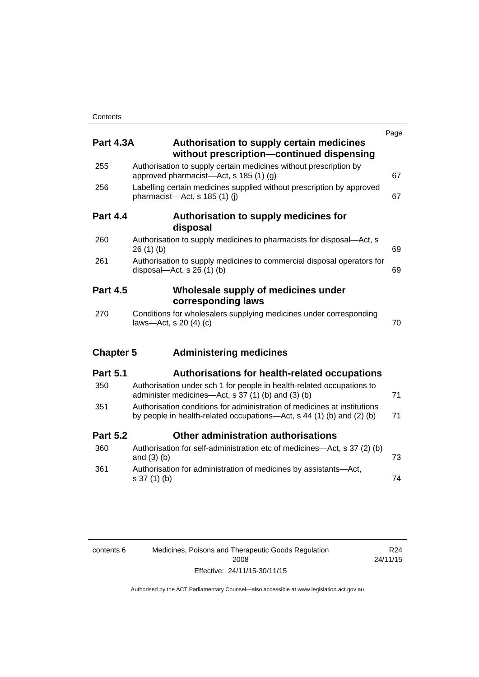| <b>Part 4.3A</b> | <b>Authorisation to supply certain medicines</b><br>without prescription-continued dispensing                                                     | Page |
|------------------|---------------------------------------------------------------------------------------------------------------------------------------------------|------|
| 255              | Authorisation to supply certain medicines without prescription by<br>approved pharmacist—Act, s 185 (1) (g)                                       | 67   |
| 256              | Labelling certain medicines supplied without prescription by approved<br>pharmacist-Act, s 185 (1) (i)                                            | 67   |
| <b>Part 4.4</b>  | Authorisation to supply medicines for<br>disposal                                                                                                 |      |
| 260              | Authorisation to supply medicines to pharmacists for disposal-Act, s<br>26(1)(b)                                                                  | 69   |
| 261              | Authorisation to supply medicines to commercial disposal operators for<br>disposal—Act, s $26(1)(b)$                                              | 69   |
| <b>Part 4.5</b>  | Wholesale supply of medicines under<br>corresponding laws                                                                                         |      |
| 270              | Conditions for wholesalers supplying medicines under corresponding<br>laws-Act, s 20 (4) (c)                                                      | 70   |
| <b>Chapter 5</b> | <b>Administering medicines</b>                                                                                                                    |      |
| <b>Part 5.1</b>  | <b>Authorisations for health-related occupations</b>                                                                                              |      |
| 350              | Authorisation under sch 1 for people in health-related occupations to<br>administer medicines—Act, s 37 (1) (b) and (3) (b)                       | 71   |
| 351              | Authorisation conditions for administration of medicines at institutions<br>by people in health-related occupations—Act, s 44 (1) (b) and (2) (b) | 71   |
| <b>Part 5.2</b>  | Other administration authorisations                                                                                                               |      |
| 360              | Authorisation for self-administration etc of medicines-Act, s 37 (2) (b)<br>and $(3)$ $(b)$                                                       | 73   |
| 361              | Authorisation for administration of medicines by assistants-Act,<br>s 37 (1) (b)                                                                  | 74   |

| contents 6 | Medicines, Poisons and Therapeutic Goods Regulation |
|------------|-----------------------------------------------------|
|            | 2008                                                |
|            | Effective: 24/11/15-30/11/15                        |

R24 24/11/15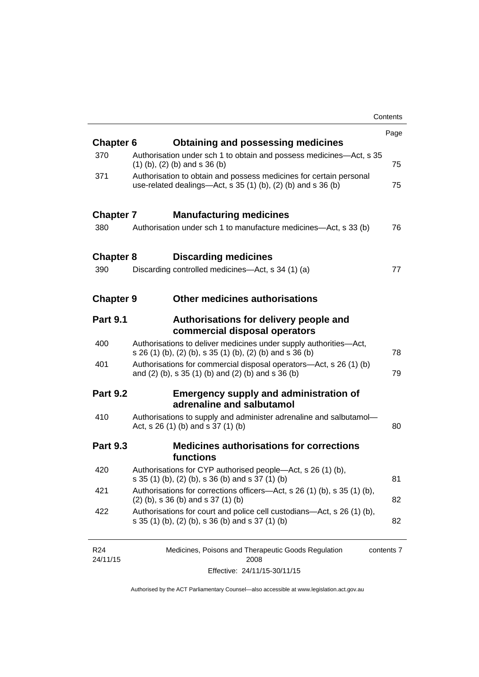|                  |                                                                                                                                       | Contents |
|------------------|---------------------------------------------------------------------------------------------------------------------------------------|----------|
|                  |                                                                                                                                       | Page     |
| <b>Chapter 6</b> | <b>Obtaining and possessing medicines</b>                                                                                             |          |
| 370              | Authorisation under sch 1 to obtain and possess medicines—Act, s 35<br>$(1)$ (b), (2) (b) and s 36 (b)                                | 75       |
| 371              | Authorisation to obtain and possess medicines for certain personal<br>use-related dealings—Act, s $35(1)(b)$ , $(2)(b)$ and s $36(b)$ | 75       |
| <b>Chapter 7</b> | <b>Manufacturing medicines</b>                                                                                                        |          |
| 380              | Authorisation under sch 1 to manufacture medicines—Act, s 33 (b)                                                                      | 76       |
| <b>Chapter 8</b> | <b>Discarding medicines</b>                                                                                                           |          |
| 390              | Discarding controlled medicines—Act, s 34 (1) (a)                                                                                     | 77       |
| <b>Chapter 9</b> | <b>Other medicines authorisations</b>                                                                                                 |          |
| <b>Part 9.1</b>  | Authorisations for delivery people and<br>commercial disposal operators                                                               |          |
| 400              | Authorisations to deliver medicines under supply authorities-Act,<br>s 26 (1) (b), (2) (b), s 35 (1) (b), (2) (b) and s 36 (b)        | 78       |
| 401              | Authorisations for commercial disposal operators-Act, s 26 (1) (b)<br>and (2) (b), s 35 (1) (b) and (2) (b) and s 36 (b)              | 79       |
| <b>Part 9.2</b>  | <b>Emergency supply and administration of</b><br>adrenaline and salbutamol                                                            |          |
| 410              | Authorisations to supply and administer adrenaline and salbutamol-<br>Act, s 26 (1) (b) and s 37 (1) (b)                              | 80       |
| <b>Part 9.3</b>  | <b>Medicines authorisations for corrections</b><br>functions                                                                          |          |
| 420              | Authorisations for CYP authorised people-Act, s 26 (1) (b),<br>s 35 (1) (b), (2) (b), s 36 (b) and s 37 (1) (b)                       | 81       |
| 421              | Authorisations for corrections officers-Act, s 26 (1) (b), s 35 (1) (b),<br>$(2)$ (b), s 36 (b) and s 37 (1) (b)                      | 82       |
| 422              | Authorisations for court and police cell custodians—Act, s 26 (1) (b),<br>s 35 (1) (b), (2) (b), s 36 (b) and s 37 (1) (b)            | 82       |
|                  |                                                                                                                                       |          |

| R24      | Medicines, Poisons and Therapeutic Goods Regulation | contents 7 |
|----------|-----------------------------------------------------|------------|
| 24/11/15 | 2008                                                |            |
|          | Effective: 24/11/15-30/11/15                        |            |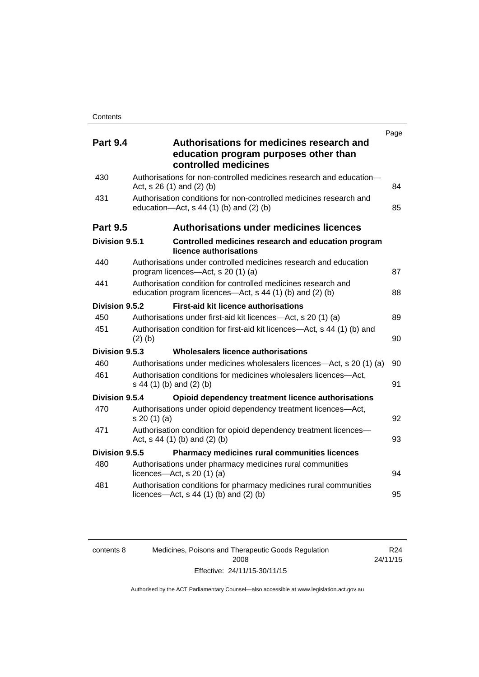| <b>Part 9.4</b> | Authorisations for medicines research and<br>education program purposes other than<br>controlled medicines                | Page |
|-----------------|---------------------------------------------------------------------------------------------------------------------------|------|
| 430             | Authorisations for non-controlled medicines research and education-<br>Act, $s$ 26 (1) and (2) (b)                        | 84   |
| 431             | Authorisation conditions for non-controlled medicines research and<br>education- $Act$ , s 44 (1) (b) and (2) (b)         | 85   |
| <b>Part 9.5</b> | <b>Authorisations under medicines licences</b>                                                                            |      |
| Division 9.5.1  | Controlled medicines research and education program<br>licence authorisations                                             |      |
| 440             | Authorisations under controlled medicines research and education<br>program licences-Act, s 20 (1) (a)                    | 87   |
| 441             | Authorisation condition for controlled medicines research and<br>education program licences—Act, s 44 (1) (b) and (2) (b) | 88   |
| Division 9.5.2  | <b>First-aid kit licence authorisations</b>                                                                               |      |
| 450             | Authorisations under first-aid kit licences—Act, s 20 (1) (a)                                                             | 89   |
| 451             | Authorisation condition for first-aid kit licences—Act, s 44 (1) (b) and<br>$(2)$ (b)                                     | 90   |
| Division 9.5.3  | Wholesalers licence authorisations                                                                                        |      |
| 460             | Authorisations under medicines wholesalers licences—Act, s 20 (1) (a)                                                     | 90   |
| 461             | Authorisation conditions for medicines wholesalers licences-Act,<br>s 44 (1) (b) and (2) (b)                              | 91   |
| Division 9.5.4  | Opioid dependency treatment licence authorisations                                                                        |      |
| 470             | Authorisations under opioid dependency treatment licences-Act,<br>s 20(1)(a)                                              | 92   |
| 471             | Authorisation condition for opioid dependency treatment licences-<br>Act, $s$ 44 (1) (b) and (2) (b)                      | 93   |
| Division 9.5.5  | Pharmacy medicines rural communities licences                                                                             |      |
| 480             | Authorisations under pharmacy medicines rural communities<br>licences- $-\text{Act}$ , s 20 (1) (a)                       | 94   |
| 481             | Authorisation conditions for pharmacy medicines rural communities<br>licences—Act, $s$ 44 (1) (b) and (2) (b)             | 95   |

| contents 8 | Medicines, Poisons and Therapeutic Goods Regulation | R24      |
|------------|-----------------------------------------------------|----------|
|            | 2008                                                | 24/11/15 |
|            | Effective: 24/11/15-30/11/15                        |          |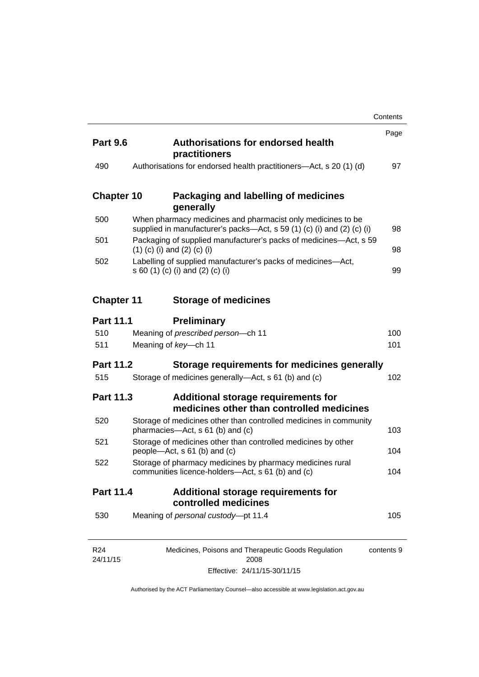|                             |                                                                                                                                       | Contents   |
|-----------------------------|---------------------------------------------------------------------------------------------------------------------------------------|------------|
| <b>Part 9.6</b>             | <b>Authorisations for endorsed health</b><br>practitioners                                                                            | Page       |
| 490                         | Authorisations for endorsed health practitioners—Act, s 20 (1) (d)                                                                    | 97         |
| <b>Chapter 10</b>           | Packaging and labelling of medicines<br>generally                                                                                     |            |
| 500                         | When pharmacy medicines and pharmacist only medicines to be<br>supplied in manufacturer's packs—Act, s 59 (1) (c) (i) and (2) (c) (i) | 98         |
| 501                         | Packaging of supplied manufacturer's packs of medicines—Act, s 59<br>$(1)$ (c) (i) and (2) (c) (i)                                    | 98         |
| 502                         | Labelling of supplied manufacturer's packs of medicines-Act,<br>s 60 (1) (c) (i) and (2) (c) (i)                                      | 99         |
| <b>Chapter 11</b>           | <b>Storage of medicines</b>                                                                                                           |            |
| <b>Part 11.1</b>            | <b>Preliminary</b>                                                                                                                    |            |
| 510                         | Meaning of prescribed person-ch 11                                                                                                    | 100        |
| 511                         | Meaning of key-ch 11                                                                                                                  | 101        |
| <b>Part 11.2</b>            | Storage requirements for medicines generally                                                                                          |            |
| 515                         | Storage of medicines generally-Act, s 61 (b) and (c)                                                                                  | 102        |
| <b>Part 11.3</b>            | Additional storage requirements for<br>medicines other than controlled medicines                                                      |            |
| 520                         | Storage of medicines other than controlled medicines in community<br>pharmacies-Act, s 61 (b) and (c)                                 | 103        |
| 521                         | Storage of medicines other than controlled medicines by other<br>people—Act, s 61 (b) and (c)                                         | 104        |
| 522                         | Storage of pharmacy medicines by pharmacy medicines rural<br>communities licence-holders-Act, s 61 (b) and (c)                        | 104        |
| <b>Part 11.4</b>            | <b>Additional storage requirements for</b><br>controlled medicines                                                                    |            |
| 530                         | Meaning of personal custody-pt 11.4                                                                                                   | 105        |
| R <sub>24</sub><br>24/11/15 | Medicines, Poisons and Therapeutic Goods Regulation<br>2008                                                                           | contents 9 |

Effective: 24/11/15-30/11/15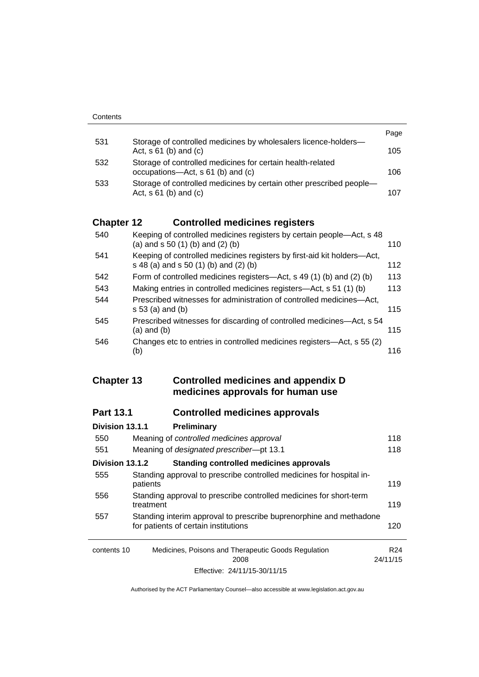|     |                                                                                                   | Page |
|-----|---------------------------------------------------------------------------------------------------|------|
| 531 | Storage of controlled medicines by wholesalers licence-holders-<br>Act, $s \, 61$ (b) and (c)     | 105  |
| 532 | Storage of controlled medicines for certain health-related<br>occupations—Act, s 61 (b) and (c)   | 106  |
| 533 | Storage of controlled medicines by certain other prescribed people-<br>Act, $s \, 61$ (b) and (c) | 107  |

# **Chapter 12 [Controlled medicines registers](#page-133-0)**

| 540 | Keeping of controlled medicines registers by certain people—Act, s 48<br>(a) and $s$ 50 (1) (b) and (2) (b)      | 110 |
|-----|------------------------------------------------------------------------------------------------------------------|-----|
| 541 | Keeping of controlled medicines registers by first-aid kit holders-Act,<br>s 48 (a) and s 50 (1) (b) and (2) (b) | 112 |
| 542 | Form of controlled medicines registers—Act, s 49 (1) (b) and (2) (b)                                             | 113 |
| 543 | Making entries in controlled medicines registers-Act, s 51 (1) (b)                                               | 113 |
| 544 | Prescribed witnesses for administration of controlled medicines—Act,<br>$s 53$ (a) and (b)                       | 115 |
| 545 | Prescribed witnesses for discarding of controlled medicines—Act, s 54<br>$(a)$ and $(b)$                         | 115 |
| 546 | Changes etc to entries in controlled medicines registers—Act, s 55 (2)<br>(b)                                    | 116 |

## **Chapter 13 [Controlled medicines and appendix D](#page-141-0)  [medicines approvals for human use](#page-141-0)**

# **Part 13.1 [Controlled medicines approvals](#page-141-1)**

| Division 13.1.1 | Preliminary                                                                                                |          |
|-----------------|------------------------------------------------------------------------------------------------------------|----------|
| 550             | Meaning of controlled medicines approval                                                                   | 118      |
| 551             | Meaning of designated prescriber-pt 13.1                                                                   | 118      |
| Division 13.1.2 | <b>Standing controlled medicines approvals</b>                                                             |          |
| 555             | Standing approval to prescribe controlled medicines for hospital in-<br>patients                           | 119      |
| 556             | Standing approval to prescribe controlled medicines for short-term<br>treatment                            | 119      |
| 557             | Standing interim approval to prescribe buprenorphine and methadone<br>for patients of certain institutions | 120      |
| contents 10     | Medicines, Poisons and Therapeutic Goods Regulation                                                        | R24      |
|                 | 2008                                                                                                       | 24/11/15 |
|                 | Effective: 24/11/15-30/11/15                                                                               |          |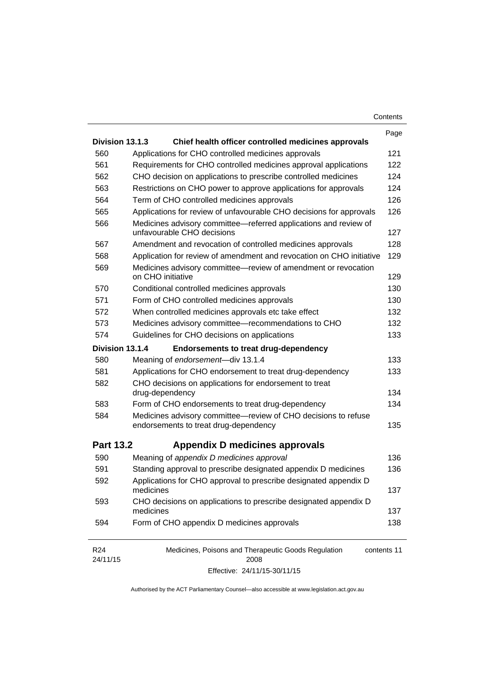| Contents |
|----------|
|----------|

|                             |                                                                                                         | Page        |
|-----------------------------|---------------------------------------------------------------------------------------------------------|-------------|
| Division 13.1.3             | Chief health officer controlled medicines approvals                                                     |             |
| 560                         | Applications for CHO controlled medicines approvals                                                     | 121         |
| 561                         | Requirements for CHO controlled medicines approval applications                                         | 122         |
| 562                         | CHO decision on applications to prescribe controlled medicines                                          | 124         |
| 563                         | Restrictions on CHO power to approve applications for approvals                                         | 124         |
| 564                         | Term of CHO controlled medicines approvals                                                              | 126         |
| 565                         | Applications for review of unfavourable CHO decisions for approvals                                     | 126         |
| 566                         | Medicines advisory committee-referred applications and review of<br>unfavourable CHO decisions          | 127         |
| 567                         | Amendment and revocation of controlled medicines approvals                                              | 128         |
| 568                         | Application for review of amendment and revocation on CHO initiative                                    | 129         |
| 569                         | Medicines advisory committee-review of amendment or revocation<br>on CHO initiative                     | 129         |
| 570                         | Conditional controlled medicines approvals                                                              | 130         |
| 571                         | Form of CHO controlled medicines approvals                                                              | 130         |
| 572                         | When controlled medicines approvals etc take effect                                                     | 132         |
| 573                         | Medicines advisory committee-recommendations to CHO                                                     | 132         |
| 574                         | Guidelines for CHO decisions on applications                                                            | 133         |
| Division 13.1.4             | <b>Endorsements to treat drug-dependency</b>                                                            |             |
| 580                         | Meaning of endorsement-div 13.1.4                                                                       | 133         |
| 581                         | Applications for CHO endorsement to treat drug-dependency                                               | 133         |
| 582                         | CHO decisions on applications for endorsement to treat                                                  |             |
|                             | drug-dependency                                                                                         | 134         |
| 583                         | Form of CHO endorsements to treat drug-dependency                                                       | 134         |
| 584                         | Medicines advisory committee-review of CHO decisions to refuse<br>endorsements to treat drug-dependency | 135         |
| <b>Part 13.2</b>            | Appendix D medicines approvals                                                                          |             |
| 590                         | Meaning of appendix D medicines approval                                                                | 136         |
| 591                         | Standing approval to prescribe designated appendix D medicines                                          | 136         |
| 592                         | Applications for CHO approval to prescribe designated appendix D                                        |             |
|                             | medicines                                                                                               | 137         |
| 593                         | CHO decisions on applications to prescribe designated appendix D                                        |             |
|                             | medicines                                                                                               | 137         |
| 594                         | Form of CHO appendix D medicines approvals                                                              | 138         |
| R <sub>24</sub><br>24/11/15 | Medicines, Poisons and Therapeutic Goods Regulation<br>2008                                             | contents 11 |

Effective: 24/11/15-30/11/15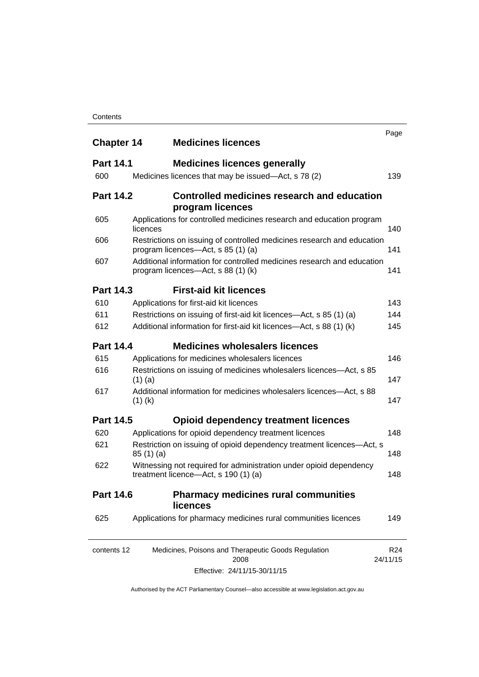#### **Contents**

| <b>Chapter 14</b> | <b>Medicines licences</b>                                                                                    | Page                        |
|-------------------|--------------------------------------------------------------------------------------------------------------|-----------------------------|
| <b>Part 14.1</b>  | <b>Medicines licences generally</b>                                                                          |                             |
| 600               | Medicines licences that may be issued—Act, s 78 (2)                                                          | 139                         |
| <b>Part 14.2</b>  | Controlled medicines research and education<br>program licences                                              |                             |
| 605               | Applications for controlled medicines research and education program<br>licences                             | 140                         |
| 606               | Restrictions on issuing of controlled medicines research and education<br>program licences—Act, s 85 (1) (a) | 141                         |
| 607               | Additional information for controlled medicines research and education<br>program licences—Act, s 88 (1) (k) | 141                         |
| <b>Part 14.3</b>  | <b>First-aid kit licences</b>                                                                                |                             |
| 610               | Applications for first-aid kit licences                                                                      | 143                         |
| 611               | Restrictions on issuing of first-aid kit licences—Act, s 85 (1) (a)                                          | 144                         |
| 612               | Additional information for first-aid kit licences—Act, s 88 (1) (k)                                          | 145                         |
| <b>Part 14.4</b>  | <b>Medicines wholesalers licences</b>                                                                        |                             |
| 615               | Applications for medicines wholesalers licences                                                              | 146                         |
| 616               | Restrictions on issuing of medicines wholesalers licences—Act, s 85<br>$(1)$ (a)                             | 147                         |
| 617               | Additional information for medicines wholesalers licences—Act, s 88<br>$(1)$ (k)                             | 147                         |
| <b>Part 14.5</b>  | <b>Opioid dependency treatment licences</b>                                                                  |                             |
| 620               | Applications for opioid dependency treatment licences                                                        | 148                         |
| 621               | Restriction on issuing of opioid dependency treatment licences-Act, s<br>85(1)(a)                            | 148                         |
| 622               | Witnessing not required for administration under opioid dependency<br>treatment licence—Act, s 190 (1) (a)   | 148                         |
| <b>Part 14.6</b>  | <b>Pharmacy medicines rural communities</b><br><b>licences</b>                                               |                             |
| 625               | Applications for pharmacy medicines rural communities licences                                               | 149                         |
| contents 12       | Medicines, Poisons and Therapeutic Goods Regulation<br>2008                                                  | R <sub>24</sub><br>24/11/15 |

Effective: 24/11/15-30/11/15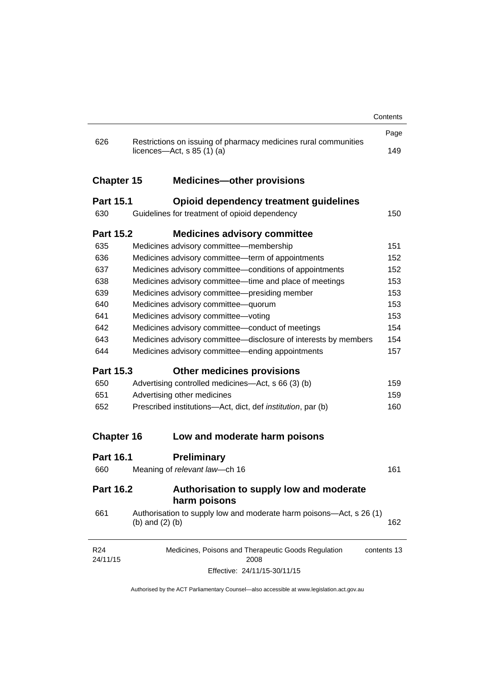|                   |                                                                                                 | Contents    |
|-------------------|-------------------------------------------------------------------------------------------------|-------------|
|                   |                                                                                                 | Page        |
| 626               | Restrictions on issuing of pharmacy medicines rural communities<br>licences—Act, $s$ 85 (1) (a) | 149         |
| <b>Chapter 15</b> | <b>Medicines-other provisions</b>                                                               |             |
| <b>Part 15.1</b>  | <b>Opioid dependency treatment guidelines</b>                                                   |             |
| 630               | Guidelines for treatment of opioid dependency                                                   | 150         |
| <b>Part 15.2</b>  | <b>Medicines advisory committee</b>                                                             |             |
| 635               | Medicines advisory committee-membership                                                         | 151         |
| 636               | Medicines advisory committee-term of appointments                                               | 152         |
| 637               | Medicines advisory committee-conditions of appointments                                         | 152         |
| 638               | Medicines advisory committee—time and place of meetings                                         | 153         |
| 639               | Medicines advisory committee-presiding member                                                   | 153         |
| 640               | Medicines advisory committee-quorum                                                             | 153         |
| 641               | Medicines advisory committee-voting                                                             | 153         |
| 642               | Medicines advisory committee-conduct of meetings                                                | 154         |
| 643               | Medicines advisory committee-disclosure of interests by members                                 | 154         |
| 644               | Medicines advisory committee—ending appointments                                                | 157         |
| <b>Part 15.3</b>  | <b>Other medicines provisions</b>                                                               |             |
| 650               | Advertising controlled medicines—Act, s 66 (3) (b)                                              | 159         |
| 651               | Advertising other medicines                                                                     | 159         |
| 652               | Prescribed institutions-Act, dict, def <i>institution</i> , par (b)                             | 160         |
| <b>Chapter 16</b> | Low and moderate harm poisons                                                                   |             |
| <b>Part 16.1</b>  | <b>Preliminary</b>                                                                              |             |
| 660               | Meaning of relevant law-ch 16                                                                   | 161         |
| <b>Part 16.2</b>  | Authorisation to supply low and moderate<br>harm poisons                                        |             |
| 661               | Authorisation to supply low and moderate harm poisons—Act, s 26 (1)<br>(b) and $(2)$ (b)        | 162         |
| R24<br>24/11/15   | Medicines, Poisons and Therapeutic Goods Regulation<br>2008                                     | contents 13 |
|                   |                                                                                                 |             |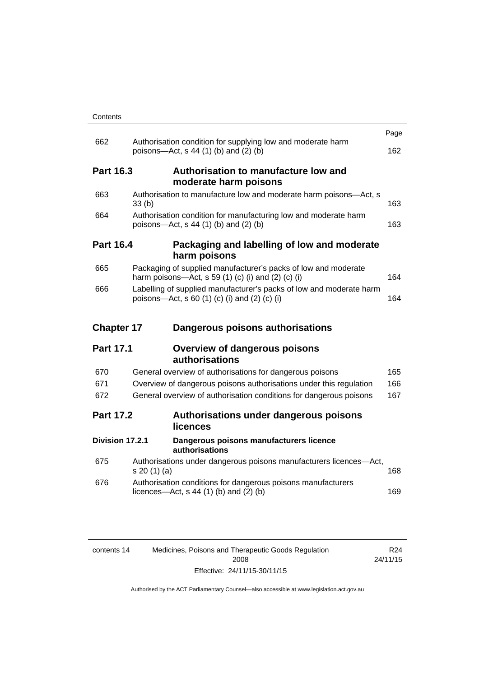| Contents |
|----------|
|----------|

|                   |                                                                                                                      | Page |
|-------------------|----------------------------------------------------------------------------------------------------------------------|------|
| 662               | Authorisation condition for supplying low and moderate harm<br>poisons-Act, s 44 (1) (b) and (2) (b)                 | 162  |
| <b>Part 16.3</b>  | Authorisation to manufacture low and<br>moderate harm poisons                                                        |      |
| 663               | Authorisation to manufacture low and moderate harm poisons-Act, s<br>33(b)                                           | 163  |
| 664               | Authorisation condition for manufacturing low and moderate harm<br>poisons—Act, s 44 (1) (b) and (2) (b)             | 163  |
| <b>Part 16.4</b>  | Packaging and labelling of low and moderate<br>harm poisons                                                          |      |
| 665               | Packaging of supplied manufacturer's packs of low and moderate<br>harm poisons—Act, s 59 (1) (c) (i) and (2) (c) (i) | 164  |
| 666               | Labelling of supplied manufacturer's packs of low and moderate harm<br>poisons—Act, s 60 (1) (c) (i) and (2) (c) (i) | 164  |
|                   |                                                                                                                      |      |
| <b>Chapter 17</b> | Dangerous poisons authorisations                                                                                     |      |
| <b>Part 17.1</b>  | <b>Overview of dangerous poisons</b><br><b>authorisations</b>                                                        |      |
| 670               | General overview of authorisations for dangerous poisons                                                             | 165  |
| 671               | Overview of dangerous poisons authorisations under this regulation                                                   | 166  |
| 672               | General overview of authorisation conditions for dangerous poisons                                                   | 167  |
| <b>Part 17.2</b>  | Authorisations under dangerous poisons<br>licences                                                                   |      |
| Division 17.2.1   | Dangerous poisons manufacturers licence<br>authorisations                                                            |      |
| 675               | Authorisations under dangerous poisons manufacturers licences-Act,<br>s 20 (1) (a)                                   | 168  |
| 676               | Authorisation conditions for dangerous poisons manufacturers<br>licences- $-\text{Act}$ , s 44 (1) (b) and (2) (b)   | 169  |

| contents 14 | Medicines, Poisons and Therapeutic Goods Regulation | R24      |
|-------------|-----------------------------------------------------|----------|
|             | 2008                                                | 24/11/15 |
|             | Effective: 24/11/15-30/11/15                        |          |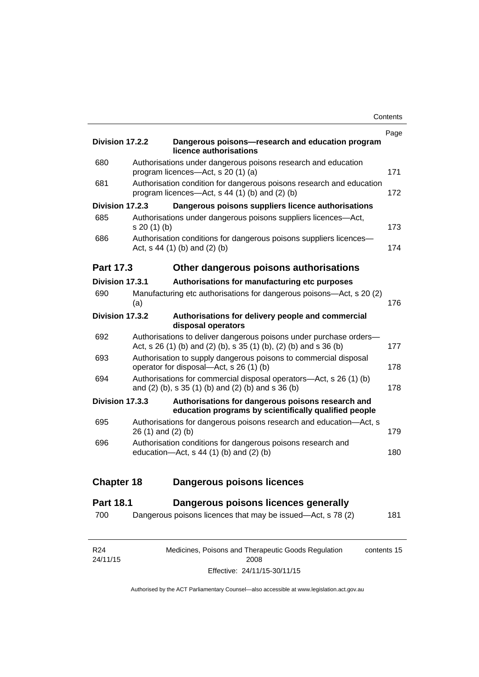| <b>Division 17.2.2</b> |                    | Dangerous poisons-research and education program<br>licence authorisations                                                              | Page |
|------------------------|--------------------|-----------------------------------------------------------------------------------------------------------------------------------------|------|
| 680                    |                    | Authorisations under dangerous poisons research and education<br>program licences—Act, s 20 (1) (a)                                     | 171  |
| 681                    |                    | Authorisation condition for dangerous poisons research and education<br>program licences—Act, s 44 (1) (b) and (2) (b)                  | 172  |
| Division 17.2.3        |                    | Dangerous poisons suppliers licence authorisations                                                                                      |      |
| 685                    | s 20 (1) (b)       | Authorisations under dangerous poisons suppliers licences-Act,                                                                          | 173  |
| 686                    |                    | Authorisation conditions for dangerous poisons suppliers licences-<br>Act, s 44 (1) (b) and (2) (b)                                     | 174  |
| <b>Part 17.3</b>       |                    | Other dangerous poisons authorisations                                                                                                  |      |
| Division 17.3.1        |                    | Authorisations for manufacturing etc purposes                                                                                           |      |
| 690                    | (a)                | Manufacturing etc authorisations for dangerous poisons-Act, s 20 (2)                                                                    | 176  |
| Division 17.3.2        |                    | Authorisations for delivery people and commercial<br>disposal operators                                                                 |      |
| 692                    |                    | Authorisations to deliver dangerous poisons under purchase orders-<br>Act, s 26 (1) (b) and (2) (b), s 35 (1) (b), (2) (b) and s 36 (b) | 177  |
| 693                    |                    | Authorisation to supply dangerous poisons to commercial disposal<br>operator for disposal-Act, s 26 (1) (b)                             | 178  |
| 694                    |                    | Authorisations for commercial disposal operators—Act, s 26 (1) (b)<br>and (2) (b), s 35 (1) (b) and (2) (b) and s 36 (b)                | 178  |
| Division 17.3.3        |                    | Authorisations for dangerous poisons research and<br>education programs by scientifically qualified people                              |      |
| 695                    | 26 (1) and (2) (b) | Authorisations for dangerous poisons research and education-Act, s                                                                      | 179  |
| 696                    |                    | Authorisation conditions for dangerous poisons research and<br>education- $Act$ , s 44 (1) (b) and (2) (b)                              | 180  |
| <b>Chapter 18</b>      |                    | <b>Dangerous poisons licences</b>                                                                                                       |      |
| <b>Part 18.1</b>       |                    | Dangerous poisons licences generally                                                                                                    |      |
|                        |                    |                                                                                                                                         |      |

| R24      | Medicines, Poisons and Therapeutic Goods Regulation | contents 15 |
|----------|-----------------------------------------------------|-------------|
| 24/11/15 | 2008                                                |             |
|          | Effective: 24/11/15-30/11/15                        |             |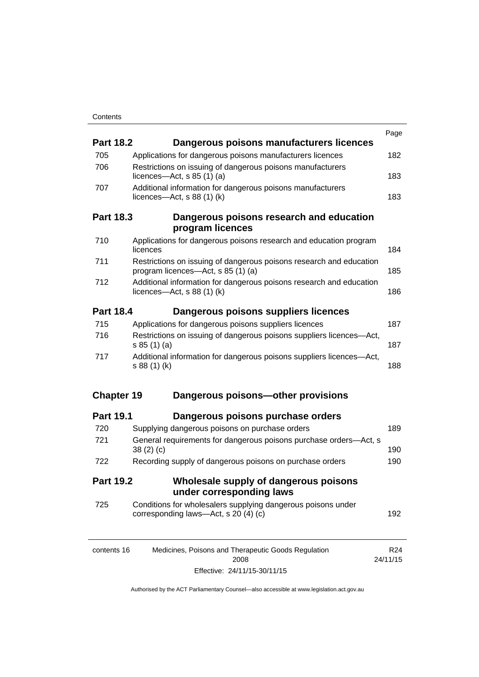|                   |                                                                                                           | Page            |
|-------------------|-----------------------------------------------------------------------------------------------------------|-----------------|
| <b>Part 18.2</b>  | Dangerous poisons manufacturers licences                                                                  |                 |
| 705               | Applications for dangerous poisons manufacturers licences                                                 | 182             |
| 706               | Restrictions on issuing of dangerous poisons manufacturers<br>licences- $-\text{Act}$ , s 85 (1) (a)      | 183             |
| 707               | Additional information for dangerous poisons manufacturers<br>licences- $-\text{Act}$ , s 88 (1) (k)      | 183             |
| <b>Part 18.3</b>  | Dangerous poisons research and education                                                                  |                 |
|                   | program licences                                                                                          |                 |
| 710               | Applications for dangerous poisons research and education program<br>licences                             | 184             |
| 711               | Restrictions on issuing of dangerous poisons research and education<br>program licences—Act, s 85 (1) (a) | 185             |
| 712               | Additional information for dangerous poisons research and education<br>licences—Act, $s$ 88 (1) (k)       |                 |
| <b>Part 18.4</b>  | Dangerous poisons suppliers licences                                                                      |                 |
| 715               | Applications for dangerous poisons suppliers licences                                                     | 187             |
| 716               | Restrictions on issuing of dangerous poisons suppliers licences-Act,<br>s 85 (1) (a)                      | 187             |
| 717               | Additional information for dangerous poisons suppliers licences-Act,<br>s 88 (1) (k)                      | 188             |
| <b>Chapter 19</b> | Dangerous poisons-other provisions                                                                        |                 |
| <b>Part 19.1</b>  | Dangerous poisons purchase orders                                                                         |                 |
| 720               | Supplying dangerous poisons on purchase orders                                                            | 189             |
| 721               | General requirements for dangerous poisons purchase orders-Act, s<br>38(2)(c)                             | 190             |
| 722               | Recording supply of dangerous poisons on purchase orders                                                  | 190             |
| <b>Part 19.2</b>  | Wholesale supply of dangerous poisons<br>under corresponding laws                                         |                 |
| 725               | Conditions for wholesalers supplying dangerous poisons under<br>corresponding laws-Act, s 20 (4) (c)      | 192             |
| contents 16       | Medicines, Poisons and Therapeutic Goods Regulation                                                       | R <sub>24</sub> |

24/11/15

2008 Effective: 24/11/15-30/11/15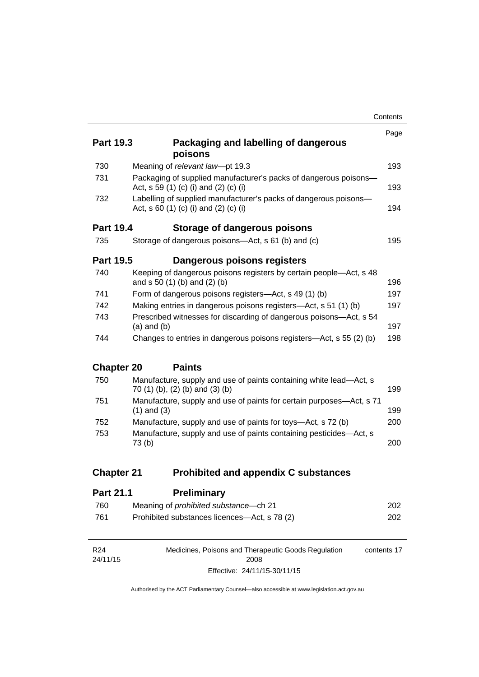|                   |                                                                                                           | Contents |
|-------------------|-----------------------------------------------------------------------------------------------------------|----------|
|                   |                                                                                                           | Page     |
| <b>Part 19.3</b>  | Packaging and labelling of dangerous<br>poisons                                                           |          |
| 730               | Meaning of relevant law-pt 19.3                                                                           | 193      |
| 731               | Packaging of supplied manufacturer's packs of dangerous poisons-<br>Act, s 59 (1) (c) (i) and (2) (c) (i) | 193      |
| 732               | Labelling of supplied manufacturer's packs of dangerous poisons-<br>Act, s 60 (1) (c) (i) and (2) (c) (i) | 194      |
| <b>Part 19.4</b>  | Storage of dangerous poisons                                                                              |          |
| 735               | Storage of dangerous poisons—Act, s 61 (b) and (c)                                                        | 195      |
| <b>Part 19.5</b>  | Dangerous poisons registers                                                                               |          |
| 740               | Keeping of dangerous poisons registers by certain people—Act, s 48<br>and s 50 (1) (b) and (2) (b)        | 196      |
| 741               | Form of dangerous poisons registers—Act, s 49 (1) (b)                                                     | 197      |
| 742               | Making entries in dangerous poisons registers-Act, s 51 (1) (b)                                           | 197      |
| 743               | Prescribed witnesses for discarding of dangerous poisons-Act, s 54<br>$(a)$ and $(b)$                     | 197      |
| 744               | Changes to entries in dangerous poisons registers—Act, s 55 (2) (b)                                       | 198      |
| <b>Chapter 20</b> | <b>Paints</b>                                                                                             |          |
| 750               | Manufacture, supply and use of paints containing white lead-Act, s<br>70 (1) (b), (2) (b) and (3) (b)     | 199      |
| 751               | Manufacture, supply and use of paints for certain purposes-Act, s 71<br>$(1)$ and $(3)$                   | 199      |
| 752               | Manufacture, supply and use of paints for toys—Act, s 72 (b)                                              | 200      |
| 753               | Manufacture, supply and use of paints containing pesticides-Act, s<br>73 <sub>(b)</sub>                   | 200      |
| <b>Chapter 21</b> | <b>Prohibited and appendix C substances</b>                                                               |          |
| <b>Part 21 1</b>  | <b>Preliminary</b>                                                                                        |          |

| .   | 1 I VIIIIIIIIIII Y                            |     |
|-----|-----------------------------------------------|-----|
| 760 | Meaning of <i>prohibited substance</i> —ch 21 | 202 |
| 761 | Prohibited substances licences—Act, s 78 (2)  | 202 |

| R <sub>24</sub> | Medicines, Poisons and Therapeutic Goods Regulation | contents 17 |
|-----------------|-----------------------------------------------------|-------------|
| 24/11/15        | 2008                                                |             |
|                 | Effective: 24/11/15-30/11/15                        |             |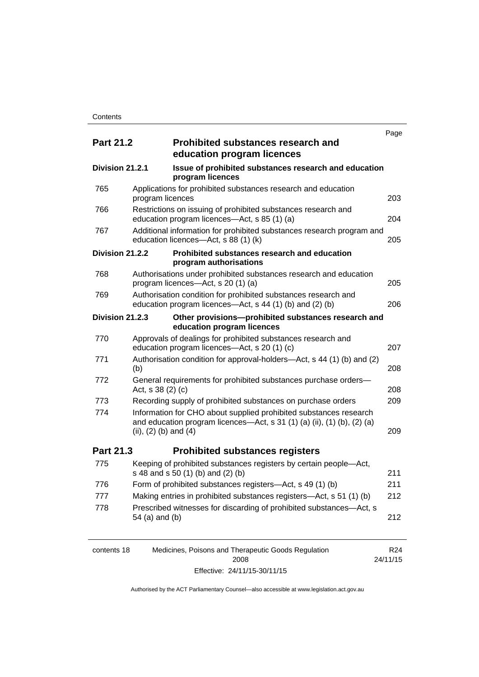|                  |                           |                                                                                                                                              | Page |
|------------------|---------------------------|----------------------------------------------------------------------------------------------------------------------------------------------|------|
| <b>Part 21.2</b> |                           | <b>Prohibited substances research and</b><br>education program licences                                                                      |      |
| Division 21.2.1  |                           | Issue of prohibited substances research and education<br>program licences                                                                    |      |
| 765              | program licences          | Applications for prohibited substances research and education                                                                                | 203  |
| 766              |                           | Restrictions on issuing of prohibited substances research and<br>education program licences-Act, s 85 (1) (a)                                | 204  |
| 767              |                           | Additional information for prohibited substances research program and<br>education licences-Act, s 88 (1) (k)                                | 205  |
| Division 21.2.2  |                           | Prohibited substances research and education<br>program authorisations                                                                       |      |
| 768              |                           | Authorisations under prohibited substances research and education<br>program licences—Act, s 20 (1) (a)                                      | 205  |
| 769              |                           | Authorisation condition for prohibited substances research and<br>education program licences—Act, s 44 (1) (b) and (2) (b)                   | 206  |
| Division 21.2.3  |                           | Other provisions-prohibited substances research and<br>education program licences                                                            |      |
| 770              |                           | Approvals of dealings for prohibited substances research and<br>education program licences—Act, s 20 (1) (c)                                 | 207  |
| 771              | (b)                       | Authorisation condition for approval-holders—Act, s 44 (1) (b) and (2)                                                                       | 208  |
| 772              | Act, s 38 (2) (c)         | General requirements for prohibited substances purchase orders-                                                                              | 208  |
| 773              |                           | Recording supply of prohibited substances on purchase orders                                                                                 | 209  |
| 774              | (ii), $(2)$ (b) and $(4)$ | Information for CHO about supplied prohibited substances research<br>and education program licences-Act, s 31 (1) (a) (ii), (1) (b), (2) (a) | 209  |
| Part 21.3        |                           | <b>Prohibited substances registers</b>                                                                                                       |      |
| 775              |                           | Keeping of prohibited substances registers by certain people-Act,<br>s 48 and s 50 (1) (b) and (2) (b)                                       | 211  |
| 776              |                           | Form of prohibited substances registers-Act, s 49 (1) (b)                                                                                    | 211  |
| 777              |                           | Making entries in prohibited substances registers-Act, s 51 (1) (b)                                                                          | 212  |
| 778              | 54 (a) and (b)            | Prescribed witnesses for discarding of prohibited substances-Act, s                                                                          | 212  |

| contents 18 | Medicines, Poisons and Therapeutic Goods Regulation | R24      |
|-------------|-----------------------------------------------------|----------|
|             | 2008                                                | 24/11/15 |
|             | Effective: 24/11/15-30/11/15                        |          |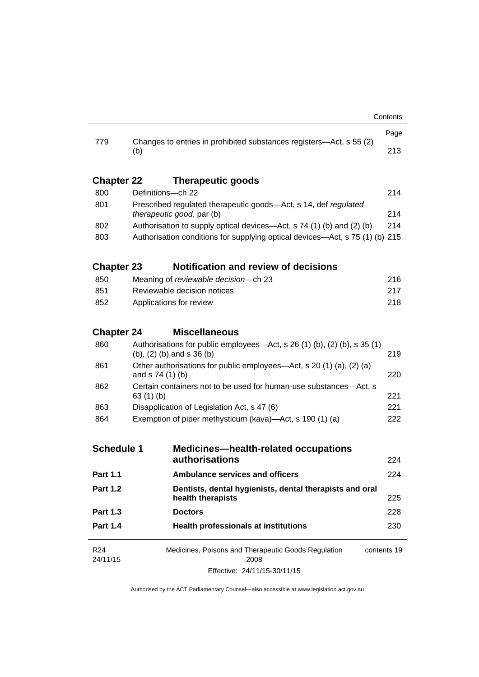|                   |                                                                                                                       | Page |  |
|-------------------|-----------------------------------------------------------------------------------------------------------------------|------|--|
| 779               | Changes to entries in prohibited substances registers—Act, s 55 (2)<br>(b)                                            | 213  |  |
| <b>Chapter 22</b> | <b>Therapeutic goods</b>                                                                                              |      |  |
| 800               | Definitions-ch 22                                                                                                     | 214  |  |
| 801               | Prescribed regulated therapeutic goods-Act, s 14, def regulated<br>therapeutic good, par (b)                          | 214  |  |
| 802               | Authorisation to supply optical devices—Act, s 74 (1) (b) and (2) (b)                                                 | 214  |  |
| 803               | Authorisation conditions for supplying optical devices—Act, s 75 (1) (b) 215                                          |      |  |
| <b>Chapter 23</b> | <b>Notification and review of decisions</b>                                                                           |      |  |
| 850               | Meaning of reviewable decision-ch 23                                                                                  | 216  |  |
| 851               | Reviewable decision notices                                                                                           | 217  |  |
| 852               | Applications for review                                                                                               |      |  |
| <b>Chapter 24</b> | <b>Miscellaneous</b>                                                                                                  |      |  |
| 860               | Authorisations for public employees—Act, s 26 (1) (b), (2) (b), s 35 (1)<br>$(b)$ , $(2)$ $(b)$ and s 36 $(b)$<br>219 |      |  |
| 861               | Other authorisations for public employees—Act, s 20 (1) (a), (2) (a)<br>and $s$ 74 (1) (b)                            |      |  |
| 862               | Certain containers not to be used for human-use substances—Act, s<br>63 $(1)$ $(b)$                                   |      |  |
| 863               | Disapplication of Legislation Act, s 47 (6)                                                                           | 221  |  |
| 864               | Exemption of piper methysticum (kava)—Act, s 190 (1) (a)                                                              |      |  |
| <b>Schedule 1</b> | <b>Medicines-health-related occupations</b>                                                                           |      |  |
|                   | authorisations                                                                                                        | 224  |  |
| <b>Part 1.1</b>   | <b>Ambulance services and officers</b>                                                                                | 224  |  |
| <b>Part 1.2</b>   | Dentists, dental hygienists, dental therapists and oral<br>health therapists                                          | 225  |  |
| <b>Part 1.3</b>   | <b>Doctors</b>                                                                                                        | 228  |  |
| <b>Part 1.4</b>   | <b>Health professionals at institutions</b>                                                                           | 230  |  |
| R <sub>24</sub>   | Medicines, Poisons and Therapeutic Goods Regulation<br>contents 19                                                    |      |  |
| 24/11/15          | 2008<br>Effective: 24/11/15-30/11/15                                                                                  |      |  |
|                   |                                                                                                                       |      |  |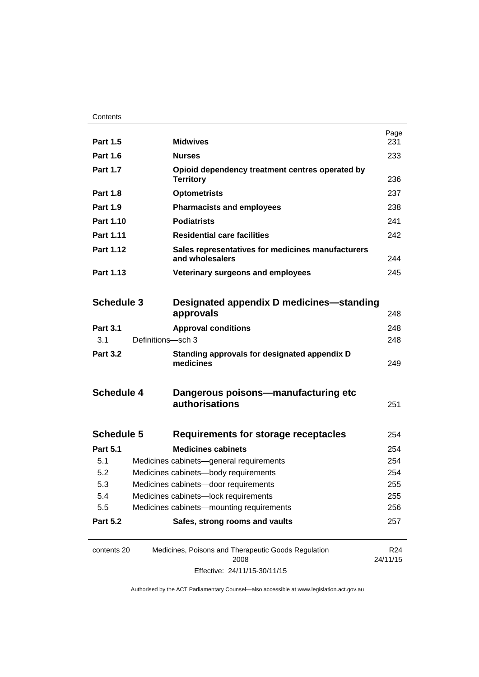| <b>Part 1.5</b>        |                                      | <b>Midwives</b>                                                      | Page<br>231                 |  |
|------------------------|--------------------------------------|----------------------------------------------------------------------|-----------------------------|--|
| <b>Part 1.6</b>        |                                      | <b>Nurses</b>                                                        | 233                         |  |
| <b>Part 1.7</b>        |                                      | Opioid dependency treatment centres operated by<br><b>Territory</b>  | 236                         |  |
| <b>Part 1.8</b>        |                                      | <b>Optometrists</b>                                                  | 237                         |  |
| <b>Part 1.9</b>        |                                      | <b>Pharmacists and employees</b>                                     | 238                         |  |
| Part 1.10<br>Part 1.11 |                                      | <b>Podiatrists</b>                                                   |                             |  |
|                        |                                      | <b>Residential care facilities</b>                                   |                             |  |
| Part 1.12              |                                      | Sales representatives for medicines manufacturers<br>and wholesalers |                             |  |
| Part 1.13              |                                      | Veterinary surgeons and employees                                    | 245                         |  |
| <b>Schedule 3</b>      |                                      | Designated appendix D medicines—standing<br>approvals                | 248                         |  |
| <b>Part 3.1</b>        |                                      | <b>Approval conditions</b>                                           | 248                         |  |
| 3.1                    | Definitions-sch 3                    |                                                                      | 248                         |  |
| <b>Part 3.2</b>        |                                      | Standing approvals for designated appendix D<br>medicines            | 249                         |  |
| <b>Schedule 4</b>      |                                      | Dangerous poisons-manufacturing etc<br>authorisations                | 251                         |  |
| <b>Schedule 5</b>      |                                      | <b>Requirements for storage receptacles</b>                          | 254                         |  |
| <b>Part 5.1</b>        |                                      | <b>Medicines cabinets</b>                                            | 254                         |  |
| 5.1                    |                                      | Medicines cabinets-general requirements                              | 254                         |  |
| 5.2                    | Medicines cabinets-body requirements |                                                                      | 254                         |  |
| 5.3                    | Medicines cabinets-door requirements |                                                                      | 255                         |  |
| 5.4                    |                                      | Medicines cabinets-lock requirements                                 | 255                         |  |
| 5.5                    |                                      | Medicines cabinets-mounting requirements                             | 256                         |  |
| <b>Part 5.2</b>        |                                      | Safes, strong rooms and vaults                                       | 257                         |  |
| contents 20            |                                      | Medicines, Poisons and Therapeutic Goods Regulation<br>2008          | R <sub>24</sub><br>24/11/15 |  |

Effective: 24/11/15-30/11/15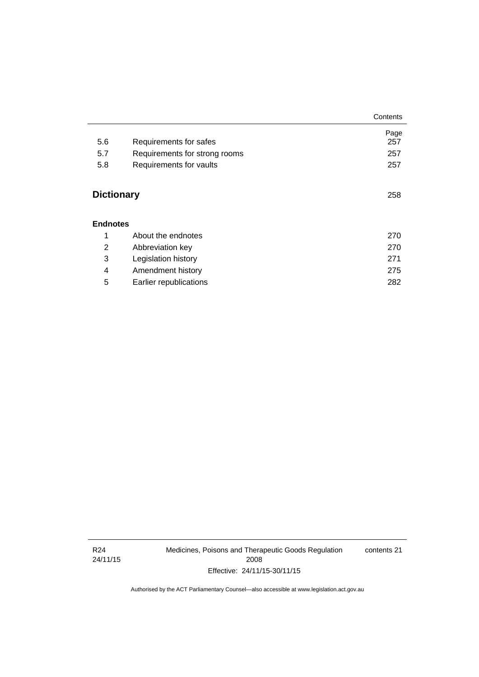|                   |                               | Contents    |
|-------------------|-------------------------------|-------------|
| 5.6               | Requirements for safes        | Page<br>257 |
| 5.7               | Requirements for strong rooms | 257         |
|                   |                               |             |
| 5.8               | Requirements for vaults       | 257         |
| <b>Dictionary</b> |                               | 258         |
| <b>Endnotes</b>   |                               |             |
| 1                 | About the endnotes            | 270         |
| 2                 | Abbreviation key              | 270         |
| 3                 | Legislation history           | 271         |
| 4                 | Amendment history             | 275         |
| 5                 | Earlier republications        | 282         |

R24 24/11/15 Medicines, Poisons and Therapeutic Goods Regulation 2008 Effective: 24/11/15-30/11/15

contents 21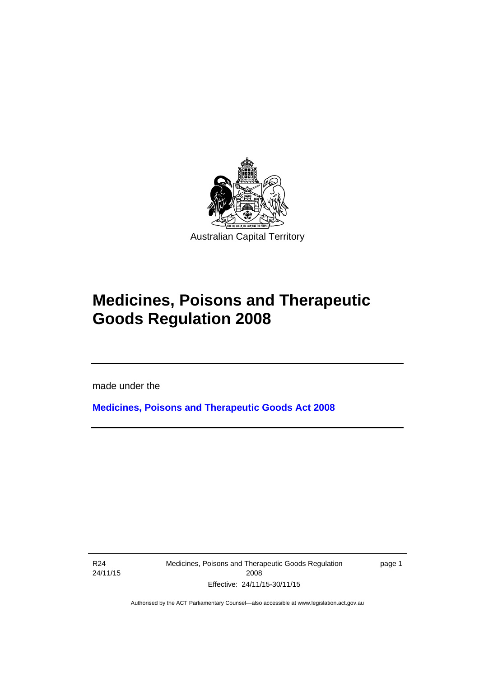

# **Medicines, Poisons and Therapeutic Goods Regulation 2008**

made under the

**[Medicines, Poisons and Therapeutic Goods Act 2008](http://www.legislation.act.gov.au/a/2008-26)**

R24 24/11/15

Ī

Medicines, Poisons and Therapeutic Goods Regulation 2008 Effective: 24/11/15-30/11/15

page 1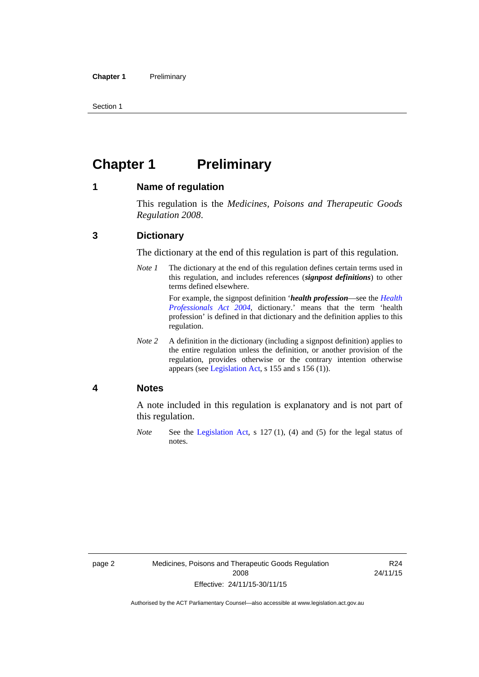Section 1

# <span id="page-25-0"></span>**Chapter 1** Preliminary

### <span id="page-25-1"></span>**1 Name of regulation**

This regulation is the *Medicines, Poisons and Therapeutic Goods Regulation 2008*.

### <span id="page-25-2"></span>**3 Dictionary**

The dictionary at the end of this regulation is part of this regulation.

*Note 1* The dictionary at the end of this regulation defines certain terms used in this regulation, and includes references (*signpost definitions*) to other terms defined elsewhere. For example, the signpost definition '*health profession*—see the *[Health](http://www.legislation.act.gov.au/a/2004-38)* 

*[Professionals Act 2004](http://www.legislation.act.gov.au/a/2004-38)*, dictionary.' means that the term 'health profession' is defined in that dictionary and the definition applies to this regulation.

*Note 2* A definition in the dictionary (including a signpost definition) applies to the entire regulation unless the definition, or another provision of the regulation, provides otherwise or the contrary intention otherwise appears (see [Legislation Act,](http://www.legislation.act.gov.au/a/2001-14) s 155 and s 156 (1)).

### <span id="page-25-3"></span>**4 Notes**

A note included in this regulation is explanatory and is not part of this regulation.

*Note* See the [Legislation Act,](http://www.legislation.act.gov.au/a/2001-14) s 127 (1), (4) and (5) for the legal status of notes.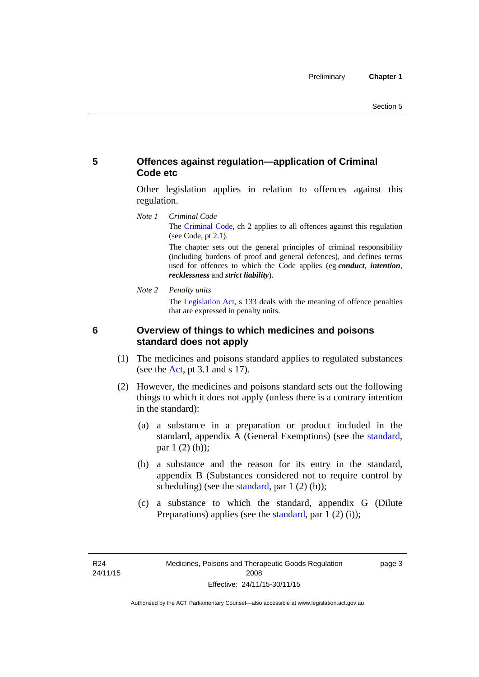# <span id="page-26-0"></span>**5 Offences against regulation—application of Criminal Code etc**

Other legislation applies in relation to offences against this regulation.

*Note 1 Criminal Code* The [Criminal Code](http://www.legislation.act.gov.au/a/2002-51), ch 2 applies to all offences against this regulation (see Code, pt 2.1).

> The chapter sets out the general principles of criminal responsibility (including burdens of proof and general defences), and defines terms used for offences to which the Code applies (eg *conduct*, *intention*, *recklessness* and *strict liability*).

*Note 2 Penalty units* 

The [Legislation Act](http://www.legislation.act.gov.au/a/2001-14), s 133 deals with the meaning of offence penalties that are expressed in penalty units.

<span id="page-26-1"></span>

# **6 Overview of things to which medicines and poisons standard does not apply**

- (1) The medicines and poisons standard applies to regulated substances (see the [Act](http://www.legislation.act.gov.au/a/2008-26/default.asp), pt 3.1 and s 17).
- (2) However, the medicines and poisons standard sets out the following things to which it does not apply (unless there is a contrary intention in the standard):
	- (a) a substance in a preparation or product included in the standard, appendix A (General Exemptions) (see the [standard](http://www.comlaw.gov.au/Series/F2012L01200), par 1 (2) (h));
	- (b) a substance and the reason for its entry in the standard, appendix B (Substances considered not to require control by scheduling) (see the [standard,](http://www.comlaw.gov.au/Series/F2012L01200) par  $1(2)(h)$ );
	- (c) a substance to which the standard, appendix G (Dilute Preparations) applies (see the [standard,](http://www.comlaw.gov.au/Series/F2012L01200) par 1 (2) (i));

page 3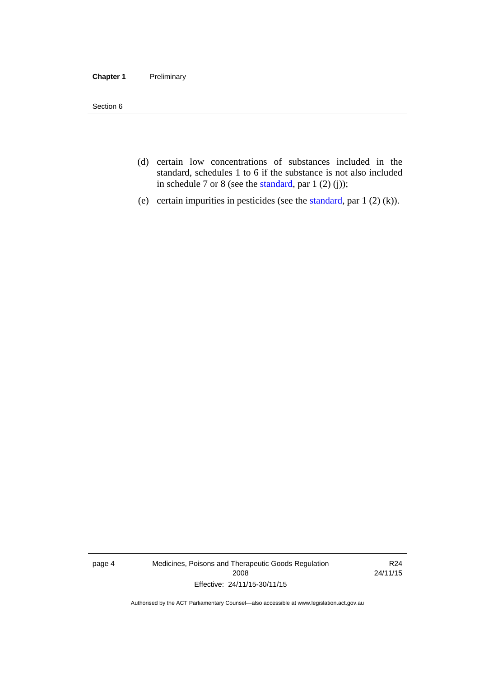#### **Chapter 1** Preliminary

Section 6

- (d) certain low concentrations of substances included in the standard, schedules 1 to 6 if the substance is not also included in schedule 7 or 8 (see the [standard,](http://www.comlaw.gov.au/Series/F2012L01200) par 1 (2) (j));
- (e) certain impurities in pesticides (see the [standard,](http://www.comlaw.gov.au/Series/F2012L01200) par  $1(2)(k)$ ).

page 4 Medicines, Poisons and Therapeutic Goods Regulation 2008 Effective: 24/11/15-30/11/15

R24 24/11/15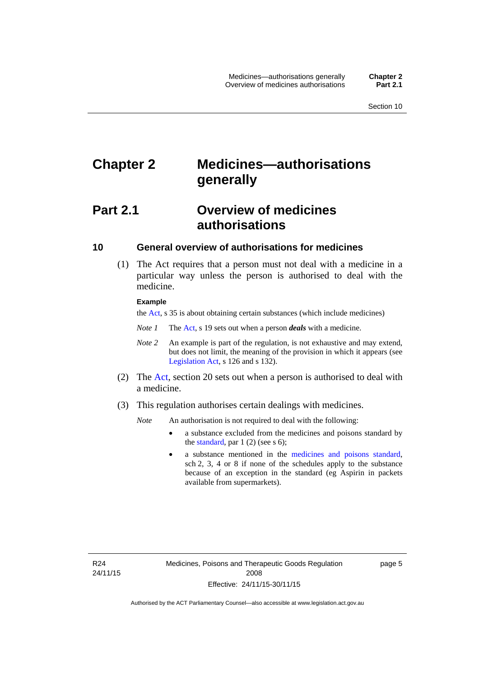# <span id="page-28-0"></span>**Chapter 2 Medicines—authorisations generally**

# <span id="page-28-1"></span>**Part 2.1 Overview of medicines authorisations**

### <span id="page-28-2"></span>**10 General overview of authorisations for medicines**

 (1) The Act requires that a person must not deal with a medicine in a particular way unless the person is authorised to deal with the medicine.

#### **Example**

the [Act](http://www.legislation.act.gov.au/a/2008-26/default.asp), s 35 is about obtaining certain substances (which include medicines)

- *Note 1* The [Act,](http://www.legislation.act.gov.au/a/2008-26/default.asp) s 19 sets out when a person *deals* with a medicine.
- *Note 2* An example is part of the regulation, is not exhaustive and may extend, but does not limit, the meaning of the provision in which it appears (see [Legislation Act,](http://www.legislation.act.gov.au/a/2001-14) s 126 and s 132).
- (2) The [Act](http://www.legislation.act.gov.au/a/2008-26/default.asp), section 20 sets out when a person is authorised to deal with a medicine.
- (3) This regulation authorises certain dealings with medicines.

*Note* An authorisation is not required to deal with the following:

- a substance excluded from the medicines and poisons standard by the [standard,](http://www.comlaw.gov.au/Series/F2012L01200) par  $1(2)$  (see s 6);
- a substance mentioned in the [medicines and poisons standard,](http://www.comlaw.gov.au/Series/F2012L01200) sch 2, 3, 4 or 8 if none of the schedules apply to the substance because of an exception in the standard (eg Aspirin in packets available from supermarkets).

R24 24/11/15 page 5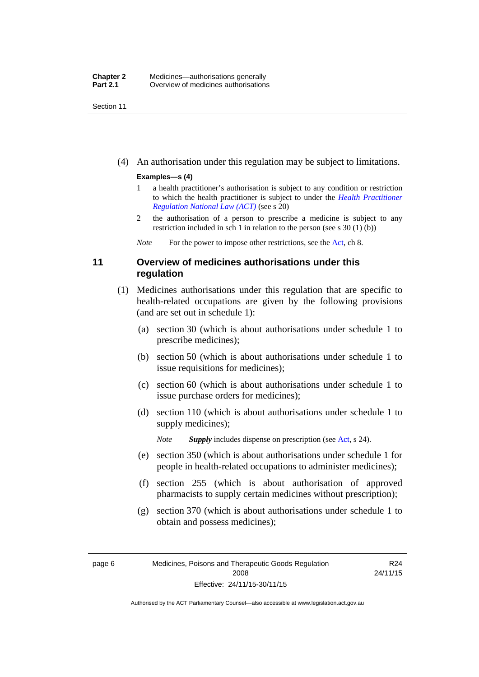Section 11

(4) An authorisation under this regulation may be subject to limitations.

#### **Examples—s (4)**

- 1 a health practitioner's authorisation is subject to any condition or restriction to which the health practitioner is subject to under the *[Health Practitioner](http://www.legislation.act.gov.au/a/db_39269/default.asp)  [Regulation National Law \(ACT\)](http://www.legislation.act.gov.au/a/db_39269/default.asp)* (see s 20)
- 2 the authorisation of a person to prescribe a medicine is subject to any restriction included in sch 1 in relation to the person (see s 30 (1) (b))

*Note* For the power to impose other restrictions, see the [Act](http://www.legislation.act.gov.au/a/2008-26/default.asp), ch 8.

## <span id="page-29-0"></span>**11 Overview of medicines authorisations under this regulation**

- (1) Medicines authorisations under this regulation that are specific to health-related occupations are given by the following provisions (and are set out in schedule 1):
	- (a) section 30 (which is about authorisations under schedule 1 to prescribe medicines);
	- (b) section 50 (which is about authorisations under schedule 1 to issue requisitions for medicines);
	- (c) section 60 (which is about authorisations under schedule 1 to issue purchase orders for medicines);
	- (d) section 110 (which is about authorisations under schedule 1 to supply medicines);

*Note Supply* includes dispense on prescription (see [Act,](http://www.legislation.act.gov.au/a/2008-26/default.asp) s 24).

- (e) section 350 (which is about authorisations under schedule 1 for people in health-related occupations to administer medicines);
- (f) section 255 (which is about authorisation of approved pharmacists to supply certain medicines without prescription);
- (g) section 370 (which is about authorisations under schedule 1 to obtain and possess medicines);

R24 24/11/15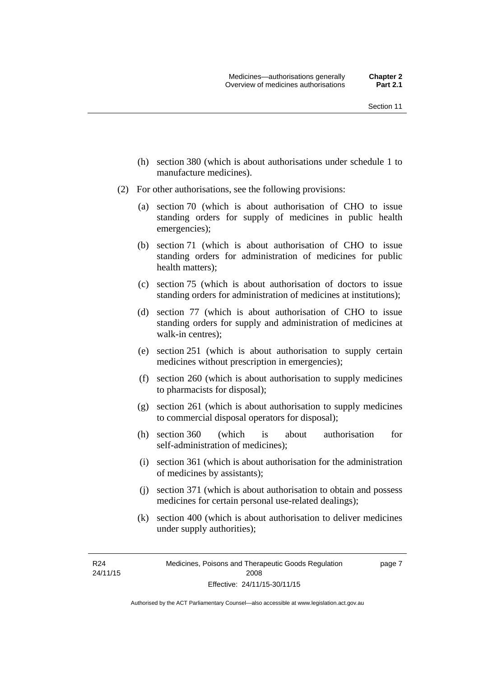- (h) section 380 (which is about authorisations under schedule 1 to manufacture medicines).
- (2) For other authorisations, see the following provisions:
	- (a) section 70 (which is about authorisation of CHO to issue standing orders for supply of medicines in public health emergencies);
	- (b) section 71 (which is about authorisation of CHO to issue standing orders for administration of medicines for public health matters);
	- (c) section 75 (which is about authorisation of doctors to issue standing orders for administration of medicines at institutions);
	- (d) section 77 (which is about authorisation of CHO to issue standing orders for supply and administration of medicines at walk-in centres);
	- (e) section 251 (which is about authorisation to supply certain medicines without prescription in emergencies);
	- (f) section 260 (which is about authorisation to supply medicines to pharmacists for disposal);
	- (g) section 261 (which is about authorisation to supply medicines to commercial disposal operators for disposal);
	- (h) section 360 (which is about authorisation for self-administration of medicines);
	- (i) section 361 (which is about authorisation for the administration of medicines by assistants);
	- (j) section 371 (which is about authorisation to obtain and possess medicines for certain personal use-related dealings);
	- (k) section 400 (which is about authorisation to deliver medicines under supply authorities);

R24 24/11/15 page 7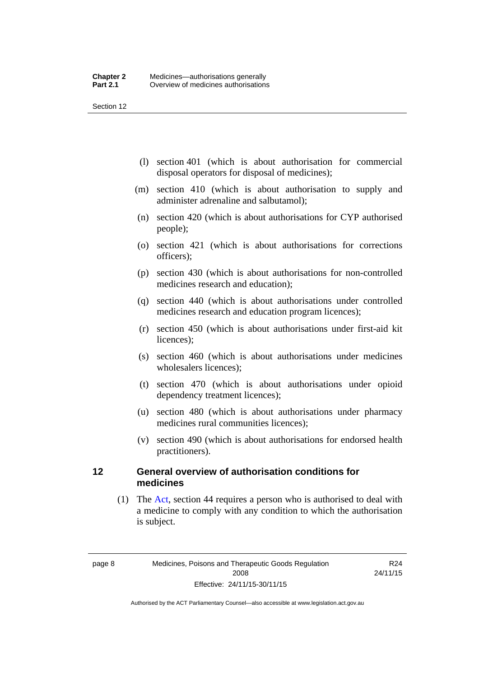Section 12

- (l) section 401 (which is about authorisation for commercial disposal operators for disposal of medicines);
- (m) section 410 (which is about authorisation to supply and administer adrenaline and salbutamol);
- (n) section 420 (which is about authorisations for CYP authorised people);
- (o) section 421 (which is about authorisations for corrections officers);
- (p) section 430 (which is about authorisations for non-controlled medicines research and education);
- (q) section 440 (which is about authorisations under controlled medicines research and education program licences);
- (r) section 450 (which is about authorisations under first-aid kit licences);
- (s) section 460 (which is about authorisations under medicines wholesalers licences);
- (t) section 470 (which is about authorisations under opioid dependency treatment licences);
- (u) section 480 (which is about authorisations under pharmacy medicines rural communities licences);
- (v) section 490 (which is about authorisations for endorsed health practitioners).

### <span id="page-31-0"></span>**12 General overview of authorisation conditions for medicines**

 (1) The [Act](http://www.legislation.act.gov.au/a/2008-26/default.asp), section 44 requires a person who is authorised to deal with a medicine to comply with any condition to which the authorisation is subject.

R24 24/11/15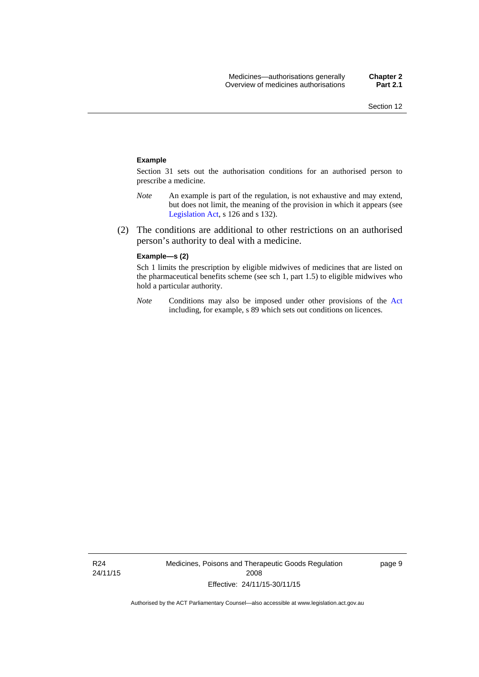#### **Example**

Section 31 sets out the authorisation conditions for an authorised person to prescribe a medicine.

- *Note* An example is part of the regulation, is not exhaustive and may extend, but does not limit, the meaning of the provision in which it appears (see [Legislation Act,](http://www.legislation.act.gov.au/a/2001-14) s 126 and s 132).
- (2) The conditions are additional to other restrictions on an authorised person's authority to deal with a medicine.

#### **Example—s (2)**

Sch 1 limits the prescription by eligible midwives of medicines that are listed on the pharmaceutical benefits scheme (see sch 1, part 1.5) to eligible midwives who hold a particular authority.

*Note* Conditions may also be imposed under other provisions of the [Act](http://www.legislation.act.gov.au/a/2008-26/default.asp) including, for example, s 89 which sets out conditions on licences.

page 9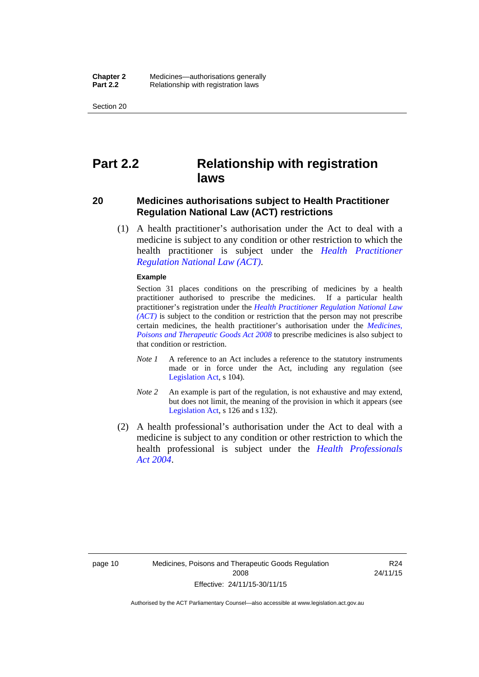Section 20

# <span id="page-33-0"></span>**Part 2.2 Relationship with registration laws**

### <span id="page-33-1"></span>**20 Medicines authorisations subject to Health Practitioner Regulation National Law (ACT) restrictions**

 (1) A health practitioner's authorisation under the Act to deal with a medicine is subject to any condition or other restriction to which the health practitioner is subject under the *[Health Practitioner](http://www.legislation.act.gov.au/a/db_39269/default.asp)  [Regulation National Law \(ACT\)](http://www.legislation.act.gov.au/a/db_39269/default.asp)*.

#### **Example**

Section 31 places conditions on the prescribing of medicines by a health practitioner authorised to prescribe the medicines. If a particular health practitioner's registration under the *[Health Practitioner Regulation National Law](http://www.legislation.act.gov.au/a/db_39269/default.asp)  [\(ACT\)](http://www.legislation.act.gov.au/a/db_39269/default.asp)* is subject to the condition or restriction that the person may not prescribe certain medicines, the health practitioner's authorisation under the *[Medicines,](http://www.legislation.act.gov.au/a/2008-26)  [Poisons and Therapeutic Goods Act 2008](http://www.legislation.act.gov.au/a/2008-26)* to prescribe medicines is also subject to that condition or restriction.

- *Note 1* A reference to an Act includes a reference to the statutory instruments made or in force under the Act, including any regulation (see [Legislation Act,](http://www.legislation.act.gov.au/a/2001-14) s 104).
- *Note 2* An example is part of the regulation, is not exhaustive and may extend, but does not limit, the meaning of the provision in which it appears (see [Legislation Act,](http://www.legislation.act.gov.au/a/2001-14) s 126 and s 132).
- (2) A health professional's authorisation under the Act to deal with a medicine is subject to any condition or other restriction to which the health professional is subject under the *[Health Professionals](http://www.legislation.act.gov.au/a/2004-38)  [Act 2004](http://www.legislation.act.gov.au/a/2004-38)*.

R24 24/11/15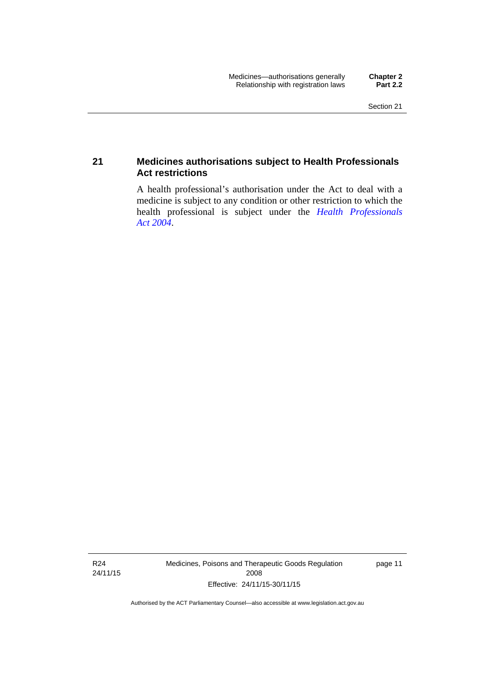## <span id="page-34-0"></span>**21 Medicines authorisations subject to Health Professionals Act restrictions**

A health professional's authorisation under the Act to deal with a medicine is subject to any condition or other restriction to which the health professional is subject under the *[Health Professionals](http://www.legislation.act.gov.au/a/2004-38)  [Act 2004](http://www.legislation.act.gov.au/a/2004-38)*.

R24 24/11/15 Medicines, Poisons and Therapeutic Goods Regulation 2008 Effective: 24/11/15-30/11/15

page 11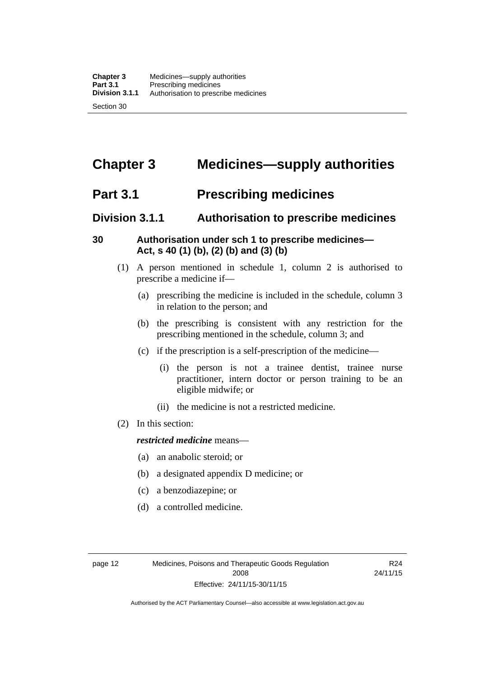# <span id="page-35-0"></span>**Chapter 3 Medicines—supply authorities**

# <span id="page-35-1"></span>**Part 3.1 Prescribing medicines**

# <span id="page-35-2"></span>**Division 3.1.1 Authorisation to prescribe medicines**

# <span id="page-35-3"></span>**30 Authorisation under sch 1 to prescribe medicines— Act, s 40 (1) (b), (2) (b) and (3) (b)**

- (1) A person mentioned in schedule 1, column 2 is authorised to prescribe a medicine if—
	- (a) prescribing the medicine is included in the schedule, column 3 in relation to the person; and
	- (b) the prescribing is consistent with any restriction for the prescribing mentioned in the schedule, column 3; and
	- (c) if the prescription is a self-prescription of the medicine—
		- (i) the person is not a trainee dentist, trainee nurse practitioner, intern doctor or person training to be an eligible midwife; or
		- (ii) the medicine is not a restricted medicine.
- (2) In this section:

### *restricted medicine* means—

- (a) an anabolic steroid; or
- (b) a designated appendix D medicine; or
- (c) a benzodiazepine; or
- (d) a controlled medicine.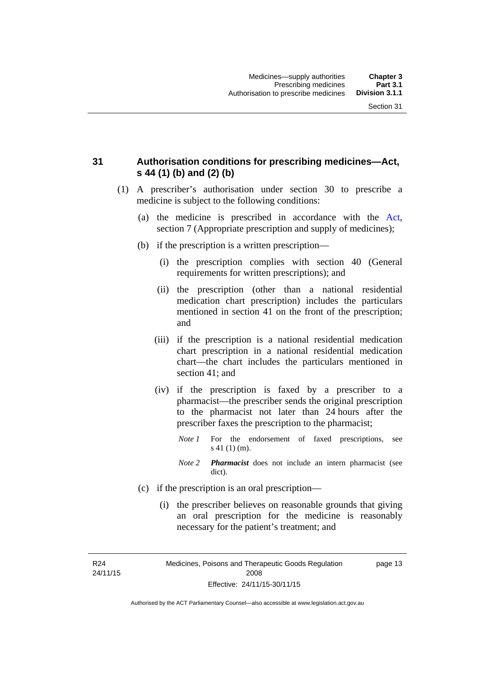### **31 Authorisation conditions for prescribing medicines—Act, s 44 (1) (b) and (2) (b)**

- (1) A prescriber's authorisation under section 30 to prescribe a medicine is subject to the following conditions:
	- (a) the medicine is prescribed in accordance with the [Act](http://www.legislation.act.gov.au/a/2008-26/default.asp), section 7 (Appropriate prescription and supply of medicines);
	- (b) if the prescription is a written prescription—
		- (i) the prescription complies with section 40 (General requirements for written prescriptions); and
		- (ii) the prescription (other than a national residential medication chart prescription) includes the particulars mentioned in section 41 on the front of the prescription; and
		- (iii) if the prescription is a national residential medication chart prescription in a national residential medication chart––the chart includes the particulars mentioned in section 41; and
		- (iv) if the prescription is faxed by a prescriber to a pharmacist—the prescriber sends the original prescription to the pharmacist not later than 24 hours after the prescriber faxes the prescription to the pharmacist;
			- *Note 1* For the endorsement of faxed prescriptions, see s 41 (1) (m).
			- *Note 2 Pharmacist* does not include an intern pharmacist (see dict).
	- (c) if the prescription is an oral prescription—
		- (i) the prescriber believes on reasonable grounds that giving an oral prescription for the medicine is reasonably necessary for the patient's treatment; and

R24 24/11/15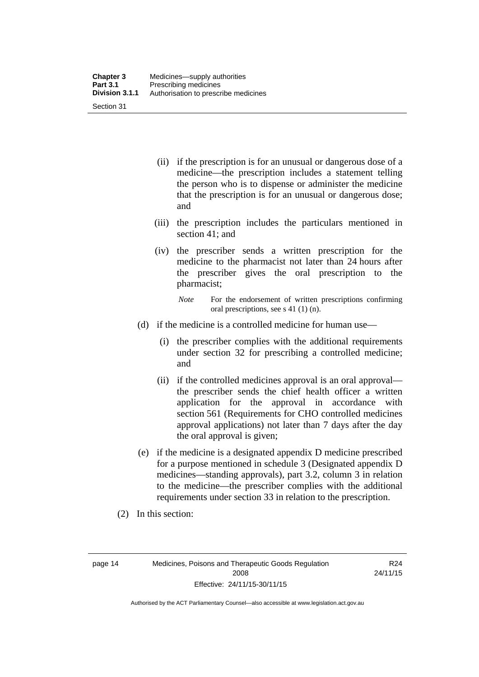| <b>Chapter 3</b> | Medicines—supply authorities         |
|------------------|--------------------------------------|
| <b>Part 3.1</b>  | Prescribing medicines                |
| Division 3.1.1   | Authorisation to prescribe medicines |
| Section 31       |                                      |

- (ii) if the prescription is for an unusual or dangerous dose of a medicine—the prescription includes a statement telling the person who is to dispense or administer the medicine that the prescription is for an unusual or dangerous dose; and
- (iii) the prescription includes the particulars mentioned in section 41; and
- (iv) the prescriber sends a written prescription for the medicine to the pharmacist not later than 24 hours after the prescriber gives the oral prescription to the pharmacist;

- (d) if the medicine is a controlled medicine for human use—
	- (i) the prescriber complies with the additional requirements under section 32 for prescribing a controlled medicine; and
	- (ii) if the controlled medicines approval is an oral approval the prescriber sends the chief health officer a written application for the approval in accordance with section 561 (Requirements for CHO controlled medicines approval applications) not later than 7 days after the day the oral approval is given;
- (e) if the medicine is a designated appendix D medicine prescribed for a purpose mentioned in schedule 3 (Designated appendix D medicines—standing approvals), part 3.2, column 3 in relation to the medicine—the prescriber complies with the additional requirements under section 33 in relation to the prescription.
- (2) In this section:

page 14 Medicines, Poisons and Therapeutic Goods Regulation 2008 Effective: 24/11/15-30/11/15

R24 24/11/15

*Note* For the endorsement of written prescriptions confirming oral prescriptions, see s 41 (1) (n).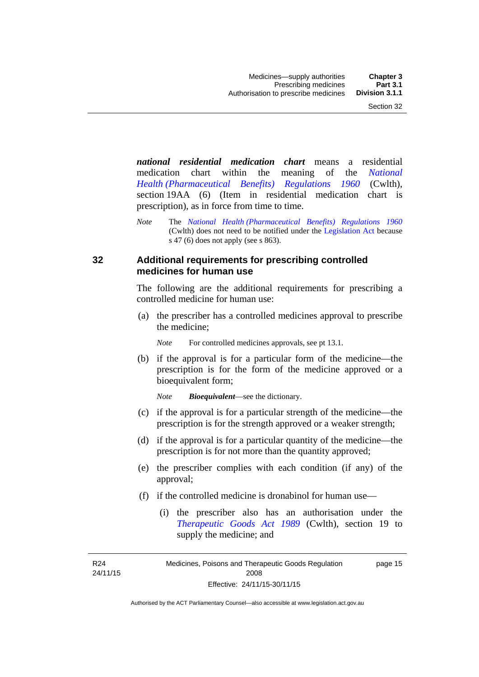*national residential medication chart* means a residential medication chart within the meaning of the *[National](http://www.comlaw.gov.au/Series/F1996B02844)  [Health \(Pharmaceutical Benefits\) Regulations 1960](http://www.comlaw.gov.au/Series/F1996B02844)* (Cwlth), section 19AA (6) (Item in residential medication chart is prescription), as in force from time to time.

*Note* The *[National Health \(Pharmaceutical Benefits\) Regulations 1960](http://www.comlaw.gov.au/Series/F1996B02844)* (Cwlth) does not need to be notified under the [Legislation Act](http://www.legislation.act.gov.au/a/2001-14) because s 47 (6) does not apply (see s 863).

### **32 Additional requirements for prescribing controlled medicines for human use**

The following are the additional requirements for prescribing a controlled medicine for human use:

 (a) the prescriber has a controlled medicines approval to prescribe the medicine;

*Note* For controlled medicines approvals, see pt 13.1.

 (b) if the approval is for a particular form of the medicine—the prescription is for the form of the medicine approved or a bioequivalent form;

*Note Bioequivalent*—see the dictionary.

- (c) if the approval is for a particular strength of the medicine—the prescription is for the strength approved or a weaker strength;
- (d) if the approval is for a particular quantity of the medicine—the prescription is for not more than the quantity approved;
- (e) the prescriber complies with each condition (if any) of the approval;
- (f) if the controlled medicine is dronabinol for human use—
	- (i) the prescriber also has an authorisation under the *[Therapeutic Goods Act 1989](http://www.comlaw.gov.au/Series/C2004A03952)* (Cwlth), section 19 to supply the medicine; and

R24 24/11/15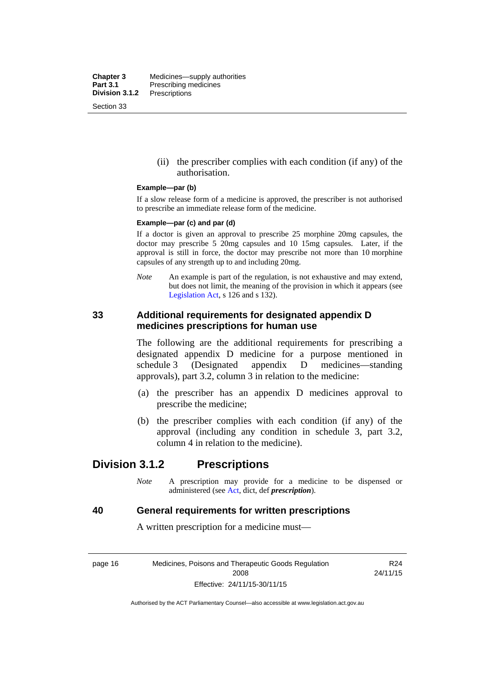**Chapter 3** Medicines—supply authorities<br>**Part 3.1** Prescribing medicines **Part 3.1** Prescribing medicines<br>**Division 3.1.2** Prescriptions **Division 3.1.2** Prescriptions Section 33

> (ii) the prescriber complies with each condition (if any) of the authorisation.

#### **Example—par (b)**

If a slow release form of a medicine is approved, the prescriber is not authorised to prescribe an immediate release form of the medicine.

#### **Example—par (c) and par (d)**

If a doctor is given an approval to prescribe 25 morphine 20mg capsules, the doctor may prescribe 5 20mg capsules and 10 15mg capsules. Later, if the approval is still in force, the doctor may prescribe not more than 10 morphine capsules of any strength up to and including 20mg.

*Note* An example is part of the regulation, is not exhaustive and may extend, but does not limit, the meaning of the provision in which it appears (see [Legislation Act,](http://www.legislation.act.gov.au/a/2001-14) s 126 and s 132).

### **33 Additional requirements for designated appendix D medicines prescriptions for human use**

The following are the additional requirements for prescribing a designated appendix D medicine for a purpose mentioned in schedule 3 (Designated appendix D medicines—standing approvals), part 3.2, column 3 in relation to the medicine:

- (a) the prescriber has an appendix D medicines approval to prescribe the medicine;
- (b) the prescriber complies with each condition (if any) of the approval (including any condition in schedule 3, part 3.2, column 4 in relation to the medicine).

## **Division 3.1.2 Prescriptions**

*Note* A prescription may provide for a medicine to be dispensed or administered (see [Act](http://www.legislation.act.gov.au/a/2008-26/default.asp), dict, def *prescription*).

### **40 General requirements for written prescriptions**

A written prescription for a medicine must—

page 16 Medicines, Poisons and Therapeutic Goods Regulation 2008 Effective: 24/11/15-30/11/15

R24 24/11/15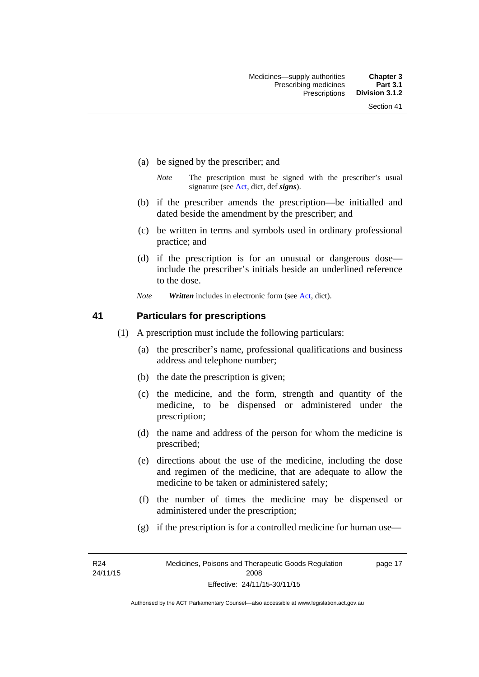- (a) be signed by the prescriber; and
	- *Note* The prescription must be signed with the prescriber's usual signature (see [Act](http://www.legislation.act.gov.au/a/2008-26/default.asp), dict, def *signs*).
- (b) if the prescriber amends the prescription—be initialled and dated beside the amendment by the prescriber; and
- (c) be written in terms and symbols used in ordinary professional practice; and
- (d) if the prescription is for an unusual or dangerous dose include the prescriber's initials beside an underlined reference to the dose.
- *Note Written* includes in electronic form (see [Act,](http://www.legislation.act.gov.au/a/2008-26/default.asp) dict).

### **41 Particulars for prescriptions**

- (1) A prescription must include the following particulars:
	- (a) the prescriber's name, professional qualifications and business address and telephone number;
	- (b) the date the prescription is given;
	- (c) the medicine, and the form, strength and quantity of the medicine, to be dispensed or administered under the prescription;
	- (d) the name and address of the person for whom the medicine is prescribed;
	- (e) directions about the use of the medicine, including the dose and regimen of the medicine, that are adequate to allow the medicine to be taken or administered safely;
	- (f) the number of times the medicine may be dispensed or administered under the prescription;
	- (g) if the prescription is for a controlled medicine for human use—

R24 24/11/15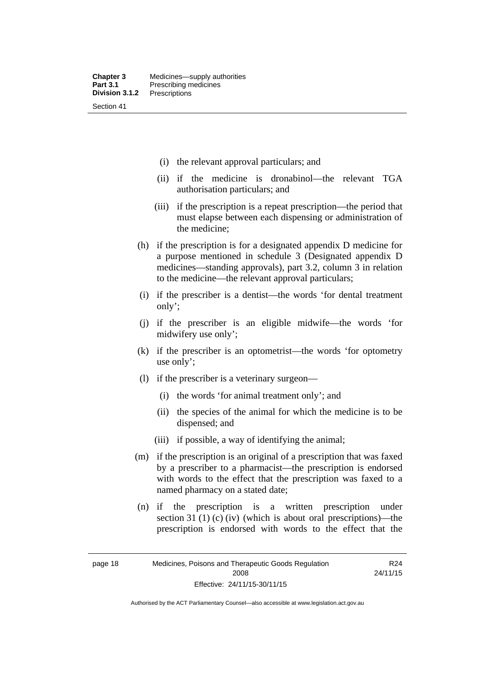- (i) the relevant approval particulars; and
- (ii) if the medicine is dronabinol—the relevant TGA authorisation particulars; and
- (iii) if the prescription is a repeat prescription—the period that must elapse between each dispensing or administration of the medicine;
- (h) if the prescription is for a designated appendix D medicine for a purpose mentioned in schedule 3 (Designated appendix D medicines—standing approvals), part 3.2, column 3 in relation to the medicine—the relevant approval particulars;
- (i) if the prescriber is a dentist—the words 'for dental treatment only';
- (j) if the prescriber is an eligible midwife—the words 'for midwifery use only';
- (k) if the prescriber is an optometrist—the words 'for optometry use only';
- (l) if the prescriber is a veterinary surgeon—
	- (i) the words 'for animal treatment only'; and
	- (ii) the species of the animal for which the medicine is to be dispensed; and
	- (iii) if possible, a way of identifying the animal;
- (m) if the prescription is an original of a prescription that was faxed by a prescriber to a pharmacist—the prescription is endorsed with words to the effect that the prescription was faxed to a named pharmacy on a stated date;
- (n) if the prescription is a written prescription under section 31 (1) (c) (iv) (which is about oral prescriptions)—the prescription is endorsed with words to the effect that the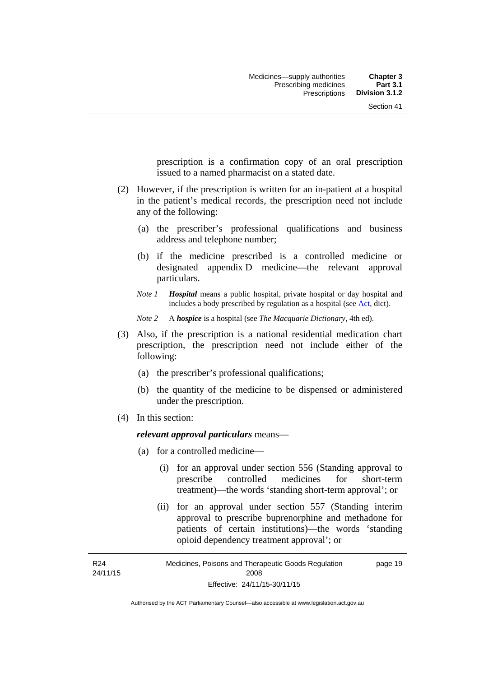prescription is a confirmation copy of an oral prescription issued to a named pharmacist on a stated date.

- (2) However, if the prescription is written for an in-patient at a hospital in the patient's medical records, the prescription need not include any of the following:
	- (a) the prescriber's professional qualifications and business address and telephone number;
	- (b) if the medicine prescribed is a controlled medicine or designated appendix D medicine—the relevant approval particulars.
	- *Note 1 Hospital* means a public hospital, private hospital or day hospital and includes a body prescribed by regulation as a hospital (see [Act,](http://www.legislation.act.gov.au/a/2008-26/default.asp) dict).

*Note 2* A *hospice* is a hospital (see *The Macquarie Dictionary*, 4th ed).

- (3) Also, if the prescription is a national residential medication chart prescription, the prescription need not include either of the following:
	- (a) the prescriber's professional qualifications;
	- (b) the quantity of the medicine to be dispensed or administered under the prescription.
- (4) In this section:

### *relevant approval particulars* means—

- (a) for a controlled medicine—
	- (i) for an approval under section 556 (Standing approval to prescribe controlled medicines for short-term treatment)—the words 'standing short-term approval'; or
	- (ii) for an approval under section 557 (Standing interim approval to prescribe buprenorphine and methadone for patients of certain institutions)—the words 'standing opioid dependency treatment approval'; or

R24 24/11/15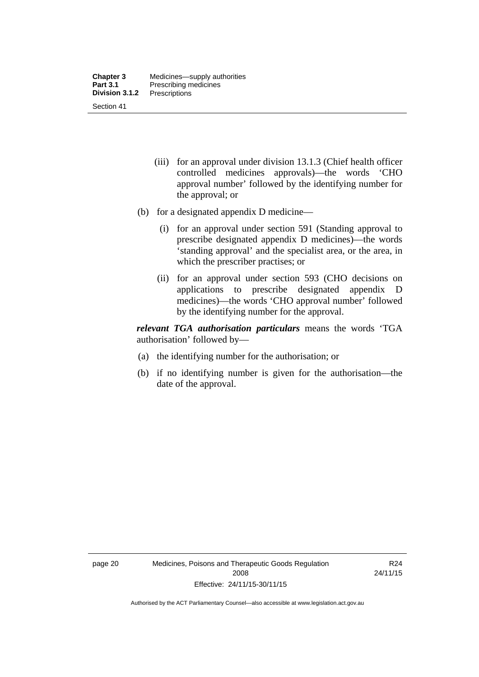- (iii) for an approval under division 13.1.3 (Chief health officer controlled medicines approvals)—the words 'CHO approval number' followed by the identifying number for the approval; or
- (b) for a designated appendix D medicine—
	- (i) for an approval under section 591 (Standing approval to prescribe designated appendix D medicines)—the words 'standing approval' and the specialist area, or the area, in which the prescriber practises; or
	- (ii) for an approval under section 593 (CHO decisions on applications to prescribe designated appendix D medicines)—the words 'CHO approval number' followed by the identifying number for the approval.

*relevant TGA authorisation particulars* means the words 'TGA authorisation' followed by—

- (a) the identifying number for the authorisation; or
- (b) if no identifying number is given for the authorisation—the date of the approval.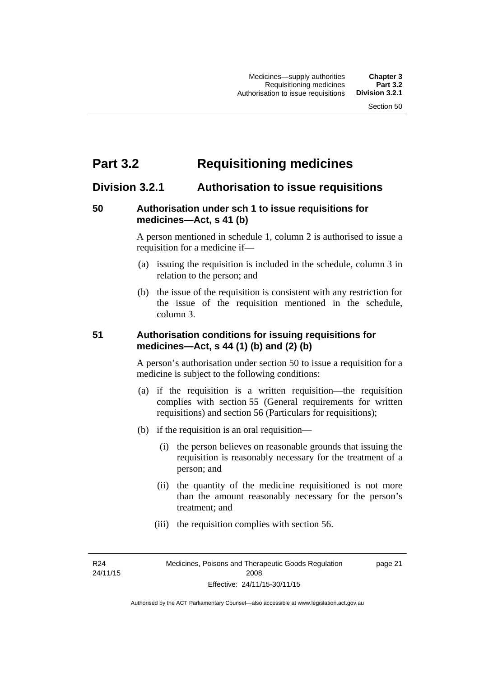## **Part 3.2 Requisitioning medicines**

## **Division 3.2.1 Authorisation to issue requisitions**

### **50 Authorisation under sch 1 to issue requisitions for medicines—Act, s 41 (b)**

A person mentioned in schedule 1, column 2 is authorised to issue a requisition for a medicine if—

- (a) issuing the requisition is included in the schedule, column 3 in relation to the person; and
- (b) the issue of the requisition is consistent with any restriction for the issue of the requisition mentioned in the schedule, column 3.

### **51 Authorisation conditions for issuing requisitions for medicines—Act, s 44 (1) (b) and (2) (b)**

A person's authorisation under section 50 to issue a requisition for a medicine is subject to the following conditions:

- (a) if the requisition is a written requisition—the requisition complies with section 55 (General requirements for written requisitions) and section 56 (Particulars for requisitions);
- (b) if the requisition is an oral requisition—
	- (i) the person believes on reasonable grounds that issuing the requisition is reasonably necessary for the treatment of a person; and
	- (ii) the quantity of the medicine requisitioned is not more than the amount reasonably necessary for the person's treatment; and
	- (iii) the requisition complies with section 56.

R24 24/11/15 page 21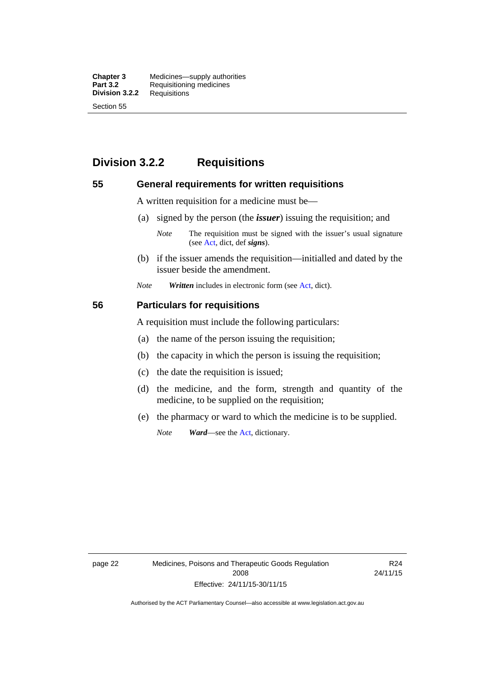**Chapter 3** Medicines—supply authorities<br>**Part 3.2** Requisitioning medicines **Requisitioning medicines**<br>Requisitions **Division 3.2.2** Section 55

## **Division 3.2.2 Requisitions**

### **55 General requirements for written requisitions**

A written requisition for a medicine must be—

(a) signed by the person (the *issuer*) issuing the requisition; and

 (b) if the issuer amends the requisition—initialled and dated by the issuer beside the amendment.

*Note Written* includes in electronic form (see [Act,](http://www.legislation.act.gov.au/a/2008-26/default.asp) dict).

### **56 Particulars for requisitions**

A requisition must include the following particulars:

- (a) the name of the person issuing the requisition;
- (b) the capacity in which the person is issuing the requisition;
- (c) the date the requisition is issued;
- (d) the medicine, and the form, strength and quantity of the medicine, to be supplied on the requisition;
- (e) the pharmacy or ward to which the medicine is to be supplied.

*Note Ward*—see the [Act](http://www.legislation.act.gov.au/a/2008-26/default.asp), dictionary.

page 22 Medicines, Poisons and Therapeutic Goods Regulation 2008 Effective: 24/11/15-30/11/15

R24 24/11/15

*Note* The requisition must be signed with the issuer's usual signature (see [Act](http://www.legislation.act.gov.au/a/2008-26/default.asp), dict, def *signs*).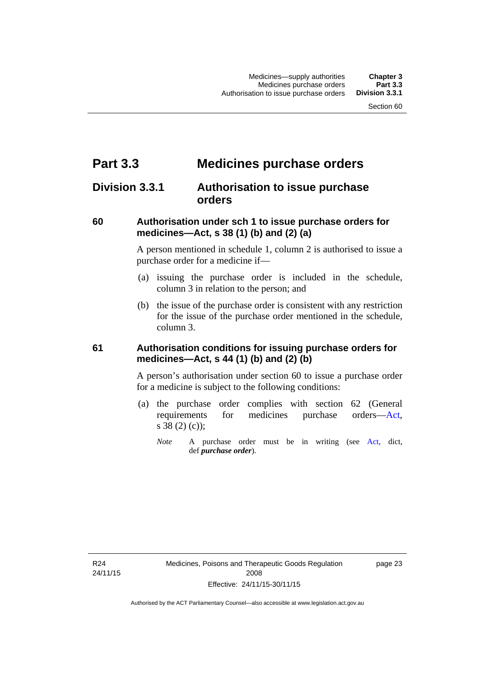## **Part 3.3 Medicines purchase orders**

## **Division 3.3.1 Authorisation to issue purchase orders**

### **60 Authorisation under sch 1 to issue purchase orders for medicines—Act, s 38 (1) (b) and (2) (a)**

A person mentioned in schedule 1, column 2 is authorised to issue a purchase order for a medicine if—

- (a) issuing the purchase order is included in the schedule, column 3 in relation to the person; and
- (b) the issue of the purchase order is consistent with any restriction for the issue of the purchase order mentioned in the schedule, column 3.

### **61 Authorisation conditions for issuing purchase orders for medicines—Act, s 44 (1) (b) and (2) (b)**

A person's authorisation under section 60 to issue a purchase order for a medicine is subject to the following conditions:

- (a) the purchase order complies with section 62 (General requirements for medicines purchase orders[—Act](http://www.legislation.act.gov.au/a/2008-26/default.asp), s 38 (2) (c));
	- *Note* A purchase order must be in writing (see [Act,](http://www.legislation.act.gov.au/a/2008-26/default.asp) dict, def *purchase order*).

R24 24/11/15 page 23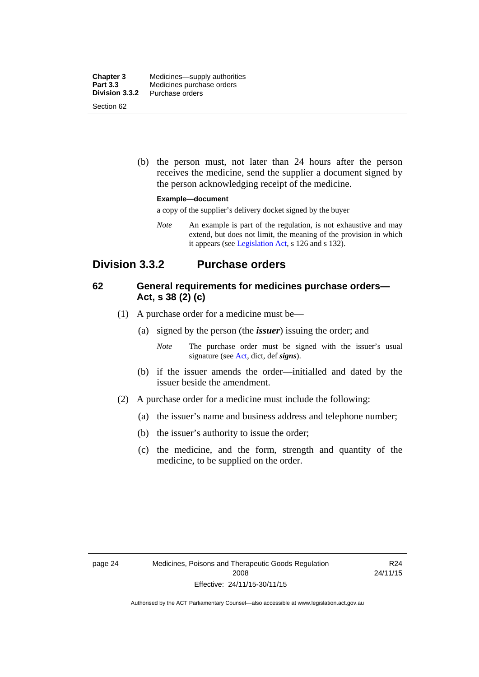| <b>Chapter 3</b> | Medicines—supply authorities |
|------------------|------------------------------|
| <b>Part 3.3</b>  | Medicines purchase orders    |
| Division 3.3.2   | Purchase orders              |
| Section 62       |                              |

 (b) the person must, not later than 24 hours after the person receives the medicine, send the supplier a document signed by the person acknowledging receipt of the medicine.

#### **Example—document**

a copy of the supplier's delivery docket signed by the buyer

*Note* An example is part of the regulation, is not exhaustive and may extend, but does not limit, the meaning of the provision in which it appears (see [Legislation Act,](http://www.legislation.act.gov.au/a/2001-14) s 126 and s 132).

## **Division 3.3.2 Purchase orders**

### **62 General requirements for medicines purchase orders— Act, s 38 (2) (c)**

- (1) A purchase order for a medicine must be—
	- (a) signed by the person (the *issuer*) issuing the order; and
		- *Note* The purchase order must be signed with the issuer's usual signature (see [Act](http://www.legislation.act.gov.au/a/2008-26/default.asp), dict, def *signs*).
	- (b) if the issuer amends the order—initialled and dated by the issuer beside the amendment.
- (2) A purchase order for a medicine must include the following:
	- (a) the issuer's name and business address and telephone number;
	- (b) the issuer's authority to issue the order;
	- (c) the medicine, and the form, strength and quantity of the medicine, to be supplied on the order.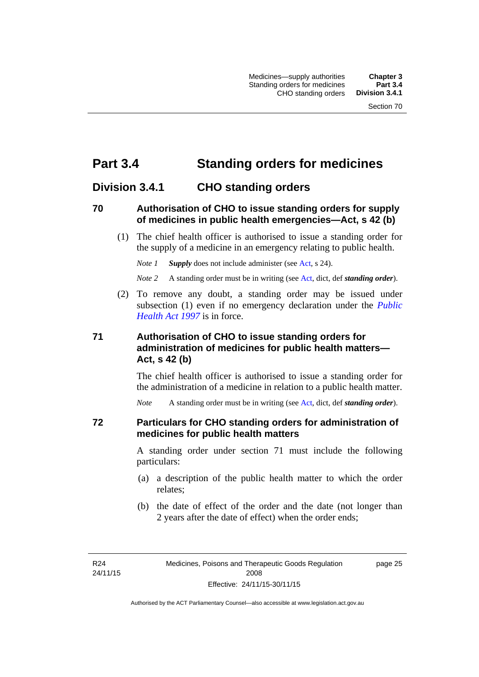## **Part 3.4 Standing orders for medicines**

## **Division 3.4.1 CHO standing orders**

### **70 Authorisation of CHO to issue standing orders for supply of medicines in public health emergencies—Act, s 42 (b)**

 (1) The chief health officer is authorised to issue a standing order for the supply of a medicine in an emergency relating to public health.

*Note 1 Supply* does not include administer (see [Act,](http://www.legislation.act.gov.au/a/2008-26/default.asp) s 24).

*Note 2* A standing order must be in writing (see [Act](http://www.legislation.act.gov.au/a/2008-26/default.asp), dict, def *standing order*).

 (2) To remove any doubt, a standing order may be issued under subsection (1) even if no emergency declaration under the *[Public](http://www.legislation.act.gov.au/a/1997-69)  [Health Act 1997](http://www.legislation.act.gov.au/a/1997-69)* is in force.

### **71 Authorisation of CHO to issue standing orders for administration of medicines for public health matters— Act, s 42 (b)**

The chief health officer is authorised to issue a standing order for the administration of a medicine in relation to a public health matter.

*Note* A standing order must be in writing (see [Act](http://www.legislation.act.gov.au/a/2008-26/default.asp), dict, def *standing order*).

### **72 Particulars for CHO standing orders for administration of medicines for public health matters**

A standing order under section 71 must include the following particulars:

- (a) a description of the public health matter to which the order relates;
- (b) the date of effect of the order and the date (not longer than 2 years after the date of effect) when the order ends;

R24 24/11/15 page 25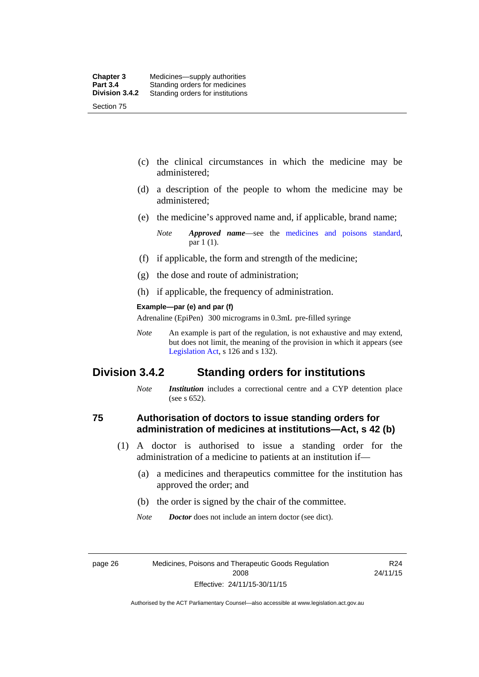- (c) the clinical circumstances in which the medicine may be administered;
- (d) a description of the people to whom the medicine may be administered;
- (e) the medicine's approved name and, if applicable, brand name;

- (f) if applicable, the form and strength of the medicine;
- (g) the dose and route of administration;
- (h) if applicable, the frequency of administration.

#### **Example—par (e) and par (f)**

Adrenaline (EpiPen) 300 micrograms in 0.3mL pre-filled syringe

*Note* An example is part of the regulation, is not exhaustive and may extend, but does not limit, the meaning of the provision in which it appears (see [Legislation Act,](http://www.legislation.act.gov.au/a/2001-14) s 126 and s 132).

### **Division 3.4.2 Standing orders for institutions**

*Note Institution* includes a correctional centre and a CYP detention place (see s 652).

### **75 Authorisation of doctors to issue standing orders for administration of medicines at institutions—Act, s 42 (b)**

- (1) A doctor is authorised to issue a standing order for the administration of a medicine to patients at an institution if—
	- (a) a medicines and therapeutics committee for the institution has approved the order; and
	- (b) the order is signed by the chair of the committee.
	- *Note Doctor* does not include an intern doctor (see dict).

R24 24/11/15

*Note Approved name*—see the [medicines and poisons standard,](http://www.comlaw.gov.au/Series/F2012L01200) par 1 (1).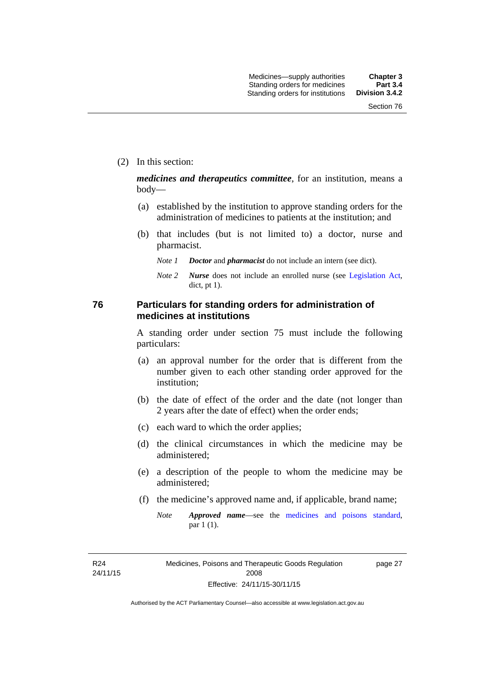page 27

(2) In this section:

*medicines and therapeutics committee*, for an institution, means a body—

- (a) established by the institution to approve standing orders for the administration of medicines to patients at the institution; and
- (b) that includes (but is not limited to) a doctor, nurse and pharmacist.
	- *Note 1 Doctor* and *pharmacist* do not include an intern (see dict).
	- *Note 2 Nurse* does not include an enrolled nurse (see [Legislation Act,](http://www.legislation.act.gov.au/a/2001-14) dict, pt 1).

### **76 Particulars for standing orders for administration of medicines at institutions**

A standing order under section 75 must include the following particulars:

- (a) an approval number for the order that is different from the number given to each other standing order approved for the institution;
- (b) the date of effect of the order and the date (not longer than 2 years after the date of effect) when the order ends;
- (c) each ward to which the order applies;
- (d) the clinical circumstances in which the medicine may be administered;
- (e) a description of the people to whom the medicine may be administered;
- (f) the medicine's approved name and, if applicable, brand name;
	- *Note Approved name*—see the [medicines and poisons standard,](http://www.comlaw.gov.au/Series/F2012L01200) par 1 (1).

R24 24/11/15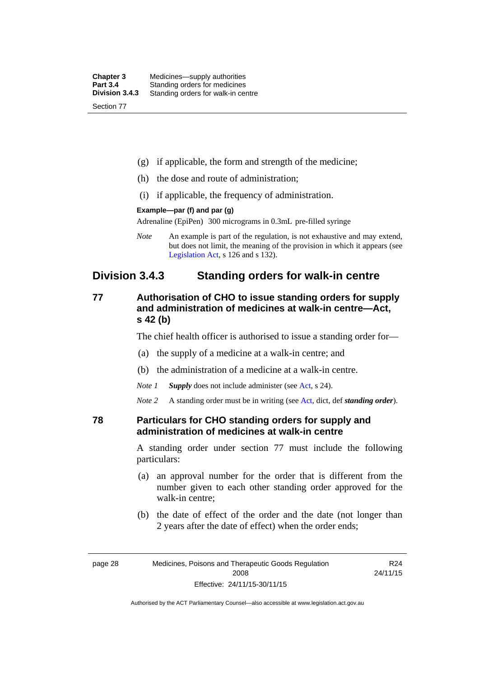| <b>Chapter 3</b> | Medicines—supply authorities       |
|------------------|------------------------------------|
| <b>Part 3.4</b>  | Standing orders for medicines      |
| Division 3.4.3   | Standing orders for walk-in centre |
| Section 77       |                                    |

- (g) if applicable, the form and strength of the medicine;
- (h) the dose and route of administration;
- (i) if applicable, the frequency of administration.

#### **Example—par (f) and par (g)**

Adrenaline (EpiPen) 300 micrograms in 0.3mL pre-filled syringe

*Note* An example is part of the regulation, is not exhaustive and may extend, but does not limit, the meaning of the provision in which it appears (see [Legislation Act,](http://www.legislation.act.gov.au/a/2001-14) s 126 and s 132).

## **Division 3.4.3 Standing orders for walk-in centre**

### **77 Authorisation of CHO to issue standing orders for supply and administration of medicines at walk-in centre—Act, s 42 (b)**

The chief health officer is authorised to issue a standing order for—

- (a) the supply of a medicine at a walk-in centre; and
- (b) the administration of a medicine at a walk-in centre.

*Note 1 Supply* does not include administer (see [Act,](http://www.legislation.act.gov.au/a/2008-26/default.asp) s 24).

*Note 2* A standing order must be in writing (see [Act](http://www.legislation.act.gov.au/a/2008-26/default.asp), dict, def *standing order*).

### **78 Particulars for CHO standing orders for supply and administration of medicines at walk-in centre**

A standing order under section 77 must include the following particulars:

- (a) an approval number for the order that is different from the number given to each other standing order approved for the walk-in centre;
- (b) the date of effect of the order and the date (not longer than 2 years after the date of effect) when the order ends;

R24 24/11/15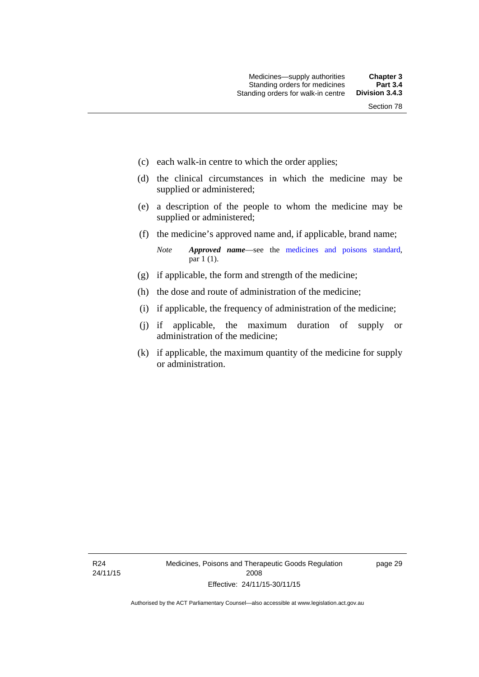- (c) each walk-in centre to which the order applies;
- (d) the clinical circumstances in which the medicine may be supplied or administered;
- (e) a description of the people to whom the medicine may be supplied or administered;
- (f) the medicine's approved name and, if applicable, brand name;

*Note Approved name*—see the [medicines and poisons standard,](http://www.comlaw.gov.au/Series/F2012L01200) par 1 (1).

- (g) if applicable, the form and strength of the medicine;
- (h) the dose and route of administration of the medicine;
- (i) if applicable, the frequency of administration of the medicine;
- (j) if applicable, the maximum duration of supply or administration of the medicine;
- (k) if applicable, the maximum quantity of the medicine for supply or administration.

page 29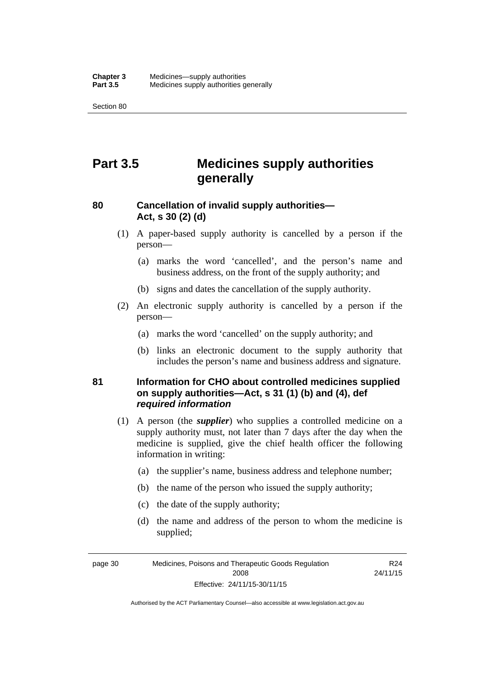Section 80

## **Part 3.5 Medicines supply authorities generally**

## **80 Cancellation of invalid supply authorities— Act, s 30 (2) (d)**

- (1) A paper-based supply authority is cancelled by a person if the person—
	- (a) marks the word 'cancelled', and the person's name and business address, on the front of the supply authority; and
	- (b) signs and dates the cancellation of the supply authority.
- (2) An electronic supply authority is cancelled by a person if the person—
	- (a) marks the word 'cancelled' on the supply authority; and
	- (b) links an electronic document to the supply authority that includes the person's name and business address and signature.

### **81 Information for CHO about controlled medicines supplied on supply authorities—Act, s 31 (1) (b) and (4), def**  *required information*

- (1) A person (the *supplier*) who supplies a controlled medicine on a supply authority must, not later than 7 days after the day when the medicine is supplied, give the chief health officer the following information in writing:
	- (a) the supplier's name, business address and telephone number;
	- (b) the name of the person who issued the supply authority;
	- (c) the date of the supply authority;
	- (d) the name and address of the person to whom the medicine is supplied;

R24

page 30 Medicines, Poisons and Therapeutic Goods Regulation 2008 Effective: 24/11/15-30/11/15 24/11/15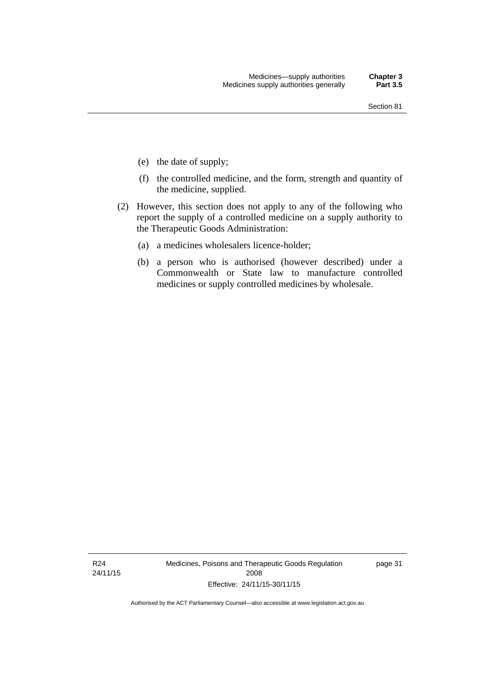- (e) the date of supply;
- (f) the controlled medicine, and the form, strength and quantity of the medicine, supplied.
- (2) However, this section does not apply to any of the following who report the supply of a controlled medicine on a supply authority to the Therapeutic Goods Administration:
	- (a) a medicines wholesalers licence-holder;
	- (b) a person who is authorised (however described) under a Commonwealth or State law to manufacture controlled medicines or supply controlled medicines by wholesale.

R24 24/11/15 Medicines, Poisons and Therapeutic Goods Regulation 2008 Effective: 24/11/15-30/11/15

page 31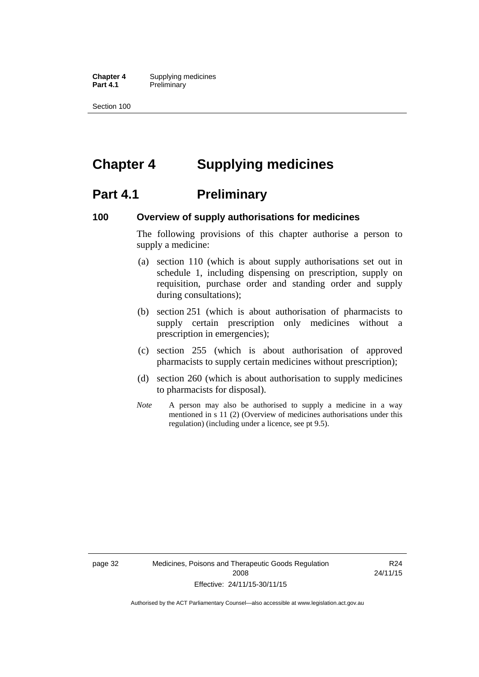**Chapter 4** Supplying medicines **Part 4.1** Preliminary

Section 100

## **Chapter 4 Supplying medicines**

## **Part 4.1** Preliminary

### **100 Overview of supply authorisations for medicines**

The following provisions of this chapter authorise a person to supply a medicine:

- (a) section 110 (which is about supply authorisations set out in schedule 1, including dispensing on prescription, supply on requisition, purchase order and standing order and supply during consultations);
- (b) section 251 (which is about authorisation of pharmacists to supply certain prescription only medicines without a prescription in emergencies);
- (c) section 255 (which is about authorisation of approved pharmacists to supply certain medicines without prescription);
- (d) section 260 (which is about authorisation to supply medicines to pharmacists for disposal).
- *Note* A person may also be authorised to supply a medicine in a way mentioned in s 11 (2) (Overview of medicines authorisations under this regulation) (including under a licence, see pt 9.5).

page 32 Medicines, Poisons and Therapeutic Goods Regulation 2008 Effective: 24/11/15-30/11/15

R24 24/11/15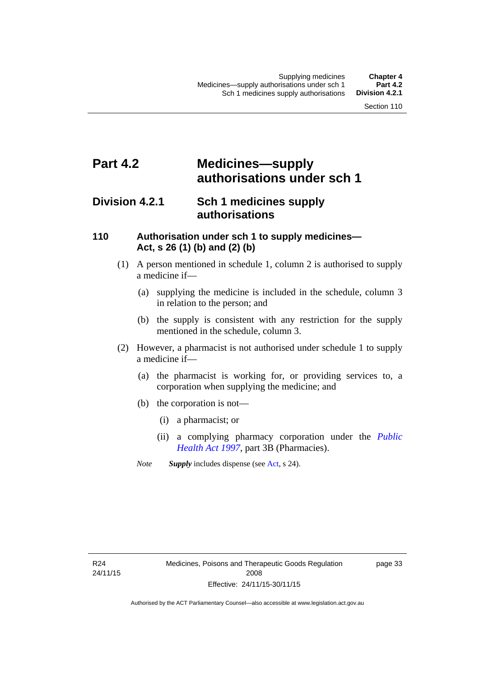## **Part 4.2 Medicines—supply authorisations under sch 1**

## **Division 4.2.1 Sch 1 medicines supply authorisations**

### **110 Authorisation under sch 1 to supply medicines— Act, s 26 (1) (b) and (2) (b)**

- (1) A person mentioned in schedule 1, column 2 is authorised to supply a medicine if—
	- (a) supplying the medicine is included in the schedule, column 3 in relation to the person; and
	- (b) the supply is consistent with any restriction for the supply mentioned in the schedule, column 3.
- (2) However, a pharmacist is not authorised under schedule 1 to supply a medicine if—
	- (a) the pharmacist is working for, or providing services to, a corporation when supplying the medicine; and
	- (b) the corporation is not—
		- (i) a pharmacist; or
		- (ii) a complying pharmacy corporation under the *[Public](http://www.legislation.act.gov.au/a/1997-69)  [Health Act 1997](http://www.legislation.act.gov.au/a/1997-69)*, part 3B (Pharmacies).
	- *Note Supply* includes dispense (see [Act,](http://www.legislation.act.gov.au/a/2008-26/default.asp) s 24).

R24 24/11/15 page 33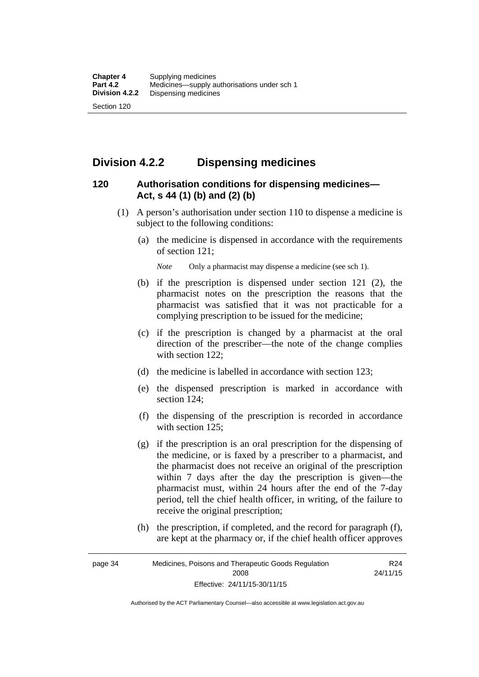## **Division 4.2.2 Dispensing medicines**

### **120 Authorisation conditions for dispensing medicines— Act, s 44 (1) (b) and (2) (b)**

- (1) A person's authorisation under section 110 to dispense a medicine is subject to the following conditions:
	- (a) the medicine is dispensed in accordance with the requirements of section 121;

*Note* Only a pharmacist may dispense a medicine (see sch 1).

- (b) if the prescription is dispensed under section 121 (2), the pharmacist notes on the prescription the reasons that the pharmacist was satisfied that it was not practicable for a complying prescription to be issued for the medicine;
- (c) if the prescription is changed by a pharmacist at the oral direction of the prescriber—the note of the change complies with section 122:
- (d) the medicine is labelled in accordance with section 123;
- (e) the dispensed prescription is marked in accordance with section 124;
- (f) the dispensing of the prescription is recorded in accordance with section 125:
- (g) if the prescription is an oral prescription for the dispensing of the medicine, or is faxed by a prescriber to a pharmacist, and the pharmacist does not receive an original of the prescription within 7 days after the day the prescription is given—the pharmacist must, within 24 hours after the end of the 7-day period, tell the chief health officer, in writing, of the failure to receive the original prescription;
- (h) the prescription, if completed, and the record for paragraph (f), are kept at the pharmacy or, if the chief health officer approves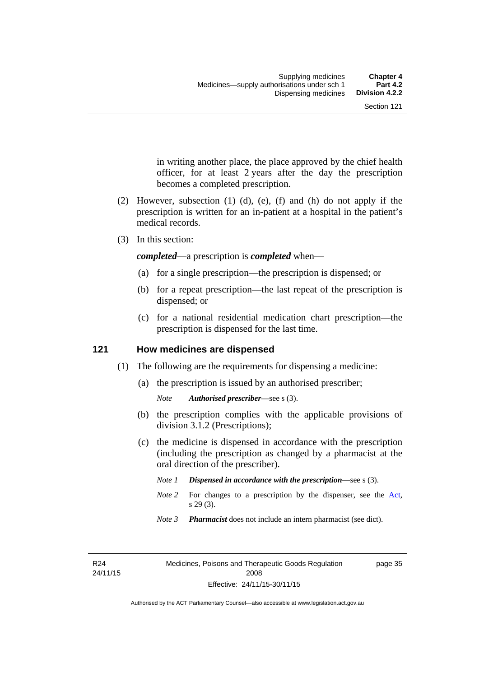in writing another place, the place approved by the chief health officer, for at least 2 years after the day the prescription becomes a completed prescription.

- (2) However, subsection (1) (d), (e), (f) and (h) do not apply if the prescription is written for an in-patient at a hospital in the patient's medical records.
- (3) In this section:

*completed*—a prescription is *completed* when—

- (a) for a single prescription—the prescription is dispensed; or
- (b) for a repeat prescription—the last repeat of the prescription is dispensed; or
- (c) for a national residential medication chart prescription––the prescription is dispensed for the last time.

### **121 How medicines are dispensed**

- (1) The following are the requirements for dispensing a medicine:
	- (a) the prescription is issued by an authorised prescriber;

- (b) the prescription complies with the applicable provisions of division 3.1.2 (Prescriptions);
- (c) the medicine is dispensed in accordance with the prescription (including the prescription as changed by a pharmacist at the oral direction of the prescriber).
	- *Note 1 Dispensed in accordance with the prescription*—see s (3).
	- *Note* 2 For changes to a prescription by the dispenser, see the [Act,](http://www.legislation.act.gov.au/a/2008-26/default.asp) s 29 (3).
	- *Note 3 Pharmacist* does not include an intern pharmacist (see dict).

R24 24/11/15 page 35

*Note Authorised prescriber*—see s (3).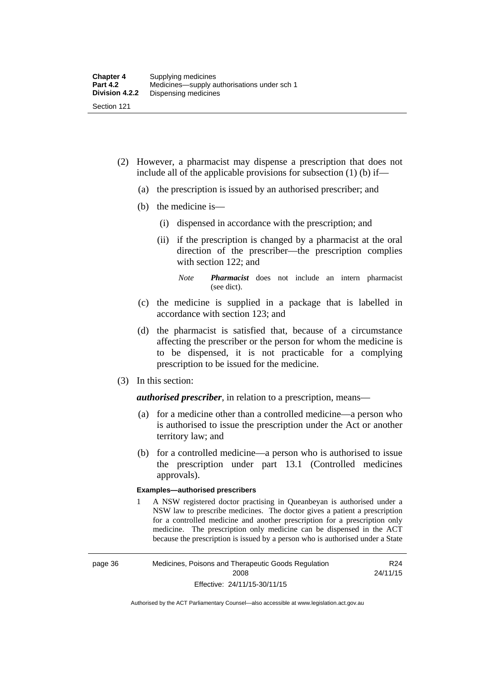- (2) However, a pharmacist may dispense a prescription that does not include all of the applicable provisions for subsection (1) (b) if—
	- (a) the prescription is issued by an authorised prescriber; and
	- (b) the medicine is—
		- (i) dispensed in accordance with the prescription; and
		- (ii) if the prescription is changed by a pharmacist at the oral direction of the prescriber—the prescription complies with section 122; and

*Note Pharmacist* does not include an intern pharmacist (see dict).

- (c) the medicine is supplied in a package that is labelled in accordance with section 123; and
- (d) the pharmacist is satisfied that, because of a circumstance affecting the prescriber or the person for whom the medicine is to be dispensed, it is not practicable for a complying prescription to be issued for the medicine.
- (3) In this section:

*authorised prescriber*, in relation to a prescription, means—

- (a) for a medicine other than a controlled medicine—a person who is authorised to issue the prescription under the Act or another territory law; and
- (b) for a controlled medicine—a person who is authorised to issue the prescription under part 13.1 (Controlled medicines approvals).

#### **Examples—authorised prescribers**

1 A NSW registered doctor practising in Queanbeyan is authorised under a NSW law to prescribe medicines. The doctor gives a patient a prescription for a controlled medicine and another prescription for a prescription only medicine. The prescription only medicine can be dispensed in the ACT because the prescription is issued by a person who is authorised under a State

R24 24/11/15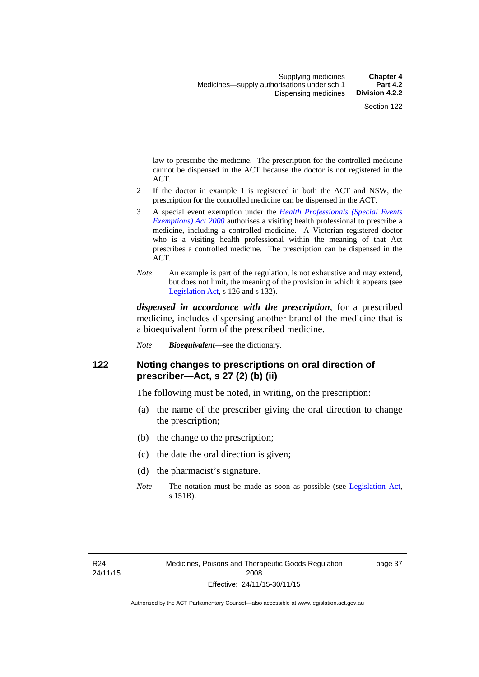law to prescribe the medicine. The prescription for the controlled medicine cannot be dispensed in the ACT because the doctor is not registered in the ACT.

- 2 If the doctor in example 1 is registered in both the ACT and NSW, the prescription for the controlled medicine can be dispensed in the ACT.
- 3 A special event exemption under the *[Health Professionals \(Special Events](http://www.legislation.act.gov.au/a/2000-25)  [Exemptions\) Act 2000](http://www.legislation.act.gov.au/a/2000-25)* authorises a visiting health professional to prescribe a medicine, including a controlled medicine. A Victorian registered doctor who is a visiting health professional within the meaning of that Act prescribes a controlled medicine. The prescription can be dispensed in the ACT.
- *Note* An example is part of the regulation, is not exhaustive and may extend, but does not limit, the meaning of the provision in which it appears (see [Legislation Act,](http://www.legislation.act.gov.au/a/2001-14) s 126 and s 132).

*dispensed in accordance with the prescription*, for a prescribed medicine, includes dispensing another brand of the medicine that is a bioequivalent form of the prescribed medicine.

*Note Bioequivalent*—see the dictionary.

### **122 Noting changes to prescriptions on oral direction of prescriber—Act, s 27 (2) (b) (ii)**

The following must be noted, in writing, on the prescription:

- (a) the name of the prescriber giving the oral direction to change the prescription;
- (b) the change to the prescription;
- (c) the date the oral direction is given;
- (d) the pharmacist's signature.
- *Note* The notation must be made as soon as possible (see [Legislation Act,](http://www.legislation.act.gov.au/a/2001-14) s 151B).

page 37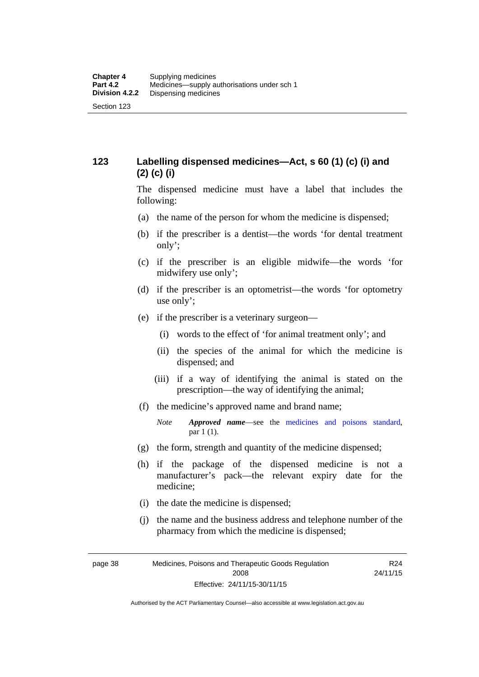## **123 Labelling dispensed medicines—Act, s 60 (1) (c) (i) and (2) (c) (i)**

The dispensed medicine must have a label that includes the following:

- (a) the name of the person for whom the medicine is dispensed;
- (b) if the prescriber is a dentist—the words 'for dental treatment only';
- (c) if the prescriber is an eligible midwife—the words 'for midwifery use only';
- (d) if the prescriber is an optometrist—the words 'for optometry use only';
- (e) if the prescriber is a veterinary surgeon—
	- (i) words to the effect of 'for animal treatment only'; and
	- (ii) the species of the animal for which the medicine is dispensed; and
	- (iii) if a way of identifying the animal is stated on the prescription—the way of identifying the animal;
- (f) the medicine's approved name and brand name;
	- *Note Approved name*—see the [medicines and poisons standard,](http://www.comlaw.gov.au/Series/F2012L01200) par 1 (1).
- (g) the form, strength and quantity of the medicine dispensed;
- (h) if the package of the dispensed medicine is not a manufacturer's pack—the relevant expiry date for the medicine;
- (i) the date the medicine is dispensed;
- (j) the name and the business address and telephone number of the pharmacy from which the medicine is dispensed;

page 38 Medicines, Poisons and Therapeutic Goods Regulation 2008 Effective: 24/11/15-30/11/15 R24 24/11/15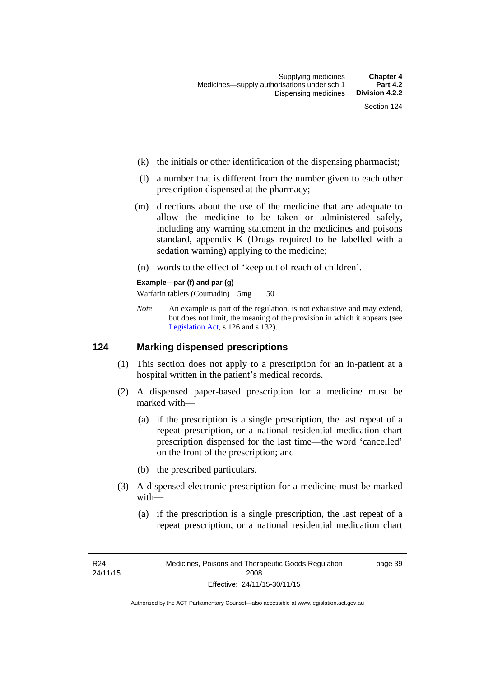- (k) the initials or other identification of the dispensing pharmacist;
- (l) a number that is different from the number given to each other prescription dispensed at the pharmacy;
- (m) directions about the use of the medicine that are adequate to allow the medicine to be taken or administered safely, including any warning statement in the medicines and poisons standard, appendix K (Drugs required to be labelled with a sedation warning) applying to the medicine;
- (n) words to the effect of 'keep out of reach of children'.

### **Example—par (f) and par (g)**

Warfarin tablets (Coumadin) 5mg 50

*Note* An example is part of the regulation, is not exhaustive and may extend, but does not limit, the meaning of the provision in which it appears (see [Legislation Act,](http://www.legislation.act.gov.au/a/2001-14) s 126 and s 132).

### **124 Marking dispensed prescriptions**

- (1) This section does not apply to a prescription for an in-patient at a hospital written in the patient's medical records.
- (2) A dispensed paper-based prescription for a medicine must be marked with—
	- (a) if the prescription is a single prescription, the last repeat of a repeat prescription, or a national residential medication chart prescription dispensed for the last time––the word 'cancelled' on the front of the prescription; and
	- (b) the prescribed particulars.
- (3) A dispensed electronic prescription for a medicine must be marked with—
	- (a) if the prescription is a single prescription, the last repeat of a repeat prescription, or a national residential medication chart

page 39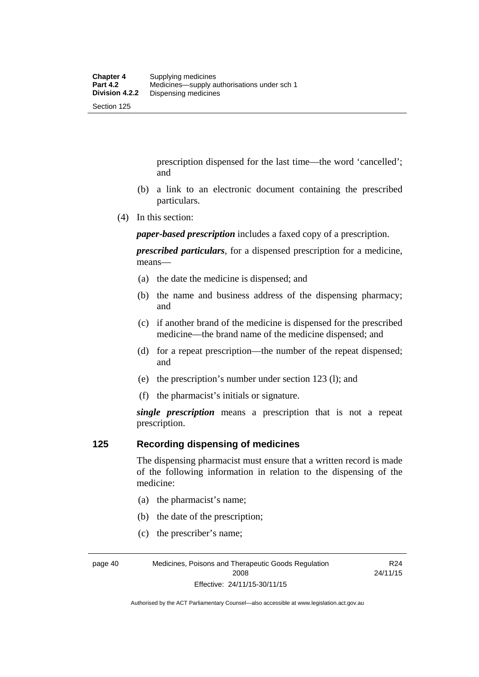prescription dispensed for the last time––the word 'cancelled'; and

- (b) a link to an electronic document containing the prescribed particulars.
- (4) In this section:

*paper-based prescription* includes a faxed copy of a prescription.

*prescribed particulars*, for a dispensed prescription for a medicine, means—

- (a) the date the medicine is dispensed; and
- (b) the name and business address of the dispensing pharmacy; and
- (c) if another brand of the medicine is dispensed for the prescribed medicine—the brand name of the medicine dispensed; and
- (d) for a repeat prescription—the number of the repeat dispensed; and
- (e) the prescription's number under section 123 (l); and
- (f) the pharmacist's initials or signature.

*single prescription* means a prescription that is not a repeat prescription.

### **125 Recording dispensing of medicines**

The dispensing pharmacist must ensure that a written record is made of the following information in relation to the dispensing of the medicine:

- (a) the pharmacist's name;
- (b) the date of the prescription;
- (c) the prescriber's name;

page 40 Medicines, Poisons and Therapeutic Goods Regulation 2008 Effective: 24/11/15-30/11/15

R24 24/11/15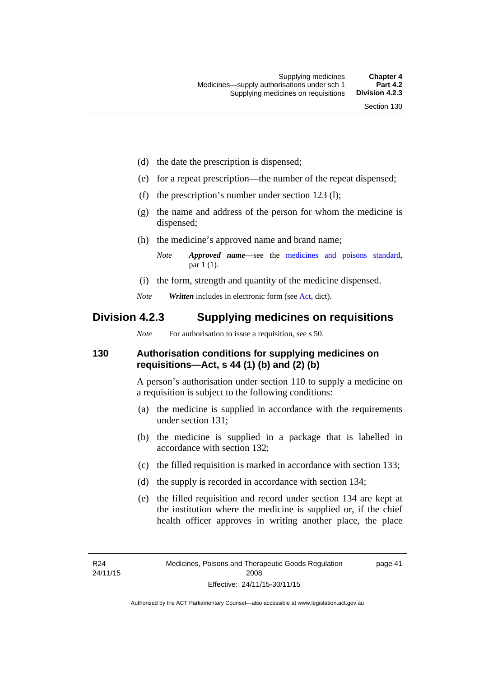- (d) the date the prescription is dispensed;
- (e) for a repeat prescription—the number of the repeat dispensed;
- (f) the prescription's number under section 123 (l);
- (g) the name and address of the person for whom the medicine is dispensed;
- (h) the medicine's approved name and brand name;

- (i) the form, strength and quantity of the medicine dispensed.
- *Note Written* includes in electronic form (see [Act,](http://www.legislation.act.gov.au/a/2008-26/default.asp) dict).

## **Division 4.2.3 Supplying medicines on requisitions**

*Note* For authorisation to issue a requisition, see s 50.

### **130 Authorisation conditions for supplying medicines on requisitions—Act, s 44 (1) (b) and (2) (b)**

A person's authorisation under section 110 to supply a medicine on a requisition is subject to the following conditions:

- (a) the medicine is supplied in accordance with the requirements under section 131;
- (b) the medicine is supplied in a package that is labelled in accordance with section 132;
- (c) the filled requisition is marked in accordance with section 133;
- (d) the supply is recorded in accordance with section 134;
- (e) the filled requisition and record under section 134 are kept at the institution where the medicine is supplied or, if the chief health officer approves in writing another place, the place

page 41

*Note Approved name*—see the [medicines and poisons standard,](http://www.comlaw.gov.au/Series/F2012L01200) par 1 (1).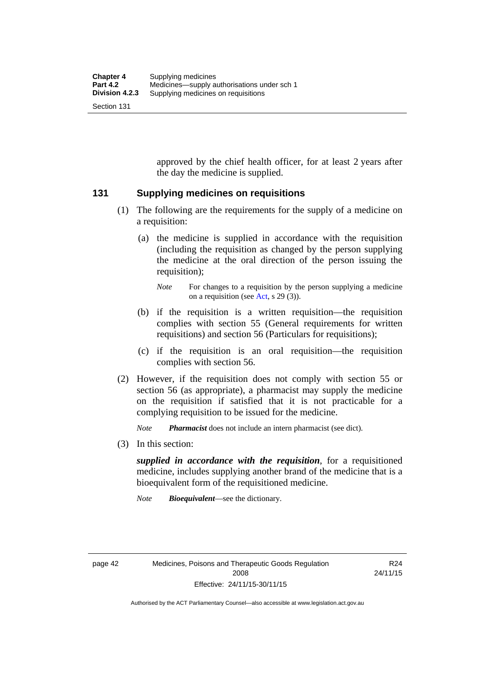approved by the chief health officer, for at least 2 years after the day the medicine is supplied.

### **131 Supplying medicines on requisitions**

- (1) The following are the requirements for the supply of a medicine on a requisition:
	- (a) the medicine is supplied in accordance with the requisition (including the requisition as changed by the person supplying the medicine at the oral direction of the person issuing the requisition);

- (b) if the requisition is a written requisition—the requisition complies with section 55 (General requirements for written requisitions) and section 56 (Particulars for requisitions);
- (c) if the requisition is an oral requisition—the requisition complies with section 56.
- (2) However, if the requisition does not comply with section 55 or section 56 (as appropriate), a pharmacist may supply the medicine on the requisition if satisfied that it is not practicable for a complying requisition to be issued for the medicine.

*Note Pharmacist* does not include an intern pharmacist (see dict).

(3) In this section:

*supplied in accordance with the requisition*, for a requisitioned medicine, includes supplying another brand of the medicine that is a bioequivalent form of the requisitioned medicine.

*Note Bioequivalent*—see the dictionary.

R24 24/11/15

*Note* For changes to a requisition by the person supplying a medicine on a requisition (see [Act,](http://www.legislation.act.gov.au/a/2008-26/default.asp) s 29 (3)).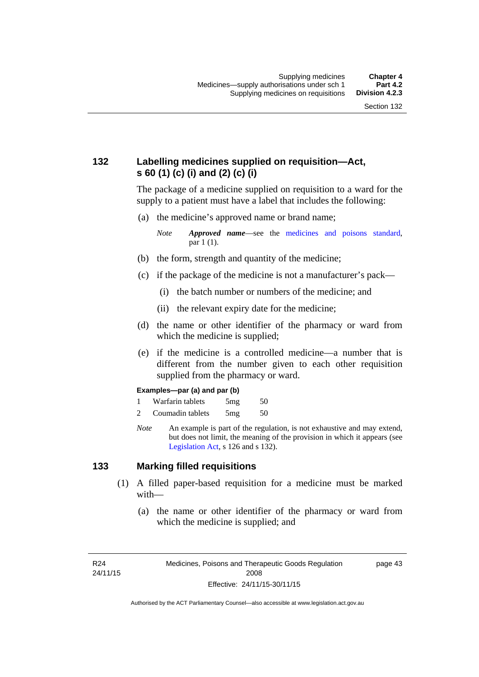## **132 Labelling medicines supplied on requisition—Act, s 60 (1) (c) (i) and (2) (c) (i)**

The package of a medicine supplied on requisition to a ward for the supply to a patient must have a label that includes the following:

(a) the medicine's approved name or brand name;

*Note Approved name*—see the [medicines and poisons standard,](http://www.comlaw.gov.au/Series/F2012L01200) par 1 (1).

- (b) the form, strength and quantity of the medicine;
- (c) if the package of the medicine is not a manufacturer's pack—
	- (i) the batch number or numbers of the medicine; and
	- (ii) the relevant expiry date for the medicine;
- (d) the name or other identifier of the pharmacy or ward from which the medicine is supplied;
- (e) if the medicine is a controlled medicine—a number that is different from the number given to each other requisition supplied from the pharmacy or ward.

#### **Examples—par (a) and par (b)**

- 1 Warfarin tablets 5mg 50
- 2 Coumadin tablets 5mg 50
- *Note* An example is part of the regulation, is not exhaustive and may extend, but does not limit, the meaning of the provision in which it appears (see [Legislation Act,](http://www.legislation.act.gov.au/a/2001-14) s 126 and s 132).

### **133 Marking filled requisitions**

- (1) A filled paper-based requisition for a medicine must be marked with—
	- (a) the name or other identifier of the pharmacy or ward from which the medicine is supplied; and

R24 24/11/15 page 43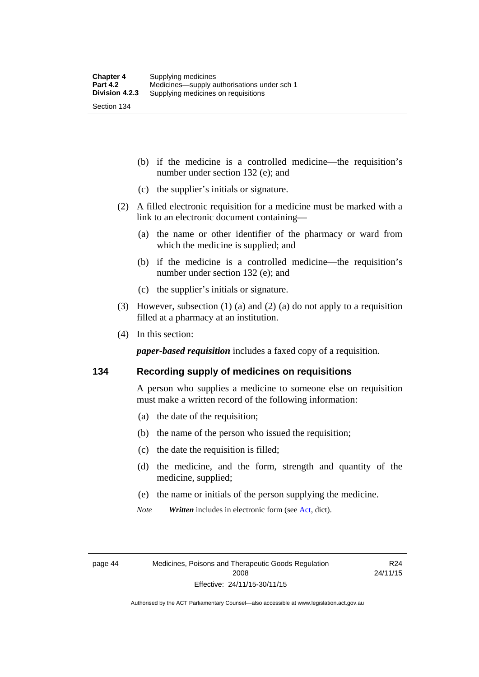(b) if the medicine is a controlled medicine—the requisition's number under section 132 (e); and

- (c) the supplier's initials or signature.
- (2) A filled electronic requisition for a medicine must be marked with a link to an electronic document containing—
	- (a) the name or other identifier of the pharmacy or ward from which the medicine is supplied; and
	- (b) if the medicine is a controlled medicine—the requisition's number under section 132 (e); and
	- (c) the supplier's initials or signature.
- (3) However, subsection (1) (a) and (2) (a) do not apply to a requisition filled at a pharmacy at an institution.
- (4) In this section:

*paper-based requisition* includes a faxed copy of a requisition.

### **134 Recording supply of medicines on requisitions**

A person who supplies a medicine to someone else on requisition must make a written record of the following information:

- (a) the date of the requisition;
- (b) the name of the person who issued the requisition;
- (c) the date the requisition is filled;
- (d) the medicine, and the form, strength and quantity of the medicine, supplied;
- (e) the name or initials of the person supplying the medicine.
- *Note Written* includes in electronic form (see [Act,](http://www.legislation.act.gov.au/a/2008-26/default.asp) dict).

R24 24/11/15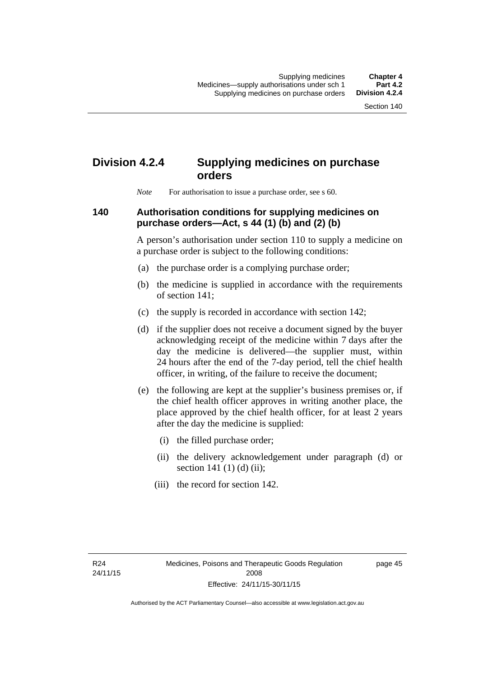## **Division 4.2.4 Supplying medicines on purchase orders**

*Note* For authorisation to issue a purchase order, see s 60.

### **140 Authorisation conditions for supplying medicines on purchase orders—Act, s 44 (1) (b) and (2) (b)**

A person's authorisation under section 110 to supply a medicine on a purchase order is subject to the following conditions:

- (a) the purchase order is a complying purchase order;
- (b) the medicine is supplied in accordance with the requirements of section 141;
- (c) the supply is recorded in accordance with section 142;
- (d) if the supplier does not receive a document signed by the buyer acknowledging receipt of the medicine within 7 days after the day the medicine is delivered—the supplier must, within 24 hours after the end of the 7-day period, tell the chief health officer, in writing, of the failure to receive the document;
- (e) the following are kept at the supplier's business premises or, if the chief health officer approves in writing another place, the place approved by the chief health officer, for at least 2 years after the day the medicine is supplied:
	- (i) the filled purchase order;
	- (ii) the delivery acknowledgement under paragraph (d) or section 141 $(1)$  $(d)$  $(ii)$ ;
	- (iii) the record for section 142.

page 45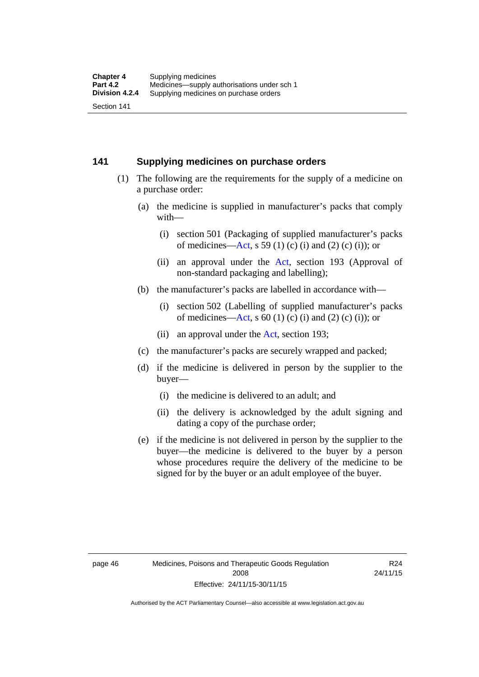### **141 Supplying medicines on purchase orders**

- (1) The following are the requirements for the supply of a medicine on a purchase order:
	- (a) the medicine is supplied in manufacturer's packs that comply with—
		- (i) section 501 (Packaging of supplied manufacturer's packs of medicines—[Act](http://www.legislation.act.gov.au/a/2008-26/default.asp), s 59 (1) (c) (i) and (2) (c) (i)); or
		- (ii) an approval under the [Act](http://www.legislation.act.gov.au/a/2008-26/default.asp), section 193 (Approval of non-standard packaging and labelling);
	- (b) the manufacturer's packs are labelled in accordance with—
		- (i) section 502 (Labelling of supplied manufacturer's packs of medicines—[Act](http://www.legislation.act.gov.au/a/2008-26/default.asp), s  $60(1)$  (c) (i) and (2) (c) (i)); or
		- (ii) an approval under the [Act,](http://www.legislation.act.gov.au/a/2008-26/default.asp) section 193;
	- (c) the manufacturer's packs are securely wrapped and packed;
	- (d) if the medicine is delivered in person by the supplier to the buyer—
		- (i) the medicine is delivered to an adult; and
		- (ii) the delivery is acknowledged by the adult signing and dating a copy of the purchase order;
	- (e) if the medicine is not delivered in person by the supplier to the buyer—the medicine is delivered to the buyer by a person whose procedures require the delivery of the medicine to be signed for by the buyer or an adult employee of the buyer.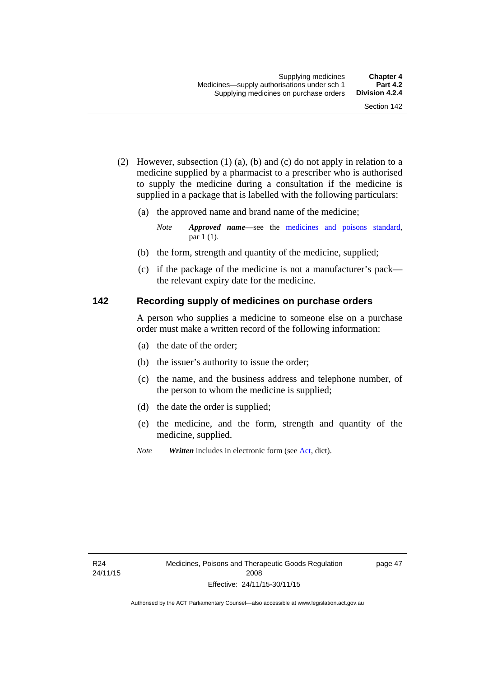- (2) However, subsection (1) (a), (b) and (c) do not apply in relation to a medicine supplied by a pharmacist to a prescriber who is authorised to supply the medicine during a consultation if the medicine is supplied in a package that is labelled with the following particulars:
	- (a) the approved name and brand name of the medicine;

*Note Approved name*—see the [medicines and poisons standard,](http://www.comlaw.gov.au/Series/F2012L01200) par 1 (1).

- (b) the form, strength and quantity of the medicine, supplied;
- (c) if the package of the medicine is not a manufacturer's pack the relevant expiry date for the medicine.

### **142 Recording supply of medicines on purchase orders**

A person who supplies a medicine to someone else on a purchase order must make a written record of the following information:

- (a) the date of the order;
- (b) the issuer's authority to issue the order;
- (c) the name, and the business address and telephone number, of the person to whom the medicine is supplied;
- (d) the date the order is supplied;
- (e) the medicine, and the form, strength and quantity of the medicine, supplied.
- *Note Written* includes in electronic form (see [Act,](http://www.legislation.act.gov.au/a/2008-26/default.asp) dict).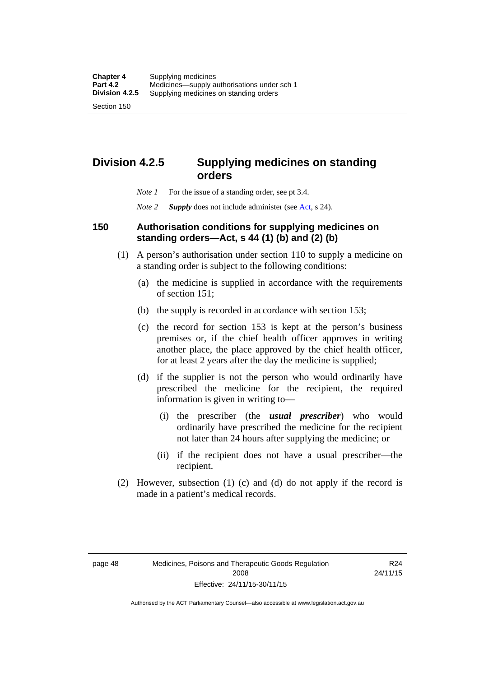**Division 4.2.5 Supplying medicines on standing** 

# **orders**

- *Note 1* For the issue of a standing order, see pt 3.4.
- *Note 2 Supply* does not include administer (see [Act,](http://www.legislation.act.gov.au/a/2008-26/default.asp) s 24).

### **150 Authorisation conditions for supplying medicines on standing orders—Act, s 44 (1) (b) and (2) (b)**

- (1) A person's authorisation under section 110 to supply a medicine on a standing order is subject to the following conditions:
	- (a) the medicine is supplied in accordance with the requirements of section 151;
	- (b) the supply is recorded in accordance with section 153;
	- (c) the record for section 153 is kept at the person's business premises or, if the chief health officer approves in writing another place, the place approved by the chief health officer, for at least 2 years after the day the medicine is supplied;
	- (d) if the supplier is not the person who would ordinarily have prescribed the medicine for the recipient, the required information is given in writing to—
		- (i) the prescriber (the *usual prescriber*) who would ordinarily have prescribed the medicine for the recipient not later than 24 hours after supplying the medicine; or
		- (ii) if the recipient does not have a usual prescriber—the recipient.
- (2) However, subsection (1) (c) and (d) do not apply if the record is made in a patient's medical records.

R24 24/11/15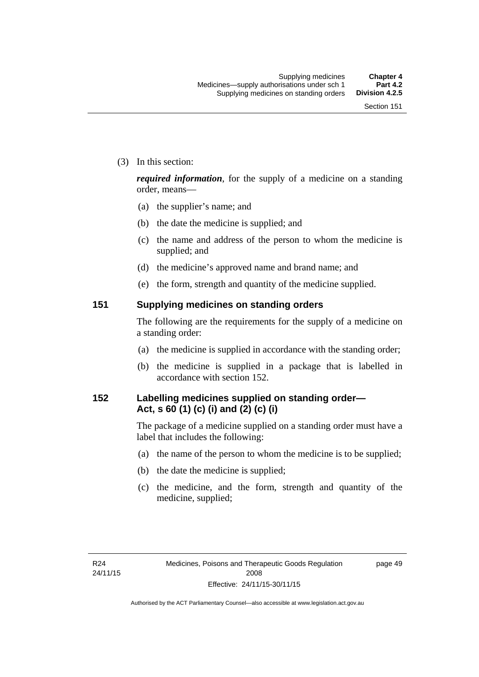(3) In this section:

*required information*, for the supply of a medicine on a standing order, means—

- (a) the supplier's name; and
- (b) the date the medicine is supplied; and
- (c) the name and address of the person to whom the medicine is supplied; and
- (d) the medicine's approved name and brand name; and
- (e) the form, strength and quantity of the medicine supplied.

### **151 Supplying medicines on standing orders**

The following are the requirements for the supply of a medicine on a standing order:

- (a) the medicine is supplied in accordance with the standing order;
- (b) the medicine is supplied in a package that is labelled in accordance with section 152.

## **152 Labelling medicines supplied on standing order— Act, s 60 (1) (c) (i) and (2) (c) (i)**

The package of a medicine supplied on a standing order must have a label that includes the following:

- (a) the name of the person to whom the medicine is to be supplied;
- (b) the date the medicine is supplied;
- (c) the medicine, and the form, strength and quantity of the medicine, supplied;

page 49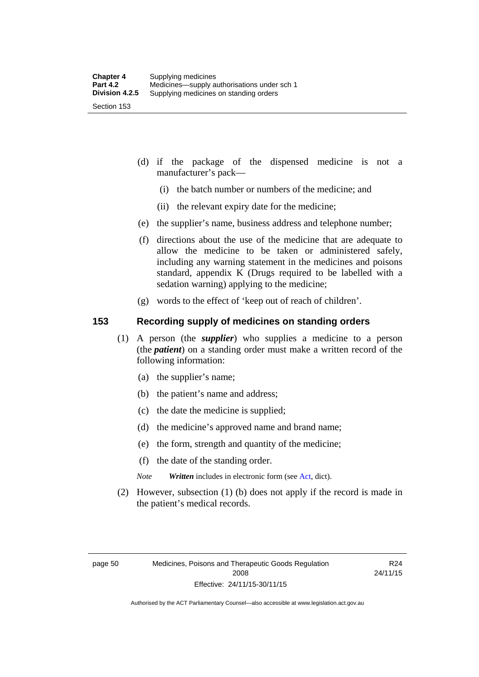- (d) if the package of the dispensed medicine is not a manufacturer's pack—
	- (i) the batch number or numbers of the medicine; and
	- (ii) the relevant expiry date for the medicine;
- (e) the supplier's name, business address and telephone number;
- (f) directions about the use of the medicine that are adequate to allow the medicine to be taken or administered safely, including any warning statement in the medicines and poisons standard, appendix K (Drugs required to be labelled with a sedation warning) applying to the medicine;
- (g) words to the effect of 'keep out of reach of children'.

### **153 Recording supply of medicines on standing orders**

- (1) A person (the *supplier*) who supplies a medicine to a person (the *patient*) on a standing order must make a written record of the following information:
	- (a) the supplier's name;
	- (b) the patient's name and address;
	- (c) the date the medicine is supplied;
	- (d) the medicine's approved name and brand name;
	- (e) the form, strength and quantity of the medicine;
	- (f) the date of the standing order.
	- *Note Written* includes in electronic form (see [Act,](http://www.legislation.act.gov.au/a/2008-26/default.asp) dict).
- (2) However, subsection (1) (b) does not apply if the record is made in the patient's medical records.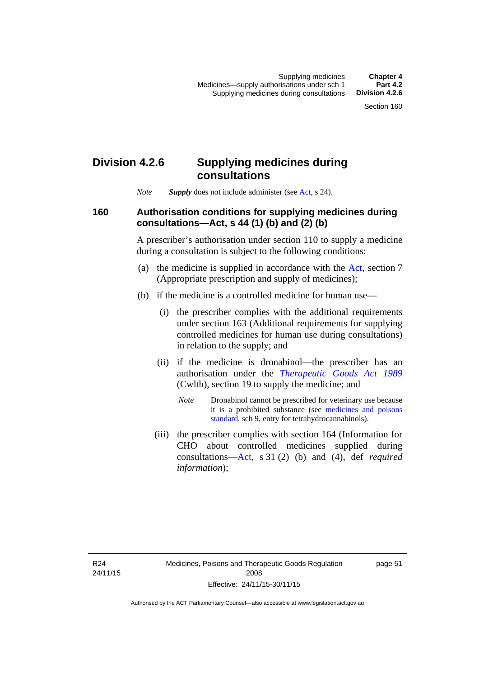## **Division 4.2.6 Supplying medicines during consultations**

*Note Supply* does not include administer (see [Act,](http://www.legislation.act.gov.au/a/2008-26/default.asp) s 24).

### **160 Authorisation conditions for supplying medicines during consultations—Act, s 44 (1) (b) and (2) (b)**

A prescriber's authorisation under section 110 to supply a medicine during a consultation is subject to the following conditions:

- (a) the medicine is supplied in accordance with the [Act](http://www.legislation.act.gov.au/a/2008-26/default.asp), section 7 (Appropriate prescription and supply of medicines);
- (b) if the medicine is a controlled medicine for human use—
	- (i) the prescriber complies with the additional requirements under section 163 (Additional requirements for supplying controlled medicines for human use during consultations) in relation to the supply; and
	- (ii) if the medicine is dronabinol—the prescriber has an authorisation under the *[Therapeutic Goods Act 1989](http://www.comlaw.gov.au/Series/C2004A03952)* (Cwlth), section 19 to supply the medicine; and
		- *Note* Dronabinol cannot be prescribed for veterinary use because it is a prohibited substance (see [medicines and poisons](http://www.comlaw.gov.au/Series/F2012L01200)  [standard,](http://www.comlaw.gov.au/Series/F2012L01200) sch 9, entry for tetrahydrocannabinols).
	- (iii) the prescriber complies with section 164 (Information for CHO about controlled medicines supplied during consultations[—Act,](http://www.legislation.act.gov.au/a/2008-26/default.asp) s 31 (2) (b) and (4), def *required information*);

page 51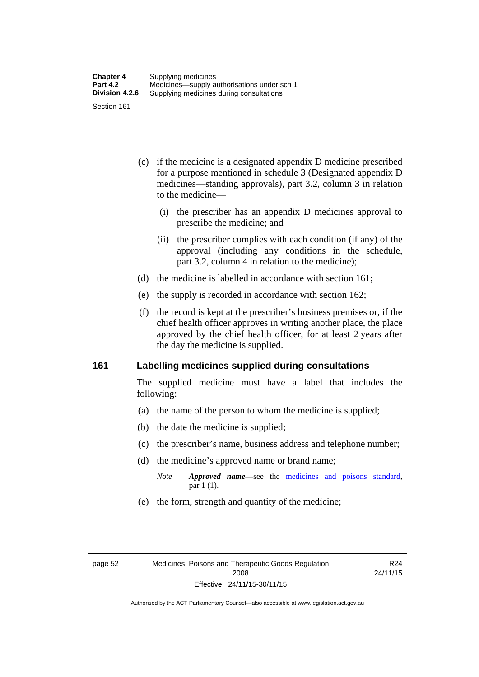- (c) if the medicine is a designated appendix D medicine prescribed for a purpose mentioned in schedule 3 (Designated appendix D medicines—standing approvals), part 3.2, column 3 in relation to the medicine—
	- (i) the prescriber has an appendix D medicines approval to prescribe the medicine; and
	- (ii) the prescriber complies with each condition (if any) of the approval (including any conditions in the schedule, part 3.2, column 4 in relation to the medicine);
- (d) the medicine is labelled in accordance with section 161;
- (e) the supply is recorded in accordance with section 162;
- (f) the record is kept at the prescriber's business premises or, if the chief health officer approves in writing another place, the place approved by the chief health officer, for at least 2 years after the day the medicine is supplied.

### **161 Labelling medicines supplied during consultations**

The supplied medicine must have a label that includes the following:

- (a) the name of the person to whom the medicine is supplied;
- (b) the date the medicine is supplied;
- (c) the prescriber's name, business address and telephone number;
- (d) the medicine's approved name or brand name;
	- *Note Approved name*—see the [medicines and poisons standard,](http://www.comlaw.gov.au/Series/F2012L01200) par 1 (1).
- (e) the form, strength and quantity of the medicine;

R24 24/11/15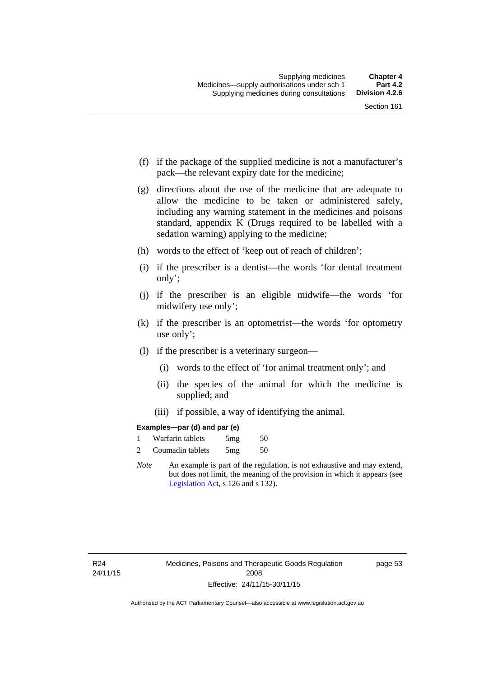- (f) if the package of the supplied medicine is not a manufacturer's pack—the relevant expiry date for the medicine;
- (g) directions about the use of the medicine that are adequate to allow the medicine to be taken or administered safely, including any warning statement in the medicines and poisons standard, appendix K (Drugs required to be labelled with a sedation warning) applying to the medicine;
- (h) words to the effect of 'keep out of reach of children';
- (i) if the prescriber is a dentist—the words 'for dental treatment only';
- (j) if the prescriber is an eligible midwife—the words 'for midwifery use only';
- (k) if the prescriber is an optometrist—the words 'for optometry use only';
- (l) if the prescriber is a veterinary surgeon—
	- (i) words to the effect of 'for animal treatment only'; and
	- (ii) the species of the animal for which the medicine is supplied; and
	- (iii) if possible, a way of identifying the animal.

### **Examples—par (d) and par (e)**

|                | Warfarin tablets | 5mg | 50 |
|----------------|------------------|-----|----|
| $\overline{c}$ | Coumadin tablets | 5mg | 50 |

*Note* An example is part of the regulation, is not exhaustive and may extend, but does not limit, the meaning of the provision in which it appears (see [Legislation Act,](http://www.legislation.act.gov.au/a/2001-14) s 126 and s 132).

page 53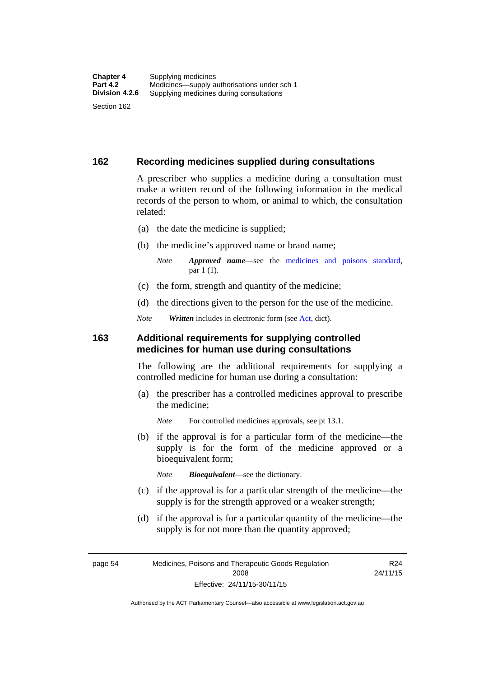### **162 Recording medicines supplied during consultations**

A prescriber who supplies a medicine during a consultation must make a written record of the following information in the medical records of the person to whom, or animal to which, the consultation related:

- (a) the date the medicine is supplied;
- (b) the medicine's approved name or brand name;

*Note Approved name*—see the [medicines and poisons standard,](http://www.comlaw.gov.au/Series/F2012L01200) par 1 (1).

- (c) the form, strength and quantity of the medicine;
- (d) the directions given to the person for the use of the medicine.

*Note Written* includes in electronic form (see [Act,](http://www.legislation.act.gov.au/a/2008-26/default.asp) dict).

### **163 Additional requirements for supplying controlled medicines for human use during consultations**

The following are the additional requirements for supplying a controlled medicine for human use during a consultation:

- (a) the prescriber has a controlled medicines approval to prescribe the medicine;
	- *Note* For controlled medicines approvals, see pt 13.1.
- (b) if the approval is for a particular form of the medicine—the supply is for the form of the medicine approved or a bioequivalent form;

*Note Bioequivalent*—see the dictionary.

- (c) if the approval is for a particular strength of the medicine—the supply is for the strength approved or a weaker strength;
- (d) if the approval is for a particular quantity of the medicine—the supply is for not more than the quantity approved;

R24

page 54 Medicines, Poisons and Therapeutic Goods Regulation 2008 Effective: 24/11/15-30/11/15 24/11/15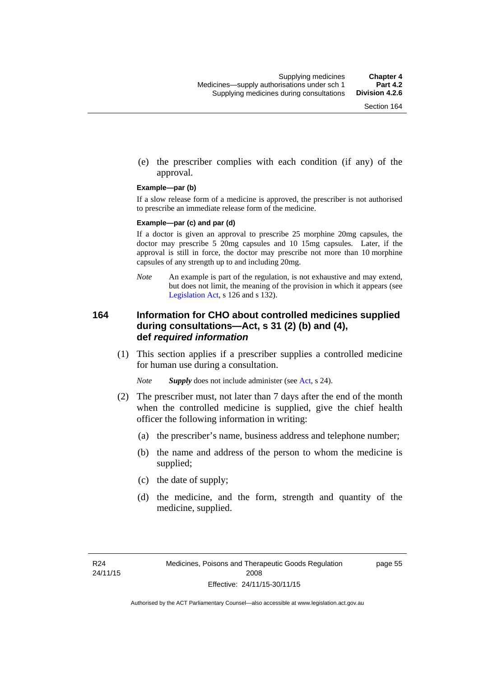(e) the prescriber complies with each condition (if any) of the approval.

#### **Example—par (b)**

If a slow release form of a medicine is approved, the prescriber is not authorised to prescribe an immediate release form of the medicine.

#### **Example—par (c) and par (d)**

If a doctor is given an approval to prescribe 25 morphine 20mg capsules, the doctor may prescribe 5 20mg capsules and 10 15mg capsules. Later, if the approval is still in force, the doctor may prescribe not more than 10 morphine capsules of any strength up to and including 20mg.

*Note* An example is part of the regulation, is not exhaustive and may extend, but does not limit, the meaning of the provision in which it appears (see [Legislation Act,](http://www.legislation.act.gov.au/a/2001-14) s 126 and s 132).

### **164 Information for CHO about controlled medicines supplied during consultations—Act, s 31 (2) (b) and (4), def** *required information*

 (1) This section applies if a prescriber supplies a controlled medicine for human use during a consultation.

*Note Supply* does not include administer (see [Act,](http://www.legislation.act.gov.au/a/2008-26/default.asp) s 24).

- (2) The prescriber must, not later than 7 days after the end of the month when the controlled medicine is supplied, give the chief health officer the following information in writing:
	- (a) the prescriber's name, business address and telephone number;
	- (b) the name and address of the person to whom the medicine is supplied;
	- (c) the date of supply;
	- (d) the medicine, and the form, strength and quantity of the medicine, supplied.

page 55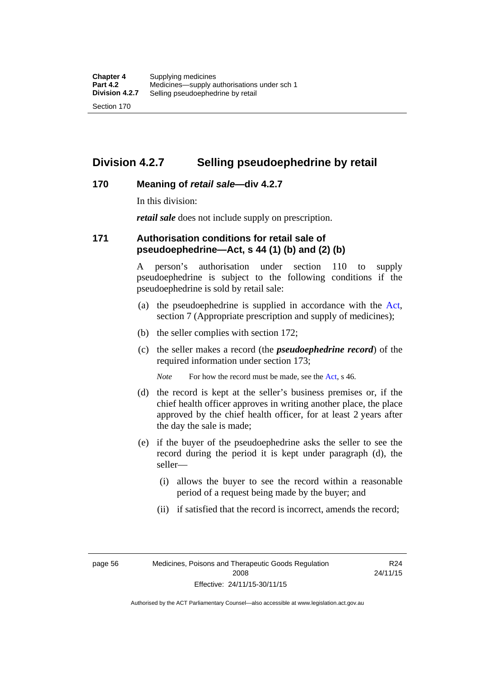## **Division 4.2.7 Selling pseudoephedrine by retail**

### **170 Meaning of** *retail sale***—div 4.2.7**

In this division:

*retail sale* does not include supply on prescription.

### **171 Authorisation conditions for retail sale of pseudoephedrine—Act, s 44 (1) (b) and (2) (b)**

A person's authorisation under section 110 to supply pseudoephedrine is subject to the following conditions if the pseudoephedrine is sold by retail sale:

- (a) the pseudoephedrine is supplied in accordance with the [Act](http://www.legislation.act.gov.au/a/2008-26/default.asp), section 7 (Appropriate prescription and supply of medicines);
- (b) the seller complies with section 172;
- (c) the seller makes a record (the *pseudoephedrine record*) of the required information under section 173;

*Note* For how the record must be made, see the [Act,](http://www.legislation.act.gov.au/a/2008-26/default.asp) s 46.

- (d) the record is kept at the seller's business premises or, if the chief health officer approves in writing another place, the place approved by the chief health officer, for at least 2 years after the day the sale is made;
- (e) if the buyer of the pseudoephedrine asks the seller to see the record during the period it is kept under paragraph (d), the seller—
	- (i) allows the buyer to see the record within a reasonable period of a request being made by the buyer; and
	- (ii) if satisfied that the record is incorrect, amends the record;

page 56 Medicines, Poisons and Therapeutic Goods Regulation 2008 Effective: 24/11/15-30/11/15

R24 24/11/15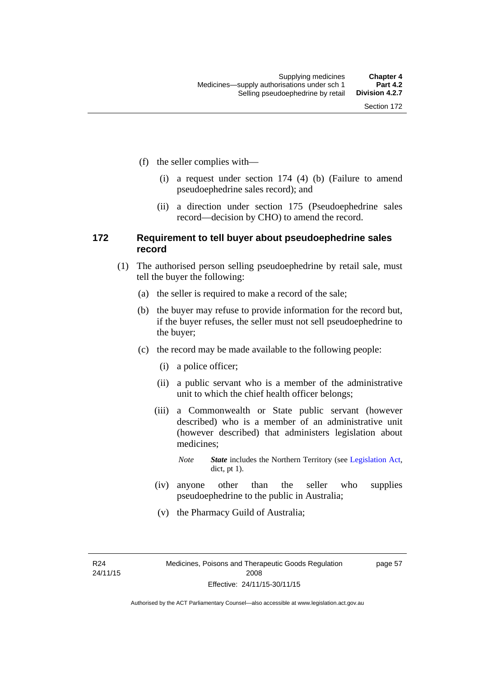- (f) the seller complies with—
	- (i) a request under section 174 (4) (b) (Failure to amend pseudoephedrine sales record); and
	- (ii) a direction under section 175 (Pseudoephedrine sales record—decision by CHO) to amend the record.

### **172 Requirement to tell buyer about pseudoephedrine sales record**

- (1) The authorised person selling pseudoephedrine by retail sale, must tell the buyer the following:
	- (a) the seller is required to make a record of the sale;
	- (b) the buyer may refuse to provide information for the record but, if the buyer refuses, the seller must not sell pseudoephedrine to the buyer;
	- (c) the record may be made available to the following people:
		- (i) a police officer;
		- (ii) a public servant who is a member of the administrative unit to which the chief health officer belongs;
		- (iii) a Commonwealth or State public servant (however described) who is a member of an administrative unit (however described) that administers legislation about medicines;
			- *Note State* includes the Northern Territory (see [Legislation Act,](http://www.legislation.act.gov.au/a/2001-14) dict, pt 1).
		- (iv) anyone other than the seller who supplies pseudoephedrine to the public in Australia;
		- (v) the Pharmacy Guild of Australia;

R24 24/11/15 page 57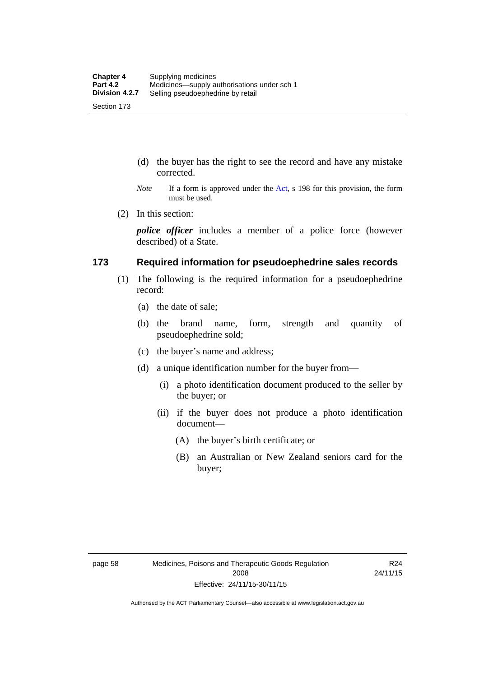- (d) the buyer has the right to see the record and have any mistake corrected.
- *Note* If a form is approved under the [Act](http://www.legislation.act.gov.au/a/2008-26/default.asp), s 198 for this provision, the form must be used.
- (2) In this section:

*police officer* includes a member of a police force (however described) of a State.

### **173 Required information for pseudoephedrine sales records**

- (1) The following is the required information for a pseudoephedrine record:
	- (a) the date of sale;
	- (b) the brand name, form, strength and quantity of pseudoephedrine sold;
	- (c) the buyer's name and address;
	- (d) a unique identification number for the buyer from—
		- (i) a photo identification document produced to the seller by the buyer; or
		- (ii) if the buyer does not produce a photo identification document—
			- (A) the buyer's birth certificate; or
			- (B) an Australian or New Zealand seniors card for the buyer;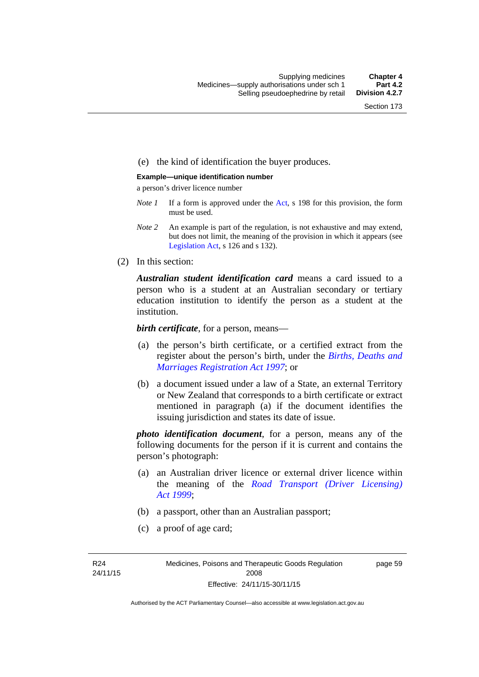### (e) the kind of identification the buyer produces.

#### **Example—unique identification number**

a person's driver licence number

- *Note 1* If a form is approved under the [Act](http://www.legislation.act.gov.au/a/2008-26/default.asp), s 198 for this provision, the form must be used.
- *Note 2* An example is part of the regulation, is not exhaustive and may extend, but does not limit, the meaning of the provision in which it appears (see [Legislation Act,](http://www.legislation.act.gov.au/a/2001-14) s 126 and s 132).
- (2) In this section:

*Australian student identification card* means a card issued to a person who is a student at an Australian secondary or tertiary education institution to identify the person as a student at the institution.

*birth certificate*, for a person, means—

- (a) the person's birth certificate, or a certified extract from the register about the person's birth, under the *[Births, Deaths and](http://www.legislation.act.gov.au/a/1997-112)  [Marriages Registration Act 1997](http://www.legislation.act.gov.au/a/1997-112)*; or
- (b) a document issued under a law of a State, an external Territory or New Zealand that corresponds to a birth certificate or extract mentioned in paragraph (a) if the document identifies the issuing jurisdiction and states its date of issue.

*photo identification document*, for a person, means any of the following documents for the person if it is current and contains the person's photograph:

- (a) an Australian driver licence or external driver licence within the meaning of the *[Road Transport \(Driver Licensing\)](http://www.legislation.act.gov.au/a/1999-78)  [Act 1999](http://www.legislation.act.gov.au/a/1999-78)*;
- (b) a passport, other than an Australian passport;
- (c) a proof of age card;

R24 24/11/15 page 59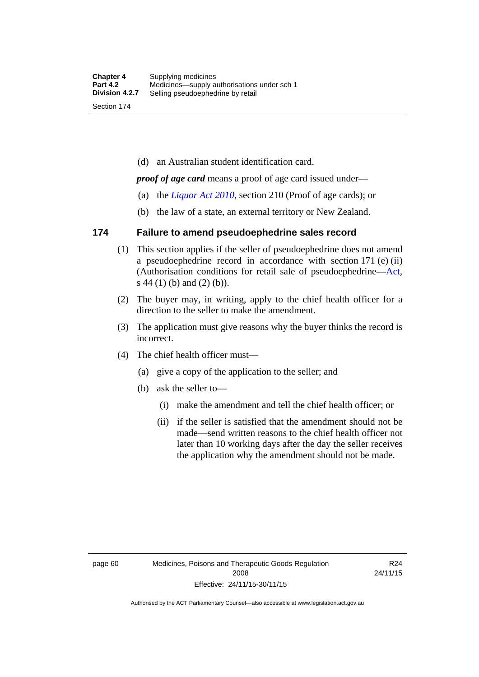(d) an Australian student identification card.

*proof of age card* means a proof of age card issued under—

- (a) the *[Liquor Act 2010](http://www.legislation.act.gov.au/a/2010-35)*, section 210 (Proof of age cards); or
- (b) the law of a state, an external territory or New Zealand.

### **174 Failure to amend pseudoephedrine sales record**

- (1) This section applies if the seller of pseudoephedrine does not amend a pseudoephedrine record in accordance with section 171 (e) (ii) (Authorisation conditions for retail sale of pseudoephedrine—[Act](http://www.legislation.act.gov.au/a/2008-26/default.asp), s 44 (1) (b) and (2) (b)).
- (2) The buyer may, in writing, apply to the chief health officer for a direction to the seller to make the amendment.
- (3) The application must give reasons why the buyer thinks the record is incorrect.
- (4) The chief health officer must—
	- (a) give a copy of the application to the seller; and
	- (b) ask the seller to—
		- (i) make the amendment and tell the chief health officer; or
		- (ii) if the seller is satisfied that the amendment should not be made—send written reasons to the chief health officer not later than 10 working days after the day the seller receives the application why the amendment should not be made.

R24 24/11/15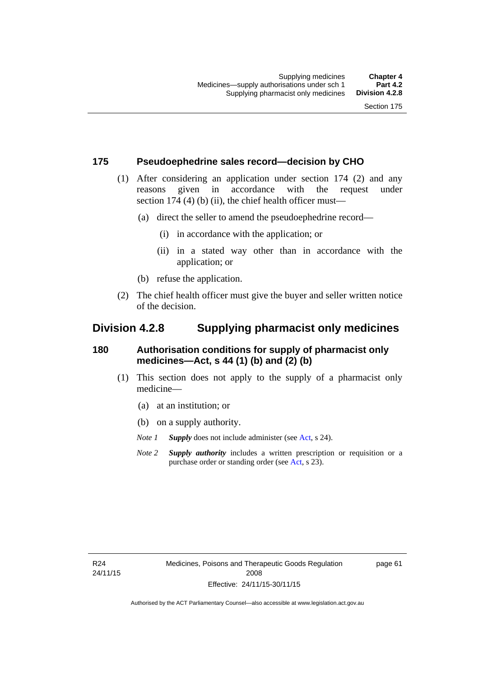### **175 Pseudoephedrine sales record—decision by CHO**

- (1) After considering an application under section 174 (2) and any reasons given in accordance with the request under section 174  $(4)$  (b)  $(ii)$ , the chief health officer must—
	- (a) direct the seller to amend the pseudoephedrine record—
		- (i) in accordance with the application; or
		- (ii) in a stated way other than in accordance with the application; or
	- (b) refuse the application.
- (2) The chief health officer must give the buyer and seller written notice of the decision.

## **Division 4.2.8 Supplying pharmacist only medicines**

### **180 Authorisation conditions for supply of pharmacist only medicines—Act, s 44 (1) (b) and (2) (b)**

- (1) This section does not apply to the supply of a pharmacist only medicine—
	- (a) at an institution; or
	- (b) on a supply authority.
	- *Note 1 Supply* does not include administer (see [Act,](http://www.legislation.act.gov.au/a/2008-26/default.asp) s 24).
	- *Note 2 Supply authority* includes a written prescription or requisition or a purchase order or standing order (see [Act,](http://www.legislation.act.gov.au/a/2008-26/default.asp) s 23).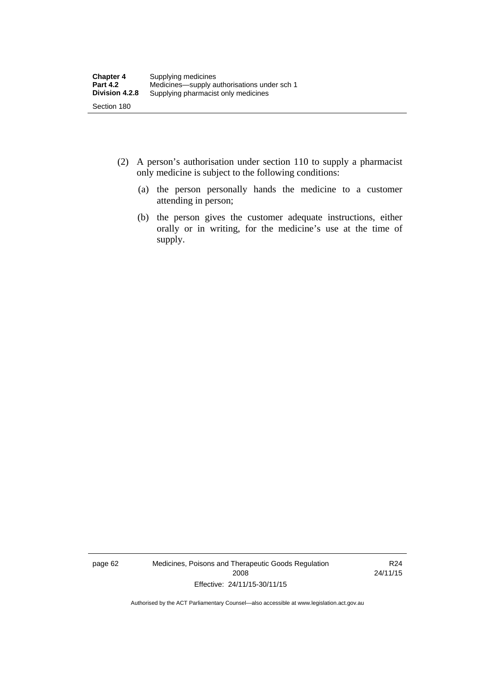- (2) A person's authorisation under section 110 to supply a pharmacist only medicine is subject to the following conditions:
	- (a) the person personally hands the medicine to a customer attending in person;
	- (b) the person gives the customer adequate instructions, either orally or in writing, for the medicine's use at the time of supply.

page 62 Medicines, Poisons and Therapeutic Goods Regulation 2008 Effective: 24/11/15-30/11/15

R24 24/11/15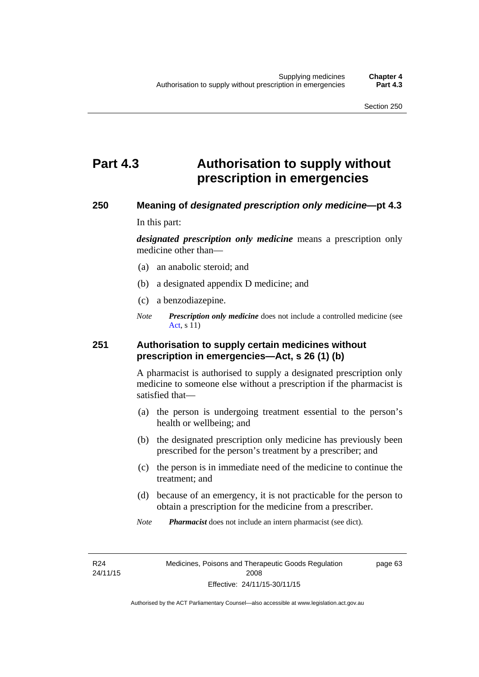# **Part 4.3 Authorisation to supply without prescription in emergencies**

### **250 Meaning of** *designated prescription only medicine***—pt 4.3**

In this part:

*designated prescription only medicine* means a prescription only medicine other than—

- (a) an anabolic steroid; and
- (b) a designated appendix D medicine; and
- (c) a benzodiazepine.
- *Note Prescription only medicine* does not include a controlled medicine (see [Act](http://www.legislation.act.gov.au/a/2008-26/default.asp), s 11)

### **251 Authorisation to supply certain medicines without prescription in emergencies—Act, s 26 (1) (b)**

A pharmacist is authorised to supply a designated prescription only medicine to someone else without a prescription if the pharmacist is satisfied that—

- (a) the person is undergoing treatment essential to the person's health or wellbeing; and
- (b) the designated prescription only medicine has previously been prescribed for the person's treatment by a prescriber; and
- (c) the person is in immediate need of the medicine to continue the treatment; and
- (d) because of an emergency, it is not practicable for the person to obtain a prescription for the medicine from a prescriber.
- *Note Pharmacist* does not include an intern pharmacist (see dict).

R24 24/11/15 page 63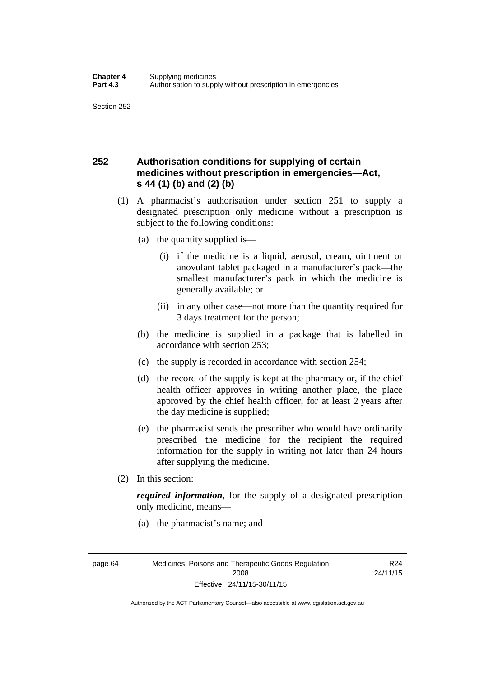## **252 Authorisation conditions for supplying of certain medicines without prescription in emergencies—Act, s 44 (1) (b) and (2) (b)**

- (1) A pharmacist's authorisation under section 251 to supply a designated prescription only medicine without a prescription is subject to the following conditions:
	- (a) the quantity supplied is—
		- (i) if the medicine is a liquid, aerosol, cream, ointment or anovulant tablet packaged in a manufacturer's pack—the smallest manufacturer's pack in which the medicine is generally available; or
		- (ii) in any other case—not more than the quantity required for 3 days treatment for the person;
	- (b) the medicine is supplied in a package that is labelled in accordance with section 253;
	- (c) the supply is recorded in accordance with section 254;
	- (d) the record of the supply is kept at the pharmacy or, if the chief health officer approves in writing another place, the place approved by the chief health officer, for at least 2 years after the day medicine is supplied;
	- (e) the pharmacist sends the prescriber who would have ordinarily prescribed the medicine for the recipient the required information for the supply in writing not later than 24 hours after supplying the medicine.
- (2) In this section:

*required information*, for the supply of a designated prescription only medicine, means—

(a) the pharmacist's name; and

R24 24/11/15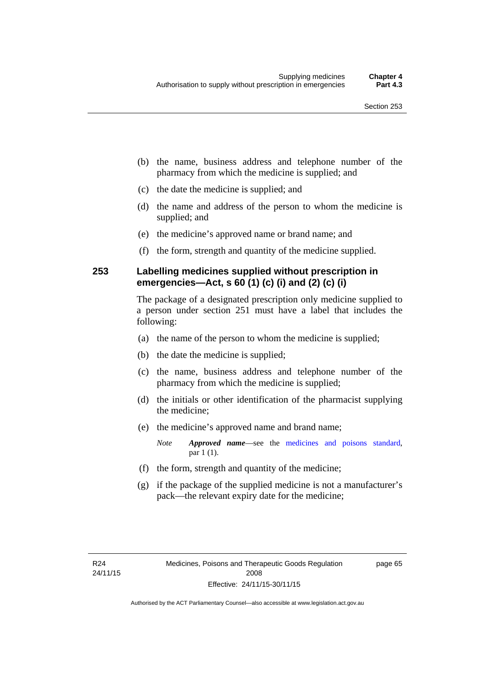- (b) the name, business address and telephone number of the pharmacy from which the medicine is supplied; and
- (c) the date the medicine is supplied; and
- (d) the name and address of the person to whom the medicine is supplied; and
- (e) the medicine's approved name or brand name; and
- (f) the form, strength and quantity of the medicine supplied.

### **253 Labelling medicines supplied without prescription in emergencies—Act, s 60 (1) (c) (i) and (2) (c) (i)**

The package of a designated prescription only medicine supplied to a person under section 251 must have a label that includes the following:

- (a) the name of the person to whom the medicine is supplied;
- (b) the date the medicine is supplied;
- (c) the name, business address and telephone number of the pharmacy from which the medicine is supplied;
- (d) the initials or other identification of the pharmacist supplying the medicine;
- (e) the medicine's approved name and brand name;

*Note Approved name*—see the [medicines and poisons standard,](http://www.comlaw.gov.au/Series/F2012L01200) par 1 (1).

- (f) the form, strength and quantity of the medicine;
- (g) if the package of the supplied medicine is not a manufacturer's pack—the relevant expiry date for the medicine;

page 65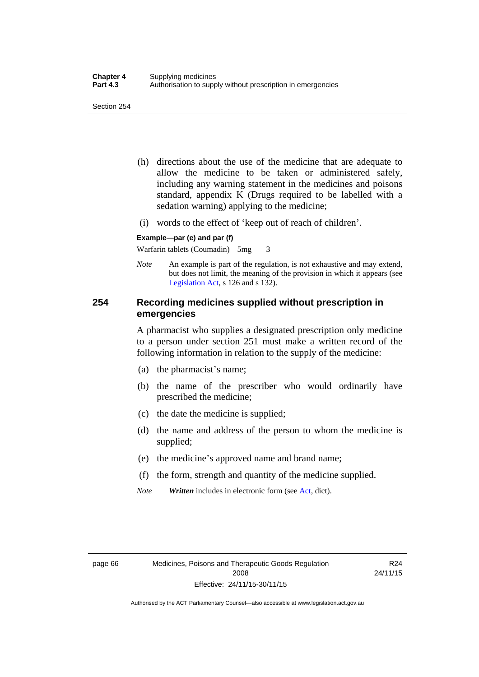- (h) directions about the use of the medicine that are adequate to allow the medicine to be taken or administered safely, including any warning statement in the medicines and poisons standard, appendix K (Drugs required to be labelled with a sedation warning) applying to the medicine;
- (i) words to the effect of 'keep out of reach of children'.

#### **Example—par (e) and par (f)**

Warfarin tablets (Coumadin) 5mg 3

*Note* An example is part of the regulation, is not exhaustive and may extend, but does not limit, the meaning of the provision in which it appears (see [Legislation Act,](http://www.legislation.act.gov.au/a/2001-14) s 126 and s 132).

### **254 Recording medicines supplied without prescription in emergencies**

A pharmacist who supplies a designated prescription only medicine to a person under section 251 must make a written record of the following information in relation to the supply of the medicine:

- (a) the pharmacist's name;
- (b) the name of the prescriber who would ordinarily have prescribed the medicine;
- (c) the date the medicine is supplied;
- (d) the name and address of the person to whom the medicine is supplied;
- (e) the medicine's approved name and brand name;
- (f) the form, strength and quantity of the medicine supplied.
- *Note Written* includes in electronic form (see [Act,](http://www.legislation.act.gov.au/a/2008-26/default.asp) dict).

R24 24/11/15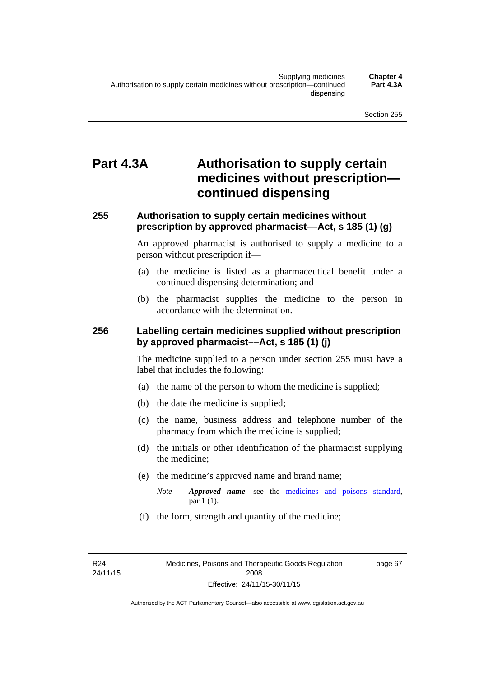# **Part 4.3A Authorisation to supply certain medicines without prescription continued dispensing**

### **255 Authorisation to supply certain medicines without prescription by approved pharmacist––Act, s 185 (1) (g)**

An approved pharmacist is authorised to supply a medicine to a person without prescription if––

- (a) the medicine is listed as a pharmaceutical benefit under a continued dispensing determination; and
- (b) the pharmacist supplies the medicine to the person in accordance with the determination.

### **256 Labelling certain medicines supplied without prescription by approved pharmacist––Act, s 185 (1) (j)**

The medicine supplied to a person under section 255 must have a label that includes the following:

- (a) the name of the person to whom the medicine is supplied;
- (b) the date the medicine is supplied;
- (c) the name, business address and telephone number of the pharmacy from which the medicine is supplied;
- (d) the initials or other identification of the pharmacist supplying the medicine;
- (e) the medicine's approved name and brand name;
	- *Note Approved name––*see the [medicines and poisons standard,](http://www.comlaw.gov.au/Series/F2012L01200) par 1 (1).
- (f) the form, strength and quantity of the medicine;

R24 24/11/15 page 67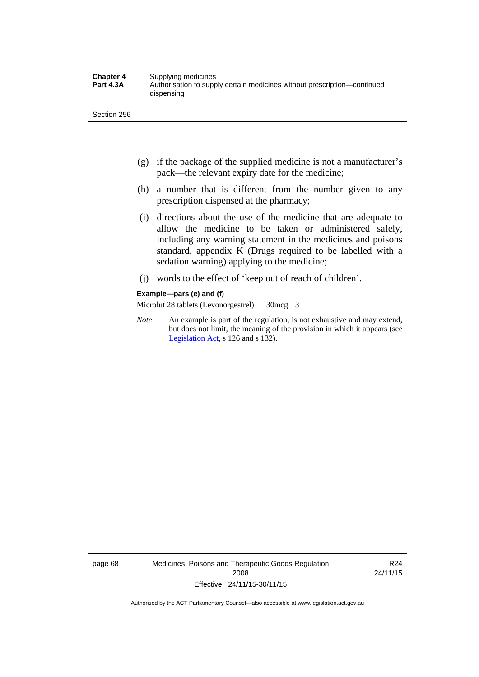- (g) if the package of the supplied medicine is not a manufacturer's pack—the relevant expiry date for the medicine;
- (h) a number that is different from the number given to any prescription dispensed at the pharmacy;
- (i) directions about the use of the medicine that are adequate to allow the medicine to be taken or administered safely, including any warning statement in the medicines and poisons standard, appendix K (Drugs required to be labelled with a sedation warning) applying to the medicine;
- (j) words to the effect of 'keep out of reach of children'.

#### **Example—pars (e) and (f)**

Microlut 28 tablets (Levonorgestrel) 30mcg 3

*Note* An example is part of the regulation, is not exhaustive and may extend, but does not limit, the meaning of the provision in which it appears (see [Legislation Act,](http://www.legislation.act.gov.au/a/2001-14) s 126 and s 132).

page 68 Medicines, Poisons and Therapeutic Goods Regulation 2008 Effective: 24/11/15-30/11/15

R24 24/11/15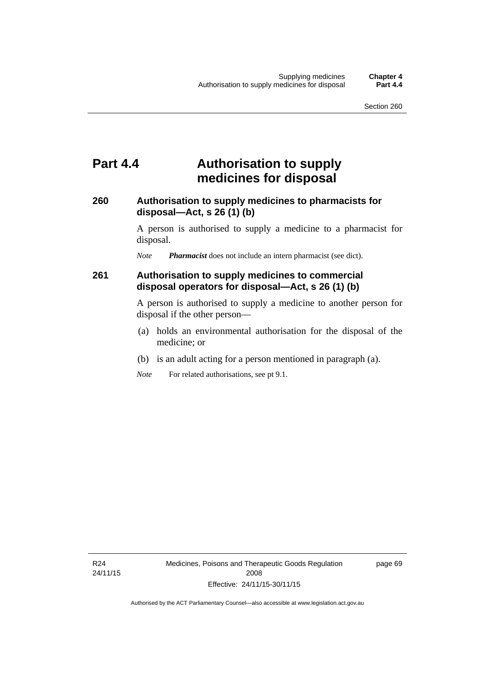## **Part 4.4 Authorisation to supply medicines for disposal**

### **260 Authorisation to supply medicines to pharmacists for disposal—Act, s 26 (1) (b)**

A person is authorised to supply a medicine to a pharmacist for disposal.

*Note Pharmacist* does not include an intern pharmacist (see dict).

### **261 Authorisation to supply medicines to commercial disposal operators for disposal—Act, s 26 (1) (b)**

A person is authorised to supply a medicine to another person for disposal if the other person—

- (a) holds an environmental authorisation for the disposal of the medicine; or
- (b) is an adult acting for a person mentioned in paragraph (a).
- *Note* For related authorisations, see pt 9.1.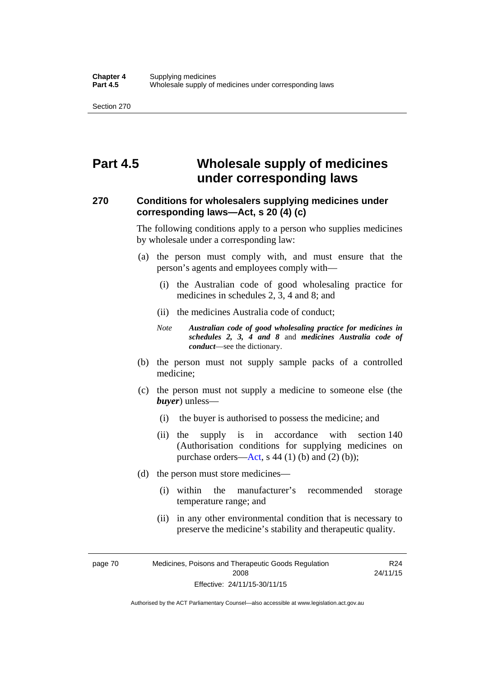# **Part 4.5 Wholesale supply of medicines under corresponding laws**

### **270 Conditions for wholesalers supplying medicines under corresponding laws—Act, s 20 (4) (c)**

The following conditions apply to a person who supplies medicines by wholesale under a corresponding law:

- (a) the person must comply with, and must ensure that the person's agents and employees comply with—
	- (i) the Australian code of good wholesaling practice for medicines in schedules 2, 3, 4 and 8; and
	- (ii) the medicines Australia code of conduct;
	- *Note Australian code of good wholesaling practice for medicines in schedules 2, 3, 4 and 8* and *medicines Australia code of conduct*—see the dictionary.
- (b) the person must not supply sample packs of a controlled medicine;
- (c) the person must not supply a medicine to someone else (the *buyer*) unless—
	- (i) the buyer is authorised to possess the medicine; and
	- (ii) the supply is in accordance with section 140 (Authorisation conditions for supplying medicines on purchase orders—[Act,](http://www.legislation.act.gov.au/a/2008-26/default.asp) s 44 (1) (b) and (2) (b));
- (d) the person must store medicines—
	- (i) within the manufacturer's recommended storage temperature range; and
	- (ii) in any other environmental condition that is necessary to preserve the medicine's stability and therapeutic quality.

page 70 Medicines, Poisons and Therapeutic Goods Regulation 2008 Effective: 24/11/15-30/11/15 R24 24/11/15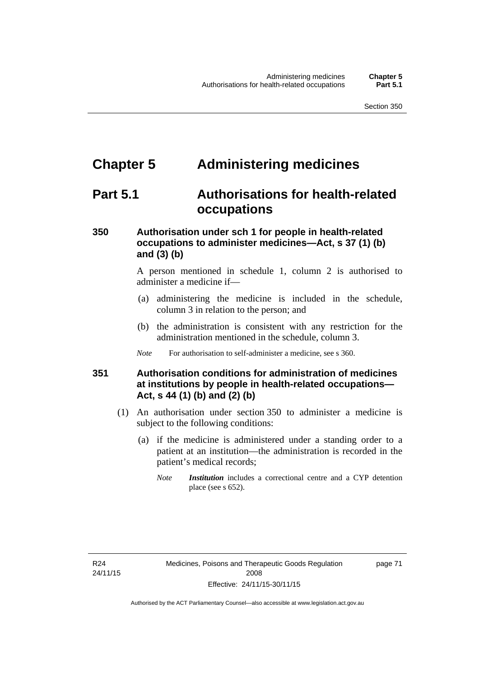# **Chapter 5 Administering medicines**

# **Part 5.1 Authorisations for health-related occupations**

## **350 Authorisation under sch 1 for people in health-related occupations to administer medicines—Act, s 37 (1) (b) and (3) (b)**

A person mentioned in schedule 1, column 2 is authorised to administer a medicine if—

- (a) administering the medicine is included in the schedule, column 3 in relation to the person; and
- (b) the administration is consistent with any restriction for the administration mentioned in the schedule, column 3.
- *Note* For authorisation to self-administer a medicine, see s 360.

## **351 Authorisation conditions for administration of medicines at institutions by people in health-related occupations— Act, s 44 (1) (b) and (2) (b)**

- (1) An authorisation under section 350 to administer a medicine is subject to the following conditions:
	- (a) if the medicine is administered under a standing order to a patient at an institution—the administration is recorded in the patient's medical records;
		- *Note Institution* includes a correctional centre and a CYP detention place (see s 652).

page 71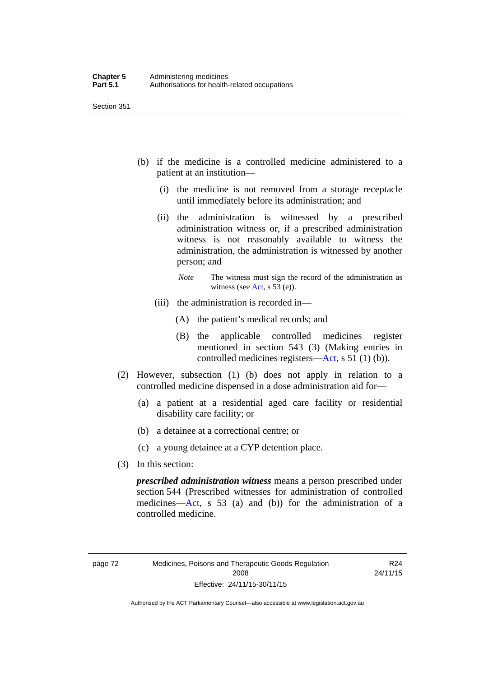- (b) if the medicine is a controlled medicine administered to a patient at an institution—
	- (i) the medicine is not removed from a storage receptacle until immediately before its administration; and
	- (ii) the administration is witnessed by a prescribed administration witness or, if a prescribed administration witness is not reasonably available to witness the administration, the administration is witnessed by another person; and
		- *Note* The witness must sign the record of the administration as witness (see [Act,](http://www.legislation.act.gov.au/a/2008-26/default.asp) s 53 (e)).
	- (iii) the administration is recorded in—
		- (A) the patient's medical records; and
		- (B) the applicable controlled medicines register mentioned in section 543 (3) (Making entries in controlled medicines registers[—Act](http://www.legislation.act.gov.au/a/2008-26/default.asp), s 51 (1) (b)).
- (2) However, subsection (1) (b) does not apply in relation to a controlled medicine dispensed in a dose administration aid for—
	- (a) a patient at a residential aged care facility or residential disability care facility; or
	- (b) a detainee at a correctional centre; or
	- (c) a young detainee at a CYP detention place.
- (3) In this section:

*prescribed administration witness* means a person prescribed under section 544 (Prescribed witnesses for administration of controlled medicines—[Act](http://www.legislation.act.gov.au/a/2008-26/default.asp), s 53 (a) and (b)) for the administration of a controlled medicine.

R24 24/11/15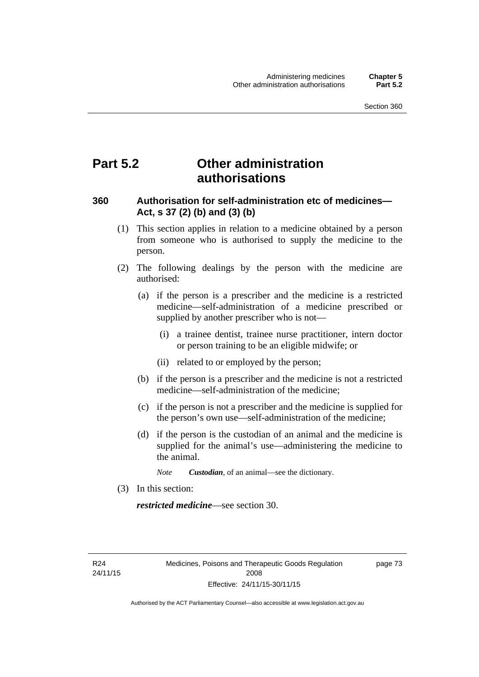# **Part 5.2 Other administration authorisations**

### **360 Authorisation for self-administration etc of medicines— Act, s 37 (2) (b) and (3) (b)**

- (1) This section applies in relation to a medicine obtained by a person from someone who is authorised to supply the medicine to the person.
- (2) The following dealings by the person with the medicine are authorised:
	- (a) if the person is a prescriber and the medicine is a restricted medicine—self-administration of a medicine prescribed or supplied by another prescriber who is not—
		- (i) a trainee dentist, trainee nurse practitioner, intern doctor or person training to be an eligible midwife; or
		- (ii) related to or employed by the person;
	- (b) if the person is a prescriber and the medicine is not a restricted medicine—self-administration of the medicine;
	- (c) if the person is not a prescriber and the medicine is supplied for the person's own use—self-administration of the medicine;
	- (d) if the person is the custodian of an animal and the medicine is supplied for the animal's use—administering the medicine to the animal.
		- *Note Custodian*, of an animal—see the dictionary.
- (3) In this section:

*restricted medicine*—see section 30.

R24 24/11/15 page 73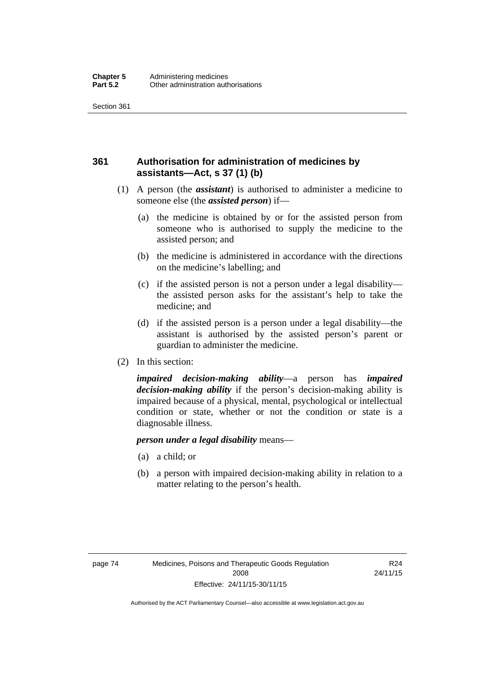## **361 Authorisation for administration of medicines by assistants—Act, s 37 (1) (b)**

- (1) A person (the *assistant*) is authorised to administer a medicine to someone else (the *assisted person*) if—
	- (a) the medicine is obtained by or for the assisted person from someone who is authorised to supply the medicine to the assisted person; and
	- (b) the medicine is administered in accordance with the directions on the medicine's labelling; and
	- (c) if the assisted person is not a person under a legal disability the assisted person asks for the assistant's help to take the medicine; and
	- (d) if the assisted person is a person under a legal disability—the assistant is authorised by the assisted person's parent or guardian to administer the medicine.
- (2) In this section:

*impaired decision-making ability*—a person has *impaired decision-making ability* if the person's decision-making ability is impaired because of a physical, mental, psychological or intellectual condition or state, whether or not the condition or state is a diagnosable illness.

### *person under a legal disability* means—

- (a) a child; or
- (b) a person with impaired decision-making ability in relation to a matter relating to the person's health.

R24 24/11/15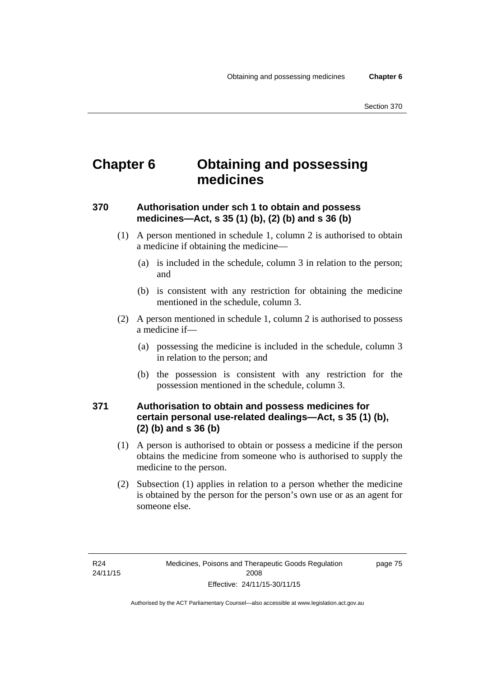# **Chapter 6 Obtaining and possessing medicines**

## **370 Authorisation under sch 1 to obtain and possess medicines—Act, s 35 (1) (b), (2) (b) and s 36 (b)**

- (1) A person mentioned in schedule 1, column 2 is authorised to obtain a medicine if obtaining the medicine—
	- (a) is included in the schedule, column 3 in relation to the person; and
	- (b) is consistent with any restriction for obtaining the medicine mentioned in the schedule, column 3.
- (2) A person mentioned in schedule 1, column 2 is authorised to possess a medicine if—
	- (a) possessing the medicine is included in the schedule, column 3 in relation to the person; and
	- (b) the possession is consistent with any restriction for the possession mentioned in the schedule, column 3.

## **371 Authorisation to obtain and possess medicines for certain personal use-related dealings—Act, s 35 (1) (b), (2) (b) and s 36 (b)**

- (1) A person is authorised to obtain or possess a medicine if the person obtains the medicine from someone who is authorised to supply the medicine to the person.
- (2) Subsection (1) applies in relation to a person whether the medicine is obtained by the person for the person's own use or as an agent for someone else.

page 75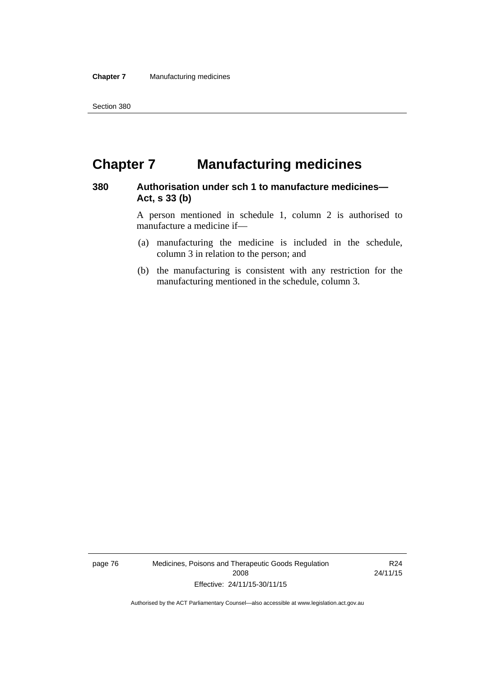# **Chapter 7 Manufacturing medicines**

### **380 Authorisation under sch 1 to manufacture medicines— Act, s 33 (b)**

A person mentioned in schedule 1, column 2 is authorised to manufacture a medicine if—

- (a) manufacturing the medicine is included in the schedule, column 3 in relation to the person; and
- (b) the manufacturing is consistent with any restriction for the manufacturing mentioned in the schedule, column 3.

page 76 Medicines, Poisons and Therapeutic Goods Regulation 2008 Effective: 24/11/15-30/11/15

R24 24/11/15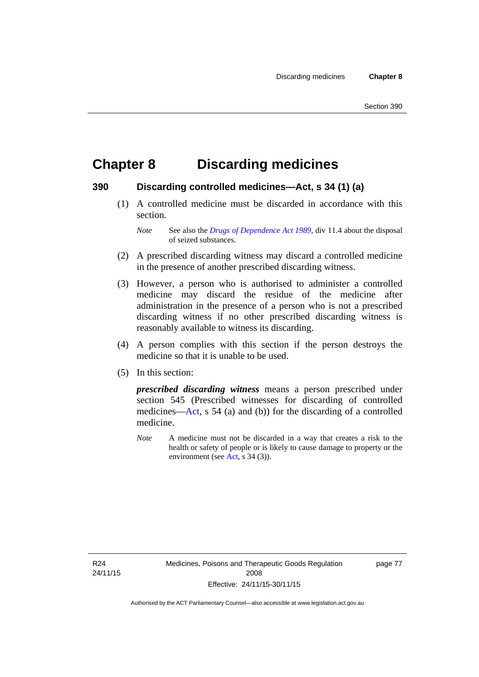# **Chapter 8 Discarding medicines**

### **390 Discarding controlled medicines—Act, s 34 (1) (a)**

 (1) A controlled medicine must be discarded in accordance with this section.

*Note* See also the *[Drugs of Dependence Act 1989](http://www.legislation.act.gov.au/a/alt_a1989-11co)*, div 11.4 about the disposal of seized substances.

- (2) A prescribed discarding witness may discard a controlled medicine in the presence of another prescribed discarding witness.
- (3) However, a person who is authorised to administer a controlled medicine may discard the residue of the medicine after administration in the presence of a person who is not a prescribed discarding witness if no other prescribed discarding witness is reasonably available to witness its discarding.
- (4) A person complies with this section if the person destroys the medicine so that it is unable to be used.
- (5) In this section:

*prescribed discarding witness* means a person prescribed under section 545 (Prescribed witnesses for discarding of controlled medicines—[Act](http://www.legislation.act.gov.au/a/2008-26/default.asp), s 54 (a) and (b)) for the discarding of a controlled medicine.

*Note* A medicine must not be discarded in a way that creates a risk to the health or safety of people or is likely to cause damage to property or the environment (see [Act](http://www.legislation.act.gov.au/a/2008-26/default.asp), s 34 (3)).

R24 24/11/15 page 77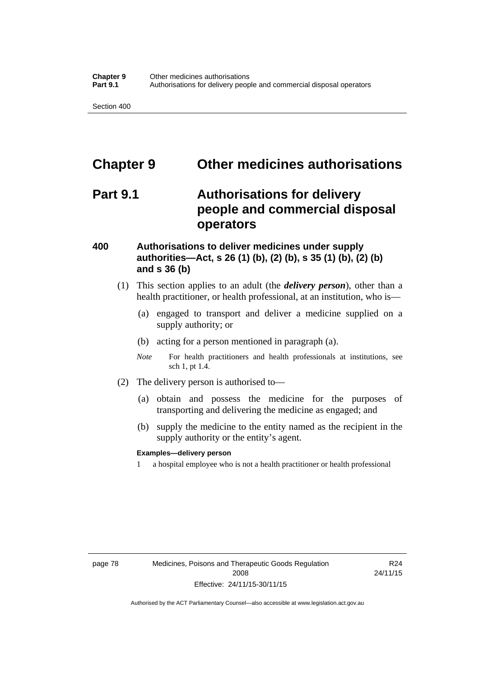# **Chapter 9 Other medicines authorisations**

# **Part 9.1 Authorisations for delivery people and commercial disposal operators**

### **400 Authorisations to deliver medicines under supply authorities—Act, s 26 (1) (b), (2) (b), s 35 (1) (b), (2) (b) and s 36 (b)**

- (1) This section applies to an adult (the *delivery person*), other than a health practitioner, or health professional, at an institution, who is—
	- (a) engaged to transport and deliver a medicine supplied on a supply authority; or
	- (b) acting for a person mentioned in paragraph (a).
	- *Note* For health practitioners and health professionals at institutions, see sch 1, pt 1.4.
- (2) The delivery person is authorised to—
	- (a) obtain and possess the medicine for the purposes of transporting and delivering the medicine as engaged; and
	- (b) supply the medicine to the entity named as the recipient in the supply authority or the entity's agent.

### **Examples—delivery person**

1 a hospital employee who is not a health practitioner or health professional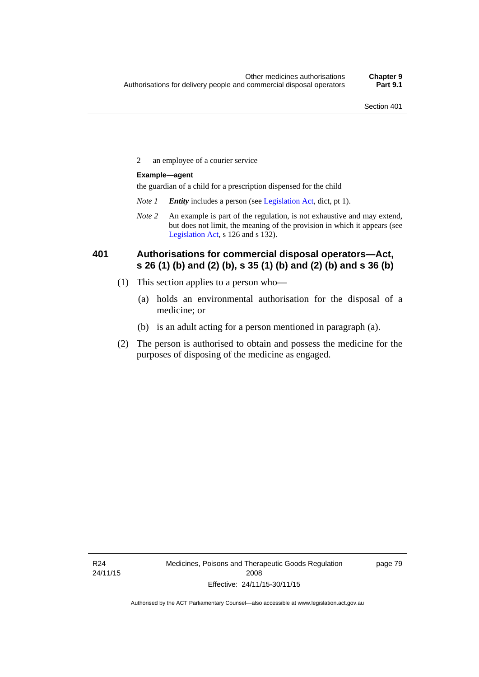2 an employee of a courier service

### **Example—agent**

the guardian of a child for a prescription dispensed for the child

- *Note 1 Entity* includes a person (see [Legislation Act,](http://www.legislation.act.gov.au/a/2001-14) dict, pt 1).
- *Note 2* An example is part of the regulation, is not exhaustive and may extend, but does not limit, the meaning of the provision in which it appears (see [Legislation Act,](http://www.legislation.act.gov.au/a/2001-14) s 126 and s 132).

### **401 Authorisations for commercial disposal operators—Act, s 26 (1) (b) and (2) (b), s 35 (1) (b) and (2) (b) and s 36 (b)**

- (1) This section applies to a person who—
	- (a) holds an environmental authorisation for the disposal of a medicine; or
	- (b) is an adult acting for a person mentioned in paragraph (a).
- (2) The person is authorised to obtain and possess the medicine for the purposes of disposing of the medicine as engaged.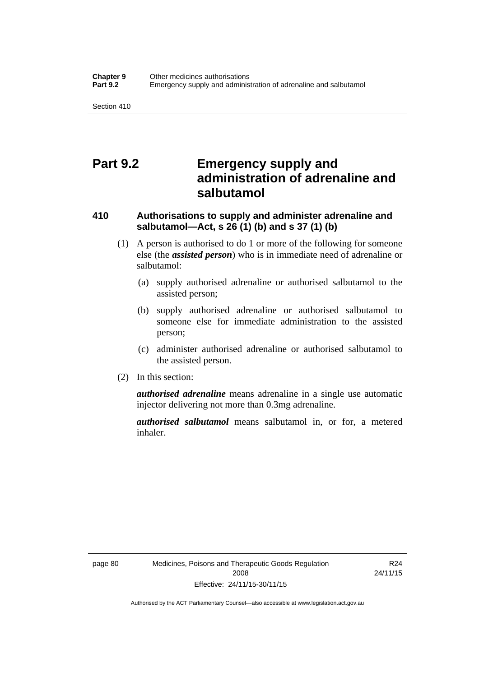# **Part 9.2 Emergency supply and administration of adrenaline and salbutamol**

## **410 Authorisations to supply and administer adrenaline and salbutamol—Act, s 26 (1) (b) and s 37 (1) (b)**

- (1) A person is authorised to do 1 or more of the following for someone else (the *assisted person*) who is in immediate need of adrenaline or salbutamol:
	- (a) supply authorised adrenaline or authorised salbutamol to the assisted person;
	- (b) supply authorised adrenaline or authorised salbutamol to someone else for immediate administration to the assisted person;
	- (c) administer authorised adrenaline or authorised salbutamol to the assisted person.
- (2) In this section:

*authorised adrenaline* means adrenaline in a single use automatic injector delivering not more than 0.3mg adrenaline.

*authorised salbutamol* means salbutamol in, or for, a metered inhaler.

R24 24/11/15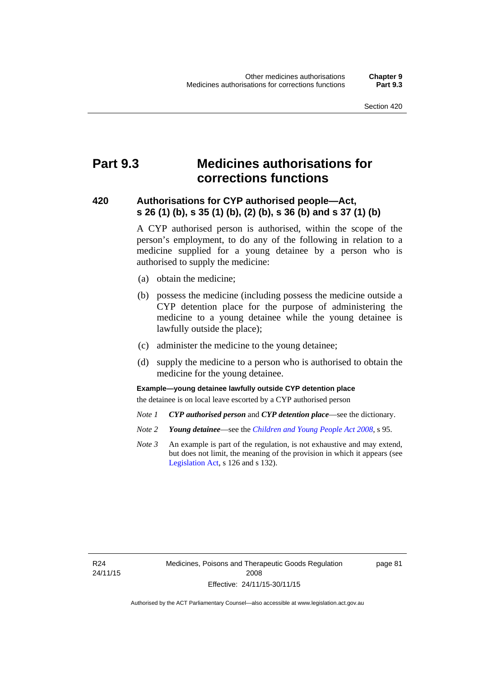# **Part 9.3 Medicines authorisations for corrections functions**

### **420 Authorisations for CYP authorised people—Act, s 26 (1) (b), s 35 (1) (b), (2) (b), s 36 (b) and s 37 (1) (b)**

A CYP authorised person is authorised, within the scope of the person's employment, to do any of the following in relation to a medicine supplied for a young detainee by a person who is authorised to supply the medicine:

- (a) obtain the medicine;
- (b) possess the medicine (including possess the medicine outside a CYP detention place for the purpose of administering the medicine to a young detainee while the young detainee is lawfully outside the place);
- (c) administer the medicine to the young detainee;
- (d) supply the medicine to a person who is authorised to obtain the medicine for the young detainee.

### **Example—young detainee lawfully outside CYP detention place**

the detainee is on local leave escorted by a CYP authorised person

- *Note 1 CYP authorised person* and *CYP detention place*—see the dictionary.
- *Note 2 Young detainee*—see the *[Children and Young People Act 2008](http://www.legislation.act.gov.au/a/2008-19)*, s 95.
- *Note 3* An example is part of the regulation, is not exhaustive and may extend, but does not limit, the meaning of the provision in which it appears (see [Legislation Act,](http://www.legislation.act.gov.au/a/2001-14) s 126 and s 132).

R24 24/11/15 page 81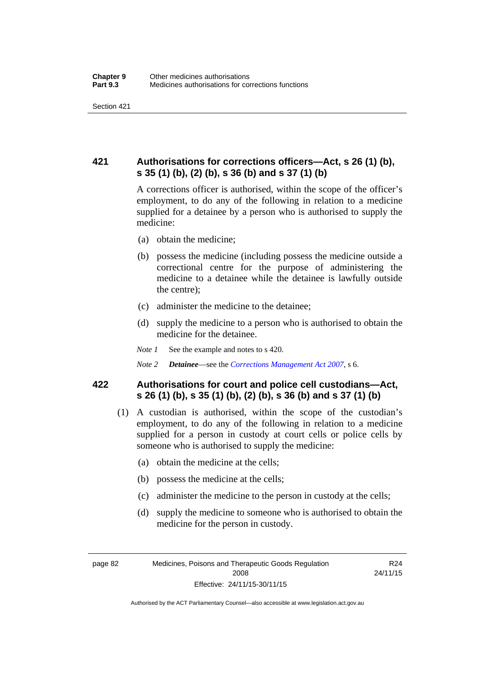## **421 Authorisations for corrections officers—Act, s 26 (1) (b), s 35 (1) (b), (2) (b), s 36 (b) and s 37 (1) (b)**

A corrections officer is authorised, within the scope of the officer's employment, to do any of the following in relation to a medicine supplied for a detainee by a person who is authorised to supply the medicine:

- (a) obtain the medicine;
- (b) possess the medicine (including possess the medicine outside a correctional centre for the purpose of administering the medicine to a detainee while the detainee is lawfully outside the centre);
- (c) administer the medicine to the detainee;
- (d) supply the medicine to a person who is authorised to obtain the medicine for the detainee.
- *Note 1* See the example and notes to s 420.
- *Note 2 Detainee*—see the *[Corrections Management Act 2007](http://www.legislation.act.gov.au/a/2007-15)*, s 6.

### **422 Authorisations for court and police cell custodians—Act, s 26 (1) (b), s 35 (1) (b), (2) (b), s 36 (b) and s 37 (1) (b)**

- (1) A custodian is authorised, within the scope of the custodian's employment, to do any of the following in relation to a medicine supplied for a person in custody at court cells or police cells by someone who is authorised to supply the medicine:
	- (a) obtain the medicine at the cells;
	- (b) possess the medicine at the cells;
	- (c) administer the medicine to the person in custody at the cells;
	- (d) supply the medicine to someone who is authorised to obtain the medicine for the person in custody.

R24 24/11/15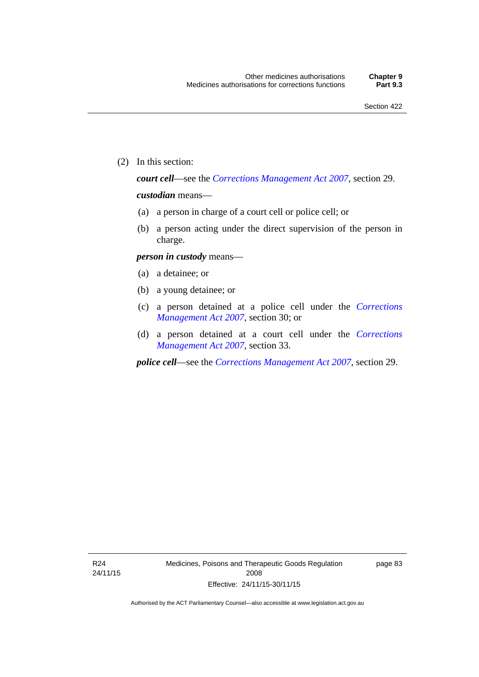(2) In this section:

*court cell*—see the *[Corrections Management Act 2007](http://www.legislation.act.gov.au/a/2007-15)*, section 29.

### *custodian* means—

- (a) a person in charge of a court cell or police cell; or
- (b) a person acting under the direct supervision of the person in charge.

### *person in custody* means—

- (a) a detainee; or
- (b) a young detainee; or
- (c) a person detained at a police cell under the *[Corrections](http://www.legislation.act.gov.au/a/2007-15)  [Management Act 2007](http://www.legislation.act.gov.au/a/2007-15)*, section 30; or
- (d) a person detained at a court cell under the *[Corrections](http://www.legislation.act.gov.au/a/2007-15)  [Management Act 2007](http://www.legislation.act.gov.au/a/2007-15)*, section 33.

*police cell*—see the *[Corrections Management Act 2007](http://www.legislation.act.gov.au/a/2007-15)*, section 29.

page 83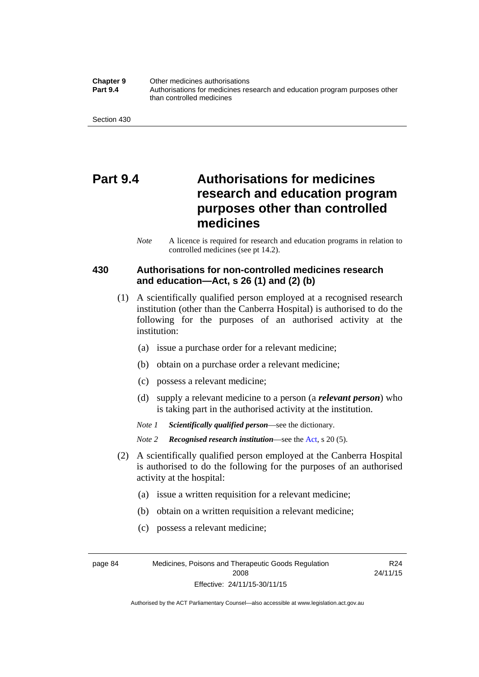**Chapter 9** Other medicines authorisations **Part 9.4** • **Authorisations for medicines research and education program purposes other** than controlled medicines

Section 430

# **Part 9.4 Authorisations for medicines research and education program purposes other than controlled medicines**

*Note* A licence is required for research and education programs in relation to controlled medicines (see pt 14.2).

### **430 Authorisations for non-controlled medicines research and education—Act, s 26 (1) and (2) (b)**

- (1) A scientifically qualified person employed at a recognised research institution (other than the Canberra Hospital) is authorised to do the following for the purposes of an authorised activity at the institution:
	- (a) issue a purchase order for a relevant medicine;
	- (b) obtain on a purchase order a relevant medicine;
	- (c) possess a relevant medicine;
	- (d) supply a relevant medicine to a person (a *relevant person*) who is taking part in the authorised activity at the institution.
	- *Note 1 Scientifically qualified person*—see the dictionary.

*Note 2 Recognised research institution*—see the [Act](http://www.legislation.act.gov.au/a/2008-26/default.asp), s 20 (5).

- (2) A scientifically qualified person employed at the Canberra Hospital is authorised to do the following for the purposes of an authorised activity at the hospital:
	- (a) issue a written requisition for a relevant medicine;
	- (b) obtain on a written requisition a relevant medicine;
	- (c) possess a relevant medicine;

page 84 Medicines, Poisons and Therapeutic Goods Regulation 2008 Effective: 24/11/15-30/11/15

R24 24/11/15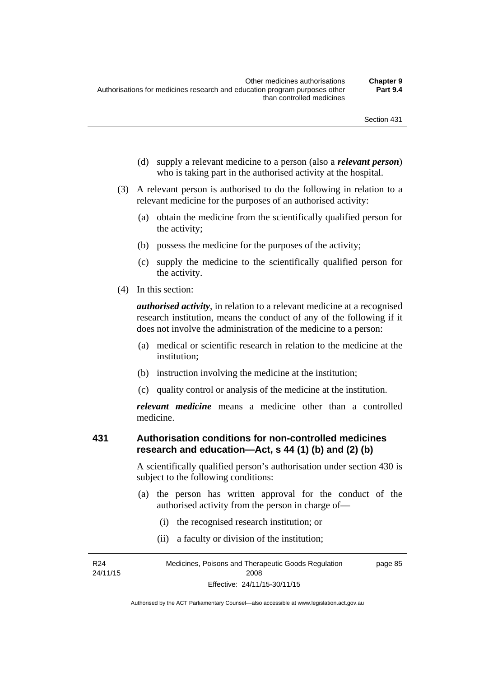- (d) supply a relevant medicine to a person (also a *relevant person*) who is taking part in the authorised activity at the hospital.
- (3) A relevant person is authorised to do the following in relation to a relevant medicine for the purposes of an authorised activity:
	- (a) obtain the medicine from the scientifically qualified person for the activity;
	- (b) possess the medicine for the purposes of the activity;
	- (c) supply the medicine to the scientifically qualified person for the activity.
- (4) In this section:

*authorised activity*, in relation to a relevant medicine at a recognised research institution, means the conduct of any of the following if it does not involve the administration of the medicine to a person:

- (a) medical or scientific research in relation to the medicine at the institution;
- (b) instruction involving the medicine at the institution;
- (c) quality control or analysis of the medicine at the institution.

*relevant medicine* means a medicine other than a controlled medicine.

#### **431 Authorisation conditions for non-controlled medicines research and education—Act, s 44 (1) (b) and (2) (b)**

A scientifically qualified person's authorisation under section 430 is subject to the following conditions:

- (a) the person has written approval for the conduct of the authorised activity from the person in charge of—
	- (i) the recognised research institution; or
	- (ii) a faculty or division of the institution;

R24 24/11/15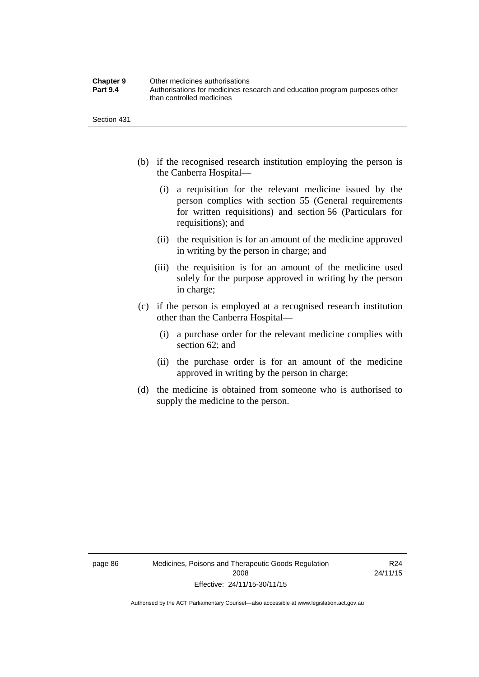| <b>Chapter 9</b> | Other medicines authorisations                                             |
|------------------|----------------------------------------------------------------------------|
| <b>Part 9.4</b>  | Authorisations for medicines research and education program purposes other |
|                  | than controlled medicines                                                  |

Section 431

- (b) if the recognised research institution employing the person is the Canberra Hospital—
	- (i) a requisition for the relevant medicine issued by the person complies with section 55 (General requirements for written requisitions) and section 56 (Particulars for requisitions); and
	- (ii) the requisition is for an amount of the medicine approved in writing by the person in charge; and
	- (iii) the requisition is for an amount of the medicine used solely for the purpose approved in writing by the person in charge;
- (c) if the person is employed at a recognised research institution other than the Canberra Hospital—
	- (i) a purchase order for the relevant medicine complies with section 62; and
	- (ii) the purchase order is for an amount of the medicine approved in writing by the person in charge;
- (d) the medicine is obtained from someone who is authorised to supply the medicine to the person.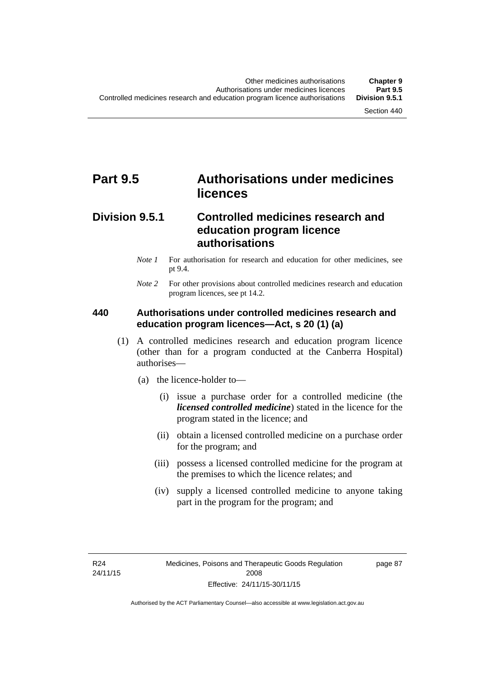# **Part 9.5 Authorisations under medicines licences**

### **Division 9.5.1 Controlled medicines research and education program licence authorisations**

- *Note 1* For authorisation for research and education for other medicines, see pt 9.4.
- *Note 2* For other provisions about controlled medicines research and education program licences, see pt 14.2.

#### **440 Authorisations under controlled medicines research and education program licences—Act, s 20 (1) (a)**

- (1) A controlled medicines research and education program licence (other than for a program conducted at the Canberra Hospital) authorises—
	- (a) the licence-holder to—
		- (i) issue a purchase order for a controlled medicine (the *licensed controlled medicine*) stated in the licence for the program stated in the licence; and
		- (ii) obtain a licensed controlled medicine on a purchase order for the program; and
		- (iii) possess a licensed controlled medicine for the program at the premises to which the licence relates; and
		- (iv) supply a licensed controlled medicine to anyone taking part in the program for the program; and

R24 24/11/15 page 87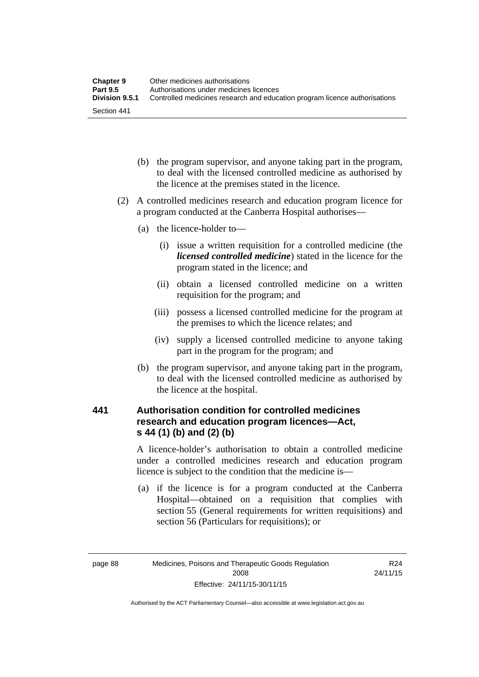| <b>Chapter 9</b> | Other medicines authorisations                                             |
|------------------|----------------------------------------------------------------------------|
| <b>Part 9.5</b>  | Authorisations under medicines licences                                    |
| Division 9.5.1   | Controlled medicines research and education program licence authorisations |
| Section 441      |                                                                            |

- (b) the program supervisor, and anyone taking part in the program, to deal with the licensed controlled medicine as authorised by the licence at the premises stated in the licence.
- (2) A controlled medicines research and education program licence for a program conducted at the Canberra Hospital authorises—
	- (a) the licence-holder to—
		- (i) issue a written requisition for a controlled medicine (the *licensed controlled medicine*) stated in the licence for the program stated in the licence; and
		- (ii) obtain a licensed controlled medicine on a written requisition for the program; and
		- (iii) possess a licensed controlled medicine for the program at the premises to which the licence relates; and
		- (iv) supply a licensed controlled medicine to anyone taking part in the program for the program; and
	- (b) the program supervisor, and anyone taking part in the program, to deal with the licensed controlled medicine as authorised by the licence at the hospital.

### **441 Authorisation condition for controlled medicines research and education program licences—Act, s 44 (1) (b) and (2) (b)**

A licence-holder's authorisation to obtain a controlled medicine under a controlled medicines research and education program licence is subject to the condition that the medicine is—

 (a) if the licence is for a program conducted at the Canberra Hospital—obtained on a requisition that complies with section 55 (General requirements for written requisitions) and section 56 (Particulars for requisitions); or

R24 24/11/15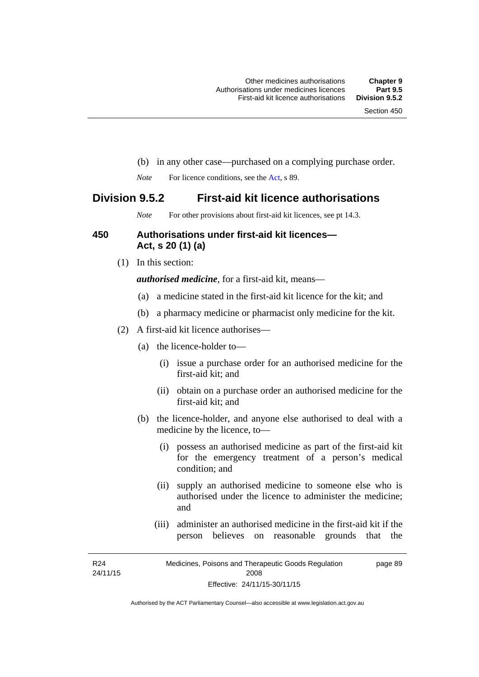- (b) in any other case—purchased on a complying purchase order.
- *Note* For licence conditions, see the [Act](http://www.legislation.act.gov.au/a/2008-26/default.asp), s 89.

### **Division 9.5.2 First-aid kit licence authorisations**

*Note* For other provisions about first-aid kit licences, see pt 14.3.

#### **450 Authorisations under first-aid kit licences— Act, s 20 (1) (a)**

(1) In this section:

*authorised medicine*, for a first-aid kit, means—

- (a) a medicine stated in the first-aid kit licence for the kit; and
- (b) a pharmacy medicine or pharmacist only medicine for the kit.
- (2) A first-aid kit licence authorises—
	- (a) the licence-holder to—
		- (i) issue a purchase order for an authorised medicine for the first-aid kit; and
		- (ii) obtain on a purchase order an authorised medicine for the first-aid kit; and
	- (b) the licence-holder, and anyone else authorised to deal with a medicine by the licence, to—
		- (i) possess an authorised medicine as part of the first-aid kit for the emergency treatment of a person's medical condition; and
		- (ii) supply an authorised medicine to someone else who is authorised under the licence to administer the medicine; and
		- (iii) administer an authorised medicine in the first-aid kit if the person believes on reasonable grounds that the

R24 24/11/15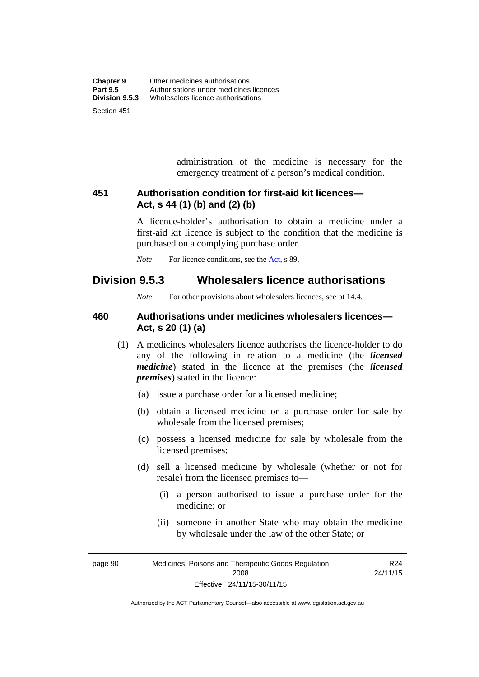administration of the medicine is necessary for the emergency treatment of a person's medical condition.

#### **451 Authorisation condition for first-aid kit licences— Act, s 44 (1) (b) and (2) (b)**

A licence-holder's authorisation to obtain a medicine under a first-aid kit licence is subject to the condition that the medicine is purchased on a complying purchase order.

*Note* For licence conditions, see the [Act](http://www.legislation.act.gov.au/a/2008-26/default.asp), s 89.

### **Division 9.5.3 Wholesalers licence authorisations**

*Note* For other provisions about wholesalers licences, see pt 14.4.

#### **460 Authorisations under medicines wholesalers licences— Act, s 20 (1) (a)**

- (1) A medicines wholesalers licence authorises the licence-holder to do any of the following in relation to a medicine (the *licensed medicine*) stated in the licence at the premises (the *licensed premises*) stated in the licence:
	- (a) issue a purchase order for a licensed medicine;
	- (b) obtain a licensed medicine on a purchase order for sale by wholesale from the licensed premises;
	- (c) possess a licensed medicine for sale by wholesale from the licensed premises;
	- (d) sell a licensed medicine by wholesale (whether or not for resale) from the licensed premises to—
		- (i) a person authorised to issue a purchase order for the medicine; or
		- (ii) someone in another State who may obtain the medicine by wholesale under the law of the other State; or

page 90 Medicines, Poisons and Therapeutic Goods Regulation 2008 Effective: 24/11/15-30/11/15 R24 24/11/15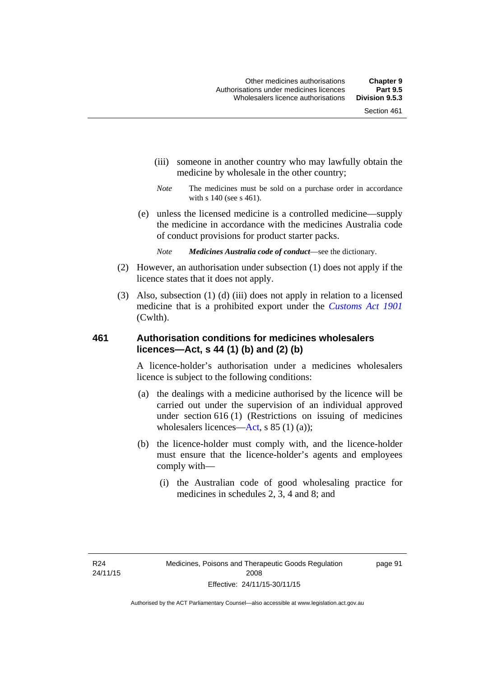- (iii) someone in another country who may lawfully obtain the medicine by wholesale in the other country;
- *Note* The medicines must be sold on a purchase order in accordance with s 140 (see s 461).
- (e) unless the licensed medicine is a controlled medicine—supply the medicine in accordance with the medicines Australia code of conduct provisions for product starter packs.
	- *Note Medicines Australia code of conduct*—see the dictionary.
- (2) However, an authorisation under subsection (1) does not apply if the licence states that it does not apply.
- (3) Also, subsection (1) (d) (iii) does not apply in relation to a licensed medicine that is a prohibited export under the *[Customs Act 1901](http://www.comlaw.gov.au/Series/C1901A00006)* (Cwlth).

#### **461 Authorisation conditions for medicines wholesalers licences—Act, s 44 (1) (b) and (2) (b)**

A licence-holder's authorisation under a medicines wholesalers licence is subject to the following conditions:

- (a) the dealings with a medicine authorised by the licence will be carried out under the supervision of an individual approved under section 616 (1) (Restrictions on issuing of medicines wholesalers licences[—Act,](http://www.legislation.act.gov.au/a/2008-26/default.asp) s 85 (1) (a));
- (b) the licence-holder must comply with, and the licence-holder must ensure that the licence-holder's agents and employees comply with—
	- (i) the Australian code of good wholesaling practice for medicines in schedules 2, 3, 4 and 8; and

page 91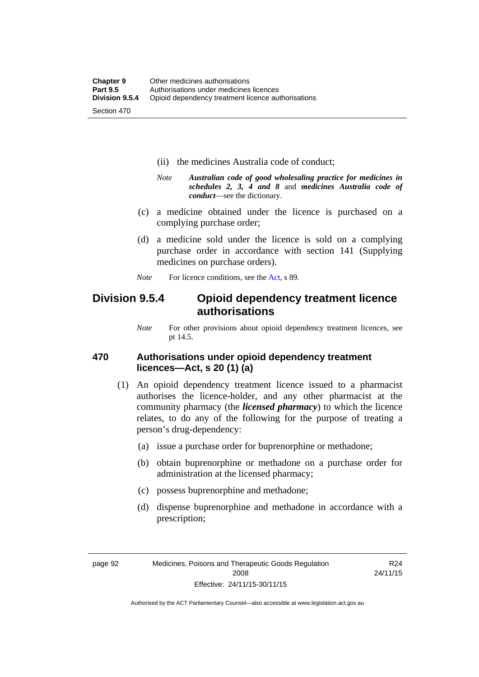- (ii) the medicines Australia code of conduct;
- *Note Australian code of good wholesaling practice for medicines in schedules 2, 3, 4 and 8* and *medicines Australia code of conduct*—see the dictionary.
- (c) a medicine obtained under the licence is purchased on a complying purchase order;
- (d) a medicine sold under the licence is sold on a complying purchase order in accordance with section 141 (Supplying medicines on purchase orders).
- *Note* For licence conditions, see the [Act](http://www.legislation.act.gov.au/a/2008-26/default.asp), s 89.

### **Division 9.5.4 Opioid dependency treatment licence authorisations**

*Note* For other provisions about opioid dependency treatment licences, see pt 14.5.

#### **470 Authorisations under opioid dependency treatment licences—Act, s 20 (1) (a)**

- (1) An opioid dependency treatment licence issued to a pharmacist authorises the licence-holder, and any other pharmacist at the community pharmacy (the *licensed pharmacy*) to which the licence relates, to do any of the following for the purpose of treating a person's drug-dependency:
	- (a) issue a purchase order for buprenorphine or methadone;
	- (b) obtain buprenorphine or methadone on a purchase order for administration at the licensed pharmacy;
	- (c) possess buprenorphine and methadone;
	- (d) dispense buprenorphine and methadone in accordance with a prescription;

R24 24/11/15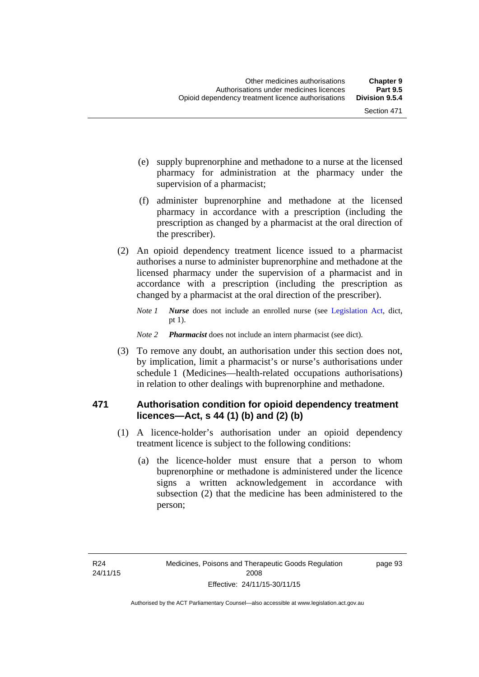- (e) supply buprenorphine and methadone to a nurse at the licensed pharmacy for administration at the pharmacy under the supervision of a pharmacist;
- (f) administer buprenorphine and methadone at the licensed pharmacy in accordance with a prescription (including the prescription as changed by a pharmacist at the oral direction of the prescriber).
- (2) An opioid dependency treatment licence issued to a pharmacist authorises a nurse to administer buprenorphine and methadone at the licensed pharmacy under the supervision of a pharmacist and in accordance with a prescription (including the prescription as changed by a pharmacist at the oral direction of the prescriber).
	- *Note 1 Nurse* does not include an enrolled nurse (see [Legislation Act,](http://www.legislation.act.gov.au/a/2001-14) dict, pt 1).
	- *Note 2 Pharmacist* does not include an intern pharmacist (see dict).
- (3) To remove any doubt, an authorisation under this section does not, by implication, limit a pharmacist's or nurse's authorisations under schedule 1 (Medicines—health-related occupations authorisations) in relation to other dealings with buprenorphine and methadone.

#### **471 Authorisation condition for opioid dependency treatment licences—Act, s 44 (1) (b) and (2) (b)**

- (1) A licence-holder's authorisation under an opioid dependency treatment licence is subject to the following conditions:
	- (a) the licence-holder must ensure that a person to whom buprenorphine or methadone is administered under the licence signs a written acknowledgement in accordance with subsection (2) that the medicine has been administered to the person;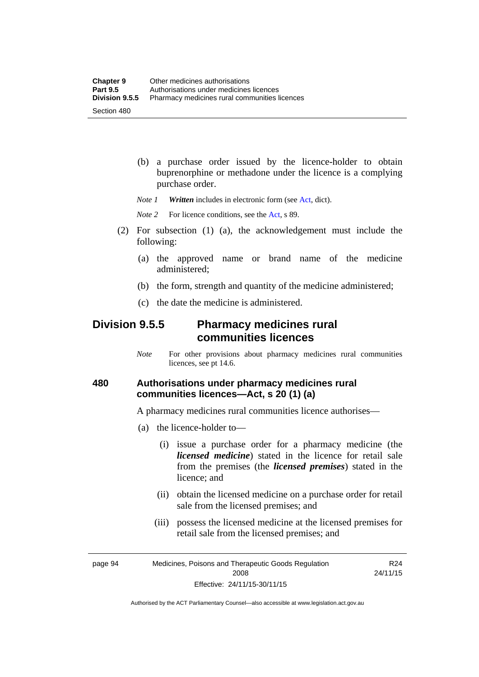(b) a purchase order issued by the licence-holder to obtain buprenorphine or methadone under the licence is a complying purchase order.

*Note 1 Written* includes in electronic form (see [Act,](http://www.legislation.act.gov.au/a/2008-26/default.asp) dict).

*Note* 2 For licence conditions, see the [Act](http://www.legislation.act.gov.au/a/2008-26/default.asp), s 89.

- (2) For subsection (1) (a), the acknowledgement must include the following:
	- (a) the approved name or brand name of the medicine administered;
	- (b) the form, strength and quantity of the medicine administered;
	- (c) the date the medicine is administered.

### **Division 9.5.5 Pharmacy medicines rural communities licences**

*Note* For other provisions about pharmacy medicines rural communities licences, see pt 14.6.

#### **480 Authorisations under pharmacy medicines rural communities licences—Act, s 20 (1) (a)**

A pharmacy medicines rural communities licence authorises—

- (a) the licence-holder to—
	- (i) issue a purchase order for a pharmacy medicine (the *licensed medicine*) stated in the licence for retail sale from the premises (the *licensed premises*) stated in the licence; and
	- (ii) obtain the licensed medicine on a purchase order for retail sale from the licensed premises; and
	- (iii) possess the licensed medicine at the licensed premises for retail sale from the licensed premises; and

page 94 Medicines, Poisons and Therapeutic Goods Regulation 2008 Effective: 24/11/15-30/11/15 R24 24/11/15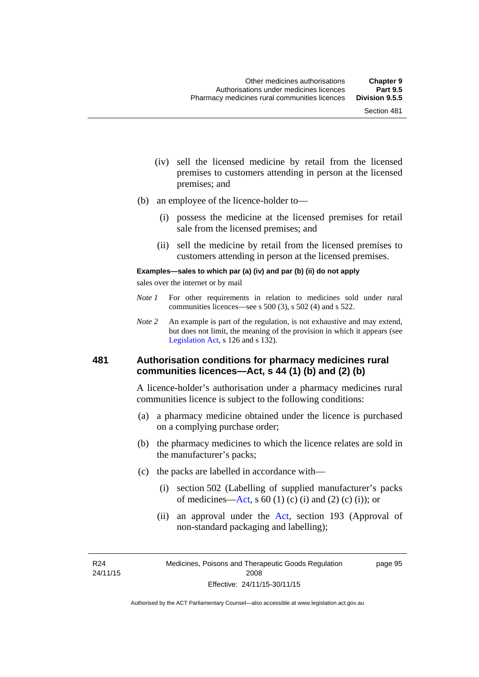- (iv) sell the licensed medicine by retail from the licensed premises to customers attending in person at the licensed premises; and
- (b) an employee of the licence-holder to—
	- (i) possess the medicine at the licensed premises for retail sale from the licensed premises; and
	- (ii) sell the medicine by retail from the licensed premises to customers attending in person at the licensed premises.

#### **Examples—sales to which par (a) (iv) and par (b) (ii) do not apply**

sales over the internet or by mail

- *Note 1* For other requirements in relation to medicines sold under rural communities licences—see s 500 (3), s 502 (4) and s 522.
- *Note 2* An example is part of the regulation, is not exhaustive and may extend, but does not limit, the meaning of the provision in which it appears (see [Legislation Act,](http://www.legislation.act.gov.au/a/2001-14) s 126 and s 132).

#### **481 Authorisation conditions for pharmacy medicines rural communities licences—Act, s 44 (1) (b) and (2) (b)**

A licence-holder's authorisation under a pharmacy medicines rural communities licence is subject to the following conditions:

- (a) a pharmacy medicine obtained under the licence is purchased on a complying purchase order;
- (b) the pharmacy medicines to which the licence relates are sold in the manufacturer's packs;
- (c) the packs are labelled in accordance with—
	- (i) section 502 (Labelling of supplied manufacturer's packs of medicines—[Act](http://www.legislation.act.gov.au/a/2008-26/default.asp), s  $60(1)$  (c) (i) and (2) (c) (i)); or
	- (ii) an approval under the [Act](http://www.legislation.act.gov.au/a/2008-26/default.asp), section 193 (Approval of non-standard packaging and labelling);

R24 24/11/15 page 95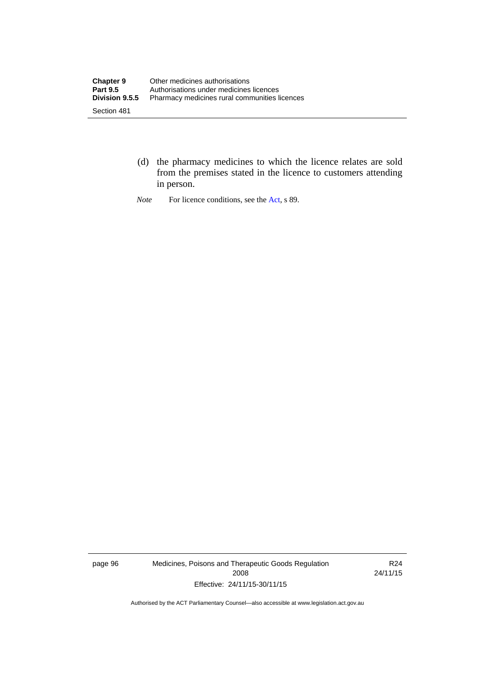- (d) the pharmacy medicines to which the licence relates are sold from the premises stated in the licence to customers attending in person.
- *Note* For licence conditions, see the [Act](http://www.legislation.act.gov.au/a/2008-26/default.asp), s 89.

page 96 Medicines, Poisons and Therapeutic Goods Regulation 2008 Effective: 24/11/15-30/11/15

R24 24/11/15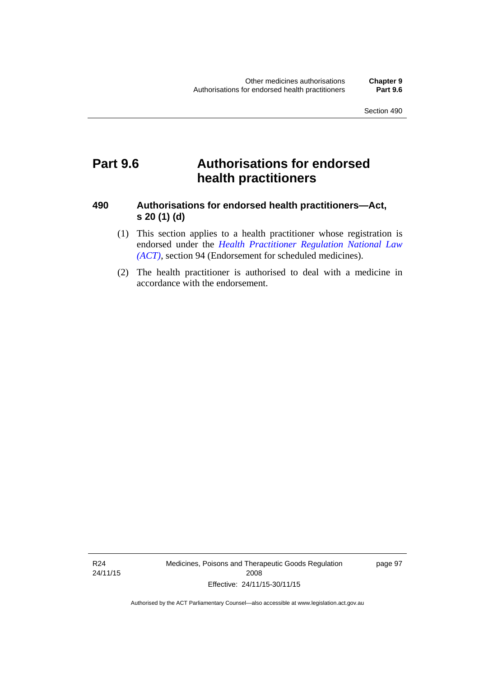# **Part 9.6 Authorisations for endorsed health practitioners**

#### **490 Authorisations for endorsed health practitioners—Act, s 20 (1) (d)**

- (1) This section applies to a health practitioner whose registration is endorsed under the 5*[Health Practitioner Regulation National Law](#page-53-0)  (ACT)*[, section 94 \(Endorsement for scheduled medicines\).](#page-53-0)
- [\(2\) The health practitioner is aut](#page-53-0)horised to deal with a medicine in accordance with the endorsement.

R24 24/11/15 Medicines, Poisons and Therapeutic Goods Regulation 2008 Effective: 24/11/15-30/11/15

page 97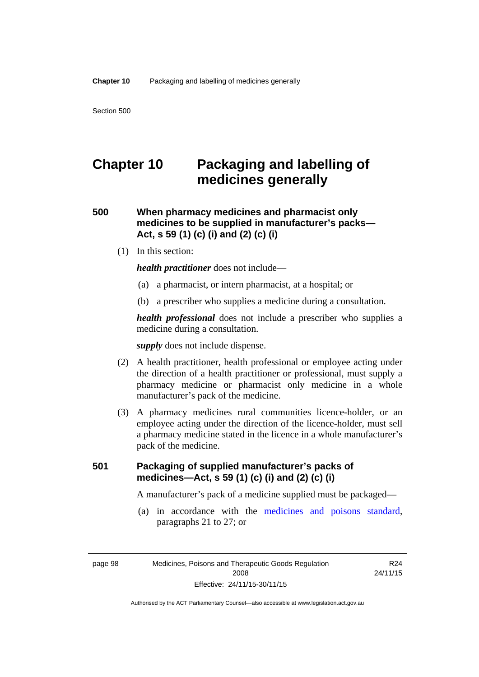# **Chapter 10 Packaging and labelling of medicines generally**

### **500 When pharmacy medicines and pharmacist only medicines to be supplied in manufacturer's packs— Act, s 59 (1) (c) (i) and (2) (c) (i)**

(1) In this section:

*health practitioner* does not include—

- (a) a pharmacist, or intern pharmacist, at a hospital; or
- (b) a prescriber who supplies a medicine during a consultation.

*health professional* does not include a prescriber who supplies a medicine during a consultation.

*supply* does not include dispense.

- (2) A health practitioner, health professional or employee acting under the direction of a health practitioner or professional, must supply a pharmacy medicine or pharmacist only medicine in a whole manufacturer's pack of the medicine.
- (3) A pharmacy medicines rural communities licence-holder, or an employee acting under the direction of the licence-holder, must sell a pharmacy medicine stated in the licence in a whole manufacturer's pack of the medicine.

### **501 Packaging of supplied manufacturer's packs of medicines—Act, s 59 (1) (c) (i) and (2) (c) (i)**

A manufacturer's pack of a medicine supplied must be packaged—

 (a) in accordance with the [medicines and poisons standard](http://www.comlaw.gov.au/Series/F2012L01200), paragraphs 21 to 27; or

R24 24/11/15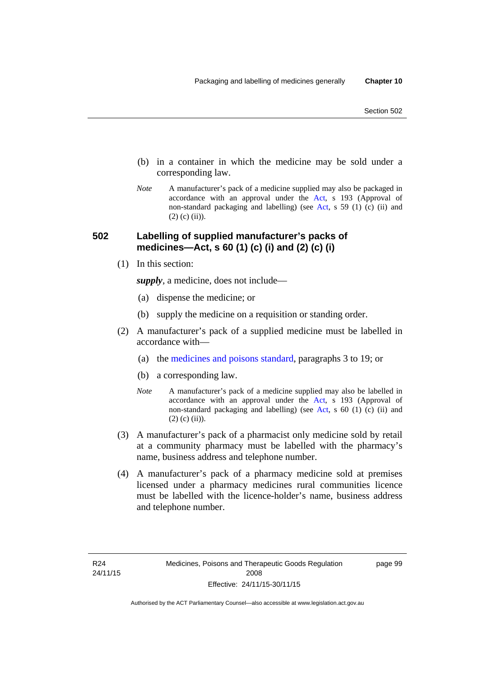- (b) in a container in which the medicine may be sold under a corresponding law.
- *Note* A manufacturer's pack of a medicine supplied may also be packaged in accordance with an approval under the [Act](http://www.legislation.act.gov.au/a/2008-26/default.asp), s 193 (Approval of non-standard packaging and labelling) (see [Act](http://www.legislation.act.gov.au/a/2008-26/default.asp), s 59 (1) (c) (ii) and  $(2)$  (c)  $(ii)$ ).

#### **502 Labelling of supplied manufacturer's packs of medicines—Act, s 60 (1) (c) (i) and (2) (c) (i)**

(1) In this section:

*supply*, a medicine, does not include—

- (a) dispense the medicine; or
- (b) supply the medicine on a requisition or standing order.
- (2) A manufacturer's pack of a supplied medicine must be labelled in accordance with—
	- (a) the [medicines and poisons standard](http://www.comlaw.gov.au/Series/F2012L01200), paragraphs 3 to 19; or
	- (b) a corresponding law.
	- *Note* A manufacturer's pack of a medicine supplied may also be labelled in accordance with an approval under the [Act](http://www.legislation.act.gov.au/a/2008-26/default.asp), s 193 (Approval of non-standard packaging and labelling) (see [Act](http://www.legislation.act.gov.au/a/2008-26/default.asp), s 60 (1) (c) (ii) and  $(2)$  (c) (ii)).
- (3) A manufacturer's pack of a pharmacist only medicine sold by retail at a community pharmacy must be labelled with the pharmacy's name, business address and telephone number.
- (4) A manufacturer's pack of a pharmacy medicine sold at premises licensed under a pharmacy medicines rural communities licence must be labelled with the licence-holder's name, business address and telephone number.

page 99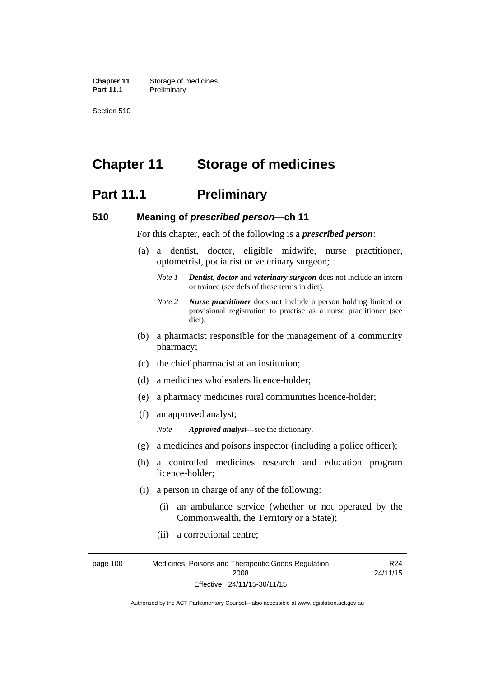**Chapter 11** Storage of medicines Part 11.1 Preliminary

Section 510

# **Chapter 11 Storage of medicines**

### **Part 11.1** Preliminary

#### **510 Meaning of** *prescribed person***—ch 11**

For this chapter, each of the following is a *prescribed person*:

- (a) a dentist, doctor, eligible midwife, nurse practitioner, optometrist, podiatrist or veterinary surgeon;
	- *Note 1 Dentist*, *doctor* and *veterinary surgeon* does not include an intern or trainee (see defs of these terms in dict).
	- *Note 2 Nurse practitioner* does not include a person holding limited or provisional registration to practise as a nurse practitioner (see dict).
- (b) a pharmacist responsible for the management of a community pharmacy;
- (c) the chief pharmacist at an institution;
- (d) a medicines wholesalers licence-holder;
- (e) a pharmacy medicines rural communities licence-holder;
- (f) an approved analyst;

*Note Approved analyst*—see the dictionary.

- (g) a medicines and poisons inspector (including a police officer);
- (h) a controlled medicines research and education program licence-holder;
- (i) a person in charge of any of the following:
	- (i) an ambulance service (whether or not operated by the Commonwealth, the Territory or a State);
	- (ii) a correctional centre;

page 100 Medicines, Poisons and Therapeutic Goods Regulation 2008 Effective: 24/11/15-30/11/15 R24 24/11/15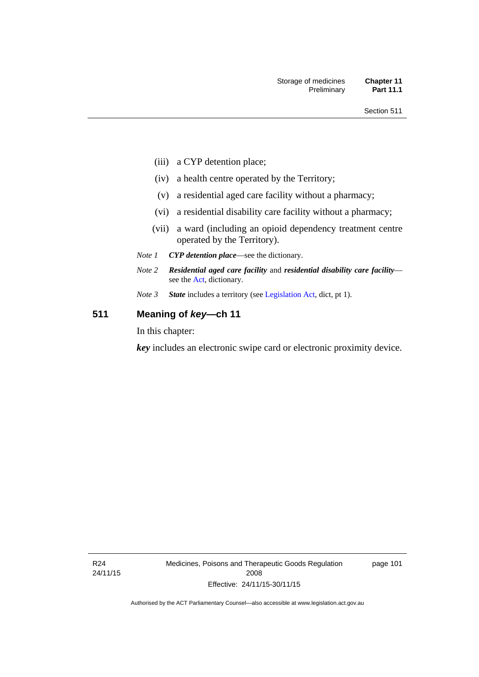- (iii) a CYP detention place;
- (iv) a health centre operated by the Territory;
- (v) a residential aged care facility without a pharmacy;
- (vi) a residential disability care facility without a pharmacy;
- (vii) a ward (including an opioid dependency treatment centre operated by the Territory).
- *Note 1 CYP detention place*—see the dictionary.
- *Note 2 Residential aged care facility* and *residential disability care facility* see the [Act](http://www.legislation.act.gov.au/a/2008-26/default.asp), dictionary.
- *Note 3 State* includes a territory (see [Legislation Act,](http://www.legislation.act.gov.au/a/2001-14) dict, pt 1).

### **511 Meaning of** *key***—ch 11**

In this chapter:

*key* includes an electronic swipe card or electronic proximity device.

R24 24/11/15 Medicines, Poisons and Therapeutic Goods Regulation 2008 Effective: 24/11/15-30/11/15

page 101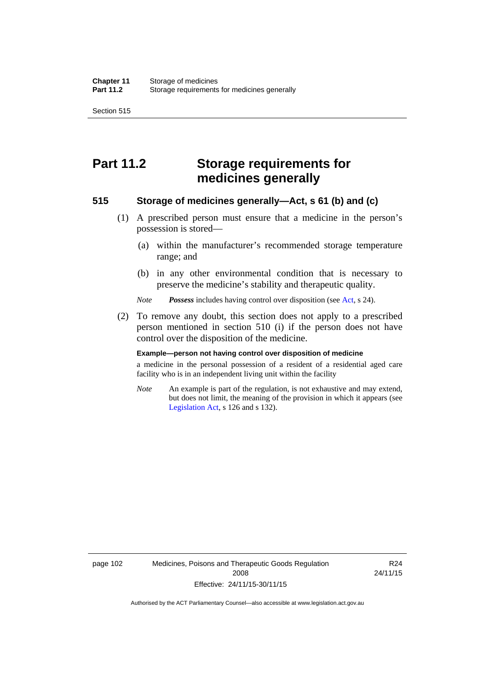Section 515

# **Part 11.2 Storage requirements for medicines generally**

#### **515 Storage of medicines generally—Act, s 61 (b) and (c)**

- (1) A prescribed person must ensure that a medicine in the person's possession is stored—
	- (a) within the manufacturer's recommended storage temperature range; and
	- (b) in any other environmental condition that is necessary to preserve the medicine's stability and therapeutic quality.

*Note Possess* includes having control over disposition (see [Act,](http://www.legislation.act.gov.au/a/2008-26/default.asp) s 24).

 (2) To remove any doubt, this section does not apply to a prescribed person mentioned in section 510 (i) if the person does not have control over the disposition of the medicine.

#### **Example—person not having control over disposition of medicine**

a medicine in the personal possession of a resident of a residential aged care facility who is in an independent living unit within the facility

*Note* An example is part of the regulation, is not exhaustive and may extend, but does not limit, the meaning of the provision in which it appears (see [Legislation Act,](http://www.legislation.act.gov.au/a/2001-14) s 126 and s 132).

page 102 Medicines, Poisons and Therapeutic Goods Regulation 2008 Effective: 24/11/15-30/11/15

R24 24/11/15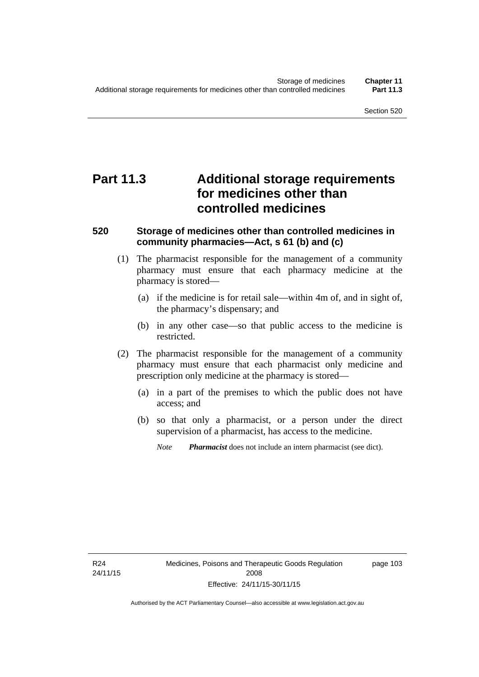# **Part 11.3 Additional storage requirements for medicines other than controlled medicines**

#### **520 Storage of medicines other than controlled medicines in community pharmacies—Act, s 61 (b) and (c)**

- (1) The pharmacist responsible for the management of a community pharmacy must ensure that each pharmacy medicine at the pharmacy is stored—
	- (a) if the medicine is for retail sale—within 4m of, and in sight of, the pharmacy's dispensary; and
	- (b) in any other case—so that public access to the medicine is restricted.
- (2) The pharmacist responsible for the management of a community pharmacy must ensure that each pharmacist only medicine and prescription only medicine at the pharmacy is stored—
	- (a) in a part of the premises to which the public does not have access; and
	- (b) so that only a pharmacist, or a person under the direct supervision of a pharmacist, has access to the medicine.

*Note Pharmacist* does not include an intern pharmacist (see dict).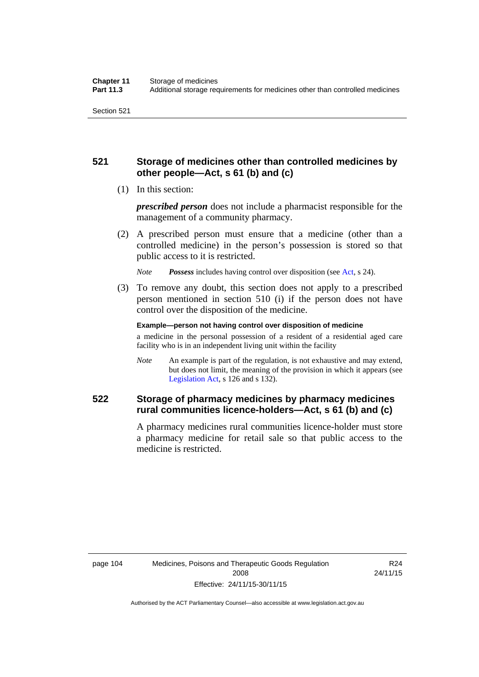### **521 Storage of medicines other than controlled medicines by other people—Act, s 61 (b) and (c)**

(1) In this section:

*prescribed person* does not include a pharmacist responsible for the management of a community pharmacy.

 (2) A prescribed person must ensure that a medicine (other than a controlled medicine) in the person's possession is stored so that public access to it is restricted.

*Note Possess* includes having control over disposition (see [Act,](http://www.legislation.act.gov.au/a/2008-26/default.asp) s 24).

 (3) To remove any doubt, this section does not apply to a prescribed person mentioned in section 510 (i) if the person does not have control over the disposition of the medicine.

**Example—person not having control over disposition of medicine** 

a medicine in the personal possession of a resident of a residential aged care facility who is in an independent living unit within the facility

*Note* An example is part of the regulation, is not exhaustive and may extend, but does not limit, the meaning of the provision in which it appears (see [Legislation Act,](http://www.legislation.act.gov.au/a/2001-14) s 126 and s 132).

### **522 Storage of pharmacy medicines by pharmacy medicines rural communities licence-holders—Act, s 61 (b) and (c)**

A pharmacy medicines rural communities licence-holder must store a pharmacy medicine for retail sale so that public access to the medicine is restricted.

R24 24/11/15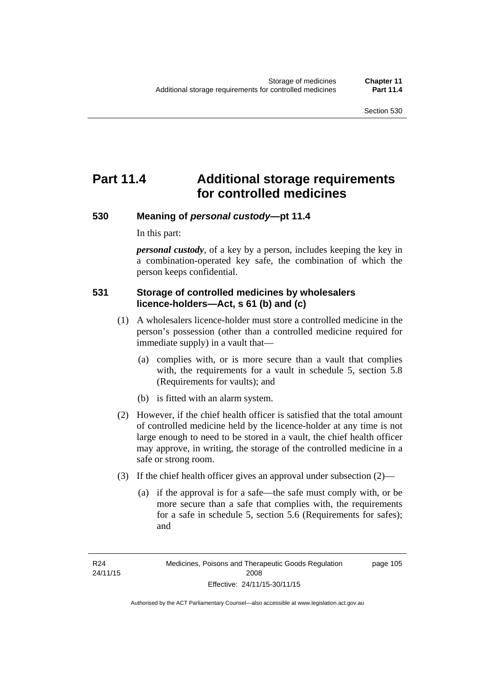# **Part 11.4 Additional storage requirements for controlled medicines**

#### **530 Meaning of** *personal custody***—pt 11.4**

In this part:

*personal custody*, of a key by a person, includes keeping the key in a combination-operated key safe, the combination of which the person keeps confidential.

#### **531 Storage of controlled medicines by wholesalers licence-holders—Act, s 61 (b) and (c)**

- (1) A wholesalers licence-holder must store a controlled medicine in the person's possession (other than a controlled medicine required for immediate supply) in a vault that—
	- (a) complies with, or is more secure than a vault that complies with, the requirements for a vault in schedule 5, section 5.8 (Requirements for vaults); and
	- (b) is fitted with an alarm system.
- (2) However, if the chief health officer is satisfied that the total amount of controlled medicine held by the licence-holder at any time is not large enough to need to be stored in a vault, the chief health officer may approve, in writing, the storage of the controlled medicine in a safe or strong room.
- (3) If the chief health officer gives an approval under subsection (2)—
	- (a) if the approval is for a safe—the safe must comply with, or be more secure than a safe that complies with, the requirements for a safe in schedule 5, section 5.6 (Requirements for safes); and

page 105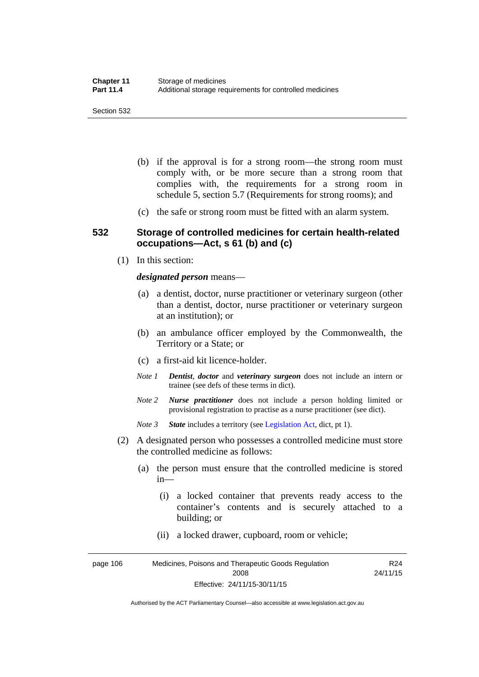- (b) if the approval is for a strong room—the strong room must comply with, or be more secure than a strong room that complies with, the requirements for a strong room in schedule 5, section 5.7 (Requirements for strong rooms); and
- (c) the safe or strong room must be fitted with an alarm system.

#### **532 Storage of controlled medicines for certain health-related occupations—Act, s 61 (b) and (c)**

(1) In this section:

#### *designated person* means—

- (a) a dentist, doctor, nurse practitioner or veterinary surgeon (other than a dentist, doctor, nurse practitioner or veterinary surgeon at an institution); or
- (b) an ambulance officer employed by the Commonwealth, the Territory or a State; or
- (c) a first-aid kit licence-holder.
- *Note 1 Dentist*, *doctor* and *veterinary surgeon* does not include an intern or trainee (see defs of these terms in dict).
- *Note 2 Nurse practitioner* does not include a person holding limited or provisional registration to practise as a nurse practitioner (see dict).
- *Note 3 State* includes a territory (see [Legislation Act,](http://www.legislation.act.gov.au/a/2001-14) dict, pt 1).
- (2) A designated person who possesses a controlled medicine must store the controlled medicine as follows:
	- (a) the person must ensure that the controlled medicine is stored in—
		- (i) a locked container that prevents ready access to the container's contents and is securely attached to a building; or
		- (ii) a locked drawer, cupboard, room or vehicle;

page 106 Medicines, Poisons and Therapeutic Goods Regulation 2008 Effective: 24/11/15-30/11/15 R24 24/11/15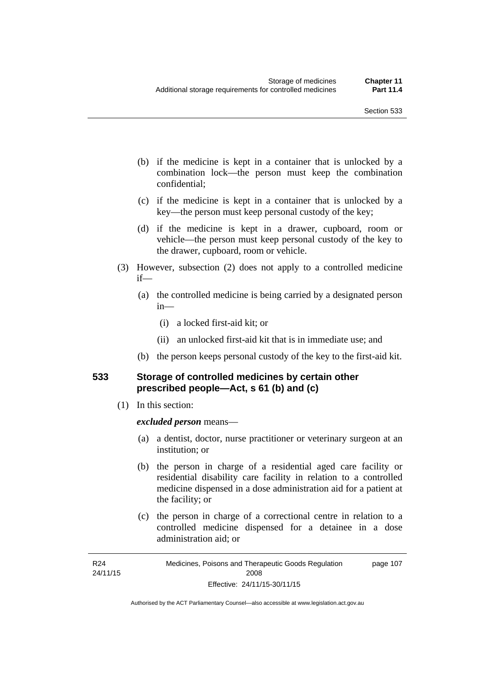- (b) if the medicine is kept in a container that is unlocked by a combination lock—the person must keep the combination confidential;
- (c) if the medicine is kept in a container that is unlocked by a key—the person must keep personal custody of the key;
- (d) if the medicine is kept in a drawer, cupboard, room or vehicle—the person must keep personal custody of the key to the drawer, cupboard, room or vehicle.
- (3) However, subsection (2) does not apply to a controlled medicine if—
	- (a) the controlled medicine is being carried by a designated person in—
		- (i) a locked first-aid kit; or
		- (ii) an unlocked first-aid kit that is in immediate use; and
	- (b) the person keeps personal custody of the key to the first-aid kit.

#### **533 Storage of controlled medicines by certain other prescribed people—Act, s 61 (b) and (c)**

(1) In this section:

#### *excluded person* means—

- (a) a dentist, doctor, nurse practitioner or veterinary surgeon at an institution; or
- (b) the person in charge of a residential aged care facility or residential disability care facility in relation to a controlled medicine dispensed in a dose administration aid for a patient at the facility; or
- (c) the person in charge of a correctional centre in relation to a controlled medicine dispensed for a detainee in a dose administration aid; or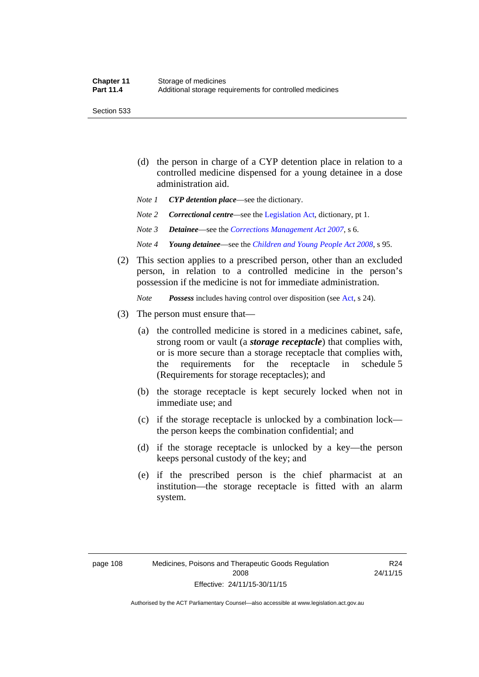Section 533

- (d) the person in charge of a CYP detention place in relation to a controlled medicine dispensed for a young detainee in a dose administration aid.
- *Note 1 CYP detention place*—see the dictionary.
- *Note 2 Correctional centre—see the [Legislation Act](http://www.legislation.act.gov.au/a/2001-14), dictionary, pt 1.*
- *Note 3 Detainee*—see the *[Corrections Management Act 2007](http://www.legislation.act.gov.au/a/2007-15)*, s 6.
- *Note 4 Young detainee*—see the *[Children and Young People Act 2008](http://www.legislation.act.gov.au/a/2008-19)*, s 95.
- (2) This section applies to a prescribed person, other than an excluded person, in relation to a controlled medicine in the person's possession if the medicine is not for immediate administration.

*Note Possess* includes having control over disposition (see [Act,](http://www.legislation.act.gov.au/a/2008-26/default.asp) s 24).

- (3) The person must ensure that—
	- (a) the controlled medicine is stored in a medicines cabinet, safe, strong room or vault (a *storage receptacle*) that complies with, or is more secure than a storage receptacle that complies with, the requirements for the receptacle in schedule 5 (Requirements for storage receptacles); and
	- (b) the storage receptacle is kept securely locked when not in immediate use; and
	- (c) if the storage receptacle is unlocked by a combination lock the person keeps the combination confidential; and
	- (d) if the storage receptacle is unlocked by a key—the person keeps personal custody of the key; and
	- (e) if the prescribed person is the chief pharmacist at an institution—the storage receptacle is fitted with an alarm system.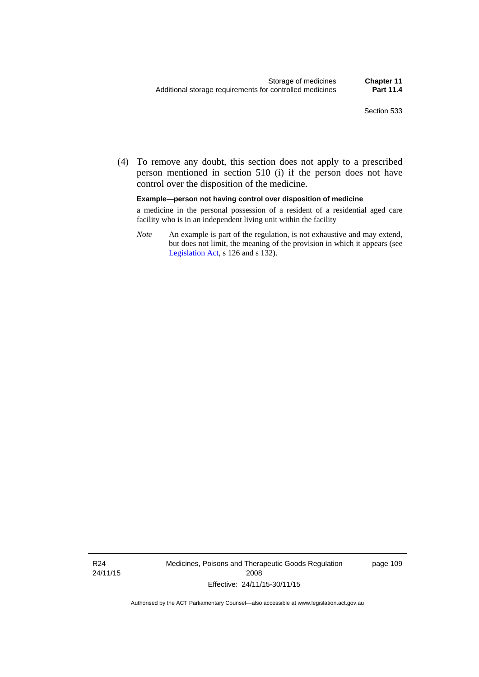(4) To remove any doubt, this section does not apply to a prescribed person mentioned in section 510 (i) if the person does not have control over the disposition of the medicine.

#### **Example—person not having control over disposition of medicine**

a medicine in the personal possession of a resident of a residential aged care facility who is in an independent living unit within the facility

*Note* An example is part of the regulation, is not exhaustive and may extend, but does not limit, the meaning of the provision in which it appears (see [Legislation Act,](http://www.legislation.act.gov.au/a/2001-14) s 126 and s 132).

R24 24/11/15 Medicines, Poisons and Therapeutic Goods Regulation 2008 Effective: 24/11/15-30/11/15

page 109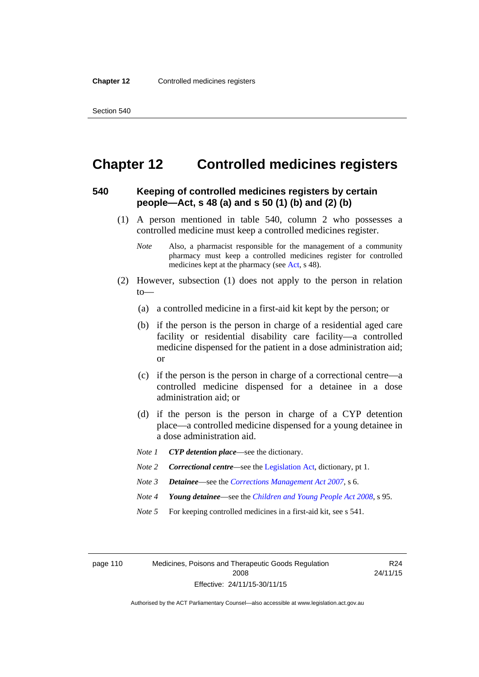### **Chapter 12 Controlled medicines registers**

#### **540 Keeping of controlled medicines registers by certain people—Act, s 48 (a) and s 50 (1) (b) and (2) (b)**

- (1) A person mentioned in table 540, column 2 who possesses a controlled medicine must keep a controlled medicines register.
	- *Note* Also, a pharmacist responsible for the management of a community pharmacy must keep a controlled medicines register for controlled medicines kept at the pharmacy (see [Act](http://www.legislation.act.gov.au/a/2008-26/default.asp), s 48).
- (2) However, subsection (1) does not apply to the person in relation  $to$ —
	- (a) a controlled medicine in a first-aid kit kept by the person; or
	- (b) if the person is the person in charge of a residential aged care facility or residential disability care facility—a controlled medicine dispensed for the patient in a dose administration aid; or
	- (c) if the person is the person in charge of a correctional centre—a controlled medicine dispensed for a detainee in a dose administration aid; or
	- (d) if the person is the person in charge of a CYP detention place—a controlled medicine dispensed for a young detainee in a dose administration aid.
	- *Note 1 CYP detention place*—see the dictionary.
	- *Note 2 Correctional centre—see the [Legislation Act](http://www.legislation.act.gov.au/a/2001-14), dictionary, pt 1.*
	- *Note 3 Detainee*—see the *[Corrections Management Act 2007](http://www.legislation.act.gov.au/a/2007-15)*, s 6.
	- *Note 4 Young detainee*—see the *[Children and Young People Act 2008](http://www.legislation.act.gov.au/a/2008-19)*, s 95.
	- *Note* 5 For keeping controlled medicines in a first-aid kit, see s 541.

page 110 Medicines, Poisons and Therapeutic Goods Regulation 2008 Effective: 24/11/15-30/11/15

R24 24/11/15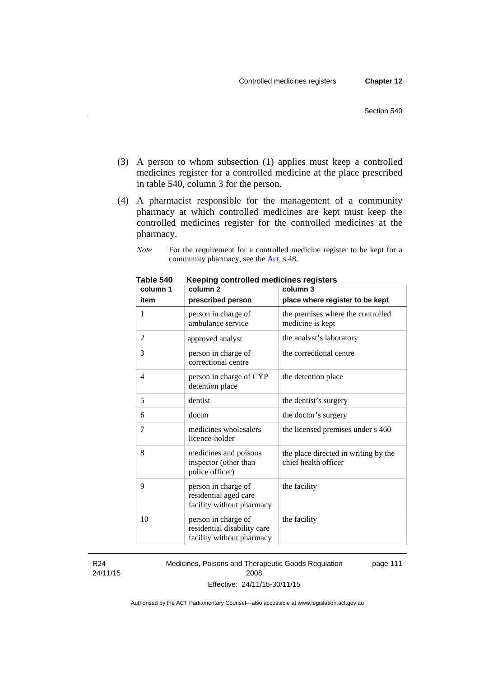- (3) A person to whom subsection (1) applies must keep a controlled medicines register for a controlled medicine at the place prescribed in table 540, column 3 for the person.
- (4) A pharmacist responsible for the management of a community pharmacy at which controlled medicines are kept must keep the controlled medicines register for the controlled medicines at the pharmacy.

*Note* For the requirement for a controlled medicine register to be kept for a community pharmacy, see the [Act,](http://www.legislation.act.gov.au/a/2008-26/default.asp) s 48.

| column 1       | column 2                                                                        | column 3                                                     |
|----------------|---------------------------------------------------------------------------------|--------------------------------------------------------------|
| item           | prescribed person                                                               | place where register to be kept                              |
| 1              | person in charge of<br>ambulance service                                        | the premises where the controlled<br>medicine is kept        |
| $\overline{c}$ | approved analyst                                                                | the analyst's laboratory                                     |
| 3              | person in charge of<br>correctional centre                                      | the correctional centre                                      |
| 4              | person in charge of CYP<br>detention place                                      | the detention place                                          |
| 5              | dentist                                                                         | the dentist's surgery                                        |
| 6              | doctor                                                                          | the doctor's surgery                                         |
| 7              | medicines wholesalers<br>licence-holder                                         | the licensed premises under s 460                            |
| 8              | medicines and poisons<br>inspector (other than<br>police officer)               | the place directed in writing by the<br>chief health officer |
| 9              | person in charge of<br>residential aged care<br>facility without pharmacy       | the facility                                                 |
| 10             | person in charge of<br>residential disability care<br>facility without pharmacy | the facility                                                 |

**Table 540 Keeping controlled medicines registers** 

R24 24/11/15 Medicines, Poisons and Therapeutic Goods Regulation 2008 Effective: 24/11/15-30/11/15 page 111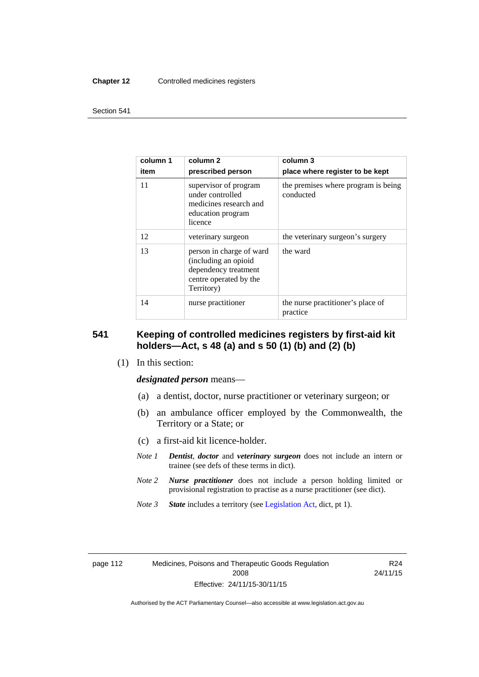#### **Chapter 12** Controlled medicines registers

#### Section 541

| column 1<br>item | column 2<br>prescribed person                                                                                    | column 3<br>place where register to be kept      |
|------------------|------------------------------------------------------------------------------------------------------------------|--------------------------------------------------|
| 11               | supervisor of program<br>under controlled<br>medicines research and<br>education program<br>licence              | the premises where program is being<br>conducted |
| 12               | veterinary surgeon                                                                                               | the veterinary surgeon's surgery                 |
| 13               | person in charge of ward<br>(including an opioid<br>dependency treatment<br>centre operated by the<br>Territory) | the ward                                         |
| 14               | nurse practitioner                                                                                               | the nurse practitioner's place of<br>practice    |

#### **541 Keeping of controlled medicines registers by first-aid kit holders—Act, s 48 (a) and s 50 (1) (b) and (2) (b)**

(1) In this section:

*designated person* means—

- (a) a dentist, doctor, nurse practitioner or veterinary surgeon; or
- (b) an ambulance officer employed by the Commonwealth, the Territory or a State; or
- (c) a first-aid kit licence-holder.
- *Note 1 Dentist*, *doctor* and *veterinary surgeon* does not include an intern or trainee (see defs of these terms in dict).
- *Note 2 Nurse practitioner* does not include a person holding limited or provisional registration to practise as a nurse practitioner (see dict).
- *Note 3 State* includes a territory (see [Legislation Act,](http://www.legislation.act.gov.au/a/2001-14) dict, pt 1).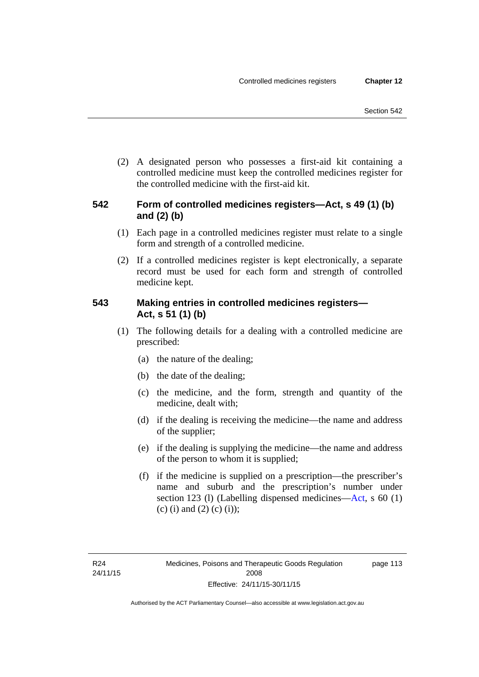(2) A designated person who possesses a first-aid kit containing a controlled medicine must keep the controlled medicines register for the controlled medicine with the first-aid kit.

### **542 Form of controlled medicines registers—Act, s 49 (1) (b) and (2) (b)**

- (1) Each page in a controlled medicines register must relate to a single form and strength of a controlled medicine.
- (2) If a controlled medicines register is kept electronically, a separate record must be used for each form and strength of controlled medicine kept.

### **543 Making entries in controlled medicines registers— Act, s 51 (1) (b)**

- (1) The following details for a dealing with a controlled medicine are prescribed:
	- (a) the nature of the dealing;
	- (b) the date of the dealing;
	- (c) the medicine, and the form, strength and quantity of the medicine, dealt with;
	- (d) if the dealing is receiving the medicine—the name and address of the supplier;
	- (e) if the dealing is supplying the medicine—the name and address of the person to whom it is supplied;
	- (f) if the medicine is supplied on a prescription—the prescriber's name and suburb and the prescription's number under section 123 (l) (Labelling dispensed medicines[—Act,](http://www.legislation.act.gov.au/a/2008-26/default.asp) s 60 (1) (c) (i) and (2) (c) (i));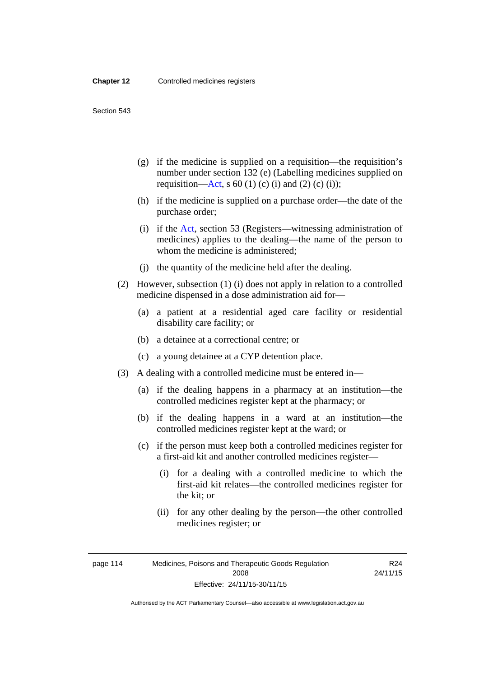Section 543

- (g) if the medicine is supplied on a requisition—the requisition's number under section 132 (e) (Labelling medicines supplied on requisition[—Act,](http://www.legislation.act.gov.au/a/2008-26/default.asp) s 60 (1) (c) (i) and (2) (c) (i));
- (h) if the medicine is supplied on a purchase order—the date of the purchase order;
- (i) if the [Act,](http://www.legislation.act.gov.au/a/2008-26/default.asp) section 53 (Registers—witnessing administration of medicines) applies to the dealing—the name of the person to whom the medicine is administered;
- (j) the quantity of the medicine held after the dealing.
- (2) However, subsection (1) (i) does not apply in relation to a controlled medicine dispensed in a dose administration aid for—
	- (a) a patient at a residential aged care facility or residential disability care facility; or
	- (b) a detainee at a correctional centre; or
	- (c) a young detainee at a CYP detention place.
- (3) A dealing with a controlled medicine must be entered in—
	- (a) if the dealing happens in a pharmacy at an institution—the controlled medicines register kept at the pharmacy; or
	- (b) if the dealing happens in a ward at an institution—the controlled medicines register kept at the ward; or
	- (c) if the person must keep both a controlled medicines register for a first-aid kit and another controlled medicines register—
		- (i) for a dealing with a controlled medicine to which the first-aid kit relates—the controlled medicines register for the kit; or
		- (ii) for any other dealing by the person—the other controlled medicines register; or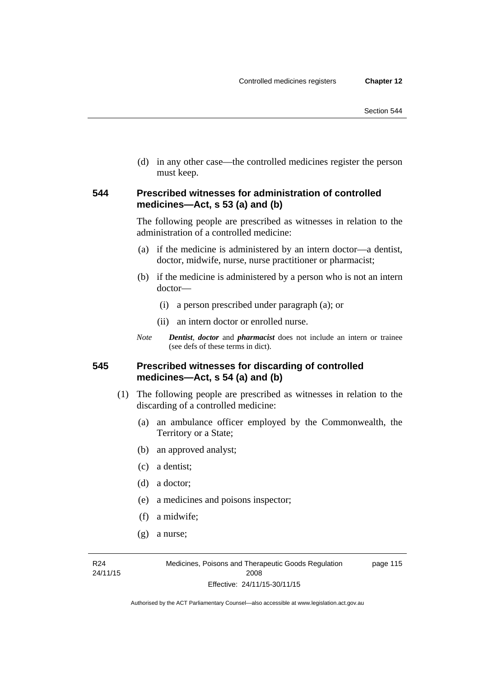(d) in any other case—the controlled medicines register the person must keep.

#### **544 Prescribed witnesses for administration of controlled medicines—Act, s 53 (a) and (b)**

The following people are prescribed as witnesses in relation to the administration of a controlled medicine:

- (a) if the medicine is administered by an intern doctor—a dentist, doctor, midwife, nurse, nurse practitioner or pharmacist;
- (b) if the medicine is administered by a person who is not an intern doctor—
	- (i) a person prescribed under paragraph (a); or
	- (ii) an intern doctor or enrolled nurse.
- *Note Dentist*, *doctor* and *pharmacist* does not include an intern or trainee (see defs of these terms in dict).

#### **545 Prescribed witnesses for discarding of controlled medicines—Act, s 54 (a) and (b)**

- (1) The following people are prescribed as witnesses in relation to the discarding of a controlled medicine:
	- (a) an ambulance officer employed by the Commonwealth, the Territory or a State;
	- (b) an approved analyst;
	- (c) a dentist;
	- (d) a doctor;
	- (e) a medicines and poisons inspector;
	- (f) a midwife;
	- (g) a nurse;

R24 24/11/15 page 115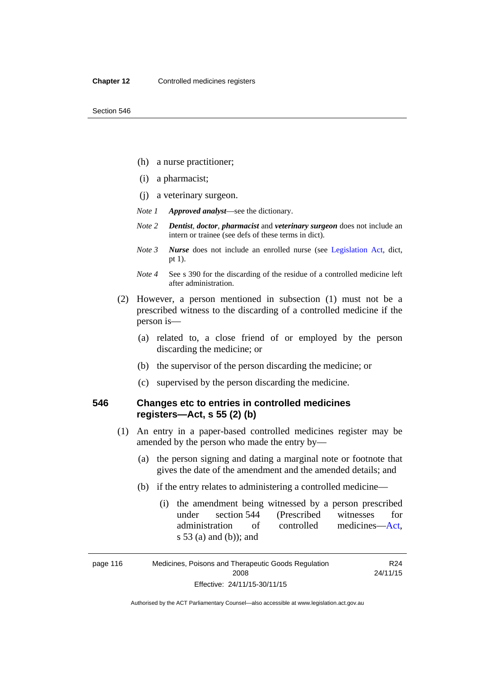- (h) a nurse practitioner;
- (i) a pharmacist;
- (j) a veterinary surgeon.
- *Note 1 Approved analyst*—see the dictionary.
- *Note 2 Dentist*, *doctor*, *pharmacist* and *veterinary surgeon* does not include an intern or trainee (see defs of these terms in dict).
- *Note 3 Nurse* does not include an enrolled nurse (see [Legislation Act,](http://www.legislation.act.gov.au/a/2001-14) dict, pt 1).
- *Note 4* See s 390 for the discarding of the residue of a controlled medicine left after administration.
- (2) However, a person mentioned in subsection (1) must not be a prescribed witness to the discarding of a controlled medicine if the person is—
	- (a) related to, a close friend of or employed by the person discarding the medicine; or
	- (b) the supervisor of the person discarding the medicine; or
	- (c) supervised by the person discarding the medicine.

#### **546 Changes etc to entries in controlled medicines registers—Act, s 55 (2) (b)**

- (1) An entry in a paper-based controlled medicines register may be amended by the person who made the entry by—
	- (a) the person signing and dating a marginal note or footnote that gives the date of the amendment and the amended details; and
	- (b) if the entry relates to administering a controlled medicine—
		- (i) the amendment being witnessed by a person prescribed under section 544 (Prescribed witnesses for administration of controlled medicines[—Act](http://www.legislation.act.gov.au/a/2008-26/default.asp), s 53 (a) and (b)); and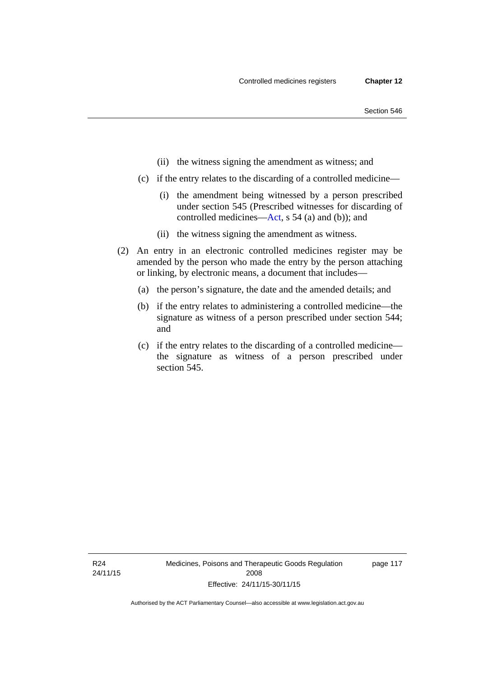- (ii) the witness signing the amendment as witness; and
- (c) if the entry relates to the discarding of a controlled medicine—
	- (i) the amendment being witnessed by a person prescribed under section 545 (Prescribed witnesses for discarding of controlled medicines[—Act,](http://www.legislation.act.gov.au/a/2008-26/default.asp) s 54 (a) and (b)); and
	- (ii) the witness signing the amendment as witness.
- (2) An entry in an electronic controlled medicines register may be amended by the person who made the entry by the person attaching or linking, by electronic means, a document that includes—
	- (a) the person's signature, the date and the amended details; and
	- (b) if the entry relates to administering a controlled medicine—the signature as witness of a person prescribed under section 544; and
	- (c) if the entry relates to the discarding of a controlled medicine the signature as witness of a person prescribed under section 545.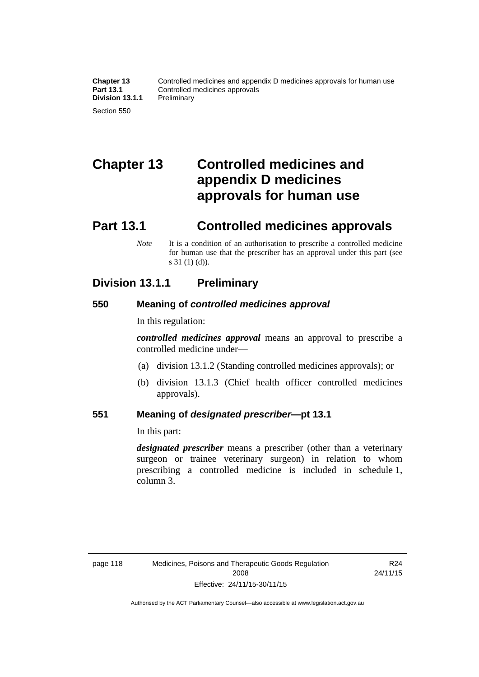# **Chapter 13 Controlled medicines and appendix D medicines approvals for human use**

### **Part 13.1 Controlled medicines approvals**

*Note* It is a condition of an authorisation to prescribe a controlled medicine for human use that the prescriber has an approval under this part (see s 31 (1) (d)).

### **Division 13.1.1 Preliminary**

#### **550 Meaning of** *controlled medicines approval*

In this regulation:

*controlled medicines approval* means an approval to prescribe a controlled medicine under—

- (a) division 13.1.2 (Standing controlled medicines approvals); or
- (b) division 13.1.3 (Chief health officer controlled medicines approvals).

#### **551 Meaning of** *designated prescriber***—pt 13.1**

In this part:

*designated prescriber* means a prescriber (other than a veterinary surgeon or trainee veterinary surgeon) in relation to whom prescribing a controlled medicine is included in schedule 1, column 3.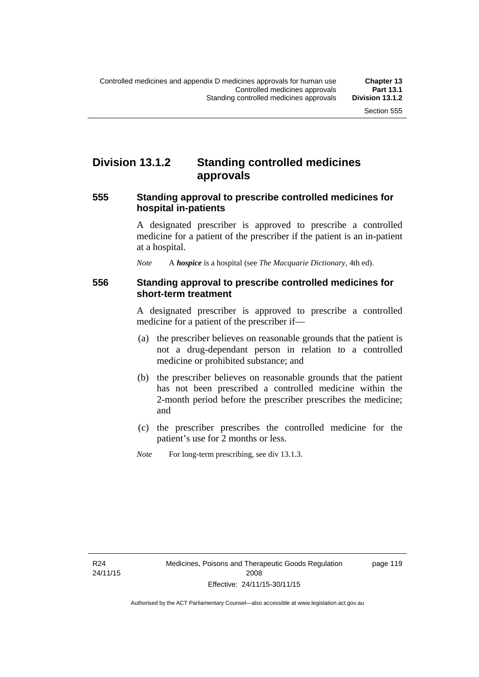### **Division 13.1.2 Standing controlled medicines approvals**

#### **555 Standing approval to prescribe controlled medicines for hospital in-patients**

A designated prescriber is approved to prescribe a controlled medicine for a patient of the prescriber if the patient is an in-patient at a hospital.

*Note* A *hospice* is a hospital (see *The Macquarie Dictionary*, 4th ed).

#### **556 Standing approval to prescribe controlled medicines for short-term treatment**

A designated prescriber is approved to prescribe a controlled medicine for a patient of the prescriber if—

- (a) the prescriber believes on reasonable grounds that the patient is not a drug-dependant person in relation to a controlled medicine or prohibited substance; and
- (b) the prescriber believes on reasonable grounds that the patient has not been prescribed a controlled medicine within the 2-month period before the prescriber prescribes the medicine; and
- (c) the prescriber prescribes the controlled medicine for the patient's use for 2 months or less.
- *Note* For long-term prescribing, see div 13.1.3.

R24 24/11/15 page 119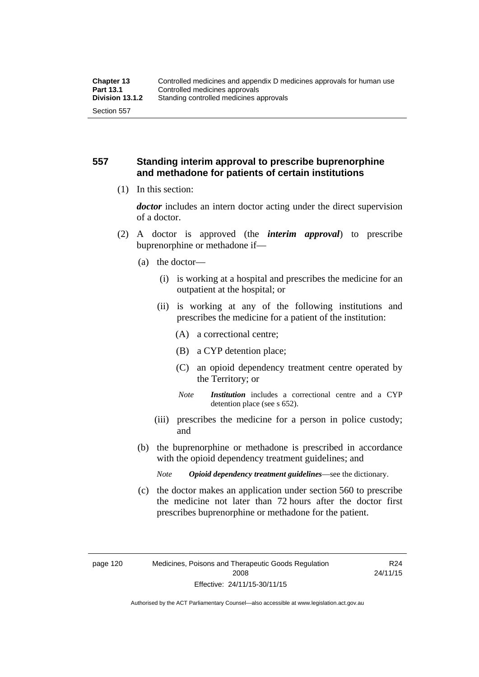#### **557 Standing interim approval to prescribe buprenorphine and methadone for patients of certain institutions**

(1) In this section:

*doctor* includes an intern doctor acting under the direct supervision of a doctor.

- (2) A doctor is approved (the *interim approval*) to prescribe buprenorphine or methadone if—
	- (a) the doctor—
		- (i) is working at a hospital and prescribes the medicine for an outpatient at the hospital; or
		- (ii) is working at any of the following institutions and prescribes the medicine for a patient of the institution:
			- (A) a correctional centre;
			- (B) a CYP detention place;
			- (C) an opioid dependency treatment centre operated by the Territory; or
			- *Note Institution* includes a correctional centre and a CYP detention place (see s 652).
		- (iii) prescribes the medicine for a person in police custody; and
	- (b) the buprenorphine or methadone is prescribed in accordance with the opioid dependency treatment guidelines; and
		- *Note Opioid dependency treatment guidelines*—see the dictionary.
	- (c) the doctor makes an application under section 560 to prescribe the medicine not later than 72 hours after the doctor first prescribes buprenorphine or methadone for the patient.

R24 24/11/15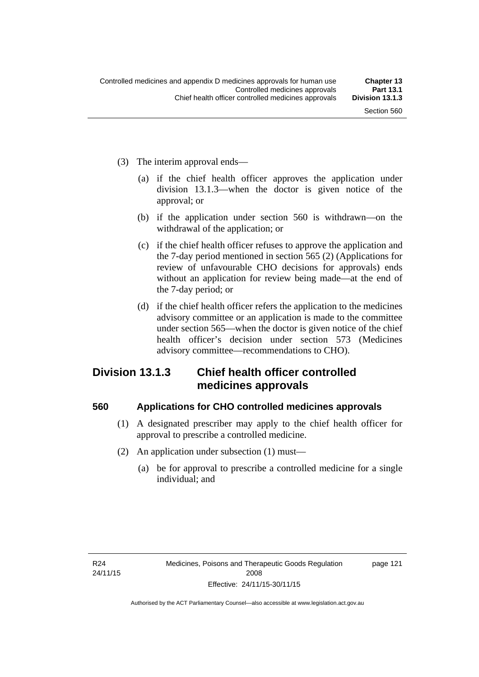- (3) The interim approval ends—
	- (a) if the chief health officer approves the application under division 13.1.3—when the doctor is given notice of the approval; or
	- (b) if the application under section 560 is withdrawn—on the withdrawal of the application; or
	- (c) if the chief health officer refuses to approve the application and the 7-day period mentioned in section 565 (2) (Applications for review of unfavourable CHO decisions for approvals) ends without an application for review being made—at the end of the 7-day period; or
	- (d) if the chief health officer refers the application to the medicines advisory committee or an application is made to the committee under section 565—when the doctor is given notice of the chief health officer's decision under section 573 (Medicines advisory committee—recommendations to CHO).

### **Division 13.1.3 Chief health officer controlled medicines approvals**

#### **560 Applications for CHO controlled medicines approvals**

- (1) A designated prescriber may apply to the chief health officer for approval to prescribe a controlled medicine.
- (2) An application under subsection (1) must—
	- (a) be for approval to prescribe a controlled medicine for a single individual; and

page 121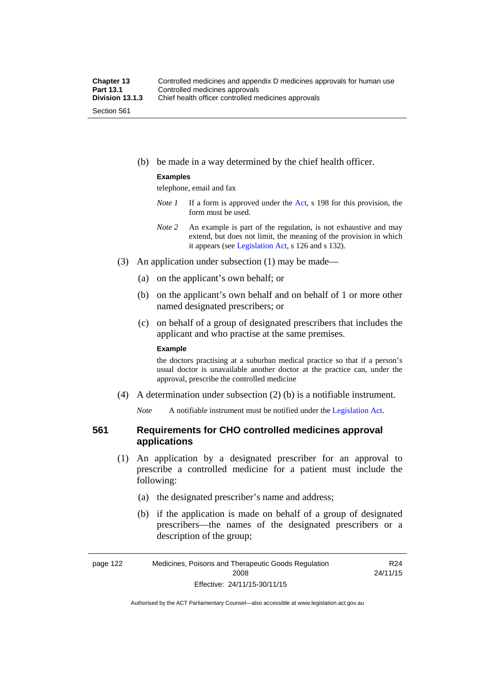(b) be made in a way determined by the chief health officer.

#### **Examples**

telephone, email and fax

- *Note 1* If a form is approved under the [Act](http://www.legislation.act.gov.au/a/2008-26/default.asp), s 198 for this provision, the form must be used.
- *Note 2* An example is part of the regulation, is not exhaustive and may extend, but does not limit, the meaning of the provision in which it appears (see [Legislation Act,](http://www.legislation.act.gov.au/a/2001-14) s 126 and s 132).
- (3) An application under subsection (1) may be made—
	- (a) on the applicant's own behalf; or
	- (b) on the applicant's own behalf and on behalf of 1 or more other named designated prescribers; or
	- (c) on behalf of a group of designated prescribers that includes the applicant and who practise at the same premises.

#### **Example**

the doctors practising at a suburban medical practice so that if a person's usual doctor is unavailable another doctor at the practice can, under the approval, prescribe the controlled medicine

(4) A determination under subsection (2) (b) is a notifiable instrument.

*Note* A notifiable instrument must be notified under the [Legislation Act](http://www.legislation.act.gov.au/a/2001-14).

#### **561 Requirements for CHO controlled medicines approval applications**

- (1) An application by a designated prescriber for an approval to prescribe a controlled medicine for a patient must include the following:
	- (a) the designated prescriber's name and address;
	- (b) if the application is made on behalf of a group of designated prescribers—the names of the designated prescribers or a description of the group;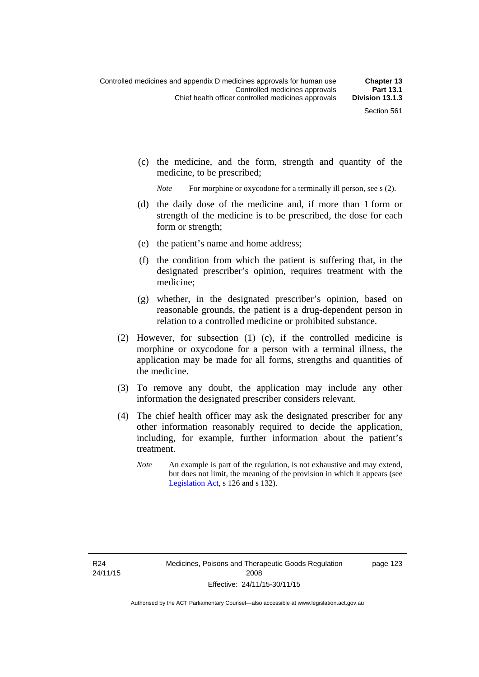(c) the medicine, and the form, strength and quantity of the medicine, to be prescribed;

*Note* For morphine or oxycodone for a terminally ill person, see s (2).

- (d) the daily dose of the medicine and, if more than 1 form or strength of the medicine is to be prescribed, the dose for each form or strength;
- (e) the patient's name and home address;
- (f) the condition from which the patient is suffering that, in the designated prescriber's opinion, requires treatment with the medicine;
- (g) whether, in the designated prescriber's opinion, based on reasonable grounds, the patient is a drug-dependent person in relation to a controlled medicine or prohibited substance.
- (2) However, for subsection (1) (c), if the controlled medicine is morphine or oxycodone for a person with a terminal illness, the application may be made for all forms, strengths and quantities of the medicine.
- (3) To remove any doubt, the application may include any other information the designated prescriber considers relevant.
- (4) The chief health officer may ask the designated prescriber for any other information reasonably required to decide the application, including, for example, further information about the patient's treatment.
	- *Note* An example is part of the regulation, is not exhaustive and may extend, but does not limit, the meaning of the provision in which it appears (see [Legislation Act,](http://www.legislation.act.gov.au/a/2001-14) s 126 and s 132).

page 123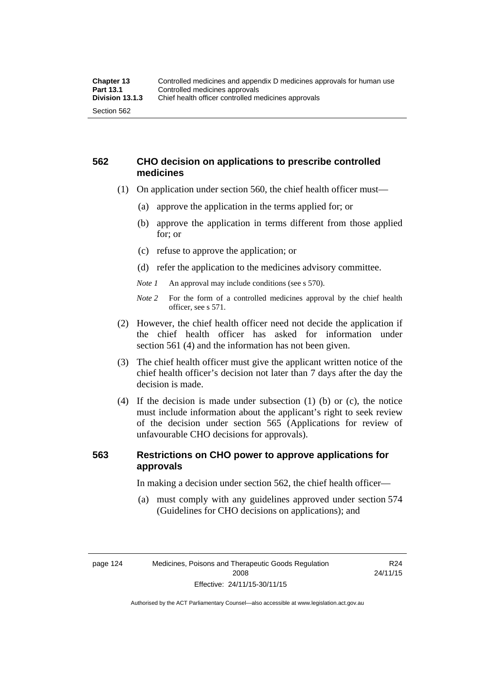#### **562 CHO decision on applications to prescribe controlled medicines**

- (1) On application under section 560, the chief health officer must—
	- (a) approve the application in the terms applied for; or
	- (b) approve the application in terms different from those applied for; or
	- (c) refuse to approve the application; or
	- (d) refer the application to the medicines advisory committee.
	- *Note 1* An approval may include conditions (see s 570).
	- *Note 2* For the form of a controlled medicines approval by the chief health officer, see s 571.
- (2) However, the chief health officer need not decide the application if the chief health officer has asked for information under section 561 (4) and the information has not been given.
- (3) The chief health officer must give the applicant written notice of the chief health officer's decision not later than 7 days after the day the decision is made.
- (4) If the decision is made under subsection (1) (b) or (c), the notice must include information about the applicant's right to seek review of the decision under section 565 (Applications for review of unfavourable CHO decisions for approvals).

### **563 Restrictions on CHO power to approve applications for approvals**

In making a decision under section 562, the chief health officer—

 (a) must comply with any guidelines approved under section 574 (Guidelines for CHO decisions on applications); and

R24 24/11/15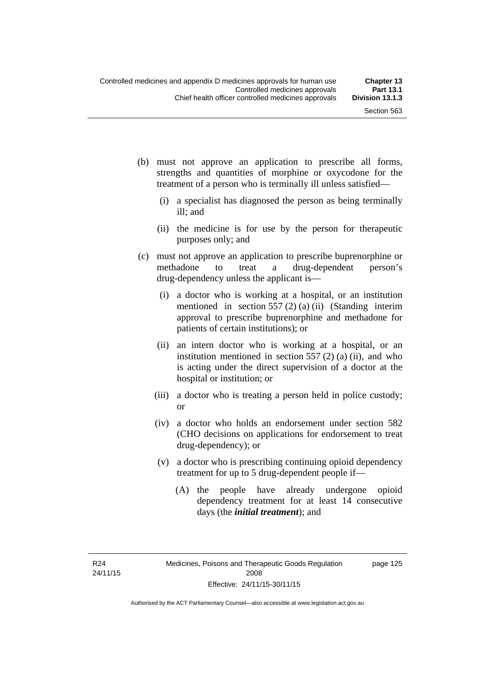page 125

- (b) must not approve an application to prescribe all forms, strengths and quantities of morphine or oxycodone for the treatment of a person who is terminally ill unless satisfied—
	- (i) a specialist has diagnosed the person as being terminally ill; and
	- (ii) the medicine is for use by the person for therapeutic purposes only; and
- (c) must not approve an application to prescribe buprenorphine or methadone to treat a drug-dependent person's drug-dependency unless the applicant is—
	- (i) a doctor who is working at a hospital, or an institution mentioned in section 557 (2) (a) (ii) (Standing interim approval to prescribe buprenorphine and methadone for patients of certain institutions); or
	- (ii) an intern doctor who is working at a hospital, or an institution mentioned in section  $557(2)$  (a) (ii), and who is acting under the direct supervision of a doctor at the hospital or institution; or
	- (iii) a doctor who is treating a person held in police custody; or
	- (iv) a doctor who holds an endorsement under section 582 (CHO decisions on applications for endorsement to treat drug-dependency); or
	- (v) a doctor who is prescribing continuing opioid dependency treatment for up to 5 drug-dependent people if—
		- (A) the people have already undergone opioid dependency treatment for at least 14 consecutive days (the *initial treatment*); and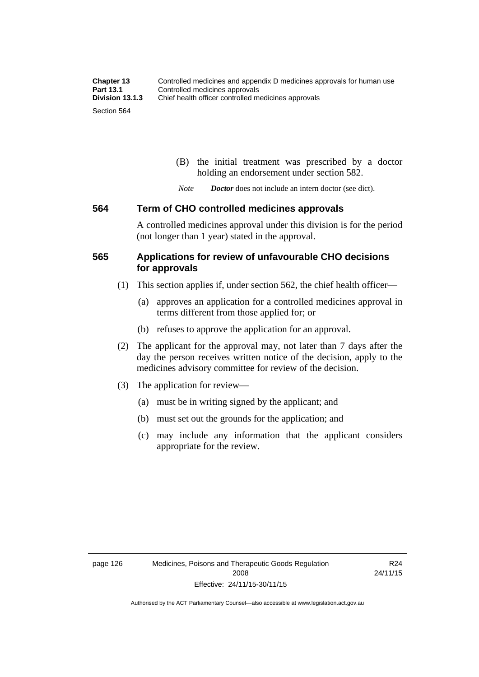(B) the initial treatment was prescribed by a doctor holding an endorsement under section 582.

*Note Doctor* does not include an intern doctor (see dict).

#### **564 Term of CHO controlled medicines approvals**

A controlled medicines approval under this division is for the period (not longer than 1 year) stated in the approval.

#### **565 Applications for review of unfavourable CHO decisions for approvals**

- (1) This section applies if, under section 562, the chief health officer—
	- (a) approves an application for a controlled medicines approval in terms different from those applied for; or
	- (b) refuses to approve the application for an approval.
- (2) The applicant for the approval may, not later than 7 days after the day the person receives written notice of the decision, apply to the medicines advisory committee for review of the decision.
- (3) The application for review—
	- (a) must be in writing signed by the applicant; and
	- (b) must set out the grounds for the application; and
	- (c) may include any information that the applicant considers appropriate for the review.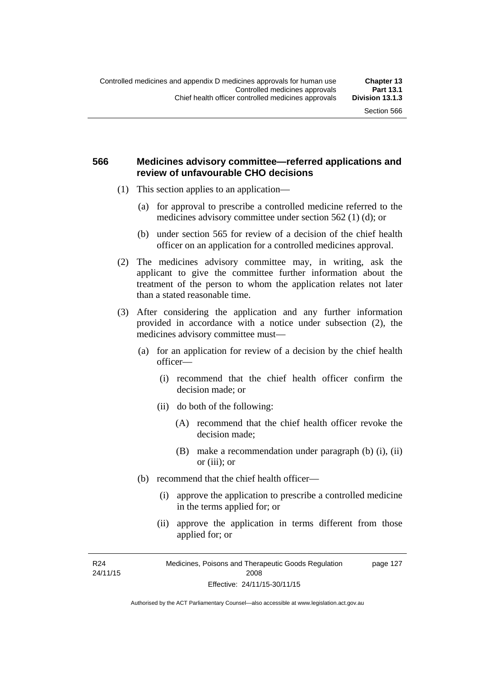#### **566 Medicines advisory committee—referred applications and review of unfavourable CHO decisions**

- (1) This section applies to an application—
	- (a) for approval to prescribe a controlled medicine referred to the medicines advisory committee under section 562 (1) (d); or
	- (b) under section 565 for review of a decision of the chief health officer on an application for a controlled medicines approval.
- (2) The medicines advisory committee may, in writing, ask the applicant to give the committee further information about the treatment of the person to whom the application relates not later than a stated reasonable time.
- (3) After considering the application and any further information provided in accordance with a notice under subsection (2), the medicines advisory committee must—
	- (a) for an application for review of a decision by the chief health officer—
		- (i) recommend that the chief health officer confirm the decision made; or
		- (ii) do both of the following:
			- (A) recommend that the chief health officer revoke the decision made;
			- (B) make a recommendation under paragraph (b) (i), (ii) or (iii); or
	- (b) recommend that the chief health officer—
		- (i) approve the application to prescribe a controlled medicine in the terms applied for; or
		- (ii) approve the application in terms different from those applied for; or

R24 24/11/15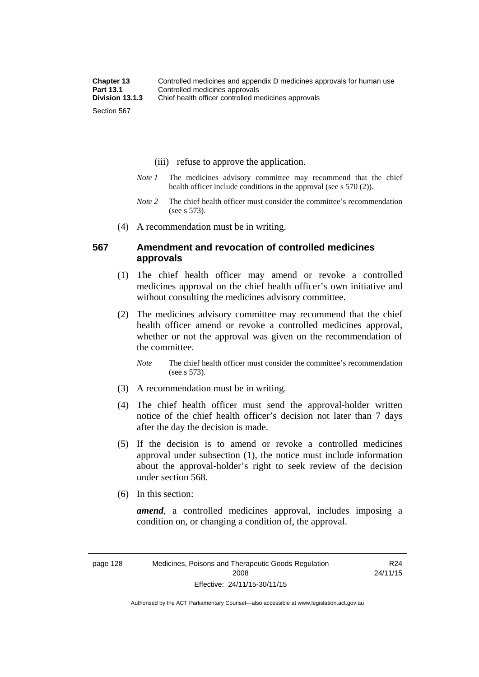- (iii) refuse to approve the application.
- *Note 1* The medicines advisory committee may recommend that the chief health officer include conditions in the approval (see s 570 (2)).
- *Note 2* The chief health officer must consider the committee's recommendation (see s 573).
- (4) A recommendation must be in writing.

#### **567 Amendment and revocation of controlled medicines approvals**

- (1) The chief health officer may amend or revoke a controlled medicines approval on the chief health officer's own initiative and without consulting the medicines advisory committee.
- (2) The medicines advisory committee may recommend that the chief health officer amend or revoke a controlled medicines approval, whether or not the approval was given on the recommendation of the committee.

*Note* The chief health officer must consider the committee's recommendation (see s 573).

- (3) A recommendation must be in writing.
- (4) The chief health officer must send the approval-holder written notice of the chief health officer's decision not later than 7 days after the day the decision is made.
- (5) If the decision is to amend or revoke a controlled medicines approval under subsection (1), the notice must include information about the approval-holder's right to seek review of the decision under section 568.
- (6) In this section:

*amend*, a controlled medicines approval, includes imposing a condition on, or changing a condition of, the approval.

R24 24/11/15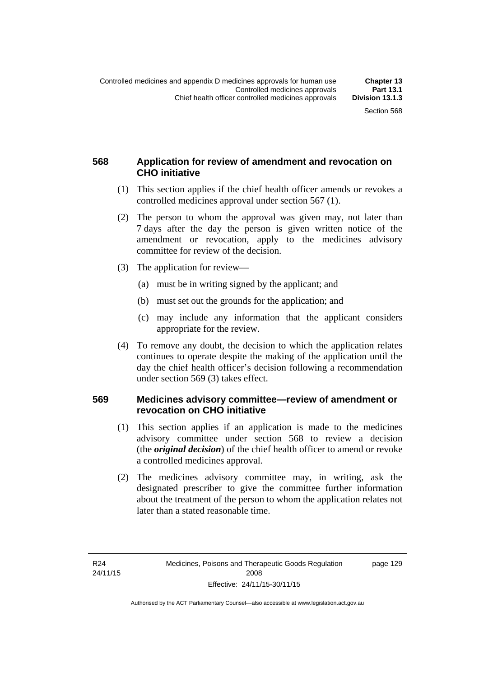### **568 Application for review of amendment and revocation on CHO initiative**

- (1) This section applies if the chief health officer amends or revokes a controlled medicines approval under section 567 (1).
- (2) The person to whom the approval was given may, not later than 7 days after the day the person is given written notice of the amendment or revocation, apply to the medicines advisory committee for review of the decision.
- (3) The application for review—
	- (a) must be in writing signed by the applicant; and
	- (b) must set out the grounds for the application; and
	- (c) may include any information that the applicant considers appropriate for the review.
- (4) To remove any doubt, the decision to which the application relates continues to operate despite the making of the application until the day the chief health officer's decision following a recommendation under section 569 (3) takes effect.

#### **569 Medicines advisory committee—review of amendment or revocation on CHO initiative**

- (1) This section applies if an application is made to the medicines advisory committee under section 568 to review a decision (the *original decision*) of the chief health officer to amend or revoke a controlled medicines approval.
- (2) The medicines advisory committee may, in writing, ask the designated prescriber to give the committee further information about the treatment of the person to whom the application relates not later than a stated reasonable time.

page 129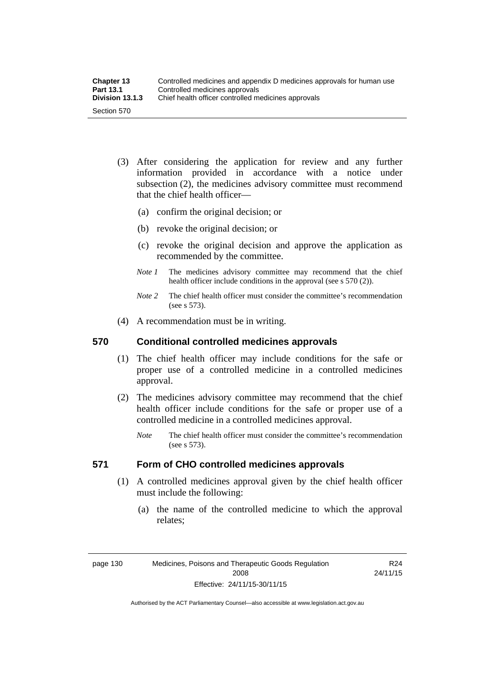| <b>Chapter 13</b> | Controlled medicines and appendix D medicines approvals for human use |
|-------------------|-----------------------------------------------------------------------|
| <b>Part 13.1</b>  | Controlled medicines approvals                                        |
| Division 13.1.3   | Chief health officer controlled medicines approvals                   |
| Section 570       |                                                                       |

- (3) After considering the application for review and any further information provided in accordance with a notice under subsection (2), the medicines advisory committee must recommend that the chief health officer—
	- (a) confirm the original decision; or
	- (b) revoke the original decision; or
	- (c) revoke the original decision and approve the application as recommended by the committee.
	- *Note 1* The medicines advisory committee may recommend that the chief health officer include conditions in the approval (see s 570 (2)).
	- *Note 2* The chief health officer must consider the committee's recommendation (see s 573).
- (4) A recommendation must be in writing.

#### **570 Conditional controlled medicines approvals**

- (1) The chief health officer may include conditions for the safe or proper use of a controlled medicine in a controlled medicines approval.
- (2) The medicines advisory committee may recommend that the chief health officer include conditions for the safe or proper use of a controlled medicine in a controlled medicines approval.
	- *Note* The chief health officer must consider the committee's recommendation (see s 573).

### **571 Form of CHO controlled medicines approvals**

- (1) A controlled medicines approval given by the chief health officer must include the following:
	- (a) the name of the controlled medicine to which the approval relates;

page 130 Medicines, Poisons and Therapeutic Goods Regulation 2008 Effective: 24/11/15-30/11/15

R24 24/11/15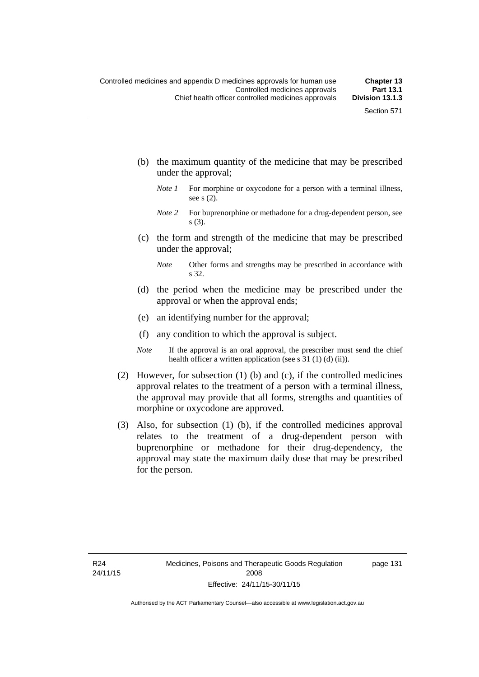- (b) the maximum quantity of the medicine that may be prescribed under the approval;
	- *Note 1* For morphine or oxycodone for a person with a terminal illness, see s (2).
	- *Note* 2 For buprenorphine or methadone for a drug-dependent person, see s (3).
- (c) the form and strength of the medicine that may be prescribed under the approval;
	- *Note* Other forms and strengths may be prescribed in accordance with s 32.
- (d) the period when the medicine may be prescribed under the approval or when the approval ends;
- (e) an identifying number for the approval;
- (f) any condition to which the approval is subject.
- *Note* If the approval is an oral approval, the prescriber must send the chief health officer a written application (see s 31 (1) (d) (ii)).
- (2) However, for subsection (1) (b) and (c), if the controlled medicines approval relates to the treatment of a person with a terminal illness, the approval may provide that all forms, strengths and quantities of morphine or oxycodone are approved.
- (3) Also, for subsection (1) (b), if the controlled medicines approval relates to the treatment of a drug-dependent person with buprenorphine or methadone for their drug-dependency, the approval may state the maximum daily dose that may be prescribed for the person.

page 131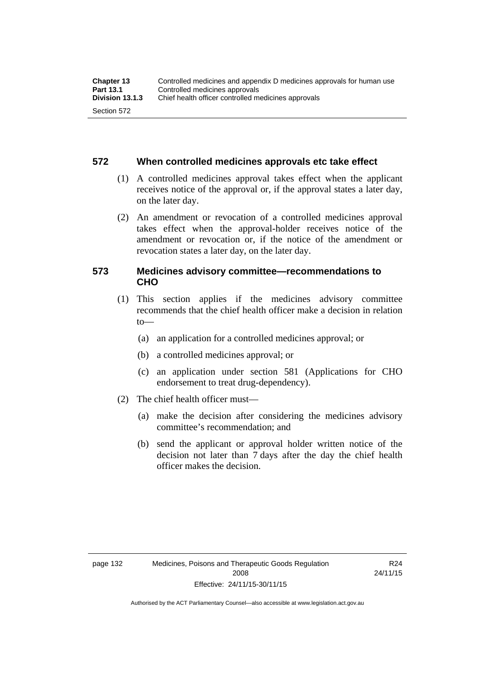#### **572 When controlled medicines approvals etc take effect**

- (1) A controlled medicines approval takes effect when the applicant receives notice of the approval or, if the approval states a later day, on the later day.
- (2) An amendment or revocation of a controlled medicines approval takes effect when the approval-holder receives notice of the amendment or revocation or, if the notice of the amendment or revocation states a later day, on the later day.

#### **573 Medicines advisory committee—recommendations to CHO**

- (1) This section applies if the medicines advisory committee recommends that the chief health officer make a decision in relation  $to$ 
	- (a) an application for a controlled medicines approval; or
	- (b) a controlled medicines approval; or
	- (c) an application under section 581 (Applications for CHO endorsement to treat drug-dependency).
- (2) The chief health officer must—
	- (a) make the decision after considering the medicines advisory committee's recommendation; and
	- (b) send the applicant or approval holder written notice of the decision not later than 7 days after the day the chief health officer makes the decision.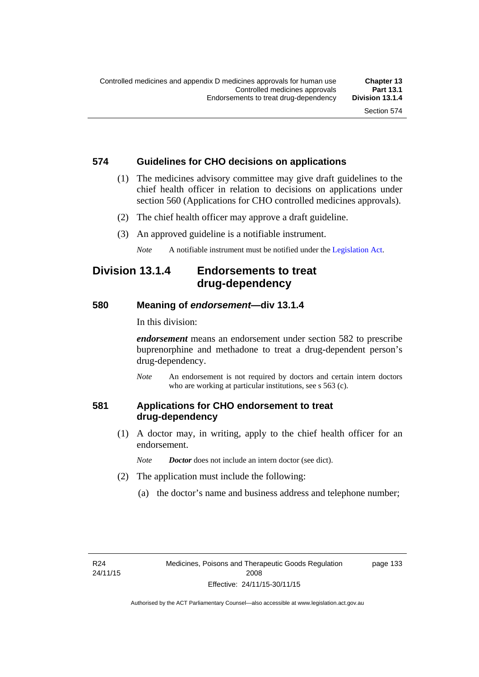#### **574 Guidelines for CHO decisions on applications**

- (1) The medicines advisory committee may give draft guidelines to the chief health officer in relation to decisions on applications under section 560 (Applications for CHO controlled medicines approvals).
- (2) The chief health officer may approve a draft guideline.
- (3) An approved guideline is a notifiable instrument.

*Note* A notifiable instrument must be notified under the [Legislation Act](http://www.legislation.act.gov.au/a/2001-14).

### **Division 13.1.4 Endorsements to treat drug-dependency**

#### **580 Meaning of** *endorsement***—div 13.1.4**

In this division:

*endorsement* means an endorsement under section 582 to prescribe buprenorphine and methadone to treat a drug-dependent person's drug-dependency.

*Note* An endorsement is not required by doctors and certain intern doctors who are working at particular institutions, see s 563 (c).

#### **581 Applications for CHO endorsement to treat drug-dependency**

 (1) A doctor may, in writing, apply to the chief health officer for an endorsement.

*Note Doctor* does not include an intern doctor (see dict).

- (2) The application must include the following:
	- (a) the doctor's name and business address and telephone number;

page 133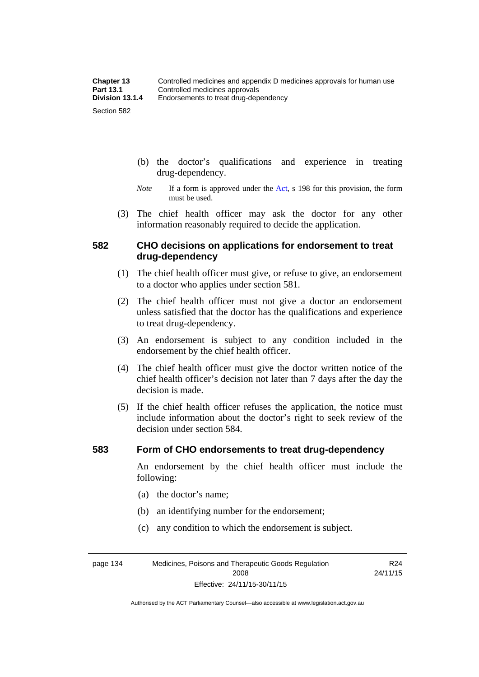- (b) the doctor's qualifications and experience in treating drug-dependency.
- *Note* If a form is approved under the [Act](http://www.legislation.act.gov.au/a/2008-26/default.asp), s 198 for this provision, the form must be used.
- (3) The chief health officer may ask the doctor for any other information reasonably required to decide the application.

#### **582 CHO decisions on applications for endorsement to treat drug-dependency**

- (1) The chief health officer must give, or refuse to give, an endorsement to a doctor who applies under section 581.
- (2) The chief health officer must not give a doctor an endorsement unless satisfied that the doctor has the qualifications and experience to treat drug-dependency.
- (3) An endorsement is subject to any condition included in the endorsement by the chief health officer.
- (4) The chief health officer must give the doctor written notice of the chief health officer's decision not later than 7 days after the day the decision is made.
- (5) If the chief health officer refuses the application, the notice must include information about the doctor's right to seek review of the decision under section 584.

#### **583 Form of CHO endorsements to treat drug-dependency**

An endorsement by the chief health officer must include the following:

> R24 24/11/15

- (a) the doctor's name;
- (b) an identifying number for the endorsement;
- (c) any condition to which the endorsement is subject.

page 134 Medicines, Poisons and Therapeutic Goods Regulation 2008 Effective: 24/11/15-30/11/15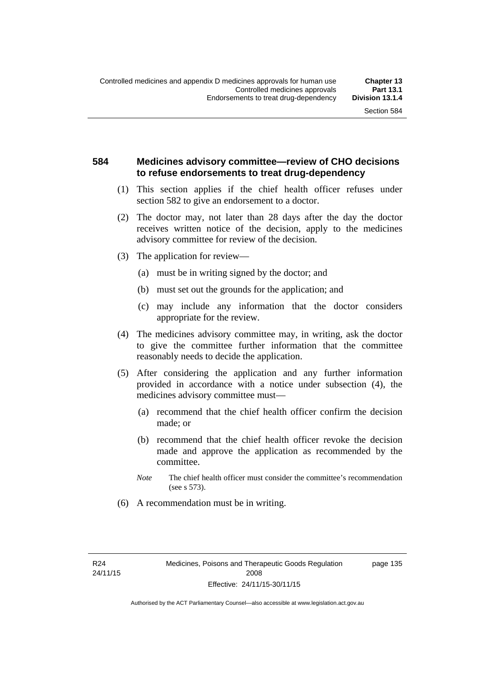#### **584 Medicines advisory committee—review of CHO decisions to refuse endorsements to treat drug-dependency**

- (1) This section applies if the chief health officer refuses under section 582 to give an endorsement to a doctor.
- (2) The doctor may, not later than 28 days after the day the doctor receives written notice of the decision, apply to the medicines advisory committee for review of the decision.
- (3) The application for review—
	- (a) must be in writing signed by the doctor; and
	- (b) must set out the grounds for the application; and
	- (c) may include any information that the doctor considers appropriate for the review.
- (4) The medicines advisory committee may, in writing, ask the doctor to give the committee further information that the committee reasonably needs to decide the application.
- (5) After considering the application and any further information provided in accordance with a notice under subsection (4), the medicines advisory committee must—
	- (a) recommend that the chief health officer confirm the decision made; or
	- (b) recommend that the chief health officer revoke the decision made and approve the application as recommended by the committee.
	- *Note* The chief health officer must consider the committee's recommendation (see s 573).
- (6) A recommendation must be in writing.

page 135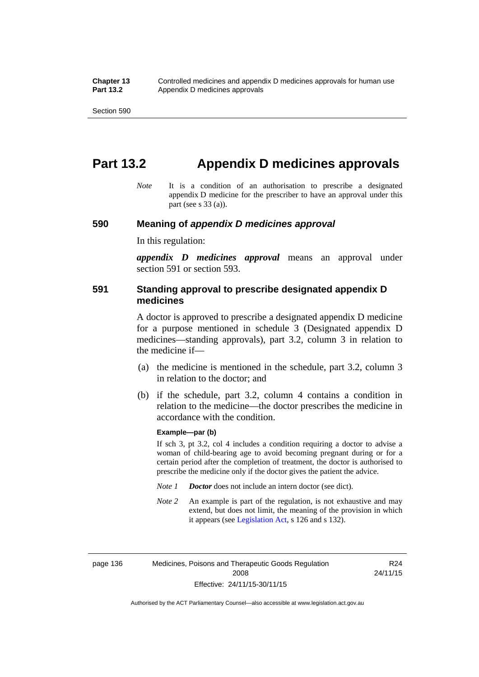# **Part 13.2 Appendix D medicines approvals**

*Note* It is a condition of an authorisation to prescribe a designated appendix D medicine for the prescriber to have an approval under this part (see s 33 (a)).

#### **590 Meaning of** *appendix D medicines approval*

In this regulation:

*appendix D medicines approval* means an approval under section 591 or section 593.

#### **591 Standing approval to prescribe designated appendix D medicines**

A doctor is approved to prescribe a designated appendix D medicine for a purpose mentioned in schedule 3 (Designated appendix D medicines—standing approvals), part 3.2, column 3 in relation to the medicine if—

- (a) the medicine is mentioned in the schedule, part 3.2, column 3 in relation to the doctor; and
- (b) if the schedule, part 3.2, column 4 contains a condition in relation to the medicine—the doctor prescribes the medicine in accordance with the condition.

#### **Example—par (b)**

If sch 3, pt 3.2, col 4 includes a condition requiring a doctor to advise a woman of child-bearing age to avoid becoming pregnant during or for a certain period after the completion of treatment, the doctor is authorised to prescribe the medicine only if the doctor gives the patient the advice.

- *Note 1 Doctor* does not include an intern doctor (see dict).
- *Note 2* An example is part of the regulation, is not exhaustive and may extend, but does not limit, the meaning of the provision in which it appears (see [Legislation Act,](http://www.legislation.act.gov.au/a/2001-14) s 126 and s 132).

page 136 Medicines, Poisons and Therapeutic Goods Regulation 2008 Effective: 24/11/15-30/11/15

R24 24/11/15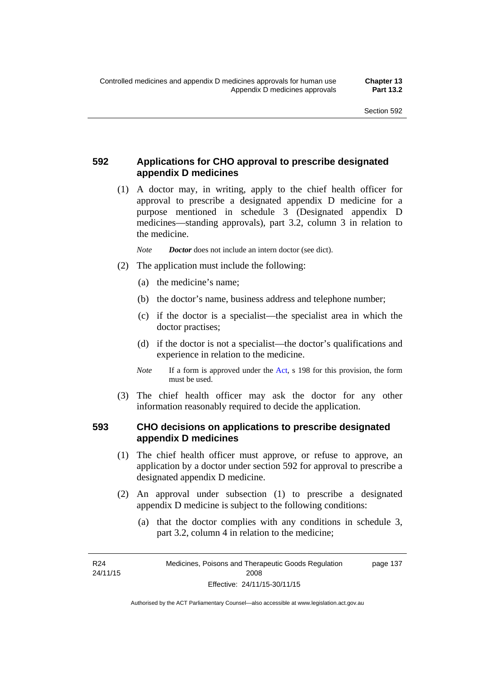### **592 Applications for CHO approval to prescribe designated appendix D medicines**

 (1) A doctor may, in writing, apply to the chief health officer for approval to prescribe a designated appendix D medicine for a purpose mentioned in schedule 3 (Designated appendix D medicines—standing approvals), part 3.2, column 3 in relation to the medicine.

*Note Doctor* does not include an intern doctor (see dict).

- (2) The application must include the following:
	- (a) the medicine's name;
	- (b) the doctor's name, business address and telephone number;
	- (c) if the doctor is a specialist—the specialist area in which the doctor practises;
	- (d) if the doctor is not a specialist—the doctor's qualifications and experience in relation to the medicine.
	- *Note* If a form is approved under the [Act](http://www.legislation.act.gov.au/a/2008-26/default.asp), s 198 for this provision, the form must be used.
- (3) The chief health officer may ask the doctor for any other information reasonably required to decide the application.

#### **593 CHO decisions on applications to prescribe designated appendix D medicines**

- (1) The chief health officer must approve, or refuse to approve, an application by a doctor under section 592 for approval to prescribe a designated appendix D medicine.
- (2) An approval under subsection (1) to prescribe a designated appendix D medicine is subject to the following conditions:
	- (a) that the doctor complies with any conditions in schedule 3, part 3.2, column 4 in relation to the medicine;

R24 24/11/15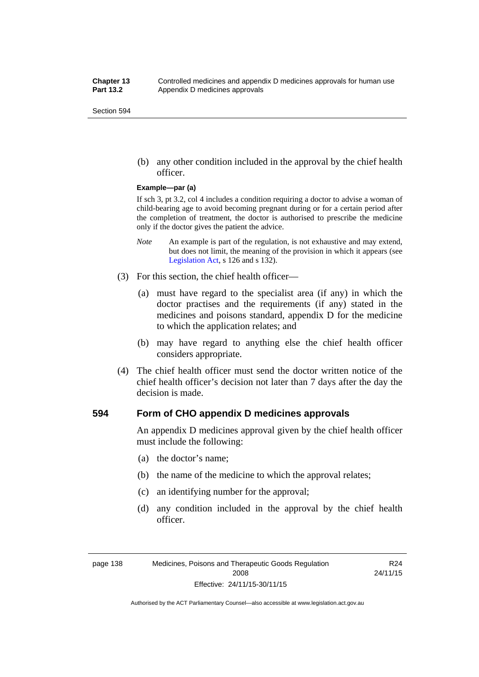(b) any other condition included in the approval by the chief health officer.

#### **Example—par (a)**

If sch 3, pt 3.2, col 4 includes a condition requiring a doctor to advise a woman of child-bearing age to avoid becoming pregnant during or for a certain period after the completion of treatment, the doctor is authorised to prescribe the medicine only if the doctor gives the patient the advice.

- *Note* An example is part of the regulation, is not exhaustive and may extend, but does not limit, the meaning of the provision in which it appears (see [Legislation Act,](http://www.legislation.act.gov.au/a/2001-14) s 126 and s 132).
- (3) For this section, the chief health officer—
	- (a) must have regard to the specialist area (if any) in which the doctor practises and the requirements (if any) stated in the medicines and poisons standard, appendix D for the medicine to which the application relates; and
	- (b) may have regard to anything else the chief health officer considers appropriate.
- (4) The chief health officer must send the doctor written notice of the chief health officer's decision not later than 7 days after the day the decision is made.

#### **594 Form of CHO appendix D medicines approvals**

An appendix D medicines approval given by the chief health officer must include the following:

- (a) the doctor's name;
- (b) the name of the medicine to which the approval relates;
- (c) an identifying number for the approval;
- (d) any condition included in the approval by the chief health officer.

R24 24/11/15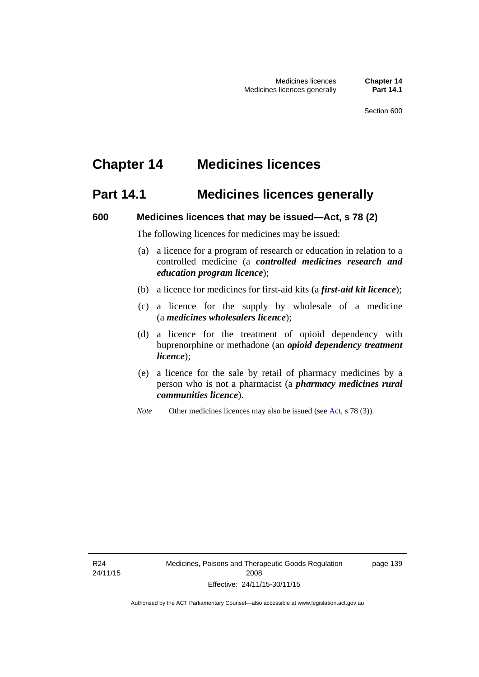# **Chapter 14 Medicines licences**

### **Part 14.1 Medicines licences generally**

#### **600 Medicines licences that may be issued—Act, s 78 (2)**

The following licences for medicines may be issued:

- (a) a licence for a program of research or education in relation to a controlled medicine (a *controlled medicines research and education program licence*);
- (b) a licence for medicines for first-aid kits (a *first-aid kit licence*);
- (c) a licence for the supply by wholesale of a medicine (a *medicines wholesalers licence*);
- (d) a licence for the treatment of opioid dependency with buprenorphine or methadone (an *opioid dependency treatment licence*);
- (e) a licence for the sale by retail of pharmacy medicines by a person who is not a pharmacist (a *pharmacy medicines rural communities licence*).
- *Note* Other medicines licences may also be issued (see [Act,](http://www.legislation.act.gov.au/a/2008-26/default.asp) s 78 (3)).

R24 24/11/15 page 139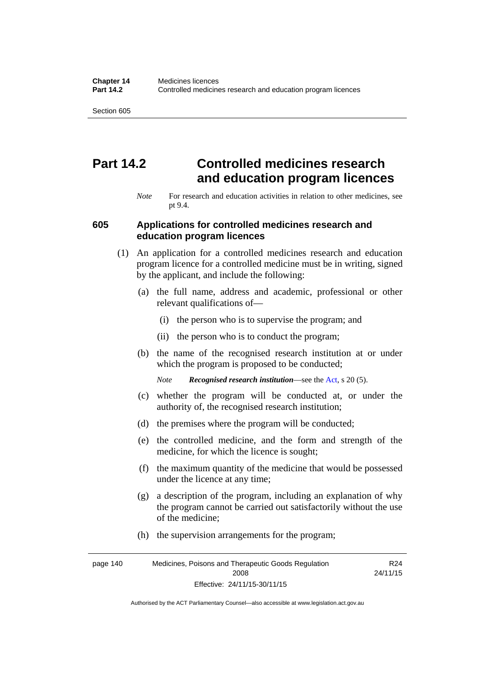# **Part 14.2 Controlled medicines research and education program licences**

*Note* For research and education activities in relation to other medicines, see pt 9.4.

#### **605 Applications for controlled medicines research and education program licences**

- (1) An application for a controlled medicines research and education program licence for a controlled medicine must be in writing, signed by the applicant, and include the following:
	- (a) the full name, address and academic, professional or other relevant qualifications of—
		- (i) the person who is to supervise the program; and
		- (ii) the person who is to conduct the program;
	- (b) the name of the recognised research institution at or under which the program is proposed to be conducted;
		- *Note Recognised research institution*—see the [Act](http://www.legislation.act.gov.au/a/2008-26/default.asp), s 20 (5).
	- (c) whether the program will be conducted at, or under the authority of, the recognised research institution;
	- (d) the premises where the program will be conducted;
	- (e) the controlled medicine, and the form and strength of the medicine, for which the licence is sought;
	- (f) the maximum quantity of the medicine that would be possessed under the licence at any time;
	- (g) a description of the program, including an explanation of why the program cannot be carried out satisfactorily without the use of the medicine;
	- (h) the supervision arrangements for the program;

page 140 Medicines, Poisons and Therapeutic Goods Regulation 2008 Effective: 24/11/15-30/11/15 R24 24/11/15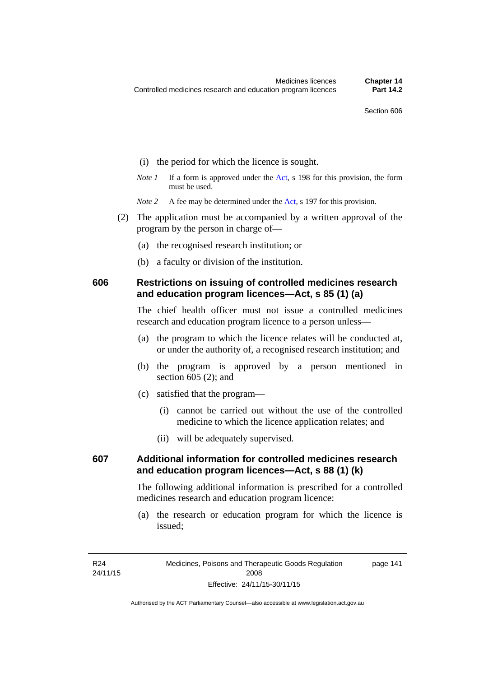- (i) the period for which the licence is sought.
- *Note 1* If a form is approved under the [Act](http://www.legislation.act.gov.au/a/2008-26/default.asp), s 198 for this provision, the form must be used.
- *Note* 2 A fee may be determined under the [Act,](http://www.legislation.act.gov.au/a/2008-26/default.asp) s 197 for this provision.
- (2) The application must be accompanied by a written approval of the program by the person in charge of—
	- (a) the recognised research institution; or
	- (b) a faculty or division of the institution.

#### **606 Restrictions on issuing of controlled medicines research and education program licences—Act, s 85 (1) (a)**

The chief health officer must not issue a controlled medicines research and education program licence to a person unless—

- (a) the program to which the licence relates will be conducted at, or under the authority of, a recognised research institution; and
- (b) the program is approved by a person mentioned in section 605 (2); and
- (c) satisfied that the program—
	- (i) cannot be carried out without the use of the controlled medicine to which the licence application relates; and
	- (ii) will be adequately supervised.

### **607 Additional information for controlled medicines research and education program licences—Act, s 88 (1) (k)**

The following additional information is prescribed for a controlled medicines research and education program licence:

 (a) the research or education program for which the licence is issued;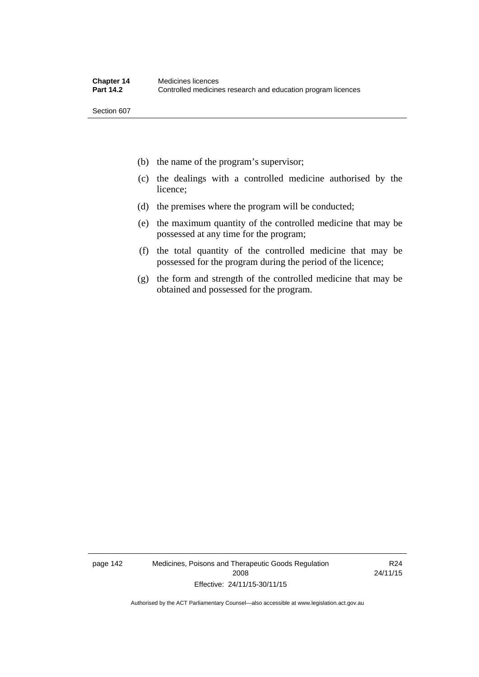- (b) the name of the program's supervisor;
- (c) the dealings with a controlled medicine authorised by the licence;
- (d) the premises where the program will be conducted;
- (e) the maximum quantity of the controlled medicine that may be possessed at any time for the program;
- (f) the total quantity of the controlled medicine that may be possessed for the program during the period of the licence;
- (g) the form and strength of the controlled medicine that may be obtained and possessed for the program.

page 142 Medicines, Poisons and Therapeutic Goods Regulation 2008 Effective: 24/11/15-30/11/15

R24 24/11/15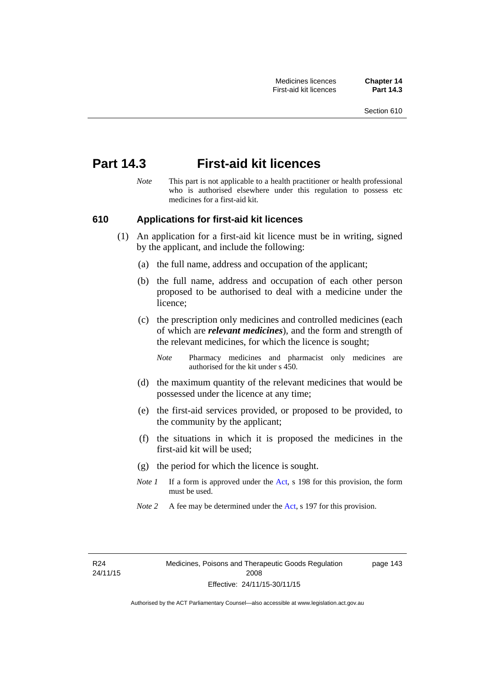### **Part 14.3 First-aid kit licences**

*Note* This part is not applicable to a health practitioner or health professional who is authorised elsewhere under this regulation to possess etc medicines for a first-aid kit.

#### **610 Applications for first-aid kit licences**

- (1) An application for a first-aid kit licence must be in writing, signed by the applicant, and include the following:
	- (a) the full name, address and occupation of the applicant;
	- (b) the full name, address and occupation of each other person proposed to be authorised to deal with a medicine under the licence;
	- (c) the prescription only medicines and controlled medicines (each of which are *relevant medicines*), and the form and strength of the relevant medicines, for which the licence is sought;
		- *Note* Pharmacy medicines and pharmacist only medicines are authorised for the kit under s 450.
	- (d) the maximum quantity of the relevant medicines that would be possessed under the licence at any time;
	- (e) the first-aid services provided, or proposed to be provided, to the community by the applicant;
	- (f) the situations in which it is proposed the medicines in the first-aid kit will be used;
	- (g) the period for which the licence is sought.
	- *Note 1* If a form is approved under the [Act](http://www.legislation.act.gov.au/a/2008-26/default.asp), s 198 for this provision, the form must be used.
	- *Note 2* A fee may be determined under the [Act,](http://www.legislation.act.gov.au/a/2008-26/default.asp) s 197 for this provision.

page 143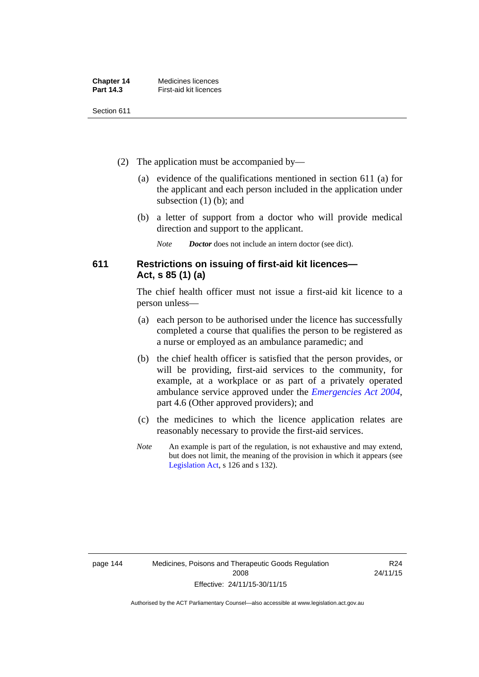| <b>Chapter 14</b> | Medicines licences     |
|-------------------|------------------------|
| Part 14.3         | First-aid kit licences |

- (2) The application must be accompanied by—
	- (a) evidence of the qualifications mentioned in section 611 (a) for the applicant and each person included in the application under subsection (1) (b); and
	- (b) a letter of support from a doctor who will provide medical direction and support to the applicant.
		- *Note Doctor* does not include an intern doctor (see dict).

#### **611 Restrictions on issuing of first-aid kit licences— Act, s 85 (1) (a)**

The chief health officer must not issue a first-aid kit licence to a person unless—

- (a) each person to be authorised under the licence has successfully completed a course that qualifies the person to be registered as a nurse or employed as an ambulance paramedic; and
- (b) the chief health officer is satisfied that the person provides, or will be providing, first-aid services to the community, for example, at a workplace or as part of a privately operated ambulance service approved under the *[Emergencies Act 2004](http://www.legislation.act.gov.au/a/2004-28)*, part 4.6 (Other approved providers); and
- (c) the medicines to which the licence application relates are reasonably necessary to provide the first-aid services.
- *Note* An example is part of the regulation, is not exhaustive and may extend, but does not limit, the meaning of the provision in which it appears (see [Legislation Act,](http://www.legislation.act.gov.au/a/2001-14) s 126 and s 132).

R24 24/11/15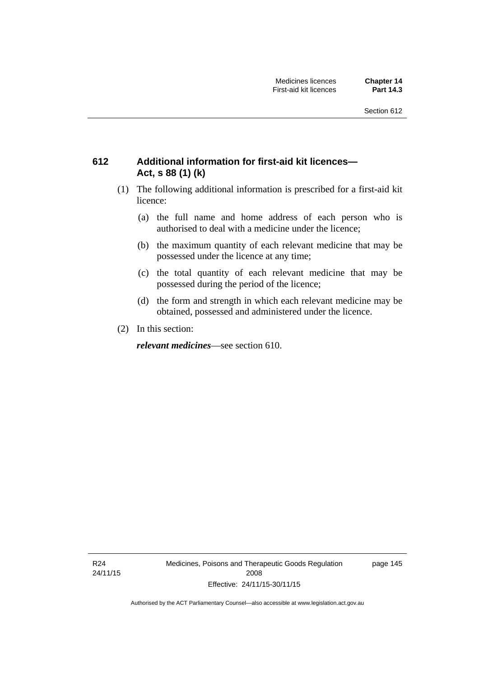### **612 Additional information for first-aid kit licences— Act, s 88 (1) (k)**

- (1) The following additional information is prescribed for a first-aid kit licence:
	- (a) the full name and home address of each person who is authorised to deal with a medicine under the licence;
	- (b) the maximum quantity of each relevant medicine that may be possessed under the licence at any time;
	- (c) the total quantity of each relevant medicine that may be possessed during the period of the licence;
	- (d) the form and strength in which each relevant medicine may be obtained, possessed and administered under the licence.
- (2) In this section:

*relevant medicines*—see section 610.

R24 24/11/15 Medicines, Poisons and Therapeutic Goods Regulation 2008 Effective: 24/11/15-30/11/15

page 145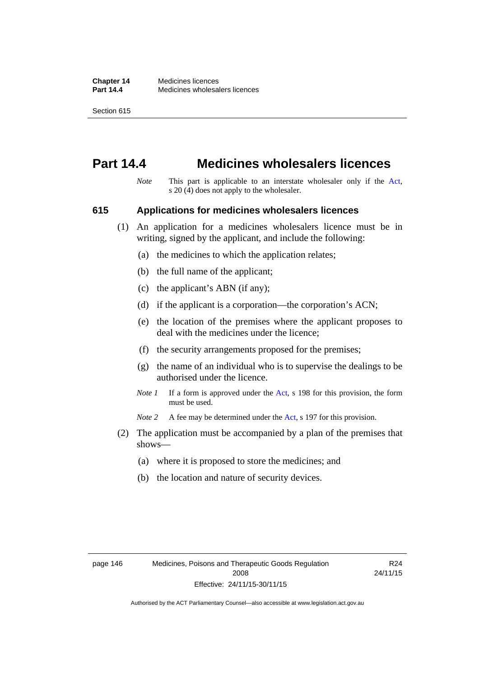# **Part 14.4 Medicines wholesalers licences**

*Note* This part is applicable to an interstate wholesaler only if the [Act,](http://www.legislation.act.gov.au/a/2008-26/default.asp) s 20 (4) does not apply to the wholesaler.

#### **615 Applications for medicines wholesalers licences**

- (1) An application for a medicines wholesalers licence must be in writing, signed by the applicant, and include the following:
	- (a) the medicines to which the application relates;
	- (b) the full name of the applicant;
	- (c) the applicant's ABN (if any);
	- (d) if the applicant is a corporation—the corporation's ACN;
	- (e) the location of the premises where the applicant proposes to deal with the medicines under the licence;
	- (f) the security arrangements proposed for the premises;
	- (g) the name of an individual who is to supervise the dealings to be authorised under the licence.
	- *Note 1* If a form is approved under the [Act](http://www.legislation.act.gov.au/a/2008-26/default.asp), s 198 for this provision, the form must be used.

*Note* 2 A fee may be determined under the [Act,](http://www.legislation.act.gov.au/a/2008-26/default.asp) s 197 for this provision.

- (2) The application must be accompanied by a plan of the premises that shows—
	- (a) where it is proposed to store the medicines; and
	- (b) the location and nature of security devices.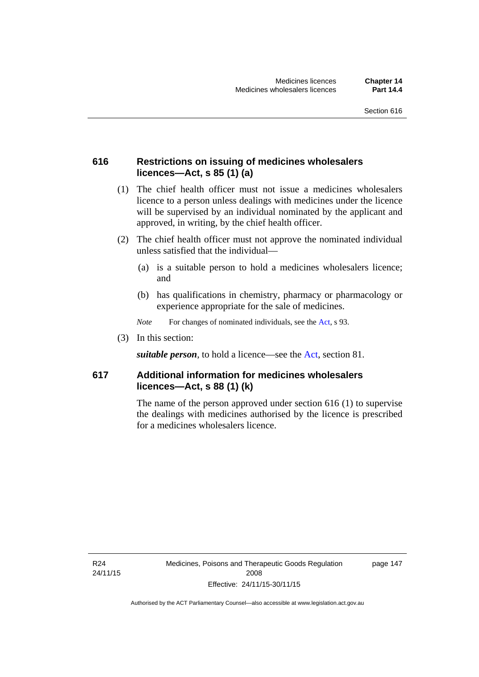#### **616 Restrictions on issuing of medicines wholesalers licences—Act, s 85 (1) (a)**

- (1) The chief health officer must not issue a medicines wholesalers licence to a person unless dealings with medicines under the licence will be supervised by an individual nominated by the applicant and approved, in writing, by the chief health officer.
- (2) The chief health officer must not approve the nominated individual unless satisfied that the individual—
	- (a) is a suitable person to hold a medicines wholesalers licence; and
	- (b) has qualifications in chemistry, pharmacy or pharmacology or experience appropriate for the sale of medicines.
	- *Note* For changes of nominated individuals, see the [Act,](http://www.legislation.act.gov.au/a/2008-26/default.asp) s 93.
- (3) In this section:

*suitable person*, to hold a licence—see the [Act](http://www.legislation.act.gov.au/a/2008-26/default.asp), section 81.

### **617 Additional information for medicines wholesalers licences—Act, s 88 (1) (k)**

The name of the person approved under section 616 (1) to supervise the dealings with medicines authorised by the licence is prescribed for a medicines wholesalers licence.

R24 24/11/15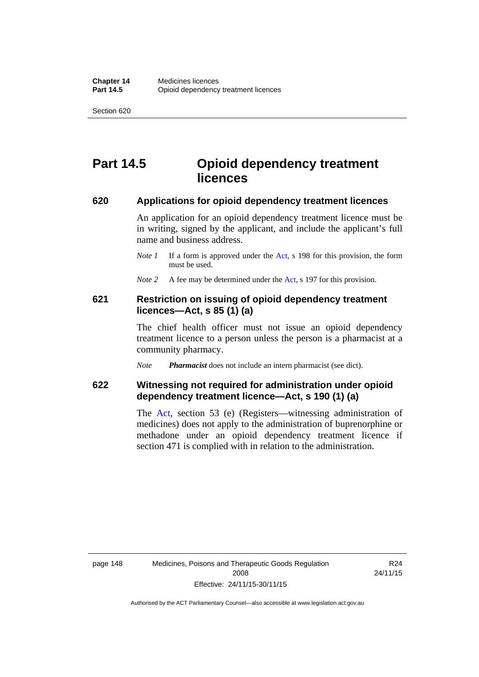# **Part 14.5 Opioid dependency treatment licences**

#### **620 Applications for opioid dependency treatment licences**

An application for an opioid dependency treatment licence must be in writing, signed by the applicant, and include the applicant's full name and business address.

- *Note 1* If a form is approved under the [Act](http://www.legislation.act.gov.au/a/2008-26/default.asp), s 198 for this provision, the form must be used.
- *Note 2* A fee may be determined under the [Act,](http://www.legislation.act.gov.au/a/2008-26/default.asp) s 197 for this provision.

#### **621 Restriction on issuing of opioid dependency treatment licences—Act, s 85 (1) (a)**

The chief health officer must not issue an opioid dependency treatment licence to a person unless the person is a pharmacist at a community pharmacy.

*Note Pharmacist* does not include an intern pharmacist (see dict).

#### **622 Witnessing not required for administration under opioid dependency treatment licence—Act, s 190 (1) (a)**

The [Act,](http://www.legislation.act.gov.au/a/2008-26/default.asp) section 53 (e) (Registers—witnessing administration of medicines) does not apply to the administration of buprenorphine or methadone under an opioid dependency treatment licence if section 471 is complied with in relation to the administration.

R24 24/11/15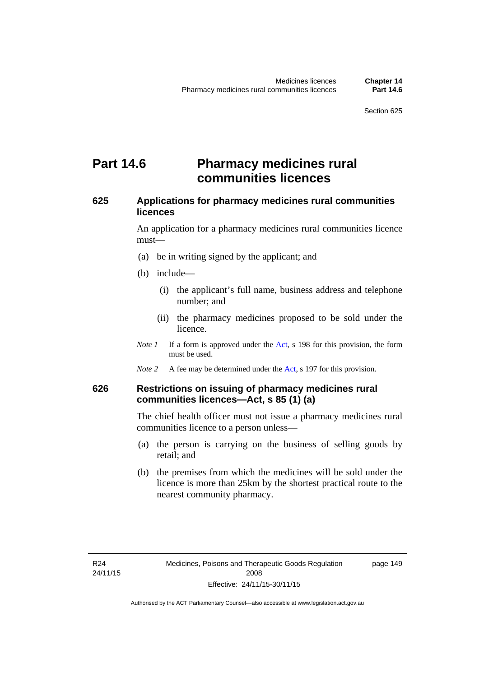### **Part 14.6 Pharmacy medicines rural communities licences**

#### **625 Applications for pharmacy medicines rural communities licences**

An application for a pharmacy medicines rural communities licence must—

- (a) be in writing signed by the applicant; and
- (b) include—
	- (i) the applicant's full name, business address and telephone number; and
	- (ii) the pharmacy medicines proposed to be sold under the licence.
- *Note 1* If a form is approved under the [Act](http://www.legislation.act.gov.au/a/2008-26/default.asp), s 198 for this provision, the form must be used.
- *Note 2* A fee may be determined under the [Act,](http://www.legislation.act.gov.au/a/2008-26/default.asp) s 197 for this provision.

#### **626 Restrictions on issuing of pharmacy medicines rural communities licences—Act, s 85 (1) (a)**

The chief health officer must not issue a pharmacy medicines rural communities licence to a person unless—

- (a) the person is carrying on the business of selling goods by retail; and
- (b) the premises from which the medicines will be sold under the licence is more than 25km by the shortest practical route to the nearest community pharmacy.

page 149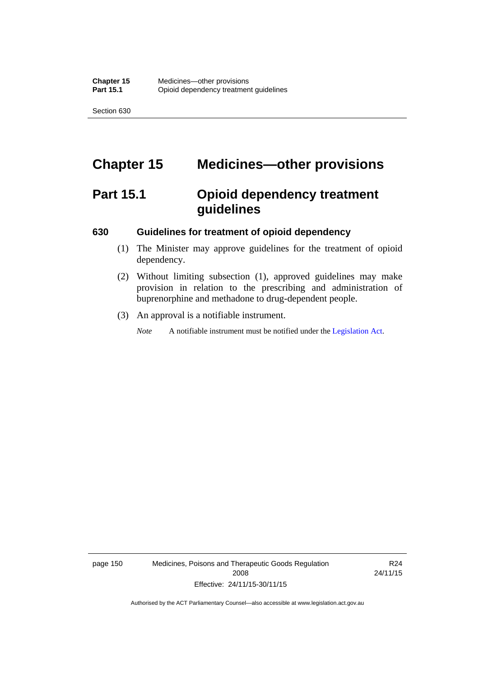# **Chapter 15 Medicines—other provisions**

# **Part 15.1 Opioid dependency treatment guidelines**

#### **630 Guidelines for treatment of opioid dependency**

- (1) The Minister may approve guidelines for the treatment of opioid dependency.
- (2) Without limiting subsection (1), approved guidelines may make provision in relation to the prescribing and administration of buprenorphine and methadone to drug-dependent people.
- (3) An approval is a notifiable instrument.

*Note* A notifiable instrument must be notified under the [Legislation Act](http://www.legislation.act.gov.au/a/2001-14).

page 150 Medicines, Poisons and Therapeutic Goods Regulation 2008 Effective: 24/11/15-30/11/15

R24 24/11/15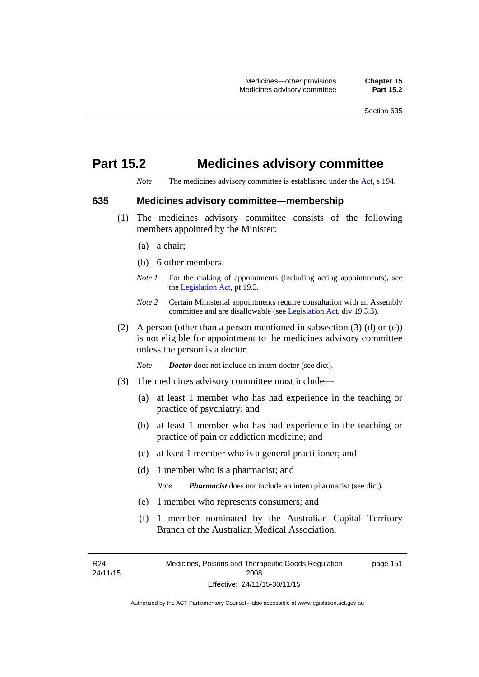## **Part 15.2 Medicines advisory committee**

*Note* The medicines advisory committee is established under the [Act](http://www.legislation.act.gov.au/a/2008-26/default.asp), s 194.

#### **635 Medicines advisory committee—membership**

- (1) The medicines advisory committee consists of the following members appointed by the Minister:
	- (a) a chair;
	- (b) 6 other members.
	- *Note 1* For the making of appointments (including acting appointments), see the [Legislation Act,](http://www.legislation.act.gov.au/a/2001-14) pt 19.3.
	- *Note 2* Certain Ministerial appointments require consultation with an Assembly committee and are disallowable (see [Legislation Act,](http://www.legislation.act.gov.au/a/2001-14) div 19.3.3).
- (2) A person (other than a person mentioned in subsection  $(3)$  (d) or  $(e)$ ) is not eligible for appointment to the medicines advisory committee unless the person is a doctor.

*Note Doctor* does not include an intern doctor (see dict).

- (3) The medicines advisory committee must include—
	- (a) at least 1 member who has had experience in the teaching or practice of psychiatry; and
	- (b) at least 1 member who has had experience in the teaching or practice of pain or addiction medicine; and
	- (c) at least 1 member who is a general practitioner; and
	- (d) 1 member who is a pharmacist; and

*Note Pharmacist* does not include an intern pharmacist (see dict).

- (e) 1 member who represents consumers; and
- (f) 1 member nominated by the Australian Capital Territory Branch of the Australian Medical Association.

 $R24$ 24/11/15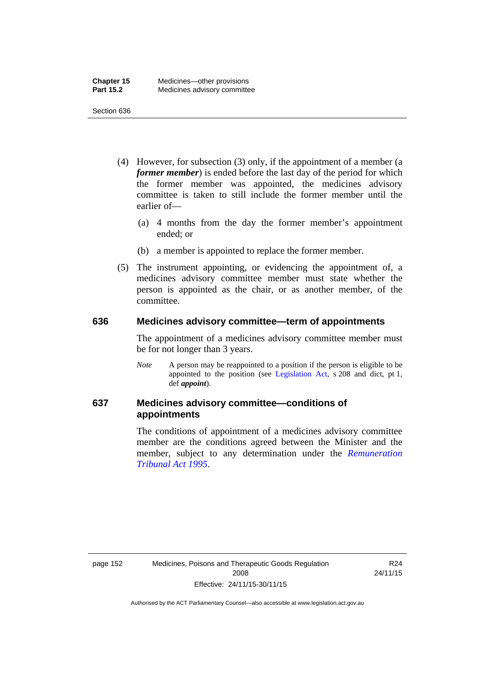- (4) However, for subsection (3) only, if the appointment of a member (a *former member*) is ended before the last day of the period for which the former member was appointed, the medicines advisory committee is taken to still include the former member until the earlier of—
	- (a) 4 months from the day the former member's appointment ended; or
	- (b) a member is appointed to replace the former member.
- (5) The instrument appointing, or evidencing the appointment of, a medicines advisory committee member must state whether the person is appointed as the chair, or as another member, of the committee.

#### **636 Medicines advisory committee—term of appointments**

The appointment of a medicines advisory committee member must be for not longer than 3 years.

*Note* A person may be reappointed to a position if the person is eligible to be appointed to the position (see [Legislation Act,](http://www.legislation.act.gov.au/a/2001-14) s 208 and dict, pt 1, def *appoint*).

### **637 Medicines advisory committee—conditions of appointments**

The conditions of appointment of a medicines advisory committee member are the conditions agreed between the Minister and the member, subject to any determination under the *[Remuneration](http://www.legislation.act.gov.au/a/1995-55)  [Tribunal Act 1995](http://www.legislation.act.gov.au/a/1995-55)*.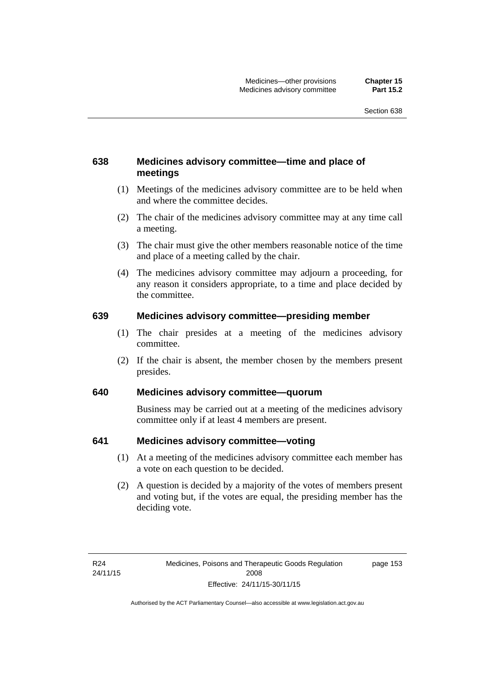### **638 Medicines advisory committee—time and place of meetings**

- (1) Meetings of the medicines advisory committee are to be held when and where the committee decides.
- (2) The chair of the medicines advisory committee may at any time call a meeting.
- (3) The chair must give the other members reasonable notice of the time and place of a meeting called by the chair.
- (4) The medicines advisory committee may adjourn a proceeding, for any reason it considers appropriate, to a time and place decided by the committee.

#### **639 Medicines advisory committee—presiding member**

- (1) The chair presides at a meeting of the medicines advisory committee.
- (2) If the chair is absent, the member chosen by the members present presides.

#### **640 Medicines advisory committee—quorum**

Business may be carried out at a meeting of the medicines advisory committee only if at least 4 members are present.

#### **641 Medicines advisory committee—voting**

- (1) At a meeting of the medicines advisory committee each member has a vote on each question to be decided.
- (2) A question is decided by a majority of the votes of members present and voting but, if the votes are equal, the presiding member has the deciding vote.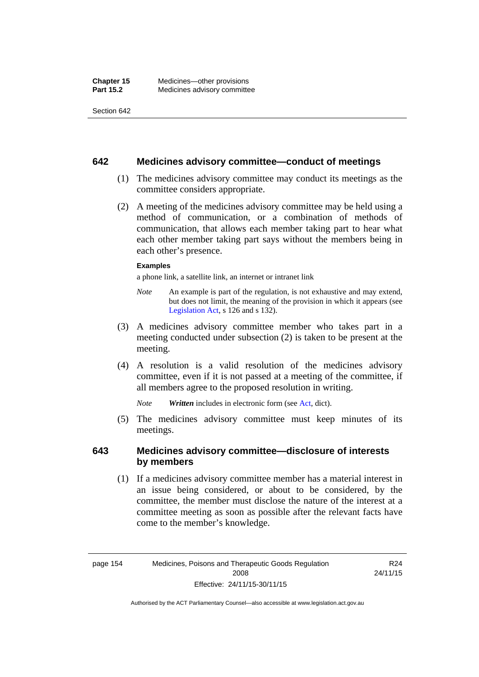#### **642 Medicines advisory committee—conduct of meetings**

- (1) The medicines advisory committee may conduct its meetings as the committee considers appropriate.
- (2) A meeting of the medicines advisory committee may be held using a method of communication, or a combination of methods of communication, that allows each member taking part to hear what each other member taking part says without the members being in each other's presence.

#### **Examples**

a phone link, a satellite link, an internet or intranet link

- *Note* An example is part of the regulation, is not exhaustive and may extend, but does not limit, the meaning of the provision in which it appears (see [Legislation Act,](http://www.legislation.act.gov.au/a/2001-14) s 126 and s 132).
- (3) A medicines advisory committee member who takes part in a meeting conducted under subsection (2) is taken to be present at the meeting.
- (4) A resolution is a valid resolution of the medicines advisory committee, even if it is not passed at a meeting of the committee, if all members agree to the proposed resolution in writing.

*Note Written* includes in electronic form (see [Act,](http://www.legislation.act.gov.au/a/2008-26/default.asp) dict).

 (5) The medicines advisory committee must keep minutes of its meetings.

#### **643 Medicines advisory committee—disclosure of interests by members**

 (1) If a medicines advisory committee member has a material interest in an issue being considered, or about to be considered, by the committee, the member must disclose the nature of the interest at a committee meeting as soon as possible after the relevant facts have come to the member's knowledge.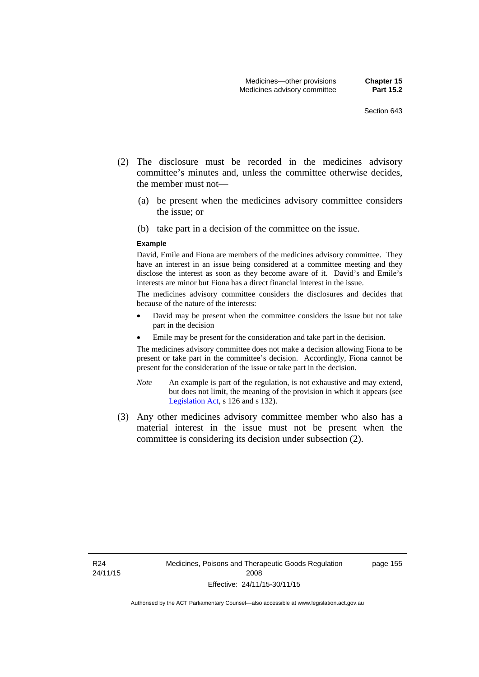- (2) The disclosure must be recorded in the medicines advisory committee's minutes and, unless the committee otherwise decides, the member must not—
	- (a) be present when the medicines advisory committee considers the issue; or
	- (b) take part in a decision of the committee on the issue.

#### **Example**

David, Emile and Fiona are members of the medicines advisory committee. They have an interest in an issue being considered at a committee meeting and they disclose the interest as soon as they become aware of it. David's and Emile's interests are minor but Fiona has a direct financial interest in the issue.

The medicines advisory committee considers the disclosures and decides that because of the nature of the interests:

- David may be present when the committee considers the issue but not take part in the decision
- Emile may be present for the consideration and take part in the decision.

The medicines advisory committee does not make a decision allowing Fiona to be present or take part in the committee's decision. Accordingly, Fiona cannot be present for the consideration of the issue or take part in the decision.

- *Note* An example is part of the regulation, is not exhaustive and may extend, but does not limit, the meaning of the provision in which it appears (see [Legislation Act,](http://www.legislation.act.gov.au/a/2001-14) s 126 and s 132).
- (3) Any other medicines advisory committee member who also has a material interest in the issue must not be present when the committee is considering its decision under subsection (2).

page 155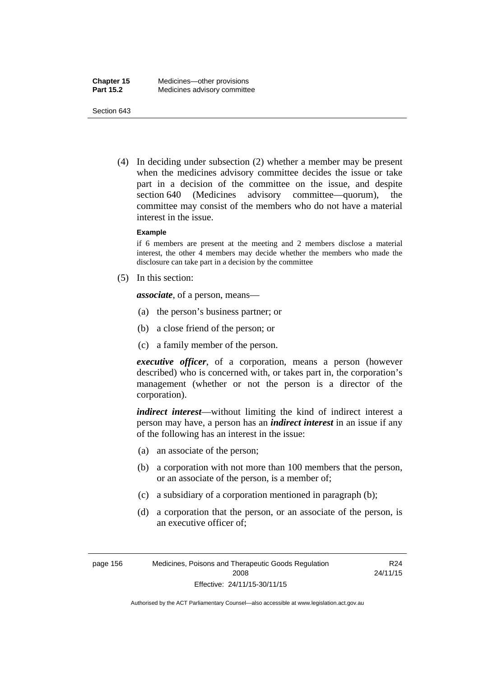(4) In deciding under subsection (2) whether a member may be present when the medicines advisory committee decides the issue or take part in a decision of the committee on the issue, and despite section 640 (Medicines advisory committee—quorum), the committee may consist of the members who do not have a material interest in the issue.

#### **Example**

if 6 members are present at the meeting and 2 members disclose a material interest, the other 4 members may decide whether the members who made the disclosure can take part in a decision by the committee

(5) In this section:

*associate*, of a person, means—

- (a) the person's business partner; or
- (b) a close friend of the person; or
- (c) a family member of the person.

*executive officer*, of a corporation, means a person (however described) who is concerned with, or takes part in, the corporation's management (whether or not the person is a director of the corporation).

*indirect interest*—without limiting the kind of indirect interest a person may have, a person has an *indirect interest* in an issue if any of the following has an interest in the issue:

- (a) an associate of the person;
- (b) a corporation with not more than 100 members that the person, or an associate of the person, is a member of;
- (c) a subsidiary of a corporation mentioned in paragraph (b);
- (d) a corporation that the person, or an associate of the person, is an executive officer of;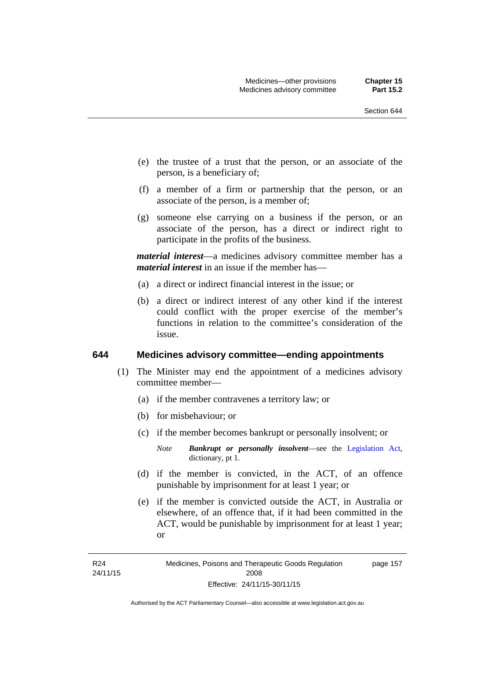- (e) the trustee of a trust that the person, or an associate of the person, is a beneficiary of;
- (f) a member of a firm or partnership that the person, or an associate of the person, is a member of;
- (g) someone else carrying on a business if the person, or an associate of the person, has a direct or indirect right to participate in the profits of the business.

*material interest*—a medicines advisory committee member has a *material interest* in an issue if the member has—

- (a) a direct or indirect financial interest in the issue; or
- (b) a direct or indirect interest of any other kind if the interest could conflict with the proper exercise of the member's functions in relation to the committee's consideration of the issue.

#### **644 Medicines advisory committee—ending appointments**

- (1) The Minister may end the appointment of a medicines advisory committee member—
	- (a) if the member contravenes a territory law; or
	- (b) for misbehaviour; or
	- (c) if the member becomes bankrupt or personally insolvent; or
		- *Note Bankrupt or personally insolvent*—see the [Legislation Act,](http://www.legislation.act.gov.au/a/2001-14) dictionary, pt 1.
	- (d) if the member is convicted, in the ACT, of an offence punishable by imprisonment for at least 1 year; or
	- (e) if the member is convicted outside the ACT, in Australia or elsewhere, of an offence that, if it had been committed in the ACT, would be punishable by imprisonment for at least 1 year; or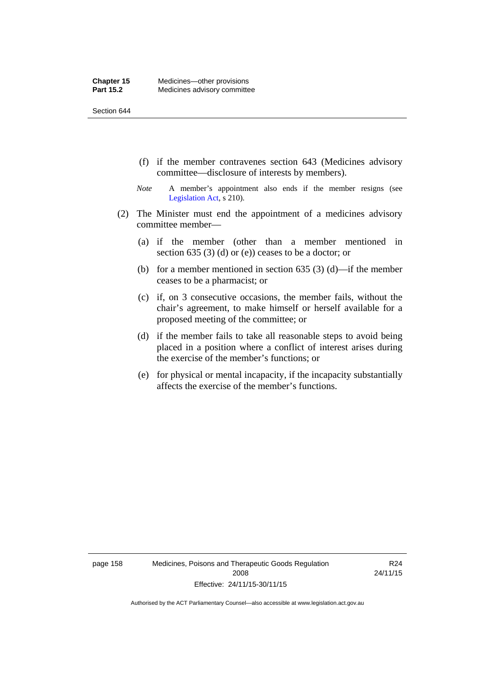- (f) if the member contravenes section 643 (Medicines advisory committee—disclosure of interests by members).
- *Note* A member's appointment also ends if the member resigns (see [Legislation Act,](http://www.legislation.act.gov.au/a/2001-14) s 210).
- (2) The Minister must end the appointment of a medicines advisory committee member—
	- (a) if the member (other than a member mentioned in section 635 (3) (d) or (e)) ceases to be a doctor; or
	- (b) for a member mentioned in section 635 (3) (d)—if the member ceases to be a pharmacist; or
	- (c) if, on 3 consecutive occasions, the member fails, without the chair's agreement, to make himself or herself available for a proposed meeting of the committee; or
	- (d) if the member fails to take all reasonable steps to avoid being placed in a position where a conflict of interest arises during the exercise of the member's functions; or
	- (e) for physical or mental incapacity, if the incapacity substantially affects the exercise of the member's functions.

page 158 Medicines, Poisons and Therapeutic Goods Regulation 2008 Effective: 24/11/15-30/11/15

R24 24/11/15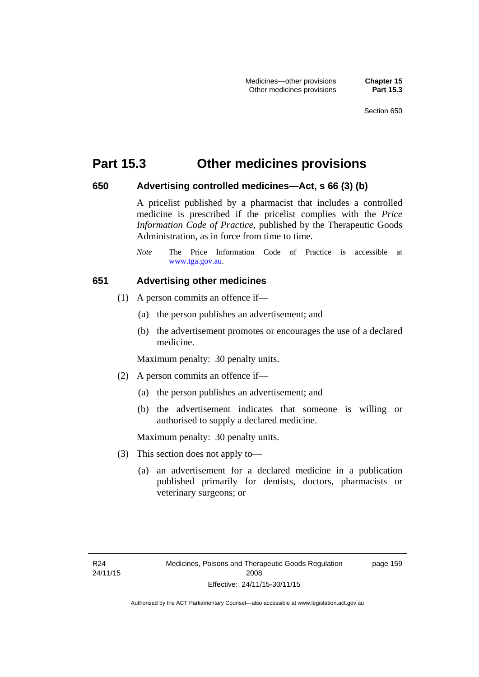### **Part 15.3 Other medicines provisions**

#### **650 Advertising controlled medicines—Act, s 66 (3) (b)**

A pricelist published by a pharmacist that includes a controlled medicine is prescribed if the pricelist complies with the *Price Information Code of Practice*, published by the Therapeutic Goods Administration, as in force from time to time.

#### **651 Advertising other medicines**

- (1) A person commits an offence if—
	- (a) the person publishes an advertisement; and
	- (b) the advertisement promotes or encourages the use of a declared medicine.

Maximum penalty: 30 penalty units.

- (2) A person commits an offence if—
	- (a) the person publishes an advertisement; and
	- (b) the advertisement indicates that someone is willing or authorised to supply a declared medicine.

Maximum penalty: 30 penalty units.

- (3) This section does not apply to—
	- (a) an advertisement for a declared medicine in a publication published primarily for dentists, doctors, pharmacists or veterinary surgeons; or

page 159

*Note* The Price Information Code of Practice is accessible at [www.tga.gov.au.](http://www.tga.gov.au/)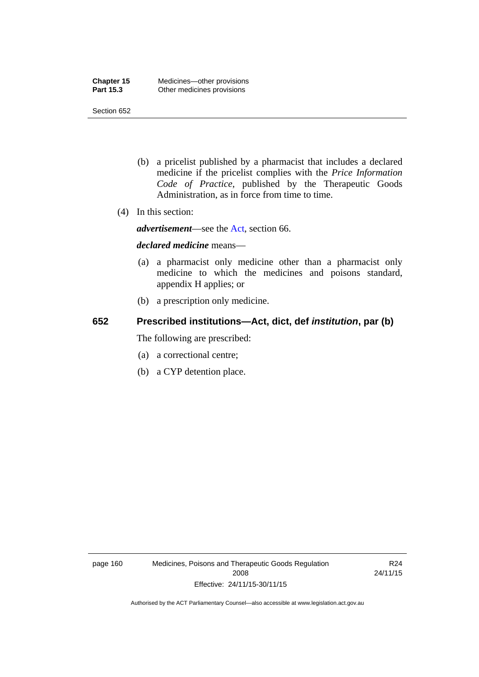- (b) a pricelist published by a pharmacist that includes a declared medicine if the pricelist complies with the *Price Information Code of Practice*, published by the Therapeutic Goods Administration, as in force from time to time.
- (4) In this section:

*advertisement*—see the [Act,](http://www.legislation.act.gov.au/a/2008-26/default.asp) section 66.

#### *declared medicine* means—

- (a) a pharmacist only medicine other than a pharmacist only medicine to which the medicines and poisons standard, appendix H applies; or
- (b) a prescription only medicine.

### **652 Prescribed institutions—Act, dict, def** *institution***, par (b)**

The following are prescribed:

- (a) a correctional centre;
- (b) a CYP detention place.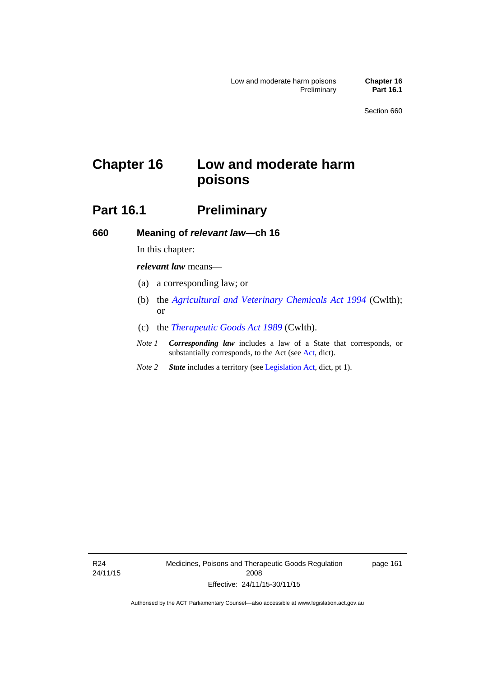# **Chapter 16 Low and moderate harm poisons**

# **Part 16.1** Preliminary

**660 Meaning of** *relevant law***—ch 16** 

In this chapter:

*relevant law* means—

- (a) a corresponding law; or
- (b) the *[Agricultural and Veterinary Chemicals Act 1994](http://www.comlaw.gov.au/Series/C2004A04712)* (Cwlth); or
- (c) the *[Therapeutic Goods Act 1989](http://www.comlaw.gov.au/Series/C2004A03952)* (Cwlth).
- *Note 1 Corresponding law* includes a law of a State that corresponds, or substantially corresponds, to the Act (see [Act](http://www.legislation.act.gov.au/a/2008-26/default.asp), dict).
- *Note 2 State* includes a territory (see [Legislation Act,](http://www.legislation.act.gov.au/a/2001-14) dict, pt 1).

R24 24/11/15 Medicines, Poisons and Therapeutic Goods Regulation 2008 Effective: 24/11/15-30/11/15

page 161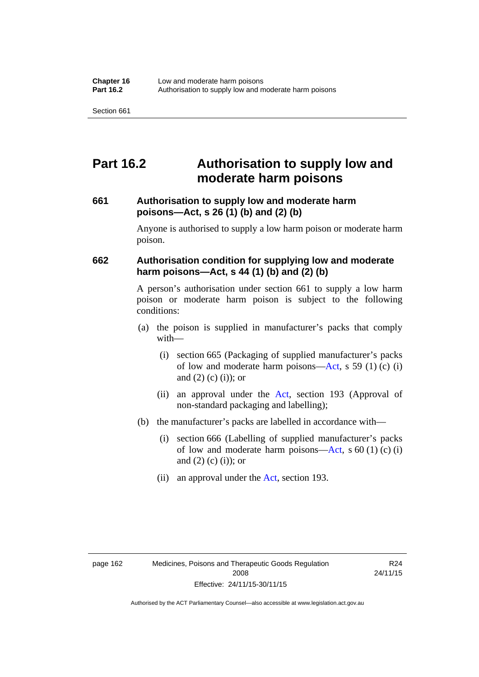# **Part 16.2 Authorisation to supply low and moderate harm poisons**

#### **661 Authorisation to supply low and moderate harm poisons—Act, s 26 (1) (b) and (2) (b)**

Anyone is authorised to supply a low harm poison or moderate harm poison.

#### **662 Authorisation condition for supplying low and moderate harm poisons—Act, s 44 (1) (b) and (2) (b)**

A person's authorisation under section 661 to supply a low harm poison or moderate harm poison is subject to the following conditions:

- (a) the poison is supplied in manufacturer's packs that comply with—
	- (i) section 665 (Packaging of supplied manufacturer's packs of low and moderate harm poisons—[Act](http://www.legislation.act.gov.au/a/2008-26/default.asp), s 59 (1) (c) (i) and  $(2)$  (c) (i)); or
	- (ii) an approval under the [Act](http://www.legislation.act.gov.au/a/2008-26/default.asp), section 193 (Approval of non-standard packaging and labelling);
- (b) the manufacturer's packs are labelled in accordance with—
	- (i) section 666 (Labelling of supplied manufacturer's packs of low and moderate harm poisons—[Act](http://www.legislation.act.gov.au/a/2008-26/default.asp), s  $60(1)(c)(i)$ and  $(2)$  (c)  $(i)$ ; or
	- (ii) an approval under the [Act,](http://www.legislation.act.gov.au/a/2008-26/default.asp) section 193.

R24 24/11/15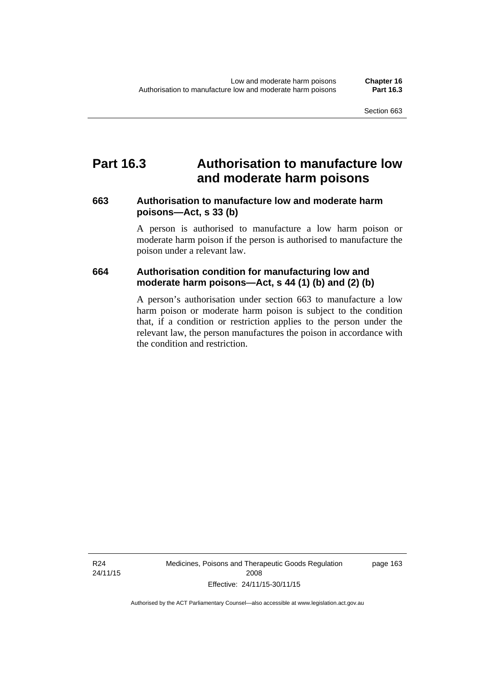### **Part 16.3 Authorisation to manufacture low and moderate harm poisons**

#### **663 Authorisation to manufacture low and moderate harm poisons—Act, s 33 (b)**

A person is authorised to manufacture a low harm poison or moderate harm poison if the person is authorised to manufacture the poison under a relevant law.

### **664 Authorisation condition for manufacturing low and moderate harm poisons—Act, s 44 (1) (b) and (2) (b)**

A person's authorisation under section 663 to manufacture a low harm poison or moderate harm poison is subject to the condition that, if a condition or restriction applies to the person under the relevant law, the person manufactures the poison in accordance with the condition and restriction.

Medicines, Poisons and Therapeutic Goods Regulation 2008 Effective: 24/11/15-30/11/15

page 163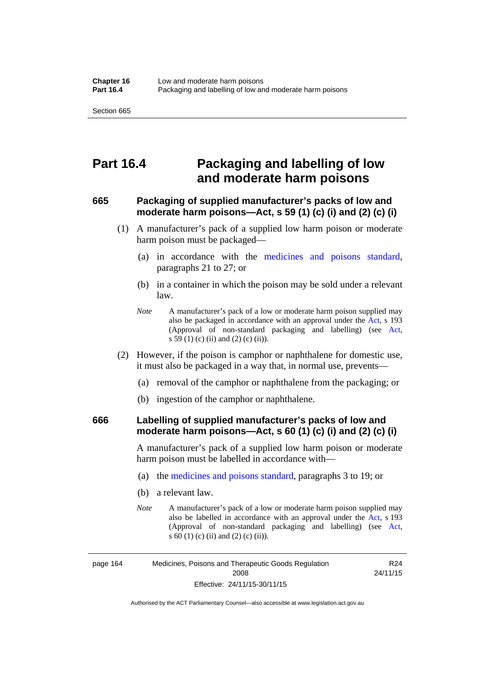### **Part 16.4 Packaging and labelling of low and moderate harm poisons**

#### **665 Packaging of supplied manufacturer's packs of low and moderate harm poisons—Act, s 59 (1) (c) (i) and (2) (c) (i)**

- (1) A manufacturer's pack of a supplied low harm poison or moderate harm poison must be packaged—
	- (a) in accordance with the [medicines and poisons standard](http://www.comlaw.gov.au/Series/F2012L01200), paragraphs 21 to 27; or
	- (b) in a container in which the poison may be sold under a relevant law.
	- *Note* A manufacturer's pack of a low or moderate harm poison supplied may also be packaged in accordance with an approval under the [Act](http://www.legislation.act.gov.au/a/2008-26/default.asp), s 193 (Approval of non-standard packaging and labelling) (see [Act,](http://www.legislation.act.gov.au/a/2008-26/default.asp) s 59 (1) (c) (ii) and (2) (c) (ii)).
- (2) However, if the poison is camphor or naphthalene for domestic use, it must also be packaged in a way that, in normal use, prevents—
	- (a) removal of the camphor or naphthalene from the packaging; or
	- (b) ingestion of the camphor or naphthalene.

#### **666 Labelling of supplied manufacturer's packs of low and moderate harm poisons—Act, s 60 (1) (c) (i) and (2) (c) (i)**

A manufacturer's pack of a supplied low harm poison or moderate harm poison must be labelled in accordance with—

- (a) the [medicines and poisons standard](http://www.comlaw.gov.au/Series/F2012L01200), paragraphs 3 to 19; or
- (b) a relevant law.
- *Note* A manufacturer's pack of a low or moderate harm poison supplied may also be labelled in accordance with an approval under the [Act](http://www.legislation.act.gov.au/a/2008-26/default.asp), s 193 (Approval of non-standard packaging and labelling) (see [Act,](http://www.legislation.act.gov.au/a/2008-26/default.asp) s 60 (1) (c) (ii) and (2) (c) (ii)).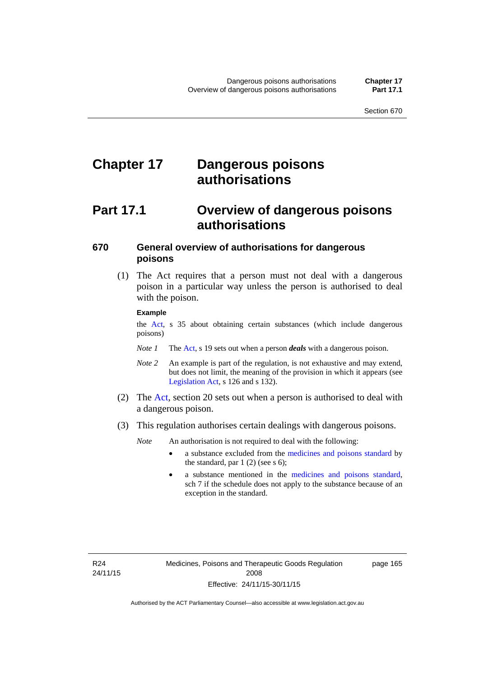# **Chapter 17 Dangerous poisons authorisations**

## **Part 17.1 Overview of dangerous poisons authorisations**

### **670 General overview of authorisations for dangerous poisons**

 (1) The Act requires that a person must not deal with a dangerous poison in a particular way unless the person is authorised to deal with the poison.

#### **Example**

the [Act,](http://www.legislation.act.gov.au/a/2008-26/default.asp) s 35 about obtaining certain substances (which include dangerous poisons)

- *Note 1* The [Act,](http://www.legislation.act.gov.au/a/2008-26/default.asp) s 19 sets out when a person *deals* with a dangerous poison.
- *Note 2* An example is part of the regulation, is not exhaustive and may extend, but does not limit, the meaning of the provision in which it appears (see [Legislation Act,](http://www.legislation.act.gov.au/a/2001-14) s 126 and s 132).
- (2) The [Act](http://www.legislation.act.gov.au/a/2008-26/default.asp), section 20 sets out when a person is authorised to deal with a dangerous poison.
- (3) This regulation authorises certain dealings with dangerous poisons.

*Note* An authorisation is not required to deal with the following:

- a substance excluded from the [medicines and poisons standard](http://www.comlaw.gov.au/Series/F2012L01200) by the standard, par  $1(2)$  (see s 6);
- a substance mentioned in the [medicines and poisons standard,](http://www.comlaw.gov.au/Series/F2012L01200) sch 7 if the schedule does not apply to the substance because of an exception in the standard.

R24 24/11/15 page 165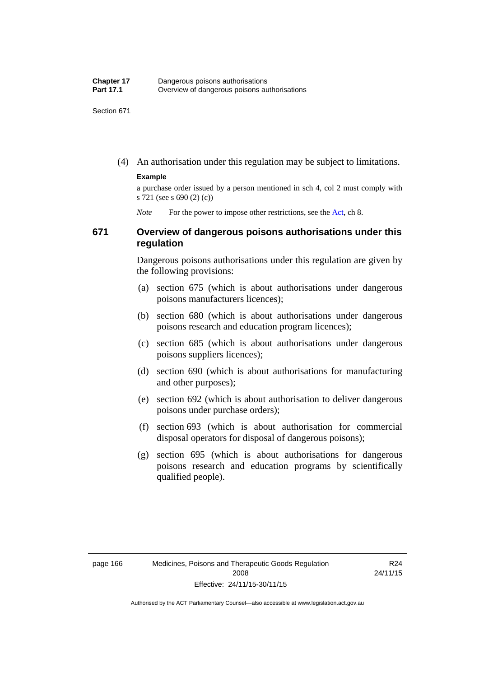(4) An authorisation under this regulation may be subject to limitations.

#### **Example**

a purchase order issued by a person mentioned in sch 4, col 2 must comply with s 721 (see s 690 (2) (c))

*Note* For the power to impose other restrictions, see the [Act](http://www.legislation.act.gov.au/a/2008-26/default.asp), ch 8.

#### **671 Overview of dangerous poisons authorisations under this regulation**

Dangerous poisons authorisations under this regulation are given by the following provisions:

- (a) section 675 (which is about authorisations under dangerous poisons manufacturers licences);
- (b) section 680 (which is about authorisations under dangerous poisons research and education program licences);
- (c) section 685 (which is about authorisations under dangerous poisons suppliers licences);
- (d) section 690 (which is about authorisations for manufacturing and other purposes);
- (e) section 692 (which is about authorisation to deliver dangerous poisons under purchase orders);
- (f) section 693 (which is about authorisation for commercial disposal operators for disposal of dangerous poisons);
- (g) section 695 (which is about authorisations for dangerous poisons research and education programs by scientifically qualified people).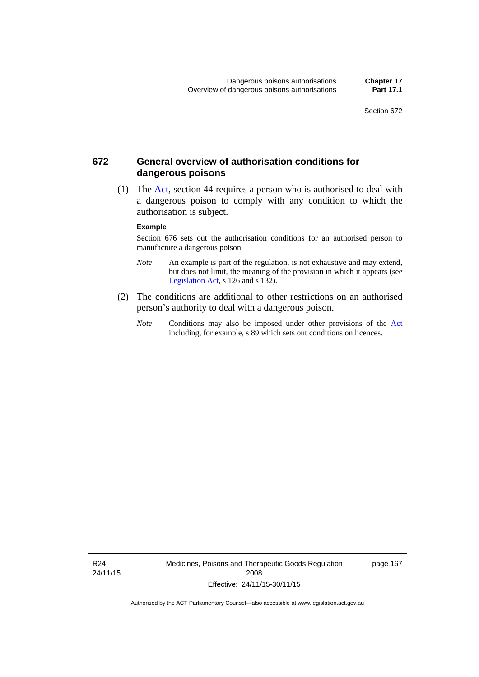#### **672 General overview of authorisation conditions for dangerous poisons**

 (1) The [Act](http://www.legislation.act.gov.au/a/2008-26/default.asp), section 44 requires a person who is authorised to deal with a dangerous poison to comply with any condition to which the authorisation is subject.

#### **Example**

Section 676 sets out the authorisation conditions for an authorised person to manufacture a dangerous poison.

- *Note* An example is part of the regulation, is not exhaustive and may extend, but does not limit, the meaning of the provision in which it appears (see [Legislation Act,](http://www.legislation.act.gov.au/a/2001-14) s 126 and s 132).
- (2) The conditions are additional to other restrictions on an authorised person's authority to deal with a dangerous poison.
	- *Note* Conditions may also be imposed under other provisions of the [Act](http://www.legislation.act.gov.au/a/2008-26/default.asp) including, for example, s 89 which sets out conditions on licences.

R24 24/11/15 Medicines, Poisons and Therapeutic Goods Regulation 2008 Effective: 24/11/15-30/11/15

page 167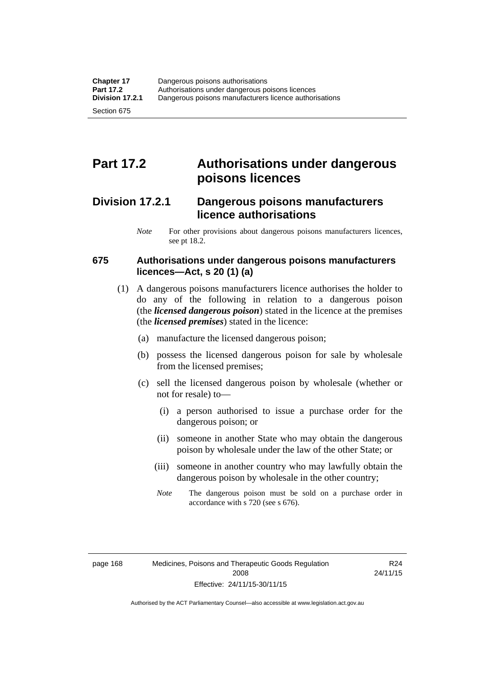# **Part 17.2 Authorisations under dangerous poisons licences**

### **Division 17.2.1 Dangerous poisons manufacturers licence authorisations**

*Note* For other provisions about dangerous poisons manufacturers licences, see pt 18.2.

#### **675 Authorisations under dangerous poisons manufacturers licences—Act, s 20 (1) (a)**

- (1) A dangerous poisons manufacturers licence authorises the holder to do any of the following in relation to a dangerous poison (the *licensed dangerous poison*) stated in the licence at the premises (the *licensed premises*) stated in the licence:
	- (a) manufacture the licensed dangerous poison;
	- (b) possess the licensed dangerous poison for sale by wholesale from the licensed premises;
	- (c) sell the licensed dangerous poison by wholesale (whether or not for resale) to—
		- (i) a person authorised to issue a purchase order for the dangerous poison; or
		- (ii) someone in another State who may obtain the dangerous poison by wholesale under the law of the other State; or
		- (iii) someone in another country who may lawfully obtain the dangerous poison by wholesale in the other country;
		- *Note* The dangerous poison must be sold on a purchase order in accordance with s 720 (see s 676).

R24 24/11/15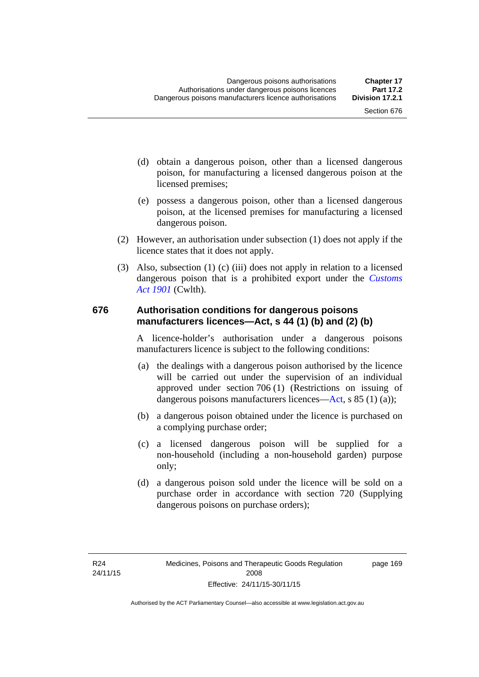- (d) obtain a dangerous poison, other than a licensed dangerous poison, for manufacturing a licensed dangerous poison at the licensed premises;
- (e) possess a dangerous poison, other than a licensed dangerous poison, at the licensed premises for manufacturing a licensed dangerous poison.
- (2) However, an authorisation under subsection (1) does not apply if the licence states that it does not apply.
- (3) Also, subsection (1) (c) (iii) does not apply in relation to a licensed dangerous poison that is a prohibited export under the *[Customs](http://www.comlaw.gov.au/Series/C1901A00006)  [Act 1901](http://www.comlaw.gov.au/Series/C1901A00006)* (Cwlth).

#### **676 Authorisation conditions for dangerous poisons manufacturers licences—Act, s 44 (1) (b) and (2) (b)**

A licence-holder's authorisation under a dangerous poisons manufacturers licence is subject to the following conditions:

- (a) the dealings with a dangerous poison authorised by the licence will be carried out under the supervision of an individual approved under section 706 (1) (Restrictions on issuing of dangerous poisons manufacturers licences[—Act,](http://www.legislation.act.gov.au/a/2008-26/default.asp) s 85 (1) (a));
- (b) a dangerous poison obtained under the licence is purchased on a complying purchase order;
- (c) a licensed dangerous poison will be supplied for a non-household (including a non-household garden) purpose only;
- (d) a dangerous poison sold under the licence will be sold on a purchase order in accordance with section 720 (Supplying dangerous poisons on purchase orders);

page 169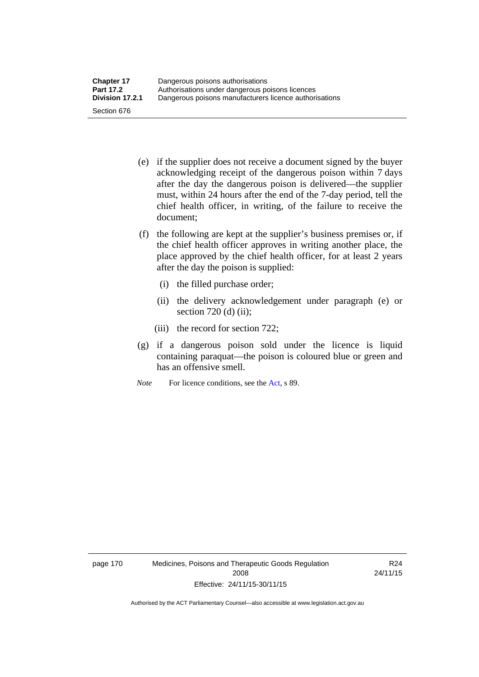- (e) if the supplier does not receive a document signed by the buyer acknowledging receipt of the dangerous poison within 7 days after the day the dangerous poison is delivered—the supplier must, within 24 hours after the end of the 7-day period, tell the chief health officer, in writing, of the failure to receive the document;
- (f) the following are kept at the supplier's business premises or, if the chief health officer approves in writing another place, the place approved by the chief health officer, for at least 2 years after the day the poison is supplied:
	- (i) the filled purchase order;
	- (ii) the delivery acknowledgement under paragraph (e) or section 720 (d) (ii);
	- (iii) the record for section 722;
- (g) if a dangerous poison sold under the licence is liquid containing paraquat—the poison is coloured blue or green and has an offensive smell.
- *Note* For licence conditions, see the [Act](http://www.legislation.act.gov.au/a/2008-26/default.asp), s 89.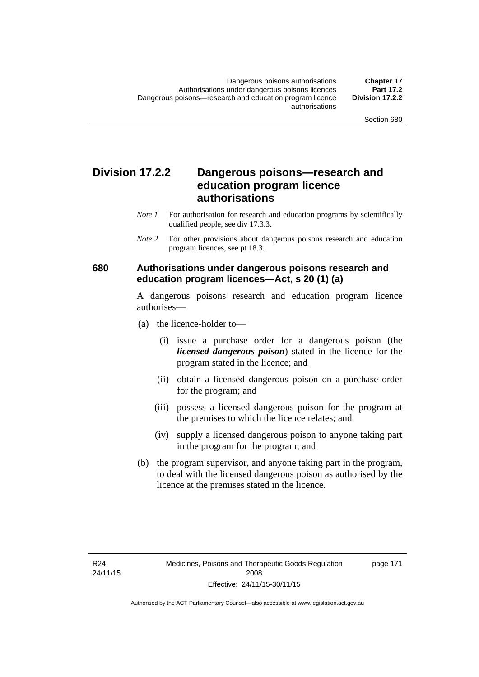### **Division 17.2.2 Dangerous poisons—research and education program licence authorisations**

- *Note 1* For authorisation for research and education programs by scientifically qualified people, see div 17.3.3.
- *Note 2* For other provisions about dangerous poisons research and education program licences, see pt 18.3.

#### **680 Authorisations under dangerous poisons research and education program licences—Act, s 20 (1) (a)**

A dangerous poisons research and education program licence authorises—

- (a) the licence-holder to—
	- (i) issue a purchase order for a dangerous poison (the *licensed dangerous poison*) stated in the licence for the program stated in the licence; and
	- (ii) obtain a licensed dangerous poison on a purchase order for the program; and
	- (iii) possess a licensed dangerous poison for the program at the premises to which the licence relates; and
	- (iv) supply a licensed dangerous poison to anyone taking part in the program for the program; and
- (b) the program supervisor, and anyone taking part in the program, to deal with the licensed dangerous poison as authorised by the licence at the premises stated in the licence.

page 171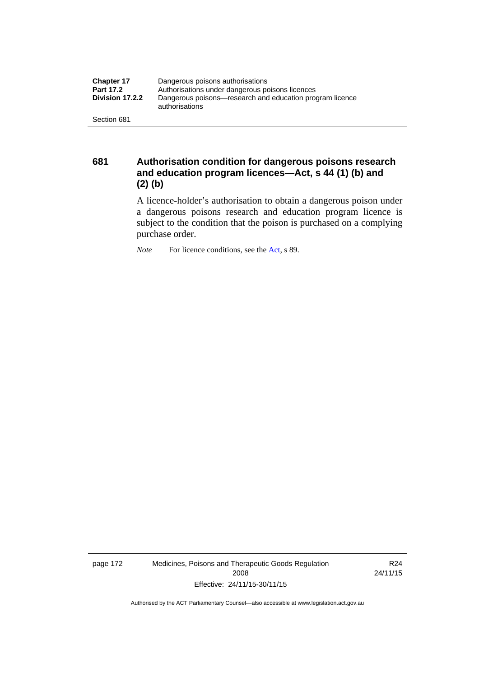| <b>Chapter 17</b> | Dangerous poisons authorisations                                           |
|-------------------|----------------------------------------------------------------------------|
| <b>Part 17.2</b>  | Authorisations under dangerous poisons licences                            |
| Division 17.2.2   | Dangerous poisons—research and education program licence<br>authorisations |
| Section 681       |                                                                            |

**681 Authorisation condition for dangerous poisons research and education program licences—Act, s 44 (1) (b) and (2) (b)** 

A licence-holder's authorisation to obtain a dangerous poison under a dangerous poisons research and education program licence is subject to the condition that the poison is purchased on a complying purchase order.

*Note* For licence conditions, see the [Act](http://www.legislation.act.gov.au/a/2008-26/default.asp), s 89.

page 172 Medicines, Poisons and Therapeutic Goods Regulation 2008 Effective: 24/11/15-30/11/15

R24 24/11/15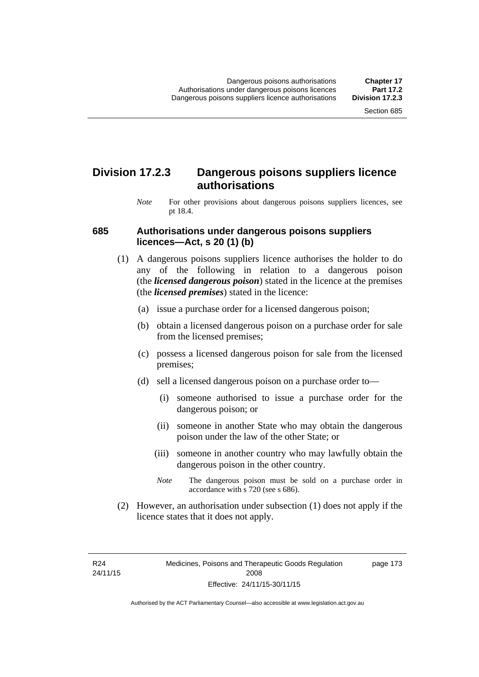### **Division 17.2.3 Dangerous poisons suppliers licence authorisations**

*Note* For other provisions about dangerous poisons suppliers licences, see pt 18.4.

#### **685 Authorisations under dangerous poisons suppliers licences—Act, s 20 (1) (b)**

- (1) A dangerous poisons suppliers licence authorises the holder to do any of the following in relation to a dangerous poison (the *licensed dangerous poison*) stated in the licence at the premises (the *licensed premises*) stated in the licence:
	- (a) issue a purchase order for a licensed dangerous poison;
	- (b) obtain a licensed dangerous poison on a purchase order for sale from the licensed premises;
	- (c) possess a licensed dangerous poison for sale from the licensed premises;
	- (d) sell a licensed dangerous poison on a purchase order to—
		- (i) someone authorised to issue a purchase order for the dangerous poison; or
		- (ii) someone in another State who may obtain the dangerous poison under the law of the other State; or
		- (iii) someone in another country who may lawfully obtain the dangerous poison in the other country.
		- *Note* The dangerous poison must be sold on a purchase order in accordance with s 720 (see s 686).
- (2) However, an authorisation under subsection (1) does not apply if the licence states that it does not apply.

R24 24/11/15 page 173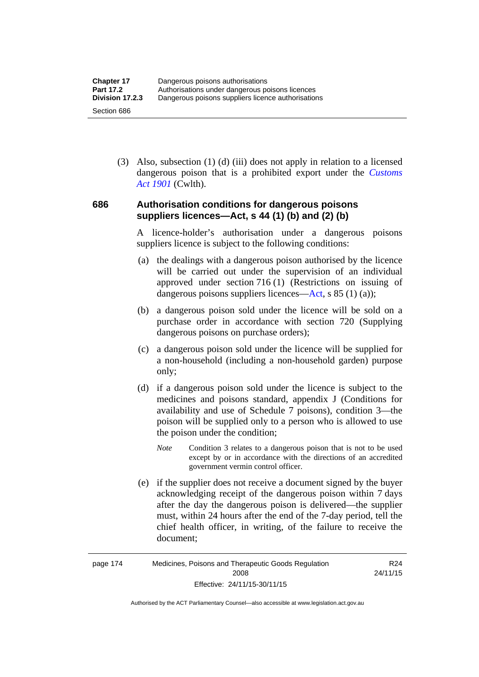(3) Also, subsection (1) (d) (iii) does not apply in relation to a licensed dangerous poison that is a prohibited export under the *[Customs](http://www.comlaw.gov.au/Series/C1901A00006)  [Act 1901](http://www.comlaw.gov.au/Series/C1901A00006)* (Cwlth).

#### **686 Authorisation conditions for dangerous poisons suppliers licences—Act, s 44 (1) (b) and (2) (b)**

A licence-holder's authorisation under a dangerous poisons suppliers licence is subject to the following conditions:

- (a) the dealings with a dangerous poison authorised by the licence will be carried out under the supervision of an individual approved under section 716 (1) (Restrictions on issuing of dangerous poisons suppliers licences—[Act](http://www.legislation.act.gov.au/a/2008-26/default.asp), s 85 (1) (a));
- (b) a dangerous poison sold under the licence will be sold on a purchase order in accordance with section 720 (Supplying dangerous poisons on purchase orders);
- (c) a dangerous poison sold under the licence will be supplied for a non-household (including a non-household garden) purpose only;
- (d) if a dangerous poison sold under the licence is subject to the medicines and poisons standard, appendix J (Conditions for availability and use of Schedule 7 poisons), condition 3—the poison will be supplied only to a person who is allowed to use the poison under the condition;
	- *Note* Condition 3 relates to a dangerous poison that is not to be used except by or in accordance with the directions of an accredited government vermin control officer.
- (e) if the supplier does not receive a document signed by the buyer acknowledging receipt of the dangerous poison within 7 days after the day the dangerous poison is delivered—the supplier must, within 24 hours after the end of the 7-day period, tell the chief health officer, in writing, of the failure to receive the document;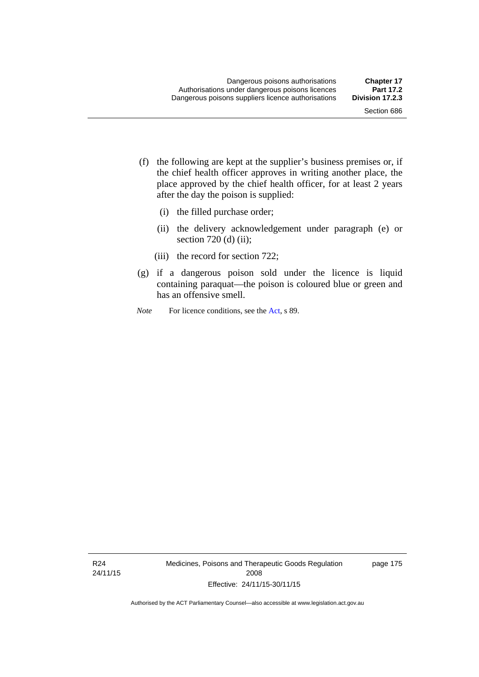- (f) the following are kept at the supplier's business premises or, if the chief health officer approves in writing another place, the place approved by the chief health officer, for at least 2 years after the day the poison is supplied:
	- (i) the filled purchase order;
	- (ii) the delivery acknowledgement under paragraph (e) or section 720 (d) (ii);
	- (iii) the record for section 722;
- (g) if a dangerous poison sold under the licence is liquid containing paraquat—the poison is coloured blue or green and has an offensive smell.
- *Note* For licence conditions, see the [Act](http://www.legislation.act.gov.au/a/2008-26/default.asp), s 89.

R24 24/11/15 Medicines, Poisons and Therapeutic Goods Regulation 2008 Effective: 24/11/15-30/11/15

page 175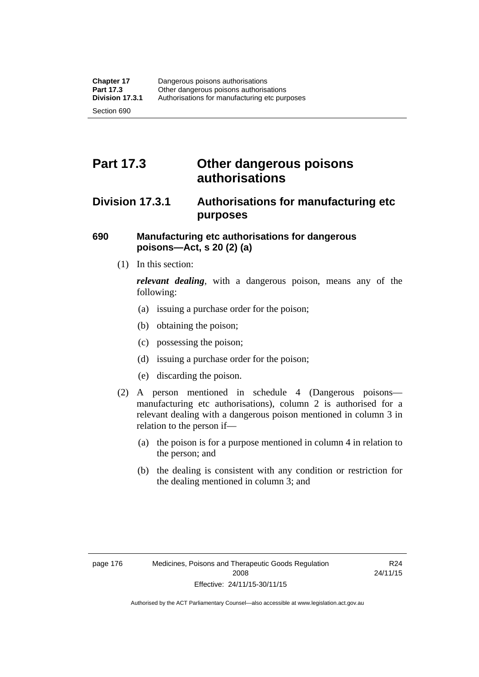# **Part 17.3 Other dangerous poisons authorisations**

### **Division 17.3.1 Authorisations for manufacturing etc purposes**

#### **690 Manufacturing etc authorisations for dangerous poisons—Act, s 20 (2) (a)**

(1) In this section:

*relevant dealing*, with a dangerous poison, means any of the following:

- (a) issuing a purchase order for the poison;
- (b) obtaining the poison;
- (c) possessing the poison;
- (d) issuing a purchase order for the poison;
- (e) discarding the poison.
- (2) A person mentioned in schedule 4 (Dangerous poisons manufacturing etc authorisations), column 2 is authorised for a relevant dealing with a dangerous poison mentioned in column 3 in relation to the person if—
	- (a) the poison is for a purpose mentioned in column 4 in relation to the person; and
	- (b) the dealing is consistent with any condition or restriction for the dealing mentioned in column 3; and

R24 24/11/15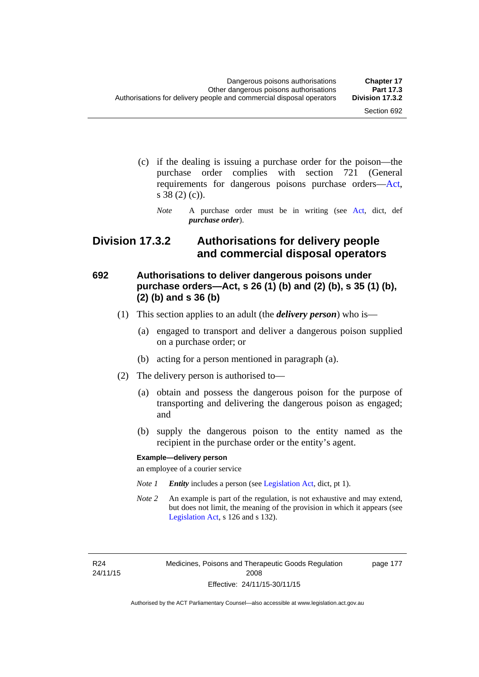- (c) if the dealing is issuing a purchase order for the poison—the purchase order complies with section 721 (General requirements for dangerous poisons purchase orders[—Act](http://www.legislation.act.gov.au/a/2008-26/default.asp), s 38 (2) (c)).
	- *Note* A purchase order must be in writing (see [Act](http://www.legislation.act.gov.au/a/2008-26/default.asp), dict, def *purchase order*).

### **Division 17.3.2 Authorisations for delivery people and commercial disposal operators**

### **692 Authorisations to deliver dangerous poisons under purchase orders—Act, s 26 (1) (b) and (2) (b), s 35 (1) (b), (2) (b) and s 36 (b)**

- (1) This section applies to an adult (the *delivery person*) who is—
	- (a) engaged to transport and deliver a dangerous poison supplied on a purchase order; or
	- (b) acting for a person mentioned in paragraph (a).
- (2) The delivery person is authorised to—
	- (a) obtain and possess the dangerous poison for the purpose of transporting and delivering the dangerous poison as engaged; and
	- (b) supply the dangerous poison to the entity named as the recipient in the purchase order or the entity's agent.

#### **Example—delivery person**

an employee of a courier service

- *Note 1 Entity* includes a person (see [Legislation Act,](http://www.legislation.act.gov.au/a/2001-14) dict, pt 1).
- *Note 2* An example is part of the regulation, is not exhaustive and may extend, but does not limit, the meaning of the provision in which it appears (see [Legislation Act,](http://www.legislation.act.gov.au/a/2001-14) s 126 and s 132).

R24 24/11/15 page 177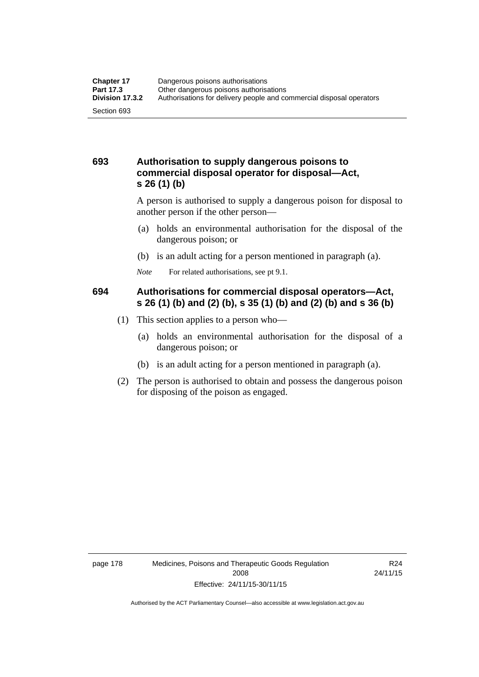#### **693 Authorisation to supply dangerous poisons to commercial disposal operator for disposal—Act, s 26 (1) (b)**

A person is authorised to supply a dangerous poison for disposal to another person if the other person—

- (a) holds an environmental authorisation for the disposal of the dangerous poison; or
- (b) is an adult acting for a person mentioned in paragraph (a).
- *Note* For related authorisations, see pt 9.1.

### **694 Authorisations for commercial disposal operators—Act, s 26 (1) (b) and (2) (b), s 35 (1) (b) and (2) (b) and s 36 (b)**

- (1) This section applies to a person who—
	- (a) holds an environmental authorisation for the disposal of a dangerous poison; or
	- (b) is an adult acting for a person mentioned in paragraph (a).
- (2) The person is authorised to obtain and possess the dangerous poison for disposing of the poison as engaged.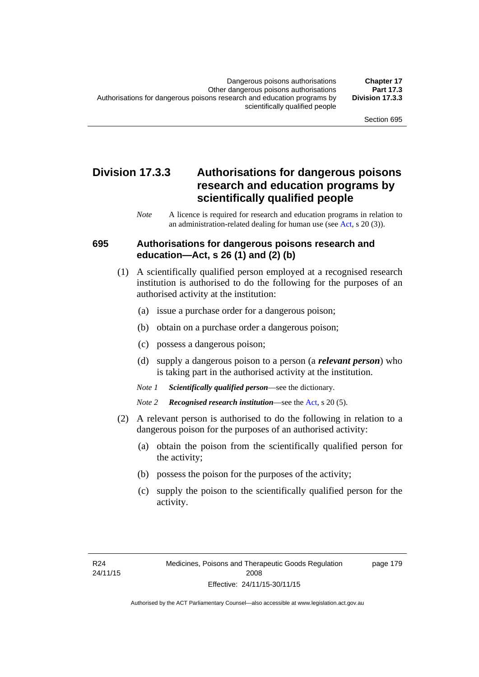### **Division 17.3.3 Authorisations for dangerous poisons research and education programs by scientifically qualified people**

*Note* A licence is required for research and education programs in relation to an administration-related dealing for human use (see [Act](http://www.legislation.act.gov.au/a/2008-26/default.asp), s 20 (3)).

#### **695 Authorisations for dangerous poisons research and education—Act, s 26 (1) and (2) (b)**

- (1) A scientifically qualified person employed at a recognised research institution is authorised to do the following for the purposes of an authorised activity at the institution:
	- (a) issue a purchase order for a dangerous poison;
	- (b) obtain on a purchase order a dangerous poison;
	- (c) possess a dangerous poison;
	- (d) supply a dangerous poison to a person (a *relevant person*) who is taking part in the authorised activity at the institution.
	- *Note 1 Scientifically qualified person*—see the dictionary.
	- *Note 2 Recognised research institution*—see the [Act](http://www.legislation.act.gov.au/a/2008-26/default.asp), s 20 (5).
- (2) A relevant person is authorised to do the following in relation to a dangerous poison for the purposes of an authorised activity:
	- (a) obtain the poison from the scientifically qualified person for the activity;
	- (b) possess the poison for the purposes of the activity;
	- (c) supply the poison to the scientifically qualified person for the activity.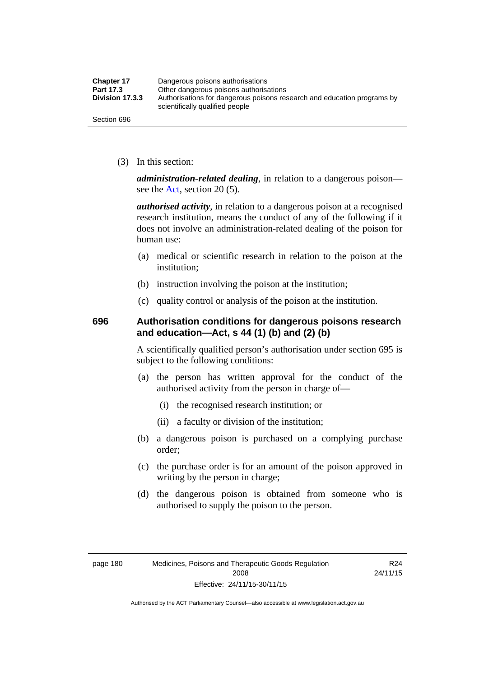| <b>Chapter 17</b> | Dangerous poisons authorisations                                                                           |
|-------------------|------------------------------------------------------------------------------------------------------------|
| Part 17.3         | Other dangerous poisons authorisations                                                                     |
| Division 17.3.3   | Authorisations for dangerous poisons research and education programs by<br>scientifically qualified people |
| Section 696       |                                                                                                            |

(3) In this section:

*administration-related dealing*, in relation to a dangerous poison— see the [Act](http://www.legislation.act.gov.au/a/2008-26/default.asp), section 20 (5).

*authorised activity*, in relation to a dangerous poison at a recognised research institution, means the conduct of any of the following if it does not involve an administration-related dealing of the poison for human use:

- (a) medical or scientific research in relation to the poison at the institution;
- (b) instruction involving the poison at the institution;
- (c) quality control or analysis of the poison at the institution.

#### **696 Authorisation conditions for dangerous poisons research and education—Act, s 44 (1) (b) and (2) (b)**

A scientifically qualified person's authorisation under section 695 is subject to the following conditions:

- (a) the person has written approval for the conduct of the authorised activity from the person in charge of—
	- (i) the recognised research institution; or
	- (ii) a faculty or division of the institution;
- (b) a dangerous poison is purchased on a complying purchase order;
- (c) the purchase order is for an amount of the poison approved in writing by the person in charge;
- (d) the dangerous poison is obtained from someone who is authorised to supply the poison to the person.

R24 24/11/15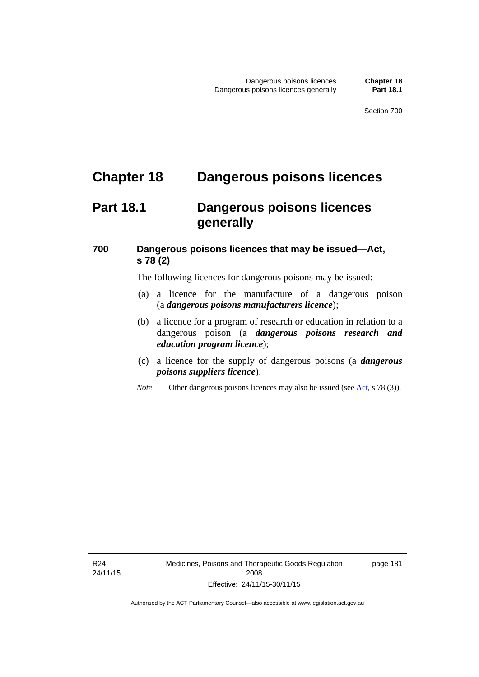# **Chapter 18 Dangerous poisons licences**

### **Part 18.1 Dangerous poisons licences generally**

### **700 Dangerous poisons licences that may be issued—Act, s 78 (2)**

The following licences for dangerous poisons may be issued:

- (a) a licence for the manufacture of a dangerous poison (a *dangerous poisons manufacturers licence*);
- (b) a licence for a program of research or education in relation to a dangerous poison (a *dangerous poisons research and education program licence*);
- (c) a licence for the supply of dangerous poisons (a *dangerous poisons suppliers licence*).
- *Note* Other dangerous poisons licences may also be issued (see [Act](http://www.legislation.act.gov.au/a/2008-26/default.asp), s 78 (3)).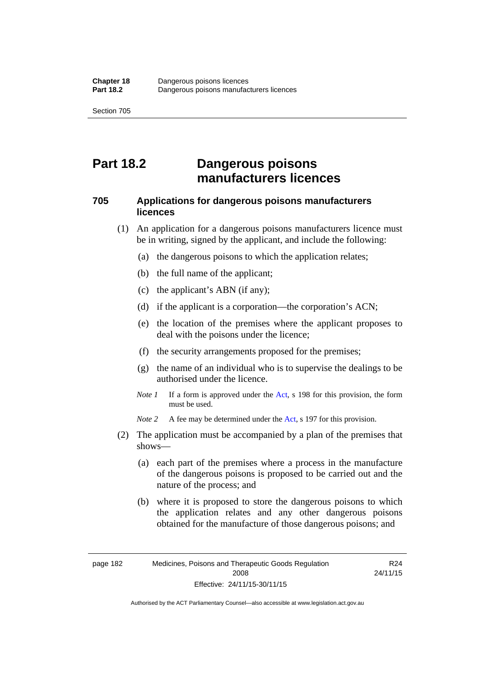# **Part 18.2 Dangerous poisons manufacturers licences**

#### **705 Applications for dangerous poisons manufacturers licences**

- (1) An application for a dangerous poisons manufacturers licence must be in writing, signed by the applicant, and include the following:
	- (a) the dangerous poisons to which the application relates;
	- (b) the full name of the applicant;
	- (c) the applicant's ABN (if any);
	- (d) if the applicant is a corporation—the corporation's ACN;
	- (e) the location of the premises where the applicant proposes to deal with the poisons under the licence;
	- (f) the security arrangements proposed for the premises;
	- (g) the name of an individual who is to supervise the dealings to be authorised under the licence.
	- *Note 1* If a form is approved under the [Act](http://www.legislation.act.gov.au/a/2008-26/default.asp), s 198 for this provision, the form must be used.

*Note 2* A fee may be determined under the [Act,](http://www.legislation.act.gov.au/a/2008-26/default.asp) s 197 for this provision.

- (2) The application must be accompanied by a plan of the premises that shows—
	- (a) each part of the premises where a process in the manufacture of the dangerous poisons is proposed to be carried out and the nature of the process; and
	- (b) where it is proposed to store the dangerous poisons to which the application relates and any other dangerous poisons obtained for the manufacture of those dangerous poisons; and

R24 24/11/15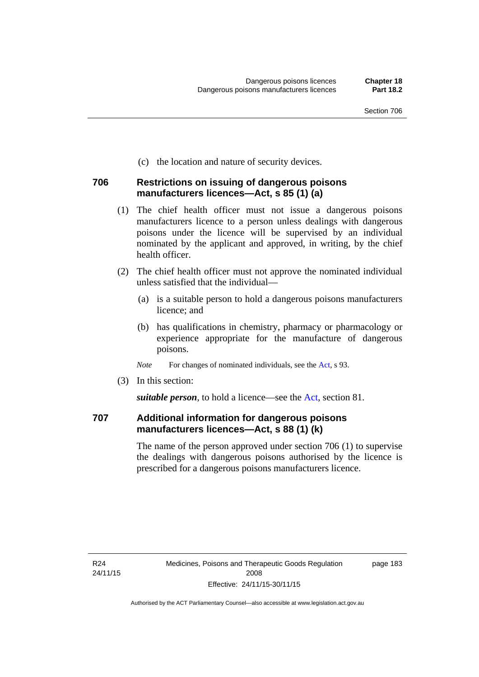(c) the location and nature of security devices.

#### **706 Restrictions on issuing of dangerous poisons manufacturers licences—Act, s 85 (1) (a)**

- (1) The chief health officer must not issue a dangerous poisons manufacturers licence to a person unless dealings with dangerous poisons under the licence will be supervised by an individual nominated by the applicant and approved, in writing, by the chief health officer.
- (2) The chief health officer must not approve the nominated individual unless satisfied that the individual—
	- (a) is a suitable person to hold a dangerous poisons manufacturers licence; and
	- (b) has qualifications in chemistry, pharmacy or pharmacology or experience appropriate for the manufacture of dangerous poisons.
	- *Note* For changes of nominated individuals, see the [Act,](http://www.legislation.act.gov.au/a/2008-26/default.asp) s 93.
- (3) In this section:

*suitable person*, to hold a licence—see the [Act](http://www.legislation.act.gov.au/a/2008-26/default.asp), section 81.

#### **707 Additional information for dangerous poisons manufacturers licences—Act, s 88 (1) (k)**

The name of the person approved under section 706 (1) to supervise the dealings with dangerous poisons authorised by the licence is prescribed for a dangerous poisons manufacturers licence.

page 183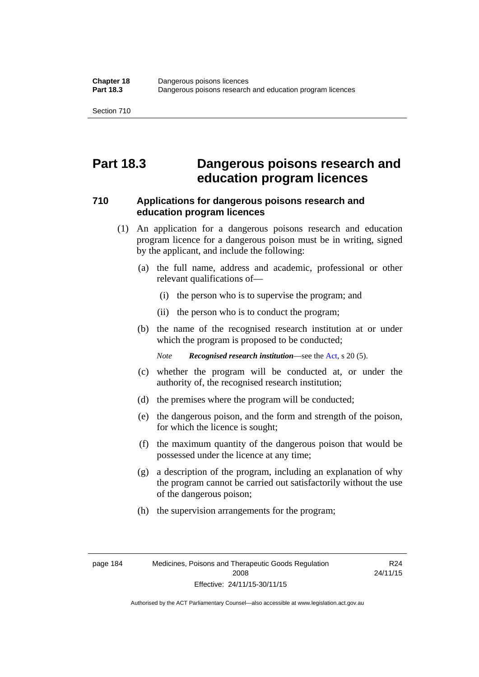## **Part 18.3 Dangerous poisons research and education program licences**

#### **710 Applications for dangerous poisons research and education program licences**

- (1) An application for a dangerous poisons research and education program licence for a dangerous poison must be in writing, signed by the applicant, and include the following:
	- (a) the full name, address and academic, professional or other relevant qualifications of—
		- (i) the person who is to supervise the program; and
		- (ii) the person who is to conduct the program;
	- (b) the name of the recognised research institution at or under which the program is proposed to be conducted;

*Note Recognised research institution*—see the [Act](http://www.legislation.act.gov.au/a/2008-26/default.asp), s 20 (5).

- (c) whether the program will be conducted at, or under the authority of, the recognised research institution;
- (d) the premises where the program will be conducted;
- (e) the dangerous poison, and the form and strength of the poison, for which the licence is sought;
- (f) the maximum quantity of the dangerous poison that would be possessed under the licence at any time;
- (g) a description of the program, including an explanation of why the program cannot be carried out satisfactorily without the use of the dangerous poison;
- (h) the supervision arrangements for the program;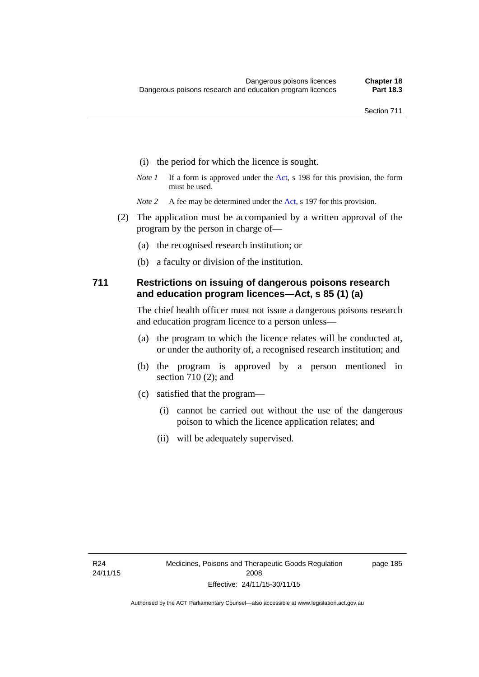- (i) the period for which the licence is sought.
- *Note 1* If a form is approved under the [Act](http://www.legislation.act.gov.au/a/2008-26/default.asp), s 198 for this provision, the form must be used.
- *Note 2* A fee may be determined under the [Act,](http://www.legislation.act.gov.au/a/2008-26/default.asp) s 197 for this provision.
- (2) The application must be accompanied by a written approval of the program by the person in charge of—
	- (a) the recognised research institution; or
	- (b) a faculty or division of the institution.

#### **711 Restrictions on issuing of dangerous poisons research and education program licences—Act, s 85 (1) (a)**

The chief health officer must not issue a dangerous poisons research and education program licence to a person unless—

- (a) the program to which the licence relates will be conducted at, or under the authority of, a recognised research institution; and
- (b) the program is approved by a person mentioned in section 710 (2); and
- (c) satisfied that the program—
	- (i) cannot be carried out without the use of the dangerous poison to which the licence application relates; and
	- (ii) will be adequately supervised.

page 185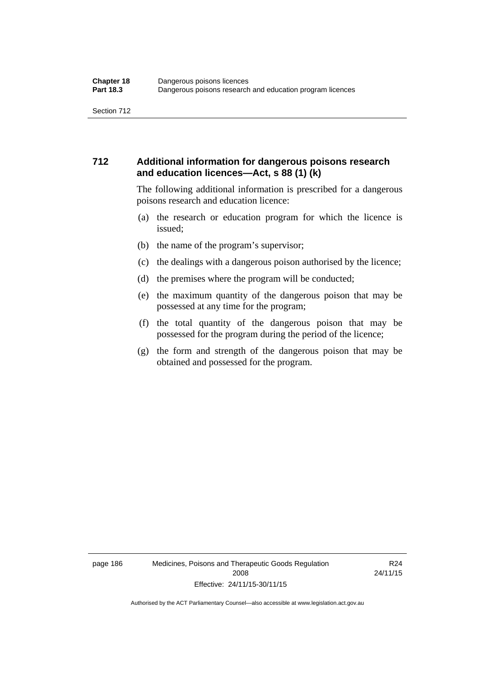#### **712 Additional information for dangerous poisons research and education licences—Act, s 88 (1) (k)**

The following additional information is prescribed for a dangerous poisons research and education licence:

- (a) the research or education program for which the licence is issued;
- (b) the name of the program's supervisor;
- (c) the dealings with a dangerous poison authorised by the licence;
- (d) the premises where the program will be conducted;
- (e) the maximum quantity of the dangerous poison that may be possessed at any time for the program;
- (f) the total quantity of the dangerous poison that may be possessed for the program during the period of the licence;
- (g) the form and strength of the dangerous poison that may be obtained and possessed for the program.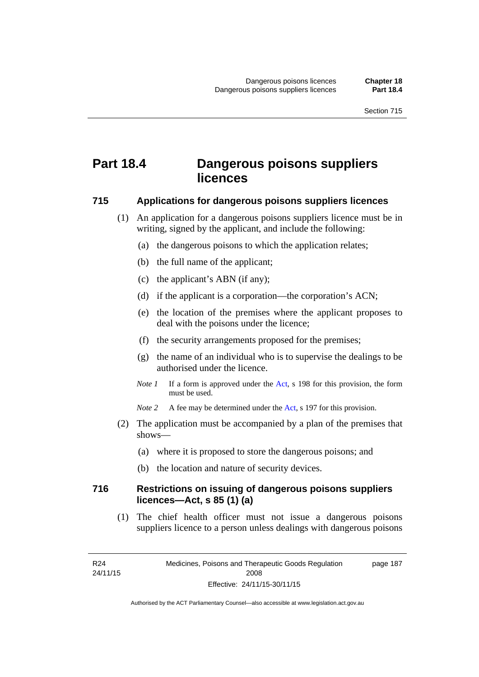# **Part 18.4 Dangerous poisons suppliers licences**

#### **715 Applications for dangerous poisons suppliers licences**

- (1) An application for a dangerous poisons suppliers licence must be in writing, signed by the applicant, and include the following:
	- (a) the dangerous poisons to which the application relates;
	- (b) the full name of the applicant;
	- (c) the applicant's ABN (if any);
	- (d) if the applicant is a corporation—the corporation's ACN;
	- (e) the location of the premises where the applicant proposes to deal with the poisons under the licence;
	- (f) the security arrangements proposed for the premises;
	- (g) the name of an individual who is to supervise the dealings to be authorised under the licence.
	- *Note 1* If a form is approved under the [Act](http://www.legislation.act.gov.au/a/2008-26/default.asp), s 198 for this provision, the form must be used.
	- *Note* 2 A fee may be determined under the [Act,](http://www.legislation.act.gov.au/a/2008-26/default.asp) s 197 for this provision.
- (2) The application must be accompanied by a plan of the premises that shows—
	- (a) where it is proposed to store the dangerous poisons; and
	- (b) the location and nature of security devices.

#### **716 Restrictions on issuing of dangerous poisons suppliers licences—Act, s 85 (1) (a)**

(1) The chief health officer must not issue a dangerous poisons suppliers licence to a person unless dealings with dangerous poisons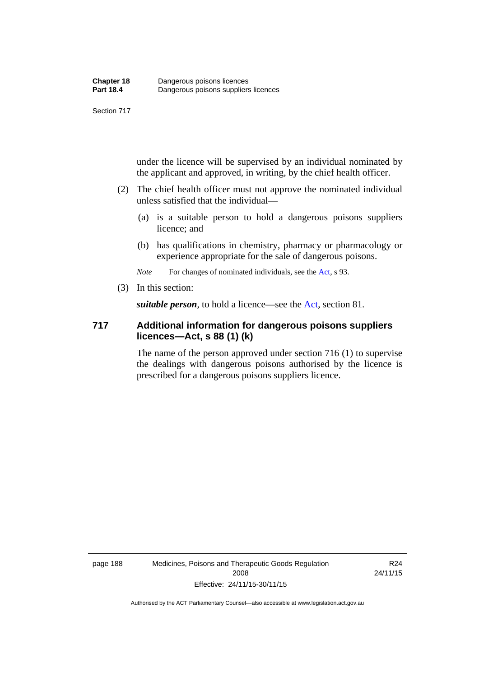under the licence will be supervised by an individual nominated by the applicant and approved, in writing, by the chief health officer.

- (2) The chief health officer must not approve the nominated individual unless satisfied that the individual—
	- (a) is a suitable person to hold a dangerous poisons suppliers licence; and
	- (b) has qualifications in chemistry, pharmacy or pharmacology or experience appropriate for the sale of dangerous poisons.

*Note* For changes of nominated individuals, see the [Act,](http://www.legislation.act.gov.au/a/2008-26/default.asp) s 93.

(3) In this section:

*suitable person*, to hold a licence—see the [Act](http://www.legislation.act.gov.au/a/2008-26/default.asp), section 81.

#### **717 Additional information for dangerous poisons suppliers licences—Act, s 88 (1) (k)**

The name of the person approved under section 716 (1) to supervise the dealings with dangerous poisons authorised by the licence is prescribed for a dangerous poisons suppliers licence.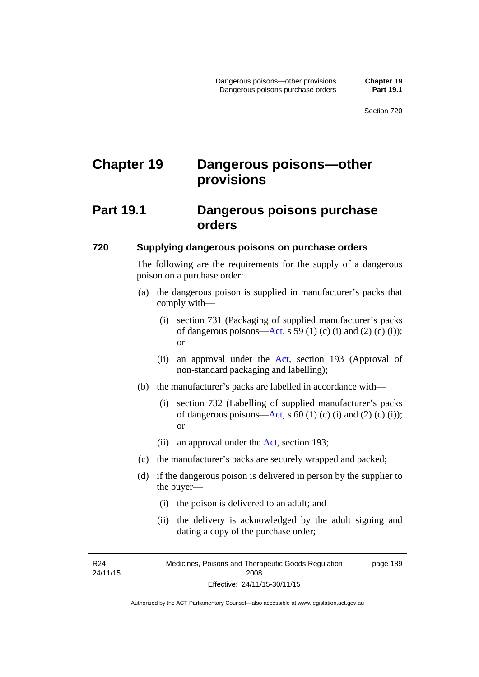# **Chapter 19 Dangerous poisons—other provisions**

### **Part 19.1 Dangerous poisons purchase orders**

#### **720 Supplying dangerous poisons on purchase orders**

The following are the requirements for the supply of a dangerous poison on a purchase order:

- (a) the dangerous poison is supplied in manufacturer's packs that comply with—
	- (i) section 731 (Packaging of supplied manufacturer's packs of dangerous poisons[—Act](http://www.legislation.act.gov.au/a/2008-26/default.asp), s 59 (1) (c) (i) and (2) (c) (i)); or
	- (ii) an approval under the [Act](http://www.legislation.act.gov.au/a/2008-26/default.asp), section 193 (Approval of non-standard packaging and labelling);
- (b) the manufacturer's packs are labelled in accordance with—
	- (i) section 732 (Labelling of supplied manufacturer's packs of dangerous poisons[—Act](http://www.legislation.act.gov.au/a/2008-26/default.asp), s  $60$  (1) (c) (i) and (2) (c) (i)); or
	- (ii) an approval under the [Act,](http://www.legislation.act.gov.au/a/2008-26/default.asp) section 193;
- (c) the manufacturer's packs are securely wrapped and packed;
- (d) if the dangerous poison is delivered in person by the supplier to the buyer—
	- (i) the poison is delivered to an adult; and
	- (ii) the delivery is acknowledged by the adult signing and dating a copy of the purchase order;

R24 24/11/15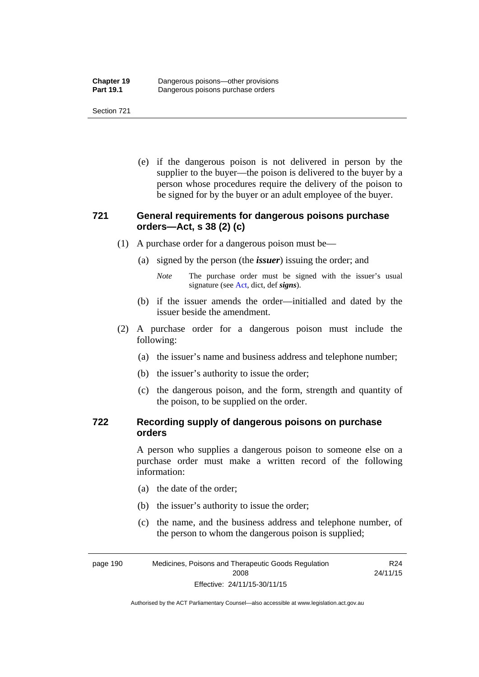(e) if the dangerous poison is not delivered in person by the supplier to the buyer—the poison is delivered to the buyer by a person whose procedures require the delivery of the poison to be signed for by the buyer or an adult employee of the buyer.

#### **721 General requirements for dangerous poisons purchase orders—Act, s 38 (2) (c)**

- (1) A purchase order for a dangerous poison must be—
	- (a) signed by the person (the *issuer*) issuing the order; and
		- *Note* The purchase order must be signed with the issuer's usual signature (see [Act](http://www.legislation.act.gov.au/a/2008-26/default.asp), dict, def *signs*).
	- (b) if the issuer amends the order—initialled and dated by the issuer beside the amendment.
- (2) A purchase order for a dangerous poison must include the following:
	- (a) the issuer's name and business address and telephone number;
	- (b) the issuer's authority to issue the order;
	- (c) the dangerous poison, and the form, strength and quantity of the poison, to be supplied on the order.

#### **722 Recording supply of dangerous poisons on purchase orders**

A person who supplies a dangerous poison to someone else on a purchase order must make a written record of the following information:

- (a) the date of the order;
- (b) the issuer's authority to issue the order;
- (c) the name, and the business address and telephone number, of the person to whom the dangerous poison is supplied;

page 190 Medicines, Poisons and Therapeutic Goods Regulation 2008 Effective: 24/11/15-30/11/15 R24 24/11/15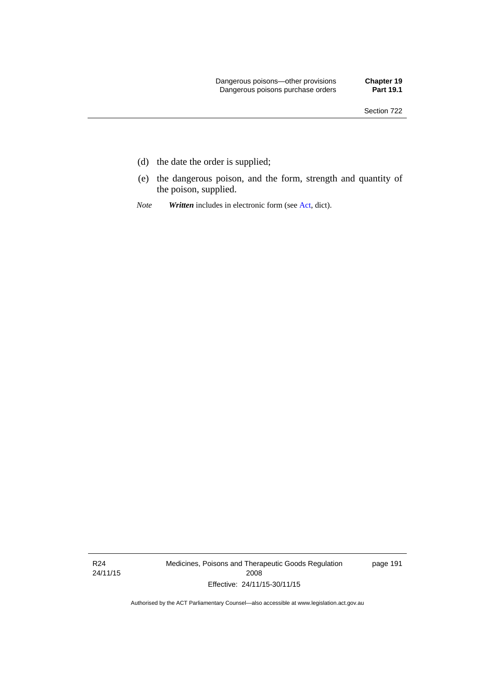- (d) the date the order is supplied;
- (e) the dangerous poison, and the form, strength and quantity of the poison, supplied.
- *Note Written* includes in electronic form (see [Act,](http://www.legislation.act.gov.au/a/2008-26/default.asp) dict).

R24 24/11/15 Medicines, Poisons and Therapeutic Goods Regulation 2008 Effective: 24/11/15-30/11/15

page 191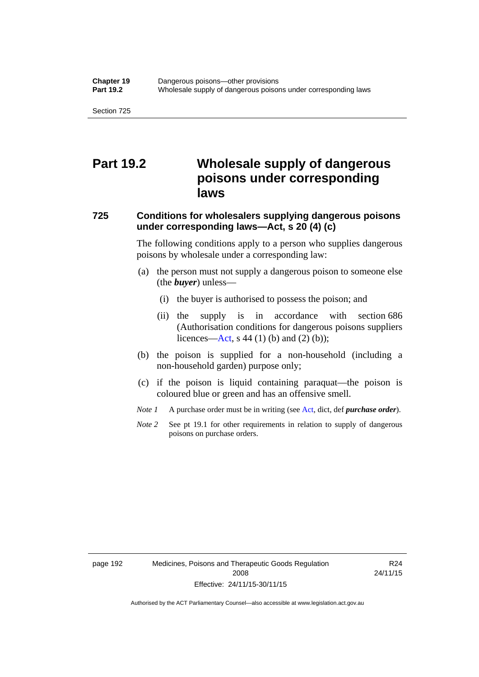## **Part 19.2 Wholesale supply of dangerous poisons under corresponding laws**

### **725 Conditions for wholesalers supplying dangerous poisons under corresponding laws—Act, s 20 (4) (c)**

The following conditions apply to a person who supplies dangerous poisons by wholesale under a corresponding law:

- (a) the person must not supply a dangerous poison to someone else (the *buyer*) unless—
	- (i) the buyer is authorised to possess the poison; and
	- (ii) the supply is in accordance with section 686 (Authorisation conditions for dangerous poisons suppliers licences—[Act,](http://www.legislation.act.gov.au/a/2008-26/default.asp) s 44 (1) (b) and (2) (b));
- (b) the poison is supplied for a non-household (including a non-household garden) purpose only;
- (c) if the poison is liquid containing paraquat—the poison is coloured blue or green and has an offensive smell.
- *Note 1* A purchase order must be in writing (see [Act,](http://www.legislation.act.gov.au/a/2008-26/default.asp) dict, def *purchase order*).
- *Note* 2 See pt 19.1 for other requirements in relation to supply of dangerous poisons on purchase orders.

R24 24/11/15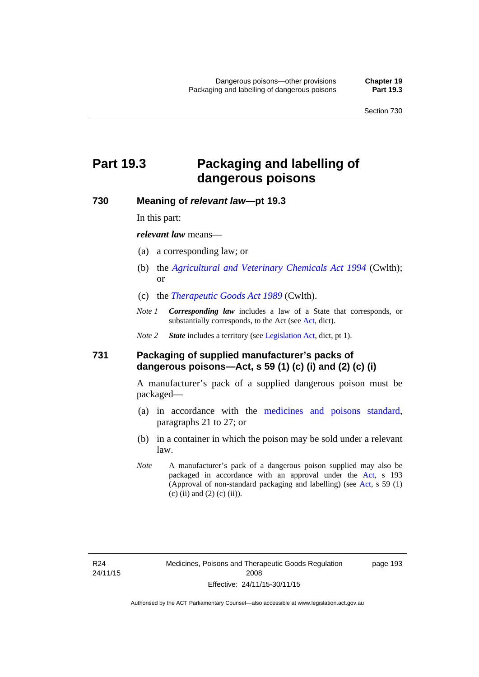# **Part 19.3 Packaging and labelling of dangerous poisons**

#### **730 Meaning of** *relevant law***—pt 19.3**

In this part:

*relevant law* means—

- (a) a corresponding law; or
- (b) the *[Agricultural and Veterinary Chemicals Act 1994](http://www.comlaw.gov.au/Series/C2004A04712)* (Cwlth); or
- (c) the *[Therapeutic Goods Act 1989](http://www.comlaw.gov.au/Series/C2004A03952)* (Cwlth).
- *Note 1 Corresponding law* includes a law of a State that corresponds, or substantially corresponds, to the [Act](http://www.legislation.act.gov.au/a/2008-26/default.asp) (see Act, dict).

*Note 2 State* includes a territory (see [Legislation Act,](http://www.legislation.act.gov.au/a/2001-14) dict, pt 1).

#### **731 Packaging of supplied manufacturer's packs of dangerous poisons—Act, s 59 (1) (c) (i) and (2) (c) (i)**

A manufacturer's pack of a supplied dangerous poison must be packaged—

- (a) in accordance with the [medicines and poisons standard](http://www.comlaw.gov.au/Series/F2012L01200), paragraphs 21 to 27; or
- (b) in a container in which the poison may be sold under a relevant law.
- *Note* A manufacturer's pack of a dangerous poison supplied may also be packaged in accordance with an approval under the [Act,](http://www.legislation.act.gov.au/a/2008-26/default.asp) s 193 (Approval of non-standard packaging and labelling) (see [Act](http://www.legislation.act.gov.au/a/2008-26/default.asp), s 59 (1) (c) (ii) and (2) (c) (ii)).

page 193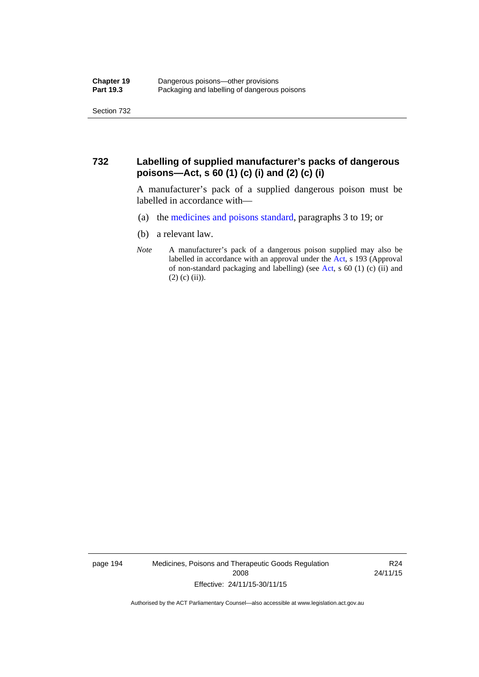#### **732 Labelling of supplied manufacturer's packs of dangerous poisons—Act, s 60 (1) (c) (i) and (2) (c) (i)**

A manufacturer's pack of a supplied dangerous poison must be labelled in accordance with—

- (a) the [medicines and poisons standard](http://www.comlaw.gov.au/Series/F2012L01200), paragraphs 3 to 19; or
- (b) a relevant law.
- *Note* A manufacturer's pack of a dangerous poison supplied may also be labelled in accordance with an approval under the [Act](http://www.legislation.act.gov.au/a/2008-26/default.asp), s 193 (Approval of non-standard packaging and labelling) (see [Act,](http://www.legislation.act.gov.au/a/2008-26/default.asp) s 60 (1) (c) (ii) and  $(2)$  (c) (ii)).

page 194 Medicines, Poisons and Therapeutic Goods Regulation 2008 Effective: 24/11/15-30/11/15

R24 24/11/15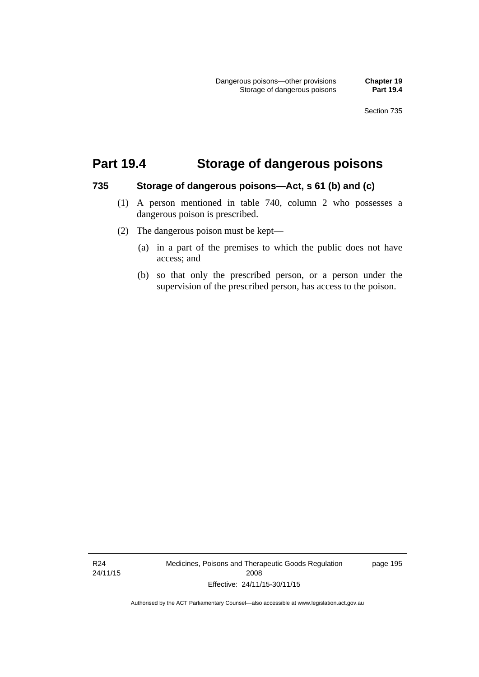### **Part 19.4 Storage of dangerous poisons**

#### **735 Storage of dangerous poisons—Act, s 61 (b) and (c)**

- (1) A person mentioned in table 740, column 2 who possesses a dangerous poison is prescribed.
- (2) The dangerous poison must be kept—
	- (a) in a part of the premises to which the public does not have access; and
	- (b) so that only the prescribed person, or a person under the supervision of the prescribed person, has access to the poison.

R24 24/11/15 Medicines, Poisons and Therapeutic Goods Regulation 2008 Effective: 24/11/15-30/11/15

page 195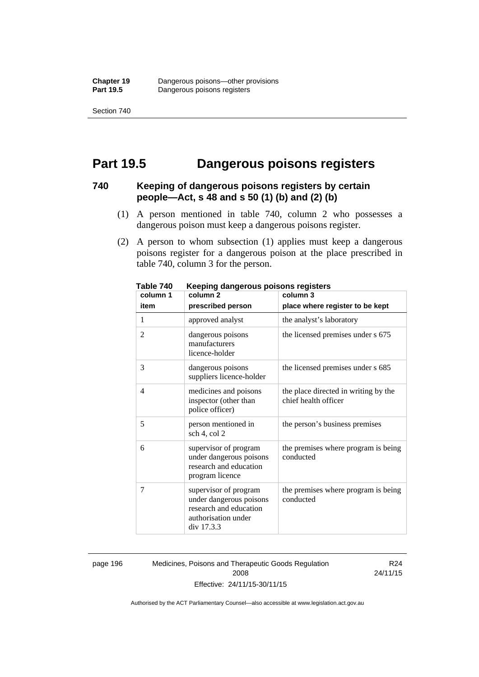Section 740

### **Part 19.5 Dangerous poisons registers**

#### **740 Keeping of dangerous poisons registers by certain people—Act, s 48 and s 50 (1) (b) and (2) (b)**

- (1) A person mentioned in table 740, column 2 who possesses a dangerous poison must keep a dangerous poisons register.
- (2) A person to whom subsection (1) applies must keep a dangerous poisons register for a dangerous poison at the place prescribed in table 740, column 3 for the person.

| יד ו סועו<br>column 1 | neeping dangerous poisons registers<br>column <sub>2</sub><br>column 3                                          |                                                              |  |
|-----------------------|-----------------------------------------------------------------------------------------------------------------|--------------------------------------------------------------|--|
| item                  | prescribed person                                                                                               | place where register to be kept                              |  |
| 1                     | approved analyst                                                                                                | the analyst's laboratory                                     |  |
| $\overline{2}$        | dangerous poisons<br>manufacturers<br>licence-holder                                                            | the licensed premises under s 675                            |  |
| 3                     | dangerous poisons<br>suppliers licence-holder                                                                   | the licensed premises under s 685                            |  |
| 4                     | medicines and poisons<br>inspector (other than<br>police officer)                                               | the place directed in writing by the<br>chief health officer |  |
| 5                     | person mentioned in<br>sch 4, col 2                                                                             | the person's business premises                               |  |
| 6                     | supervisor of program<br>under dangerous poisons<br>research and education<br>program licence                   | the premises where program is being<br>conducted             |  |
| 7                     | supervisor of program<br>under dangerous poisons<br>research and education<br>authorisation under<br>div 17.3.3 | the premises where program is being<br>conducted             |  |

**Table 740 Keeping dangerous poisons registers** 

page 196 Medicines, Poisons and Therapeutic Goods Regulation 2008 Effective: 24/11/15-30/11/15

R24 24/11/15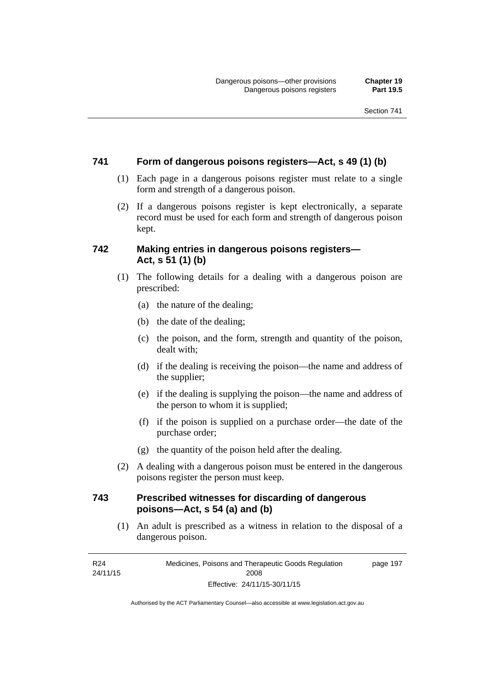#### **741 Form of dangerous poisons registers—Act, s 49 (1) (b)**

- (1) Each page in a dangerous poisons register must relate to a single form and strength of a dangerous poison.
- (2) If a dangerous poisons register is kept electronically, a separate record must be used for each form and strength of dangerous poison kept.

#### **742 Making entries in dangerous poisons registers— Act, s 51 (1) (b)**

- (1) The following details for a dealing with a dangerous poison are prescribed:
	- (a) the nature of the dealing;
	- (b) the date of the dealing;
	- (c) the poison, and the form, strength and quantity of the poison, dealt with;
	- (d) if the dealing is receiving the poison—the name and address of the supplier;
	- (e) if the dealing is supplying the poison—the name and address of the person to whom it is supplied;
	- (f) if the poison is supplied on a purchase order—the date of the purchase order;
	- (g) the quantity of the poison held after the dealing.
- (2) A dealing with a dangerous poison must be entered in the dangerous poisons register the person must keep.

#### **743 Prescribed witnesses for discarding of dangerous poisons—Act, s 54 (a) and (b)**

 (1) An adult is prescribed as a witness in relation to the disposal of a dangerous poison.

R24 24/11/15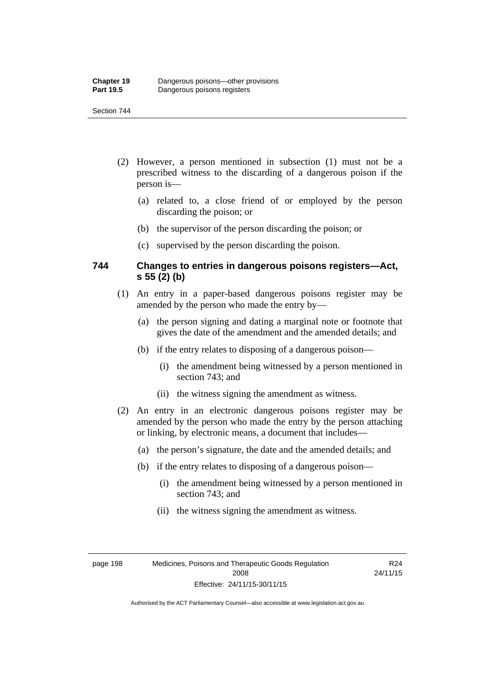#### Section 744

- (2) However, a person mentioned in subsection (1) must not be a prescribed witness to the discarding of a dangerous poison if the person is—
	- (a) related to, a close friend of or employed by the person discarding the poison; or
	- (b) the supervisor of the person discarding the poison; or
	- (c) supervised by the person discarding the poison.

#### **744 Changes to entries in dangerous poisons registers—Act, s 55 (2) (b)**

- (1) An entry in a paper-based dangerous poisons register may be amended by the person who made the entry by—
	- (a) the person signing and dating a marginal note or footnote that gives the date of the amendment and the amended details; and
	- (b) if the entry relates to disposing of a dangerous poison—
		- (i) the amendment being witnessed by a person mentioned in section 743; and
		- (ii) the witness signing the amendment as witness.
- (2) An entry in an electronic dangerous poisons register may be amended by the person who made the entry by the person attaching or linking, by electronic means, a document that includes—
	- (a) the person's signature, the date and the amended details; and
	- (b) if the entry relates to disposing of a dangerous poison—
		- (i) the amendment being witnessed by a person mentioned in section 743; and
		- (ii) the witness signing the amendment as witness.

page 198 Medicines, Poisons and Therapeutic Goods Regulation 2008 Effective: 24/11/15-30/11/15

R24 24/11/15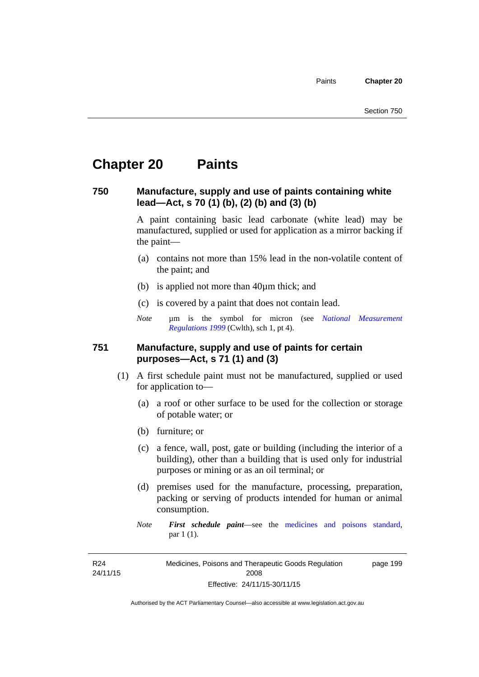# **Chapter 20 Paints**

#### **750 Manufacture, supply and use of paints containing white lead—Act, s 70 (1) (b), (2) (b) and (3) (b)**

A paint containing basic lead carbonate (white lead) may be manufactured, supplied or used for application as a mirror backing if the paint—

- (a) contains not more than 15% lead in the non-volatile content of the paint; and
- (b) is applied not more than 40µm thick; and
- (c) is covered by a paint that does not contain lead.
- *Note* um is the symbol for micron (see *National Measurement [Regulations 1999](http://www.comlaw.gov.au/Series/F1999B00110)* (Cwlth), sch 1, pt 4).

#### **751 Manufacture, supply and use of paints for certain purposes—Act, s 71 (1) and (3)**

- (1) A first schedule paint must not be manufactured, supplied or used for application to—
	- (a) a roof or other surface to be used for the collection or storage of potable water; or
	- (b) furniture; or
	- (c) a fence, wall, post, gate or building (including the interior of a building), other than a building that is used only for industrial purposes or mining or as an oil terminal; or
	- (d) premises used for the manufacture, processing, preparation, packing or serving of products intended for human or animal consumption.
	- *Note First schedule paint*—see the [medicines and poisons standard,](http://www.comlaw.gov.au/Series/F2012L01200) par 1 (1).

R24 24/11/15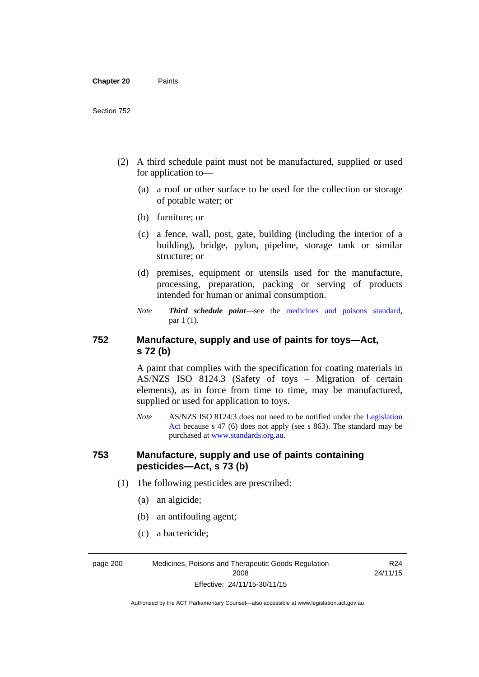- (2) A third schedule paint must not be manufactured, supplied or used for application to—
	- (a) a roof or other surface to be used for the collection or storage of potable water; or
	- (b) furniture; or
	- (c) a fence, wall, post, gate, building (including the interior of a building), bridge, pylon, pipeline, storage tank or similar structure; or
	- (d) premises, equipment or utensils used for the manufacture, processing, preparation, packing or serving of products intended for human or animal consumption.
	- *Note Third schedule paint*—see the [medicines and poisons standard,](http://www.comlaw.gov.au/Series/F2012L01200) par 1 (1).

### **752 Manufacture, supply and use of paints for toys—Act, s 72 (b)**

A paint that complies with the specification for coating materials in AS/NZS ISO 8124.3 (Safety of toys – Migration of certain elements), as in force from time to time, may be manufactured, supplied or used for application to toys.

*Note* AS/NZS ISO 8124:3 does not need to be notified under the [Legislation](http://www.legislation.act.gov.au/a/2001-14)  [Act](http://www.legislation.act.gov.au/a/2001-14) because s 47 (6) does not apply (see s 863). The standard may be purchased at [www.standards.org.au.](http://www.standards.org.au/)

#### **753 Manufacture, supply and use of paints containing pesticides—Act, s 73 (b)**

- (1) The following pesticides are prescribed:
	- (a) an algicide;
	- (b) an antifouling agent;
	- (c) a bactericide;

page 200 Medicines, Poisons and Therapeutic Goods Regulation 2008 Effective: 24/11/15-30/11/15

R24 24/11/15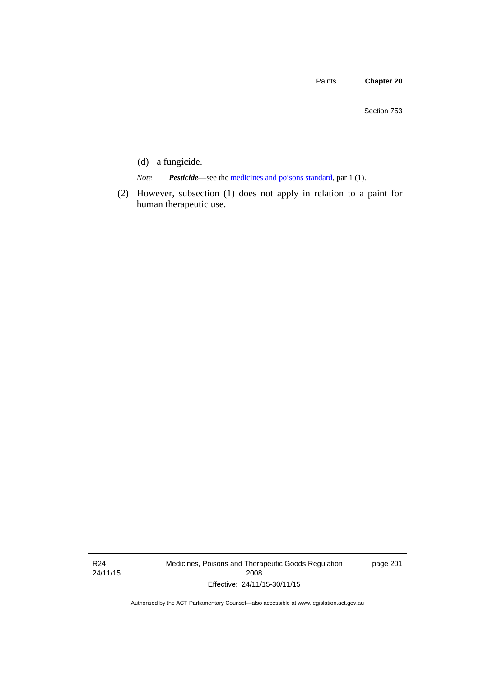- (d) a fungicide.
- *Note Pesticide*—see the [medicines and poisons standard,](http://www.comlaw.gov.au/Series/F2012L01200) par 1 (1).
- (2) However, subsection (1) does not apply in relation to a paint for human therapeutic use.

R24 24/11/15 Medicines, Poisons and Therapeutic Goods Regulation 2008 Effective: 24/11/15-30/11/15

page 201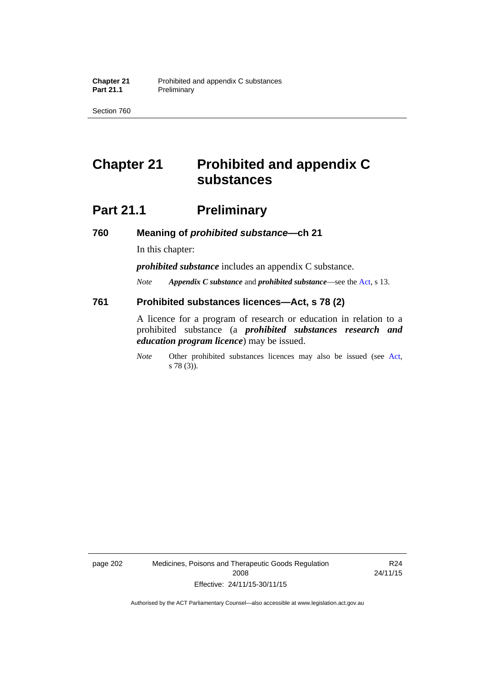Section 760

# **Chapter 21 Prohibited and appendix C substances**

# **Part 21.1 Preliminary**

**760 Meaning of** *prohibited substance***—ch 21** 

In this chapter:

*prohibited substance* includes an appendix C substance.

*Note Appendix C substance* and *prohibited substance*—see the [Act,](http://www.legislation.act.gov.au/a/2008-26/default.asp) s 13.

#### **761 Prohibited substances licences—Act, s 78 (2)**

A licence for a program of research or education in relation to a prohibited substance (a *prohibited substances research and education program licence*) may be issued.

*Note* Other prohibited substances licences may also be issued (see [Act,](http://www.legislation.act.gov.au/a/2008-26/default.asp) s 78 (3)).

page 202 Medicines, Poisons and Therapeutic Goods Regulation 2008 Effective: 24/11/15-30/11/15

R24 24/11/15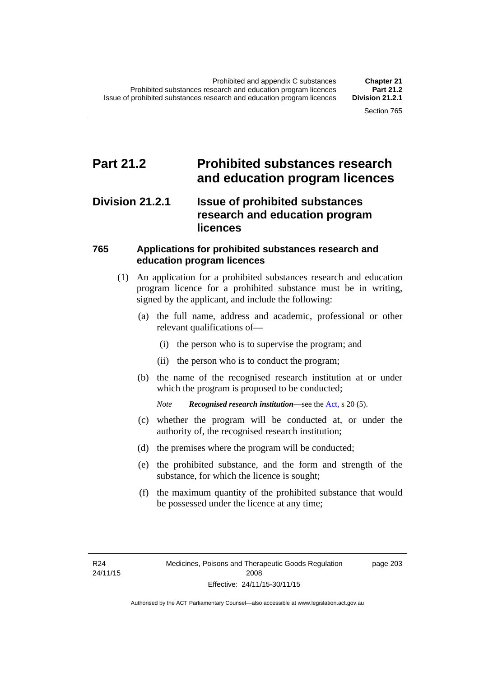### **Part 21.2 Prohibited substances research and education program licences**

### **Division 21.2.1 Issue of prohibited substances research and education program licences**

### **765 Applications for prohibited substances research and education program licences**

- (1) An application for a prohibited substances research and education program licence for a prohibited substance must be in writing, signed by the applicant, and include the following:
	- (a) the full name, address and academic, professional or other relevant qualifications of—
		- (i) the person who is to supervise the program; and
		- (ii) the person who is to conduct the program;
	- (b) the name of the recognised research institution at or under which the program is proposed to be conducted;

*Note Recognised research institution*—see the [Act](http://www.legislation.act.gov.au/a/2008-26/default.asp), s 20 (5).

- (c) whether the program will be conducted at, or under the authority of, the recognised research institution;
- (d) the premises where the program will be conducted;
- (e) the prohibited substance, and the form and strength of the substance, for which the licence is sought;
- (f) the maximum quantity of the prohibited substance that would be possessed under the licence at any time;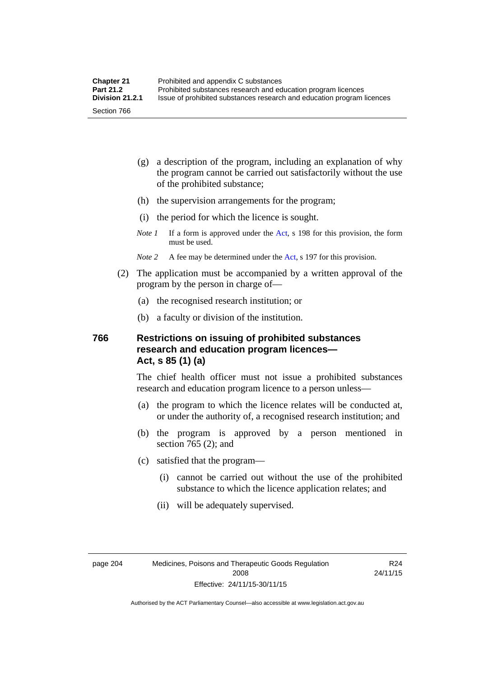- (g) a description of the program, including an explanation of why the program cannot be carried out satisfactorily without the use of the prohibited substance;
- (h) the supervision arrangements for the program;
- (i) the period for which the licence is sought.
- *Note 1* If a form is approved under the [Act](http://www.legislation.act.gov.au/a/2008-26/default.asp), s 198 for this provision, the form must be used.
- *Note 2* A fee may be determined under the [Act,](http://www.legislation.act.gov.au/a/2008-26/default.asp) s 197 for this provision.
- (2) The application must be accompanied by a written approval of the program by the person in charge of—
	- (a) the recognised research institution; or
	- (b) a faculty or division of the institution.

#### **766 Restrictions on issuing of prohibited substances research and education program licences— Act, s 85 (1) (a)**

The chief health officer must not issue a prohibited substances research and education program licence to a person unless—

- (a) the program to which the licence relates will be conducted at, or under the authority of, a recognised research institution; and
- (b) the program is approved by a person mentioned in section 765 (2); and
- (c) satisfied that the program—
	- (i) cannot be carried out without the use of the prohibited substance to which the licence application relates; and
	- (ii) will be adequately supervised.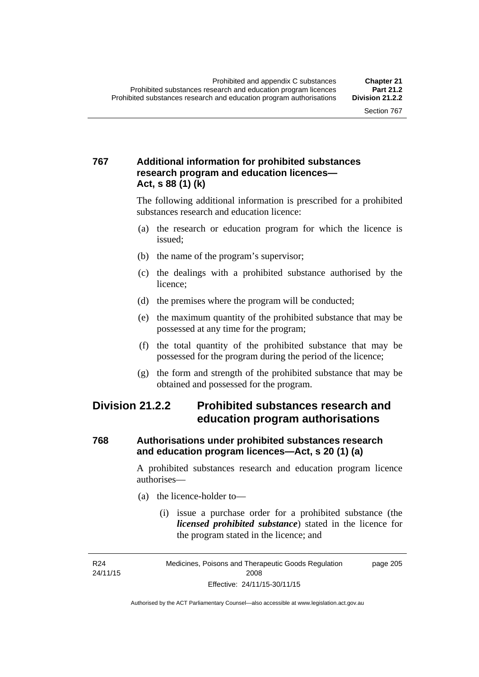### **767 Additional information for prohibited substances research program and education licences— Act, s 88 (1) (k)**

The following additional information is prescribed for a prohibited substances research and education licence:

- (a) the research or education program for which the licence is issued;
- (b) the name of the program's supervisor;
- (c) the dealings with a prohibited substance authorised by the licence;
- (d) the premises where the program will be conducted;
- (e) the maximum quantity of the prohibited substance that may be possessed at any time for the program;
- (f) the total quantity of the prohibited substance that may be possessed for the program during the period of the licence;
- (g) the form and strength of the prohibited substance that may be obtained and possessed for the program.

### **Division 21.2.2 Prohibited substances research and education program authorisations**

### **768 Authorisations under prohibited substances research and education program licences—Act, s 20 (1) (a)**

A prohibited substances research and education program licence authorises—

- (a) the licence-holder to—
	- (i) issue a purchase order for a prohibited substance (the *licensed prohibited substance*) stated in the licence for the program stated in the licence; and

R24 24/11/15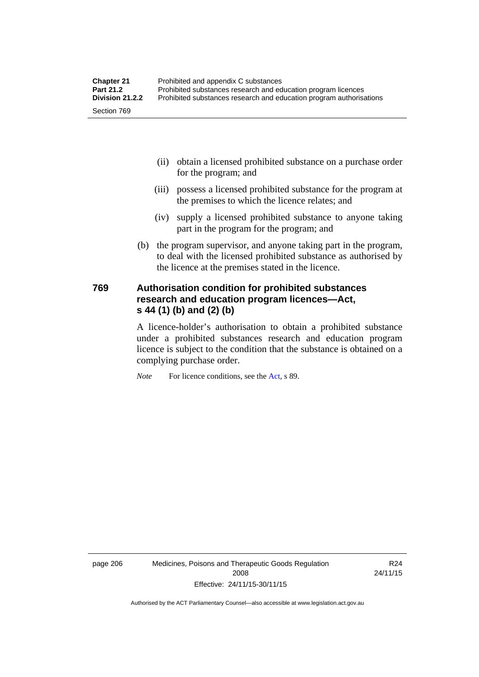- (ii) obtain a licensed prohibited substance on a purchase order for the program; and
- (iii) possess a licensed prohibited substance for the program at the premises to which the licence relates; and
- (iv) supply a licensed prohibited substance to anyone taking part in the program for the program; and
- (b) the program supervisor, and anyone taking part in the program, to deal with the licensed prohibited substance as authorised by the licence at the premises stated in the licence.

#### **769 Authorisation condition for prohibited substances research and education program licences—Act, s 44 (1) (b) and (2) (b)**

A licence-holder's authorisation to obtain a prohibited substance under a prohibited substances research and education program licence is subject to the condition that the substance is obtained on a complying purchase order.

*Note* For licence conditions, see the [Act](http://www.legislation.act.gov.au/a/2008-26/default.asp), s 89.

page 206 Medicines, Poisons and Therapeutic Goods Regulation 2008 Effective: 24/11/15-30/11/15

R24 24/11/15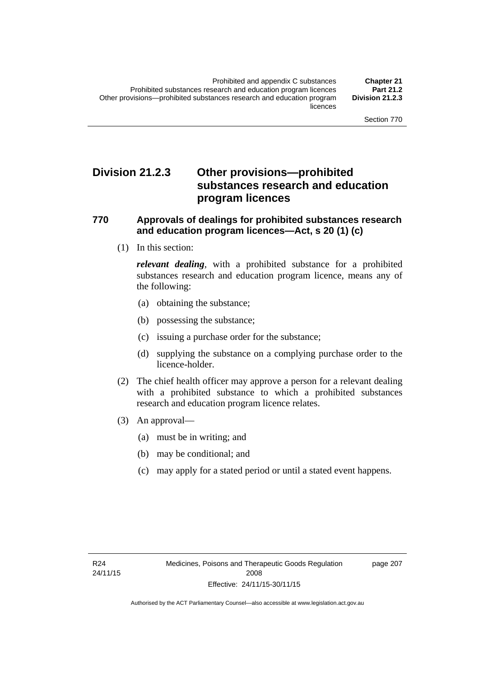### **Division 21.2.3 Other provisions—prohibited substances research and education program licences**

#### **770 Approvals of dealings for prohibited substances research and education program licences—Act, s 20 (1) (c)**

(1) In this section:

*relevant dealing*, with a prohibited substance for a prohibited substances research and education program licence, means any of the following:

- (a) obtaining the substance;
- (b) possessing the substance;
- (c) issuing a purchase order for the substance;
- (d) supplying the substance on a complying purchase order to the licence-holder.
- (2) The chief health officer may approve a person for a relevant dealing with a prohibited substance to which a prohibited substances research and education program licence relates.
- (3) An approval—
	- (a) must be in writing; and
	- (b) may be conditional; and
	- (c) may apply for a stated period or until a stated event happens.

page 207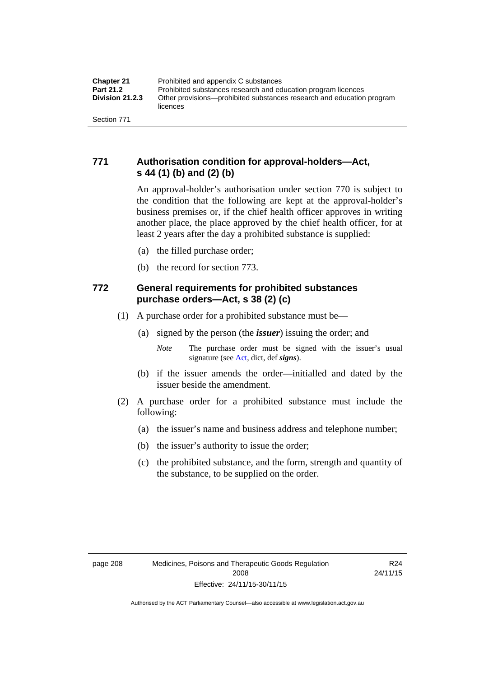### **771 Authorisation condition for approval-holders—Act, s 44 (1) (b) and (2) (b)**

An approval-holder's authorisation under section 770 is subject to the condition that the following are kept at the approval-holder's business premises or, if the chief health officer approves in writing another place, the place approved by the chief health officer, for at least 2 years after the day a prohibited substance is supplied:

- (a) the filled purchase order;
- (b) the record for section 773.

### **772 General requirements for prohibited substances purchase orders—Act, s 38 (2) (c)**

- (1) A purchase order for a prohibited substance must be—
	- (a) signed by the person (the *issuer*) issuing the order; and
		- *Note* The purchase order must be signed with the issuer's usual signature (see [Act](http://www.legislation.act.gov.au/a/2008-26/default.asp), dict, def *signs*).
	- (b) if the issuer amends the order—initialled and dated by the issuer beside the amendment.
- (2) A purchase order for a prohibited substance must include the following:
	- (a) the issuer's name and business address and telephone number;
	- (b) the issuer's authority to issue the order;
	- (c) the prohibited substance, and the form, strength and quantity of the substance, to be supplied on the order.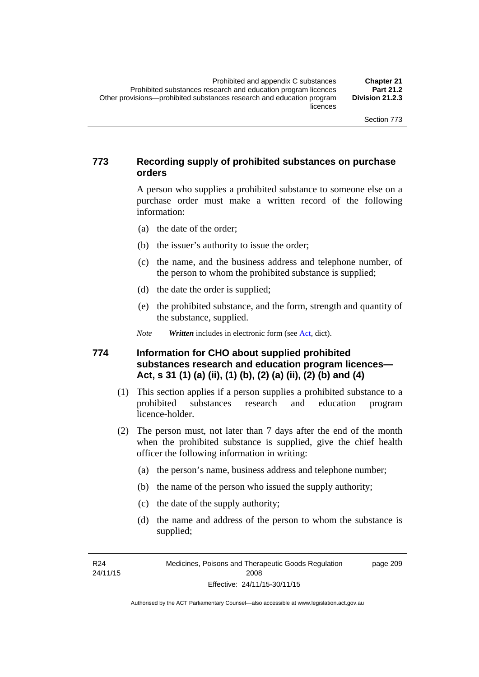#### **773 Recording supply of prohibited substances on purchase orders**

A person who supplies a prohibited substance to someone else on a purchase order must make a written record of the following information:

- (a) the date of the order;
- (b) the issuer's authority to issue the order;
- (c) the name, and the business address and telephone number, of the person to whom the prohibited substance is supplied;
- (d) the date the order is supplied;
- (e) the prohibited substance, and the form, strength and quantity of the substance, supplied.

*Note Written* includes in electronic form (see [Act,](http://www.legislation.act.gov.au/a/2008-26/default.asp) dict).

#### **774 Information for CHO about supplied prohibited substances research and education program licences— Act, s 31 (1) (a) (ii), (1) (b), (2) (a) (ii), (2) (b) and (4)**

- (1) This section applies if a person supplies a prohibited substance to a prohibited substances research and education program licence-holder.
- (2) The person must, not later than 7 days after the end of the month when the prohibited substance is supplied, give the chief health officer the following information in writing:
	- (a) the person's name, business address and telephone number;
	- (b) the name of the person who issued the supply authority;
	- (c) the date of the supply authority;
	- (d) the name and address of the person to whom the substance is supplied;

R24 24/11/15 page 209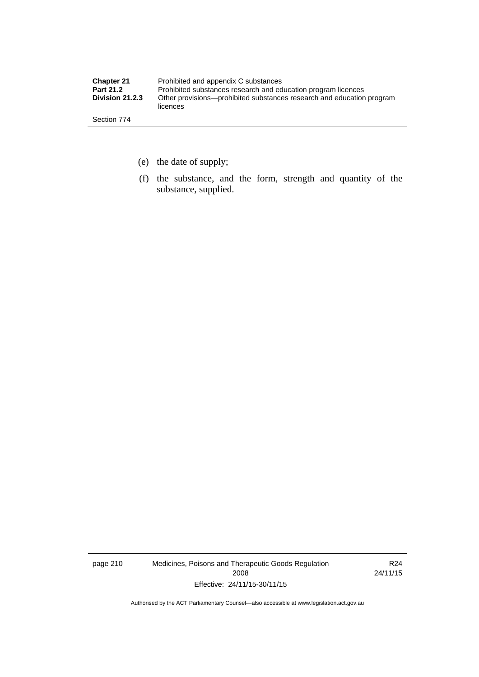| <b>Chapter 21</b> | Prohibited and appendix C substances                                              |
|-------------------|-----------------------------------------------------------------------------------|
| <b>Part 21.2</b>  | Prohibited substances research and education program licences                     |
| Division 21.2.3   | Other provisions—prohibited substances research and education program<br>licences |
| Section 774       |                                                                                   |

- (e) the date of supply;
- (f) the substance, and the form, strength and quantity of the substance, supplied.

page 210 Medicines, Poisons and Therapeutic Goods Regulation 2008 Effective: 24/11/15-30/11/15

R24 24/11/15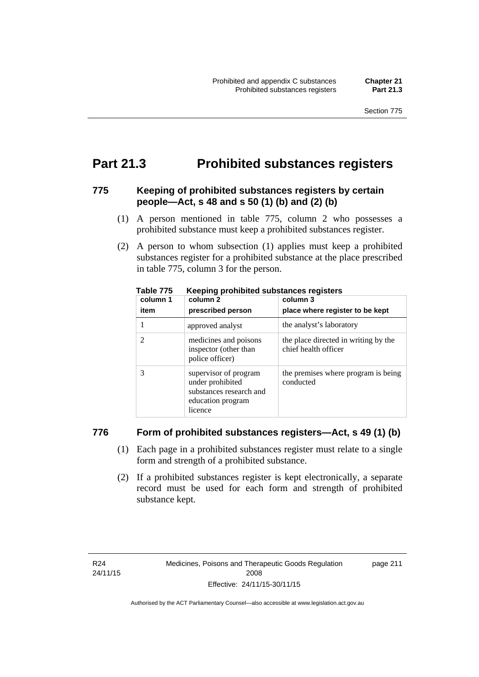### **Part 21.3 Prohibited substances registers**

#### **775 Keeping of prohibited substances registers by certain people—Act, s 48 and s 50 (1) (b) and (2) (b)**

- (1) A person mentioned in table 775, column 2 who possesses a prohibited substance must keep a prohibited substances register.
- (2) A person to whom subsection (1) applies must keep a prohibited substances register for a prohibited substance at the place prescribed in table 775, column 3 for the person.

| column 1<br>item | --<br>column 2<br>prescribed person                                                                  | column 3<br>place where register to be kept                  |
|------------------|------------------------------------------------------------------------------------------------------|--------------------------------------------------------------|
|                  | approved analyst                                                                                     | the analyst's laboratory                                     |
|                  | medicines and poisons<br>inspector (other than<br>police officer)                                    | the place directed in writing by the<br>chief health officer |
|                  | supervisor of program<br>under prohibited<br>substances research and<br>education program<br>licence | the premises where program is being<br>conducted             |

**Table 775 Keeping prohibited substances registers** 

#### **776 Form of prohibited substances registers—Act, s 49 (1) (b)**

- (1) Each page in a prohibited substances register must relate to a single form and strength of a prohibited substance.
- (2) If a prohibited substances register is kept electronically, a separate record must be used for each form and strength of prohibited substance kept.

page 211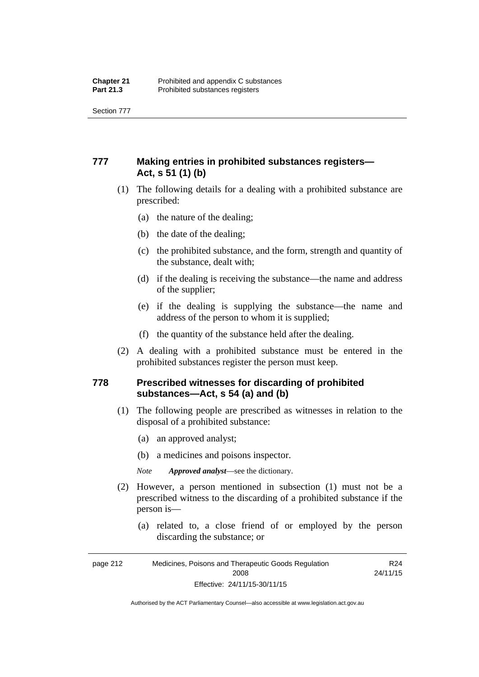Section 777

### **777 Making entries in prohibited substances registers— Act, s 51 (1) (b)**

- (1) The following details for a dealing with a prohibited substance are prescribed:
	- (a) the nature of the dealing;
	- (b) the date of the dealing;
	- (c) the prohibited substance, and the form, strength and quantity of the substance, dealt with;
	- (d) if the dealing is receiving the substance—the name and address of the supplier;
	- (e) if the dealing is supplying the substance—the name and address of the person to whom it is supplied;
	- (f) the quantity of the substance held after the dealing.
- (2) A dealing with a prohibited substance must be entered in the prohibited substances register the person must keep.

#### **778 Prescribed witnesses for discarding of prohibited substances—Act, s 54 (a) and (b)**

- (1) The following people are prescribed as witnesses in relation to the disposal of a prohibited substance:
	- (a) an approved analyst;
	- (b) a medicines and poisons inspector.

*Note Approved analyst*—see the dictionary.

- (2) However, a person mentioned in subsection (1) must not be a prescribed witness to the discarding of a prohibited substance if the person is—
	- (a) related to, a close friend of or employed by the person discarding the substance; or

| page 212 | Medicines, Poisons and Therapeutic Goods Regulation | R <sub>24</sub> |
|----------|-----------------------------------------------------|-----------------|
|          | 2008                                                | 24/11/15        |
|          | Effective: 24/11/15-30/11/15                        |                 |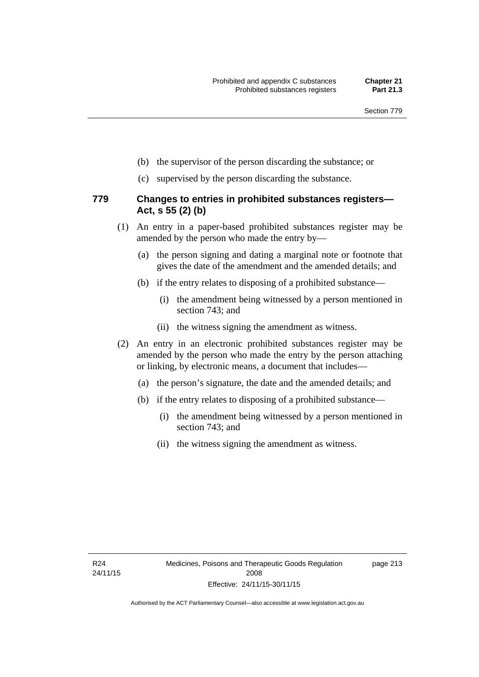- (b) the supervisor of the person discarding the substance; or
- (c) supervised by the person discarding the substance.

#### **779 Changes to entries in prohibited substances registers— Act, s 55 (2) (b)**

- (1) An entry in a paper-based prohibited substances register may be amended by the person who made the entry by—
	- (a) the person signing and dating a marginal note or footnote that gives the date of the amendment and the amended details; and
	- (b) if the entry relates to disposing of a prohibited substance—
		- (i) the amendment being witnessed by a person mentioned in section 743; and
		- (ii) the witness signing the amendment as witness.
- (2) An entry in an electronic prohibited substances register may be amended by the person who made the entry by the person attaching or linking, by electronic means, a document that includes—
	- (a) the person's signature, the date and the amended details; and
	- (b) if the entry relates to disposing of a prohibited substance—
		- (i) the amendment being witnessed by a person mentioned in section 743; and
		- (ii) the witness signing the amendment as witness.

page 213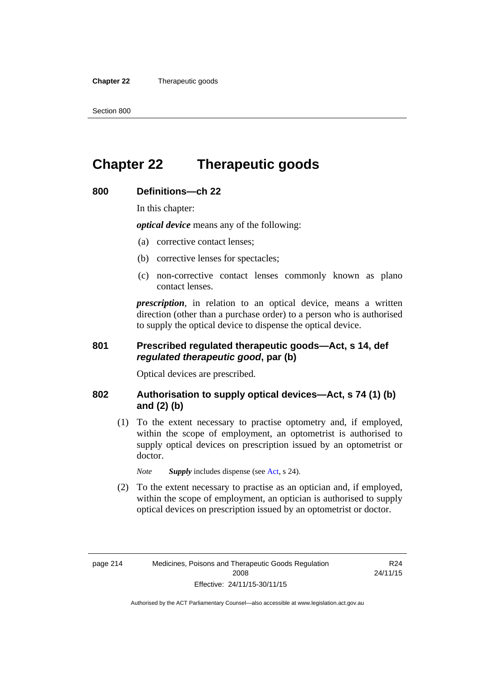**Chapter 22** Therapeutic goods

# **Chapter 22 Therapeutic goods**

### **800 Definitions—ch 22**

In this chapter:

*optical device* means any of the following:

- (a) corrective contact lenses;
- (b) corrective lenses for spectacles;
- (c) non-corrective contact lenses commonly known as plano contact lenses.

*prescription*, in relation to an optical device, means a written direction (other than a purchase order) to a person who is authorised to supply the optical device to dispense the optical device.

#### **801 Prescribed regulated therapeutic goods—Act, s 14, def**  *regulated therapeutic good***, par (b)**

Optical devices are prescribed.

#### **802 Authorisation to supply optical devices—Act, s 74 (1) (b) and (2) (b)**

 (1) To the extent necessary to practise optometry and, if employed, within the scope of employment, an optometrist is authorised to supply optical devices on prescription issued by an optometrist or doctor.

*Note Supply* includes dispense (see [Act,](http://www.legislation.act.gov.au/a/2008-26/default.asp) s 24).

 (2) To the extent necessary to practise as an optician and, if employed, within the scope of employment, an optician is authorised to supply optical devices on prescription issued by an optometrist or doctor.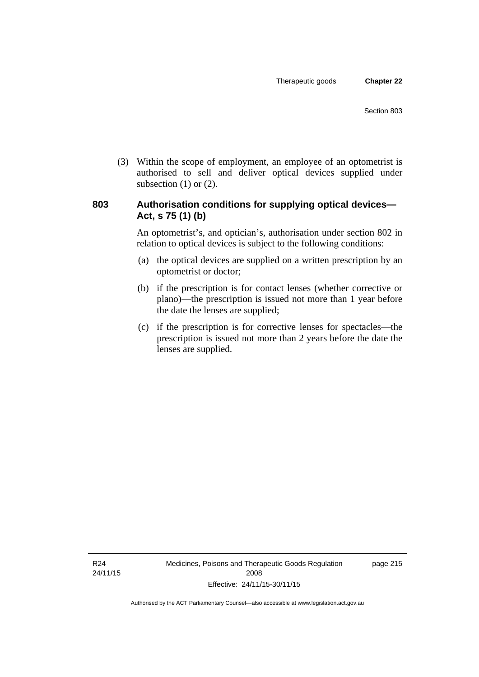(3) Within the scope of employment, an employee of an optometrist is authorised to sell and deliver optical devices supplied under subsection  $(1)$  or  $(2)$ .

#### **803 Authorisation conditions for supplying optical devices— Act, s 75 (1) (b)**

An optometrist's, and optician's, authorisation under section 802 in relation to optical devices is subject to the following conditions:

- (a) the optical devices are supplied on a written prescription by an optometrist or doctor;
- (b) if the prescription is for contact lenses (whether corrective or plano)—the prescription is issued not more than 1 year before the date the lenses are supplied;
- (c) if the prescription is for corrective lenses for spectacles—the prescription is issued not more than 2 years before the date the lenses are supplied.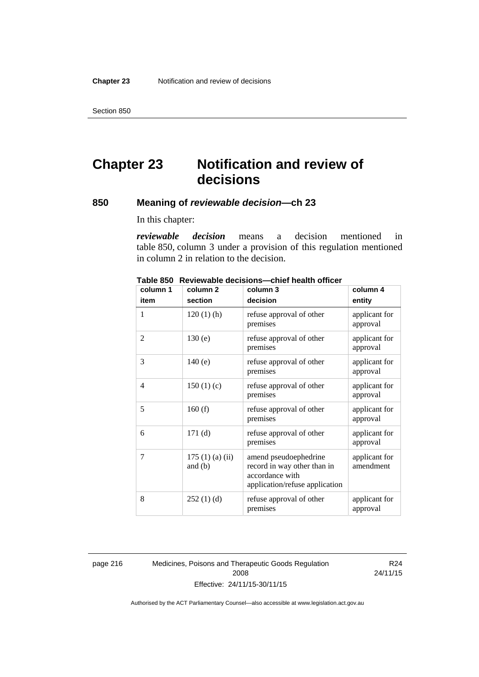Section 850

# **Chapter 23 Notification and review of decisions**

#### **850 Meaning of** *reviewable decision—***ch 23**

In this chapter:

*reviewable decision* means a decision mentioned in table 850, column 3 under a provision of this regulation mentioned in column 2 in relation to the decision.

| column 1       | column <sub>2</sub>        | column 3                                                                                                  | column 4                   |
|----------------|----------------------------|-----------------------------------------------------------------------------------------------------------|----------------------------|
| item           | section                    | decision                                                                                                  | entity                     |
| 1              | $120(1)$ (h)               | refuse approval of other<br>premises                                                                      | applicant for<br>approval  |
| 2              | 130(e)                     | refuse approval of other<br>premises                                                                      | applicant for<br>approval  |
| 3              | 140(e)                     | refuse approval of other<br>premises                                                                      | applicant for<br>approval  |
| $\overline{4}$ | 150(1)(c)                  | refuse approval of other<br>premises                                                                      | applicant for<br>approval  |
| 5              | 160(f)                     | refuse approval of other<br>premises                                                                      | applicant for<br>approval  |
| 6              | 171(d)                     | refuse approval of other<br>premises                                                                      | applicant for<br>approval  |
| 7              | 175(1)(a)(ii)<br>and $(b)$ | amend pseudoephedrine<br>record in way other than in<br>accordance with<br>application/refuse application | applicant for<br>amendment |
| 8              | 252(1)(d)                  | refuse approval of other<br>premises                                                                      | applicant for<br>approval  |

**Table 850 Reviewable decisions—chief health officer** 

page 216 Medicines, Poisons and Therapeutic Goods Regulation 2008 Effective: 24/11/15-30/11/15

R24 24/11/15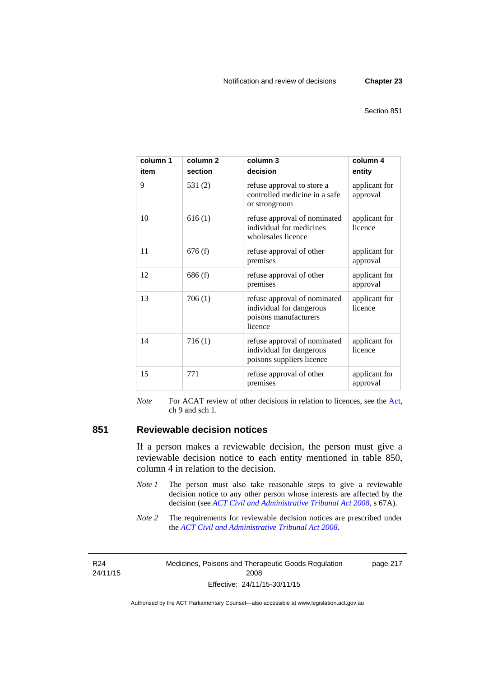| column 1<br>item | column <sub>2</sub><br>section | column 3<br>decision                                                                         | column 4<br>entity        |
|------------------|--------------------------------|----------------------------------------------------------------------------------------------|---------------------------|
| 9                | 531(2)                         | refuse approval to store a<br>controlled medicine in a safe<br>or strongroom                 | applicant for<br>approval |
| 10               | 616(1)                         | refuse approval of nominated<br>individual for medicines<br>wholesales licence               | applicant for<br>licence  |
| 11               | 676(f)                         | refuse approval of other<br>premises                                                         | applicant for<br>approval |
| 12               | 686(f)                         | refuse approval of other<br>premises                                                         | applicant for<br>approval |
| 13               | 706(1)                         | refuse approval of nominated<br>individual for dangerous<br>poisons manufacturers<br>licence | applicant for<br>licence  |
| 14               | 716(1)                         | refuse approval of nominated<br>individual for dangerous<br>poisons suppliers licence        | applicant for<br>licence  |
| 15               | 771                            | refuse approval of other<br>premises                                                         | applicant for<br>approval |

*Note* For ACAT review of other decisions in relation to licences, see the [Act,](http://www.legislation.act.gov.au/a/2008-26/default.asp) ch 9 and sch 1.

#### **851 Reviewable decision notices**

If a person makes a reviewable decision, the person must give a reviewable decision notice to each entity mentioned in table 850, column 4 in relation to the decision.

- *Note 1* The person must also take reasonable steps to give a reviewable decision notice to any other person whose interests are affected by the decision (see *[ACT Civil and Administrative Tribunal Act 2008](http://www.legislation.act.gov.au/a/2008-35)*, s 67A).
- *Note* 2 The requirements for reviewable decision notices are prescribed under the *[ACT Civil and Administrative Tribunal Act 2008](http://www.legislation.act.gov.au/a/2008-35)*.

R24 24/11/15 Medicines, Poisons and Therapeutic Goods Regulation 2008 Effective: 24/11/15-30/11/15

page 217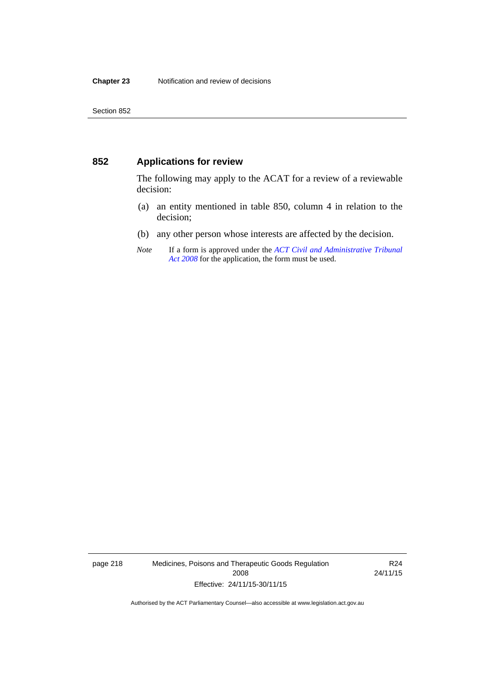#### **852 Applications for review**

The following may apply to the ACAT for a review of a reviewable decision:

- (a) an entity mentioned in table 850, column 4 in relation to the decision;
- (b) any other person whose interests are affected by the decision.
- *Note* If a form is approved under the *[ACT Civil and Administrative Tribunal](http://www.legislation.act.gov.au/a/2008-35)  [Act 2008](http://www.legislation.act.gov.au/a/2008-35)* for the application, the form must be used.

page 218 Medicines, Poisons and Therapeutic Goods Regulation 2008 Effective: 24/11/15-30/11/15

R24 24/11/15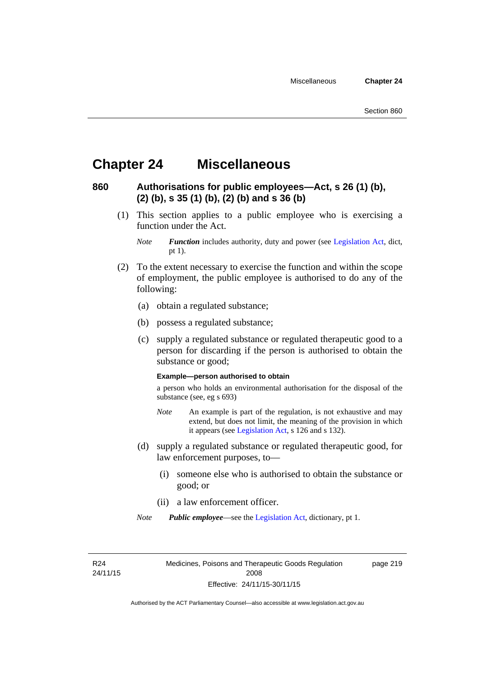### **Chapter 24 Miscellaneous**

### **860 Authorisations for public employees—Act, s 26 (1) (b), (2) (b), s 35 (1) (b), (2) (b) and s 36 (b)**

 (1) This section applies to a public employee who is exercising a function under the Act.

- (2) To the extent necessary to exercise the function and within the scope of employment, the public employee is authorised to do any of the following:
	- (a) obtain a regulated substance;
	- (b) possess a regulated substance;
	- (c) supply a regulated substance or regulated therapeutic good to a person for discarding if the person is authorised to obtain the substance or good;

#### **Example—person authorised to obtain**

a person who holds an environmental authorisation for the disposal of the substance (see, eg s 693)

- *Note* An example is part of the regulation, is not exhaustive and may extend, but does not limit, the meaning of the provision in which it appears (see [Legislation Act,](http://www.legislation.act.gov.au/a/2001-14) s 126 and s 132).
- (d) supply a regulated substance or regulated therapeutic good, for law enforcement purposes, to—
	- (i) someone else who is authorised to obtain the substance or good; or
	- (ii) a law enforcement officer.
- *Note Public employee*—see the [Legislation Act,](http://www.legislation.act.gov.au/a/2001-14) dictionary, pt 1.

R24 24/11/15 Medicines, Poisons and Therapeutic Goods Regulation 2008 Effective: 24/11/15-30/11/15

page 219

*Note Function* includes authority, duty and power (see [Legislation Act](http://www.legislation.act.gov.au/a/2001-14), dict, pt 1).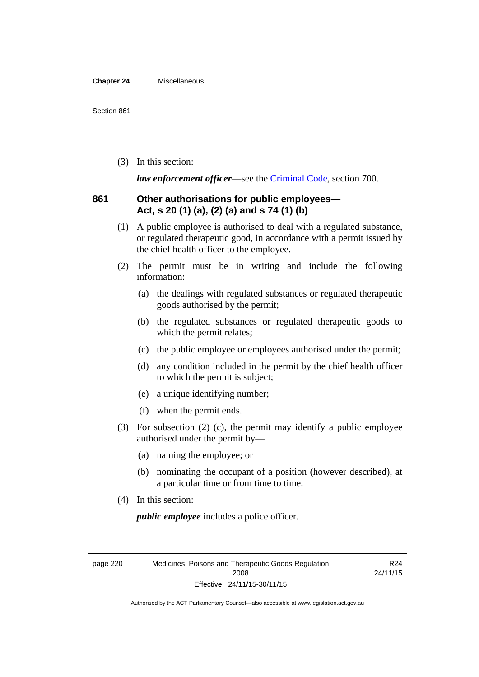#### **Chapter 24** Miscellaneous

(3) In this section:

*law enforcement officer*—see the [Criminal Code,](http://www.legislation.act.gov.au/a/2002-51) section 700.

#### **861 Other authorisations for public employees— Act, s 20 (1) (a), (2) (a) and s 74 (1) (b)**

- (1) A public employee is authorised to deal with a regulated substance, or regulated therapeutic good, in accordance with a permit issued by the chief health officer to the employee.
- (2) The permit must be in writing and include the following information:
	- (a) the dealings with regulated substances or regulated therapeutic goods authorised by the permit;
	- (b) the regulated substances or regulated therapeutic goods to which the permit relates;
	- (c) the public employee or employees authorised under the permit;
	- (d) any condition included in the permit by the chief health officer to which the permit is subject;
	- (e) a unique identifying number;
	- (f) when the permit ends.
- (3) For subsection (2) (c), the permit may identify a public employee authorised under the permit by—
	- (a) naming the employee; or
	- (b) nominating the occupant of a position (however described), at a particular time or from time to time.
- (4) In this section:

*public employee* includes a police officer.

page 220 Medicines, Poisons and Therapeutic Goods Regulation 2008 Effective: 24/11/15-30/11/15

R24 24/11/15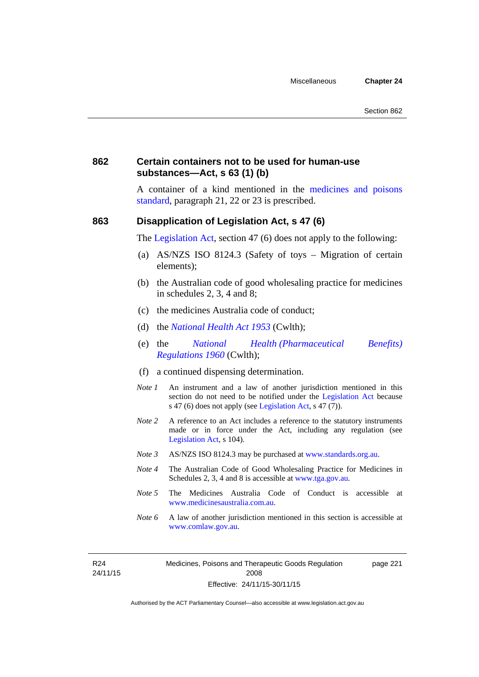#### **862 Certain containers not to be used for human-use substances—Act, s 63 (1) (b)**

A container of a kind mentioned in the [medicines and poisons](http://www.comlaw.gov.au/Series/F2012L01200)  [standard,](http://www.comlaw.gov.au/Series/F2012L01200) paragraph 21, 22 or 23 is prescribed.

#### **863 Disapplication of Legislation Act, s 47 (6)**

The [Legislation Act](http://www.legislation.act.gov.au/a/2001-14), section 47 (6) does not apply to the following:

- (a) AS/NZS ISO 8124.3 (Safety of toys Migration of certain elements);
- (b) the Australian code of good wholesaling practice for medicines in schedules 2, 3, 4 and 8;
- (c) the medicines Australia code of conduct;
- (d) the *[National Health Act 1953](http://www.comlaw.gov.au/Series/C1953A00095)* (Cwlth);
- (e) the *[National Health \(Pharmaceutical Benefits\)](http://www.comlaw.gov.au/Series/F1996B02844)  [Regulations 1960](http://www.comlaw.gov.au/Series/F1996B02844)* (Cwlth);
- (f) a continued dispensing determination.
- *Note 1* An instrument and a law of another jurisdiction mentioned in this section do not need to be notified under the [Legislation Act](http://www.legislation.act.gov.au/a/2001-14) because s 47 (6) does not apply (see [Legislation Act](http://www.legislation.act.gov.au/a/2001-14), s 47 (7)).
- *Note 2* A reference to an Act includes a reference to the statutory instruments made or in force under the Act, including any regulation (see [Legislation Act,](http://www.legislation.act.gov.au/a/2001-14) s 104).
- *Note 3* AS/NZS ISO 8124.3 may be purchased at [www.standards.org.au.](http://www.standards.org.au/)
- *Note 4* The Australian Code of Good Wholesaling Practice for Medicines in Schedules 2, 3, 4 and 8 is accessible at [www.tga.gov.au.](http://www.tga.gov.au/)
- *Note 5* The Medicines Australia Code of Conduct is accessible at [www.medicinesaustralia.com.au](http://www.medicinesaustralia.com.au/).
- *Note* 6 A law of another jurisdiction mentioned in this section is accessible at [www.comlaw.gov.au](http://www.comlaw.gov.au/).

R24 24/11/15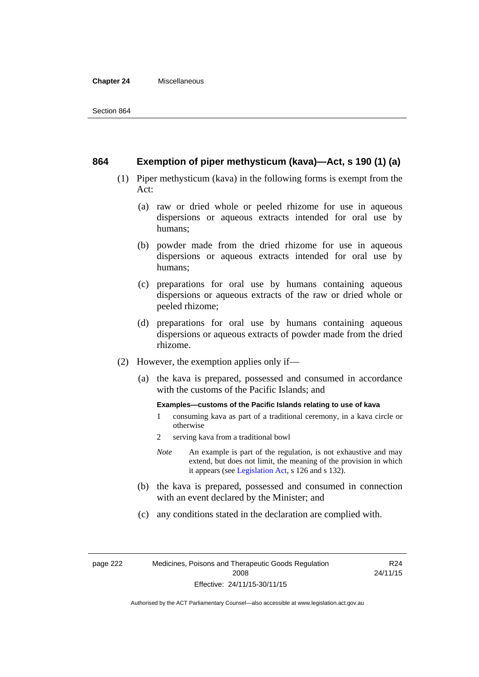#### **Chapter 24** Miscellaneous

#### **864 Exemption of piper methysticum (kava)—Act, s 190 (1) (a)**

- (1) Piper methysticum (kava) in the following forms is exempt from the Act:
	- (a) raw or dried whole or peeled rhizome for use in aqueous dispersions or aqueous extracts intended for oral use by humans;
	- (b) powder made from the dried rhizome for use in aqueous dispersions or aqueous extracts intended for oral use by humans;
	- (c) preparations for oral use by humans containing aqueous dispersions or aqueous extracts of the raw or dried whole or peeled rhizome;
	- (d) preparations for oral use by humans containing aqueous dispersions or aqueous extracts of powder made from the dried rhizome.
- (2) However, the exemption applies only if—
	- (a) the kava is prepared, possessed and consumed in accordance with the customs of the Pacific Islands; and

#### **Examples—customs of the Pacific Islands relating to use of kava**

- 1 consuming kava as part of a traditional ceremony, in a kava circle or otherwise
- 2 serving kava from a traditional bowl
- *Note* An example is part of the regulation, is not exhaustive and may extend, but does not limit, the meaning of the provision in which it appears (see [Legislation Act,](http://www.legislation.act.gov.au/a/2001-14) s 126 and s 132).
- (b) the kava is prepared, possessed and consumed in connection with an event declared by the Minister; and
- (c) any conditions stated in the declaration are complied with.

page 222 Medicines, Poisons and Therapeutic Goods Regulation 2008 Effective: 24/11/15-30/11/15

R24 24/11/15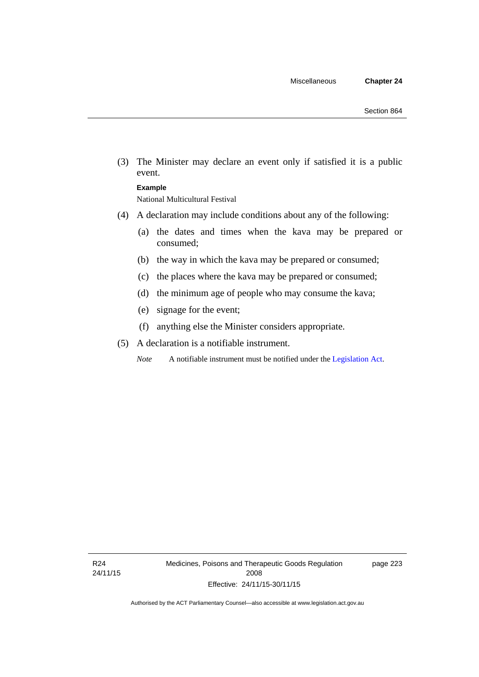(3) The Minister may declare an event only if satisfied it is a public event.

#### **Example**

National Multicultural Festival

- (4) A declaration may include conditions about any of the following:
	- (a) the dates and times when the kava may be prepared or consumed;
	- (b) the way in which the kava may be prepared or consumed;
	- (c) the places where the kava may be prepared or consumed;
	- (d) the minimum age of people who may consume the kava;
	- (e) signage for the event;
	- (f) anything else the Minister considers appropriate.
- (5) A declaration is a notifiable instrument.

*Note* A notifiable instrument must be notified under the [Legislation Act](http://www.legislation.act.gov.au/a/2001-14).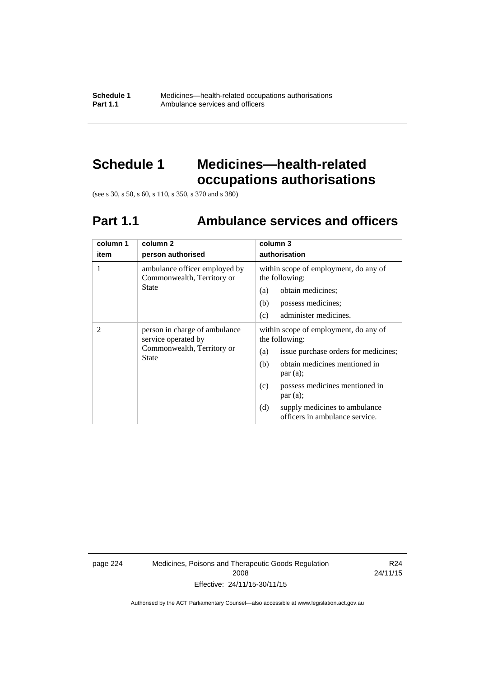**Schedule 1** Medicines—health-related occupations authorisations<br>**Part 1.1** Ambulance services and officers Ambulance services and officers

# **Schedule 1 Medicines—health-related occupations authorisations**

(see s 30, s 50, s 60, s 110, s 350, s 370 and s 380)

# **Part 1.1 Ambulance services and officers**

| column 1<br>item | column <sub>2</sub><br>person authorised                                                           | column 3<br>authorisation                                                                                                                                                                                                                                                               |  |
|------------------|----------------------------------------------------------------------------------------------------|-----------------------------------------------------------------------------------------------------------------------------------------------------------------------------------------------------------------------------------------------------------------------------------------|--|
| 1                | ambulance officer employed by<br>Commonwealth, Territory or<br><b>State</b>                        | within scope of employment, do any of<br>the following:<br>obtain medicines;<br>(a)<br>possess medicines;<br>(b)<br>administer medicines.<br>(c)                                                                                                                                        |  |
| 2                | person in charge of ambulance<br>service operated by<br>Commonwealth, Territory or<br><b>State</b> | within scope of employment, do any of<br>the following:<br>issue purchase orders for medicines;<br>(a)<br>obtain medicines mentioned in<br>(b)<br>par(a);<br>possess medicines mentioned in<br>(c)<br>par(a);<br>(d)<br>supply medicines to ambulance<br>officers in ambulance service. |  |

page 224 Medicines, Poisons and Therapeutic Goods Regulation 2008 Effective: 24/11/15-30/11/15

R24 24/11/15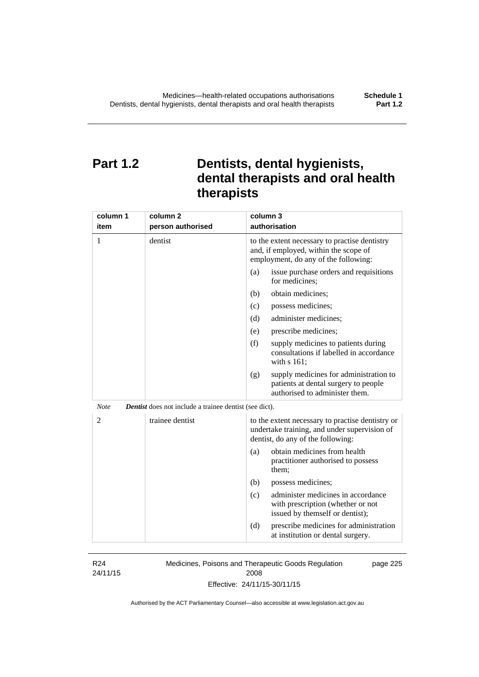# **Part 1.2 Dentists, dental hygienists, dental therapists and oral health therapists**

| column 1<br>item | column <sub>2</sub><br>person authorised                      | column 3<br>authorisation                                                                                                             |
|------------------|---------------------------------------------------------------|---------------------------------------------------------------------------------------------------------------------------------------|
| 1                | dentist                                                       | to the extent necessary to practise dentistry<br>and, if employed, within the scope of<br>employment, do any of the following:        |
|                  |                                                               | (a)<br>issue purchase orders and requisitions<br>for medicines;                                                                       |
|                  |                                                               | obtain medicines;<br>(b)                                                                                                              |
|                  |                                                               | (c)<br>possess medicines;                                                                                                             |
|                  |                                                               | administer medicines;<br>(d)                                                                                                          |
|                  |                                                               | prescribe medicines;<br>(e)                                                                                                           |
|                  |                                                               | (f)<br>supply medicines to patients during<br>consultations if labelled in accordance<br>with s 161;                                  |
|                  |                                                               | supply medicines for administration to<br>(g)<br>patients at dental surgery to people<br>authorised to administer them.               |
| <b>Note</b>      | <b>Dentist</b> does not include a trainee dentist (see dict). |                                                                                                                                       |
| $\overline{2}$   | trainee dentist                                               | to the extent necessary to practise dentistry or<br>undertake training, and under supervision of<br>dentist, do any of the following: |
|                  |                                                               | obtain medicines from health<br>(a)<br>practitioner authorised to possess<br>them;                                                    |
|                  |                                                               | (b)<br>possess medicines;                                                                                                             |
|                  |                                                               | administer medicines in accordance<br>(c)<br>with prescription (whether or not<br>issued by themself or dentist);                     |
|                  |                                                               | (d)<br>prescribe medicines for administration<br>at institution or dental surgery.                                                    |

R24 24/11/15 Medicines, Poisons and Therapeutic Goods Regulation 2008 Effective: 24/11/15-30/11/15 page 225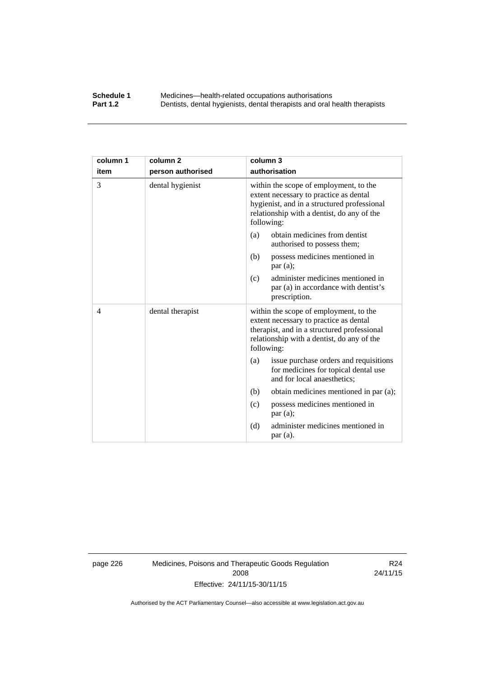#### **Schedule 1** Medicines—health-related occupations authorisations<br>**Part 1.2** Dentists, dental hygienists, dental therapists and oral health **Part 1.2** Dentists, dental hygienists, dental therapists and oral health therapists

| column 1       | column <sub>2</sub> | column 3                                                                                                                                                                                    |  |
|----------------|---------------------|---------------------------------------------------------------------------------------------------------------------------------------------------------------------------------------------|--|
| item           | person authorised   | authorisation                                                                                                                                                                               |  |
| 3              | dental hygienist    | within the scope of employment, to the<br>extent necessary to practice as dental<br>hygienist, and in a structured professional<br>relationship with a dentist, do any of the<br>following: |  |
|                |                     | obtain medicines from dentist<br>(a)<br>authorised to possess them;                                                                                                                         |  |
|                |                     | (b)<br>possess medicines mentioned in<br>par(a);                                                                                                                                            |  |
|                |                     | administer medicines mentioned in<br>(c)<br>par (a) in accordance with dentist's<br>prescription.                                                                                           |  |
| $\overline{4}$ | dental therapist    | within the scope of employment, to the<br>extent necessary to practice as dental<br>therapist, and in a structured professional<br>relationship with a dentist, do any of the<br>following: |  |
|                |                     | issue purchase orders and requisitions<br>(a)<br>for medicines for topical dental use<br>and for local anaesthetics;                                                                        |  |
|                |                     | (b)<br>obtain medicines mentioned in par (a);                                                                                                                                               |  |
|                |                     | possess medicines mentioned in<br>(c)<br>par $(a)$ ;                                                                                                                                        |  |
|                |                     | administer medicines mentioned in<br>(d)<br>par(a).                                                                                                                                         |  |

page 226 Medicines, Poisons and Therapeutic Goods Regulation 2008 Effective: 24/11/15-30/11/15

R24 24/11/15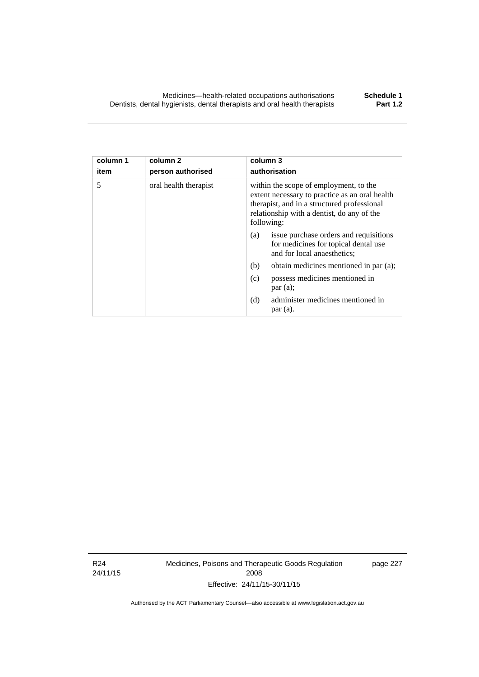| column 3 |  |  |
|----------|--|--|
|          |  |  |

| item | person authorised     | authorisation                                                                                                                                                                                       |
|------|-----------------------|-----------------------------------------------------------------------------------------------------------------------------------------------------------------------------------------------------|
| 5    | oral health therapist | within the scope of employment, to the<br>extent necessary to practice as an oral health<br>therapist, and in a structured professional<br>relationship with a dentist, do any of the<br>following: |
|      |                       | issue purchase orders and requisitions<br>(a)<br>for medicines for topical dental use<br>and for local anaesthetics;                                                                                |
|      |                       | obtain medicines mentioned in par (a);<br>(b)                                                                                                                                                       |
|      |                       | possess medicines mentioned in<br>(c)<br>par(a);                                                                                                                                                    |
|      |                       | administer medicines mentioned in<br>(d)                                                                                                                                                            |

par (a).

R24 24/11/15

**column 1** 

**column 2** 

Medicines, Poisons and Therapeutic Goods Regulation 2008 Effective: 24/11/15-30/11/15

page 227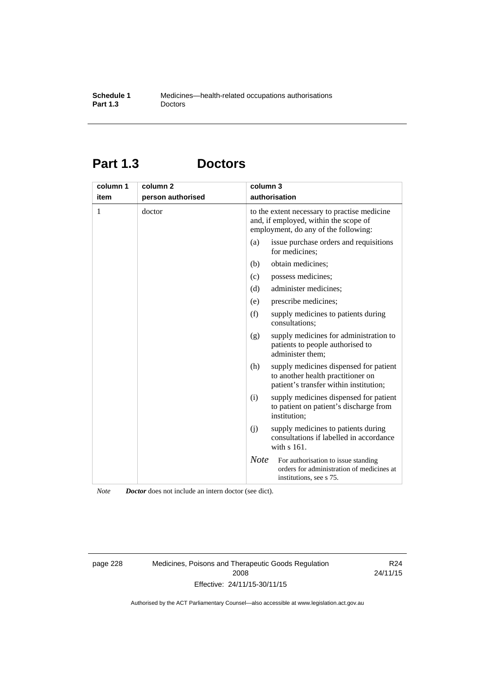# **Part 1.3 Doctors**

| column 1<br>item | column <sub>2</sub><br>person authorised | column 3<br>authorisation                                                                                                     |                                                                                                                       |
|------------------|------------------------------------------|-------------------------------------------------------------------------------------------------------------------------------|-----------------------------------------------------------------------------------------------------------------------|
| 1                | doctor                                   | to the extent necessary to practise medicine<br>and, if employed, within the scope of<br>employment, do any of the following: |                                                                                                                       |
|                  |                                          | (a)                                                                                                                           | issue purchase orders and requisitions<br>for medicines;                                                              |
|                  |                                          | (b)                                                                                                                           | obtain medicines;                                                                                                     |
|                  |                                          | (c)                                                                                                                           | possess medicines;                                                                                                    |
|                  |                                          | (d)                                                                                                                           | administer medicines;                                                                                                 |
|                  |                                          | (e)                                                                                                                           | prescribe medicines;                                                                                                  |
|                  |                                          | (f)                                                                                                                           | supply medicines to patients during<br>consultations;                                                                 |
|                  |                                          | (g)                                                                                                                           | supply medicines for administration to<br>patients to people authorised to<br>administer them:                        |
|                  |                                          | (h)                                                                                                                           | supply medicines dispensed for patient<br>to another health practitioner on<br>patient's transfer within institution; |
|                  |                                          | (i)                                                                                                                           | supply medicines dispensed for patient<br>to patient on patient's discharge from<br>institution;                      |
|                  |                                          | (i)                                                                                                                           | supply medicines to patients during<br>consultations if labelled in accordance<br>with s 161.                         |
|                  |                                          | <b>Note</b>                                                                                                                   | For authorisation to issue standing<br>orders for administration of medicines at<br>institutions, see s 75.           |

*Note Doctor* does not include an intern doctor (see dict).

page 228 Medicines, Poisons and Therapeutic Goods Regulation 2008 Effective: 24/11/15-30/11/15

R24 24/11/15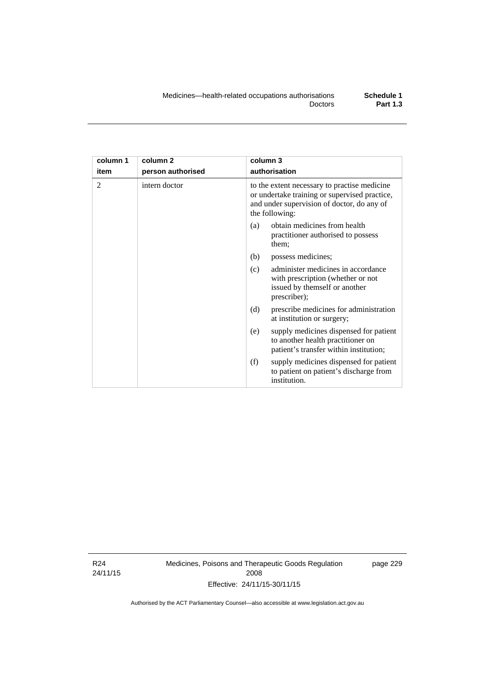| column 1<br>item | column <sub>2</sub><br>person authorised | column 3<br>authorisation                                                                                                                                     |
|------------------|------------------------------------------|---------------------------------------------------------------------------------------------------------------------------------------------------------------|
| $\overline{2}$   | intern doctor                            | to the extent necessary to practise medicine<br>or undertake training or supervised practice,<br>and under supervision of doctor, do any of<br>the following: |
|                  |                                          | obtain medicines from health<br>(a)<br>practitioner authorised to possess<br>them;                                                                            |
|                  |                                          | (b)<br>possess medicines;                                                                                                                                     |
|                  |                                          | administer medicines in accordance<br>(c)<br>with prescription (whether or not<br>issued by themself or another<br>prescriber);                               |
|                  |                                          | (d)<br>prescribe medicines for administration<br>at institution or surgery;                                                                                   |
|                  |                                          | supply medicines dispensed for patient<br>(e)<br>to another health practitioner on<br>patient's transfer within institution;                                  |
|                  |                                          | (f)<br>supply medicines dispensed for patient<br>to patient on patient's discharge from<br>institution.                                                       |

R24 24/11/15 Medicines, Poisons and Therapeutic Goods Regulation 2008 Effective: 24/11/15-30/11/15

page 229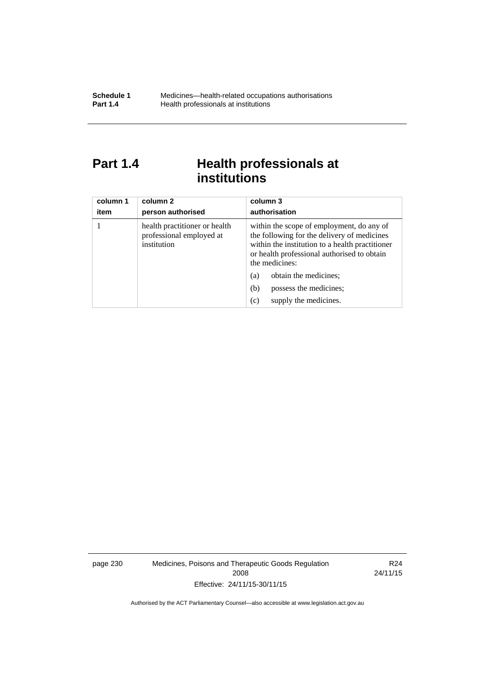# Part 1.4 **Health professionals at institutions**

| column 1<br>item | column 2<br>person authorised                                            | column 3<br>authorisation                                                                                                                                                                                    |
|------------------|--------------------------------------------------------------------------|--------------------------------------------------------------------------------------------------------------------------------------------------------------------------------------------------------------|
|                  | health practitioner or health<br>professional employed at<br>institution | within the scope of employment, do any of<br>the following for the delivery of medicines<br>within the institution to a health practitioner<br>or health professional authorised to obtain<br>the medicines: |
|                  |                                                                          | obtain the medicines;<br>(a)                                                                                                                                                                                 |
|                  |                                                                          | possess the medicines;<br>(b)                                                                                                                                                                                |
|                  |                                                                          | supply the medicines.<br>(c)                                                                                                                                                                                 |

page 230 Medicines, Poisons and Therapeutic Goods Regulation 2008 Effective: 24/11/15-30/11/15

R24 24/11/15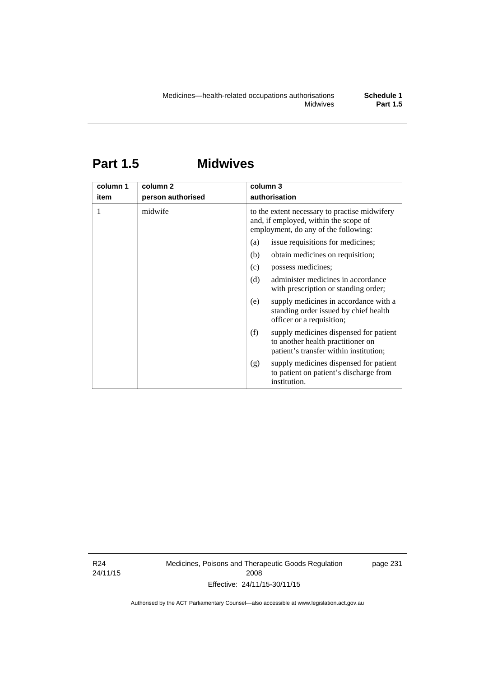# **Part 1.5 Midwives**

| column 1<br>item | column 2<br>person authorised | column 3<br>authorisation                                                                                                      |
|------------------|-------------------------------|--------------------------------------------------------------------------------------------------------------------------------|
|                  | midwife                       | to the extent necessary to practise midwifery<br>and, if employed, within the scope of<br>employment, do any of the following: |
|                  |                               | issue requisitions for medicines;<br>(a)                                                                                       |
|                  |                               | obtain medicines on requisition;<br>(b)                                                                                        |
|                  |                               | possess medicines;<br>(c)                                                                                                      |
|                  |                               | administer medicines in accordance<br>(d)<br>with prescription or standing order;                                              |
|                  |                               | supply medicines in accordance with a<br>(e)<br>standing order issued by chief health<br>officer or a requisition;             |
|                  |                               | (f)<br>supply medicines dispensed for patient<br>to another health practitioner on<br>patient's transfer within institution;   |
|                  |                               | supply medicines dispensed for patient<br>(g)<br>to patient on patient's discharge from<br>institution.                        |

R24 24/11/15 Medicines, Poisons and Therapeutic Goods Regulation 2008 Effective: 24/11/15-30/11/15

page 231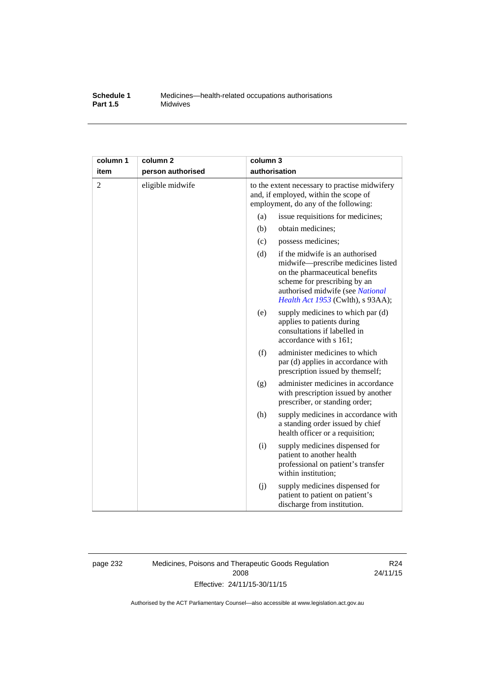## **Schedule 1** Medicines—health-related occupations authorisations<br>**Part 1.5** Midwives **Midwives**

| column 1       | column <sub>2</sub> | column 3 |                                                                                                                                                                                                                  |
|----------------|---------------------|----------|------------------------------------------------------------------------------------------------------------------------------------------------------------------------------------------------------------------|
| item           | person authorised   |          | authorisation                                                                                                                                                                                                    |
| $\overline{c}$ | eligible midwife    |          | to the extent necessary to practise midwifery<br>and, if employed, within the scope of<br>employment, do any of the following:                                                                                   |
|                |                     | (a)      | issue requisitions for medicines;                                                                                                                                                                                |
|                |                     | (b)      | obtain medicines;                                                                                                                                                                                                |
|                |                     | (c)      | possess medicines;                                                                                                                                                                                               |
|                |                     | (d)      | if the midwife is an authorised<br>midwife-prescribe medicines listed<br>on the pharmaceutical benefits<br>scheme for prescribing by an<br>authorised midwife (see National<br>Health Act 1953 (Cwlth), s 93AA); |
|                |                     | (e)      | supply medicines to which par (d)<br>applies to patients during<br>consultations if labelled in<br>accordance with s 161;                                                                                        |
|                |                     | (f)      | administer medicines to which<br>par (d) applies in accordance with<br>prescription issued by themself;                                                                                                          |
|                |                     | (g)      | administer medicines in accordance<br>with prescription issued by another<br>prescriber, or standing order;                                                                                                      |
|                |                     | (h)      | supply medicines in accordance with<br>a standing order issued by chief<br>health officer or a requisition;                                                                                                      |
|                |                     | (i)      | supply medicines dispensed for<br>patient to another health<br>professional on patient's transfer<br>within institution;                                                                                         |
|                |                     | (j)      | supply medicines dispensed for<br>patient to patient on patient's<br>discharge from institution.                                                                                                                 |

page 232 Medicines, Poisons and Therapeutic Goods Regulation 2008 Effective: 24/11/15-30/11/15

R24 24/11/15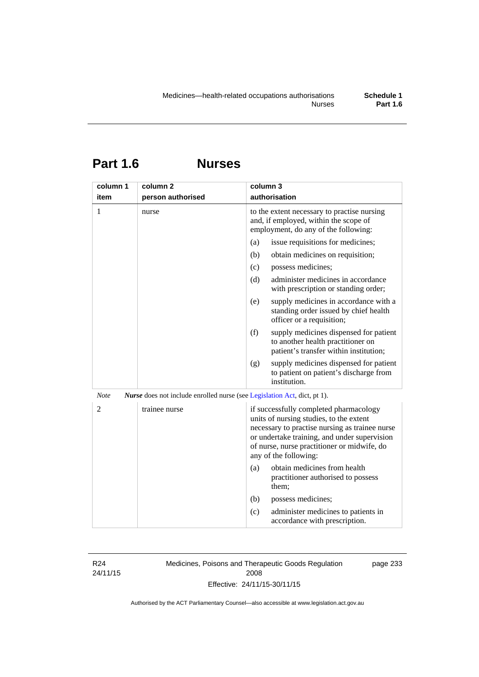| <b>Part 1.6</b> | <b>Nurses</b> |
|-----------------|---------------|
|                 |               |

| column 1    | column <sub>2</sub>                                                      | column 3                                                                                                                                                                                                                                                    |
|-------------|--------------------------------------------------------------------------|-------------------------------------------------------------------------------------------------------------------------------------------------------------------------------------------------------------------------------------------------------------|
| item        | person authorised                                                        | authorisation                                                                                                                                                                                                                                               |
| 1           | nurse                                                                    | to the extent necessary to practise nursing<br>and, if employed, within the scope of<br>employment, do any of the following:                                                                                                                                |
|             |                                                                          | (a)<br>issue requisitions for medicines;                                                                                                                                                                                                                    |
|             |                                                                          | (b)<br>obtain medicines on requisition;                                                                                                                                                                                                                     |
|             |                                                                          | possess medicines;<br>(c)                                                                                                                                                                                                                                   |
|             |                                                                          | (d)<br>administer medicines in accordance<br>with prescription or standing order;                                                                                                                                                                           |
|             |                                                                          | (e)<br>supply medicines in accordance with a<br>standing order issued by chief health<br>officer or a requisition;                                                                                                                                          |
|             |                                                                          | (f)<br>supply medicines dispensed for patient<br>to another health practitioner on<br>patient's transfer within institution;                                                                                                                                |
|             |                                                                          | supply medicines dispensed for patient<br>(g)<br>to patient on patient's discharge from<br>institution.                                                                                                                                                     |
| <b>Note</b> | Nurse does not include enrolled nurse (see Legislation Act, dict, pt 1). |                                                                                                                                                                                                                                                             |
| 2           | trainee nurse                                                            | if successfully completed pharmacology<br>units of nursing studies, to the extent<br>necessary to practise nursing as trainee nurse<br>or undertake training, and under supervision<br>of nurse, nurse practitioner or midwife, do<br>any of the following: |
|             |                                                                          | obtain medicines from health<br>(a)<br>practitioner authorised to possess<br>them;                                                                                                                                                                          |
|             |                                                                          | (b)<br>possess medicines;                                                                                                                                                                                                                                   |
|             |                                                                          | administer medicines to patients in<br>(c)<br>accordance with prescription.                                                                                                                                                                                 |

R24 24/11/15 Medicines, Poisons and Therapeutic Goods Regulation 2008 Effective: 24/11/15-30/11/15

page 233

Authorised by the ACT Parliamentary Counsel—also accessible at www.legislation.act.gov.au

**Part 1.6**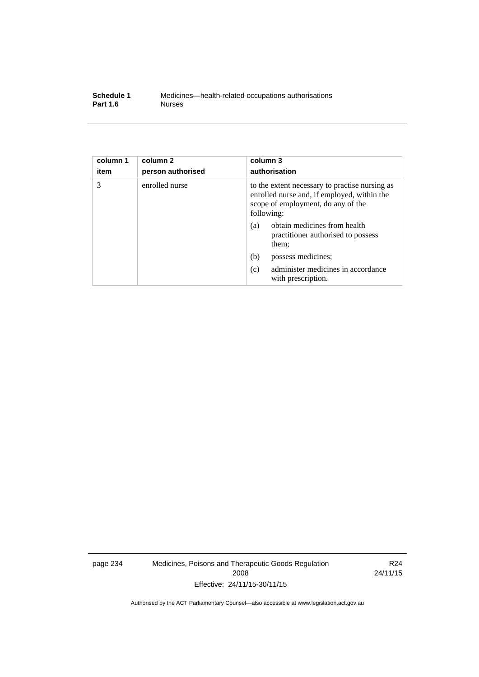| Schedule 1      | Medicines—health-related occupations authorisations |
|-----------------|-----------------------------------------------------|
| <b>Part 1.6</b> | <b>Nurses</b>                                       |

| column 1<br>item | column <sub>2</sub><br>person authorised | column 3<br>authorisation                                                                                                                         |
|------------------|------------------------------------------|---------------------------------------------------------------------------------------------------------------------------------------------------|
| 3                | enrolled nurse                           | to the extent necessary to practise nursing as<br>enrolled nurse and, if employed, within the<br>scope of employment, do any of the<br>following: |
|                  |                                          | obtain medicines from health<br>(a)<br>practitioner authorised to possess<br>them;                                                                |
|                  |                                          | (b)<br>possess medicines;                                                                                                                         |
|                  |                                          | administer medicines in accordance<br>(c)<br>with prescription.                                                                                   |

page 234 Medicines, Poisons and Therapeutic Goods Regulation 2008 Effective: 24/11/15-30/11/15

R24 24/11/15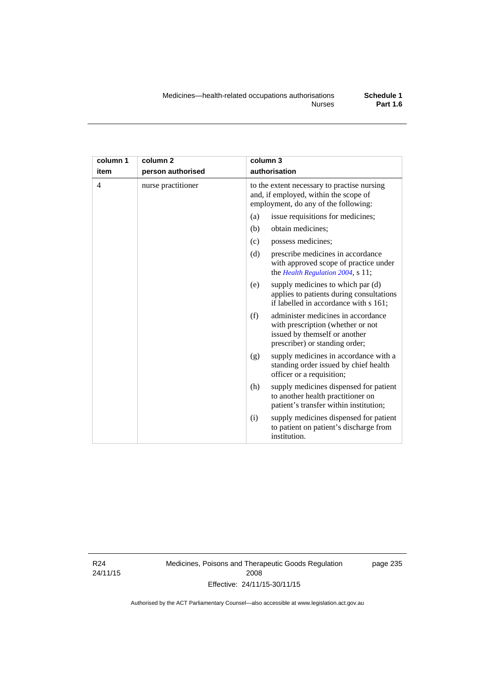| column 1       | column 2           | column 3                                                                                                                                          |
|----------------|--------------------|---------------------------------------------------------------------------------------------------------------------------------------------------|
| item           | person authorised  | authorisation                                                                                                                                     |
| $\overline{4}$ | nurse practitioner | to the extent necessary to practise nursing<br>and, if employed, within the scope of<br>employment, do any of the following:                      |
|                |                    | issue requisitions for medicines;<br>(a)                                                                                                          |
|                |                    | (b)<br>obtain medicines;                                                                                                                          |
|                |                    | possess medicines;<br>(c)                                                                                                                         |
|                |                    | (d)<br>prescribe medicines in accordance<br>with approved scope of practice under<br>the Health Regulation 2004, s 11;                            |
|                |                    | supply medicines to which par (d)<br>(e)<br>applies to patients during consultations<br>if labelled in accordance with s 161;                     |
|                |                    | administer medicines in accordance<br>(f)<br>with prescription (whether or not<br>issued by themself or another<br>prescriber) or standing order; |
|                |                    | supply medicines in accordance with a<br>(g)<br>standing order issued by chief health<br>officer or a requisition;                                |
|                |                    | supply medicines dispensed for patient<br>(h)<br>to another health practitioner on<br>patient's transfer within institution;                      |
|                |                    | supply medicines dispensed for patient<br>(i)<br>to patient on patient's discharge from<br>institution.                                           |

R24 24/11/15 Medicines, Poisons and Therapeutic Goods Regulation 2008 Effective: 24/11/15-30/11/15

page 235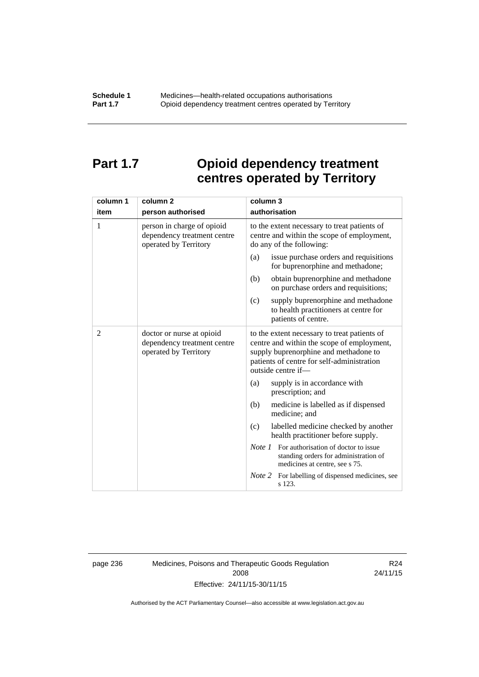# **Part 1.7 Opioid dependency treatment centres operated by Territory**

| column 1       | column <sub>2</sub>                                                                | column 3                                                                                                                                                                                                |
|----------------|------------------------------------------------------------------------------------|---------------------------------------------------------------------------------------------------------------------------------------------------------------------------------------------------------|
| item           | person authorised                                                                  | authorisation                                                                                                                                                                                           |
| 1              | person in charge of opioid<br>dependency treatment centre<br>operated by Territory | to the extent necessary to treat patients of<br>centre and within the scope of employment,<br>do any of the following:                                                                                  |
|                |                                                                                    | issue purchase orders and requisitions<br>(a)<br>for buprenorphine and methadone;                                                                                                                       |
|                |                                                                                    | obtain buprenorphine and methadone<br>(b)<br>on purchase orders and requisitions;                                                                                                                       |
|                |                                                                                    | supply buprenorphine and methadone<br>(c)<br>to health practitioners at centre for<br>patients of centre.                                                                                               |
| $\overline{2}$ | doctor or nurse at opioid<br>dependency treatment centre<br>operated by Territory  | to the extent necessary to treat patients of<br>centre and within the scope of employment,<br>supply buprenorphine and methadone to<br>patients of centre for self-administration<br>outside centre if- |
|                |                                                                                    | supply is in accordance with<br>(a)<br>prescription; and                                                                                                                                                |
|                |                                                                                    | (b)<br>medicine is labelled as if dispensed<br>medicine; and                                                                                                                                            |
|                |                                                                                    | (c)<br>labelled medicine checked by another<br>health practitioner before supply.                                                                                                                       |
|                |                                                                                    | <i>Note 1</i> For authorisation of doctor to issue<br>standing orders for administration of<br>medicines at centre, see s 75.                                                                           |
|                |                                                                                    | Note 2<br>For labelling of dispensed medicines, see<br>s 123.                                                                                                                                           |

page 236 Medicines, Poisons and Therapeutic Goods Regulation 2008 Effective: 24/11/15-30/11/15

R24 24/11/15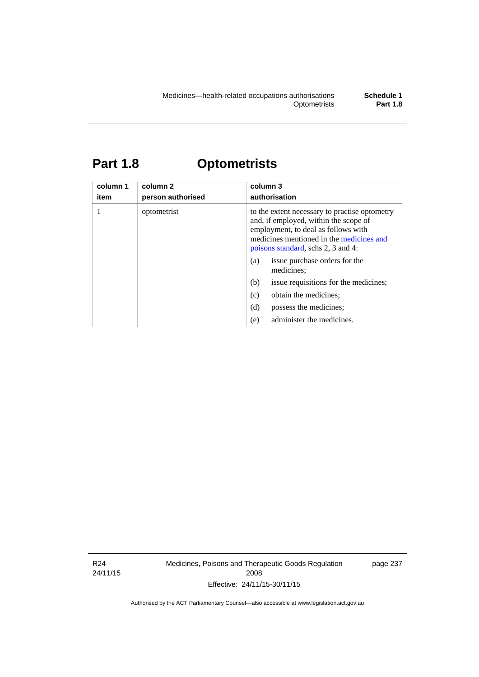# **Part 1.8 Optometrists**

| column 1<br>item | column 2<br>person authorised | column 3<br>authorisation                                                                                                                                                                                       |
|------------------|-------------------------------|-----------------------------------------------------------------------------------------------------------------------------------------------------------------------------------------------------------------|
|                  | optometrist                   | to the extent necessary to practise optometry<br>and, if employed, within the scope of<br>employment, to deal as follows with<br>medicines mentioned in the medicines and<br>poisons standard, schs 2, 3 and 4: |
|                  |                               | issue purchase orders for the<br>(a)<br>medicines;                                                                                                                                                              |
|                  |                               | issue requisitions for the medicines;<br>(b)                                                                                                                                                                    |
|                  |                               | obtain the medicines:<br>(c)                                                                                                                                                                                    |
|                  |                               | (d)<br>possess the medicines:                                                                                                                                                                                   |
|                  |                               | administer the medicines.<br>(e)                                                                                                                                                                                |

R24 24/11/15 Medicines, Poisons and Therapeutic Goods Regulation 2008 Effective: 24/11/15-30/11/15

page 237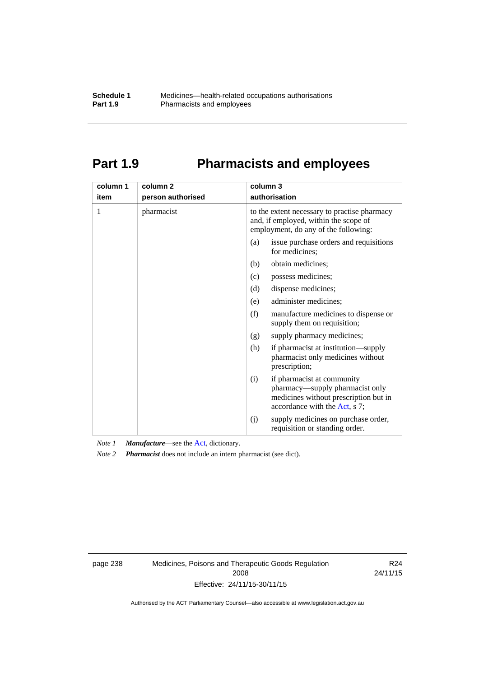# **Part 1.9 Pharmacists and employees**

| column 1<br>item | column <sub>2</sub><br>person authorised | column 3<br>authorisation                                                                                                                      |
|------------------|------------------------------------------|------------------------------------------------------------------------------------------------------------------------------------------------|
|                  |                                          |                                                                                                                                                |
| 1                | pharmacist                               | to the extent necessary to practise pharmacy<br>and, if employed, within the scope of<br>employment, do any of the following:                  |
|                  |                                          | issue purchase orders and requisitions<br>(a)<br>for medicines:                                                                                |
|                  |                                          | obtain medicines;<br>(b)                                                                                                                       |
|                  |                                          | (c)<br>possess medicines;                                                                                                                      |
|                  |                                          | (d)<br>dispense medicines;                                                                                                                     |
|                  |                                          | administer medicines;<br>(e)                                                                                                                   |
|                  |                                          | (f)<br>manufacture medicines to dispense or<br>supply them on requisition;                                                                     |
|                  |                                          | supply pharmacy medicines;<br>(g)                                                                                                              |
|                  |                                          | (h)<br>if pharmacist at institution—supply<br>pharmacist only medicines without<br>prescription;                                               |
|                  |                                          | if pharmacist at community<br>(i)<br>pharmacy—supply pharmacist only<br>medicines without prescription but in<br>accordance with the Act, s 7; |
|                  |                                          | supply medicines on purchase order,<br>(j)<br>requisition or standing order.                                                                   |

*Note 1 Manufacture*—see the [Act,](http://www.legislation.act.gov.au/a/2008-26/default.asp) dictionary.

*Note 2 Pharmacist* does not include an intern pharmacist (see dict).

page 238 Medicines, Poisons and Therapeutic Goods Regulation 2008 Effective: 24/11/15-30/11/15

R24 24/11/15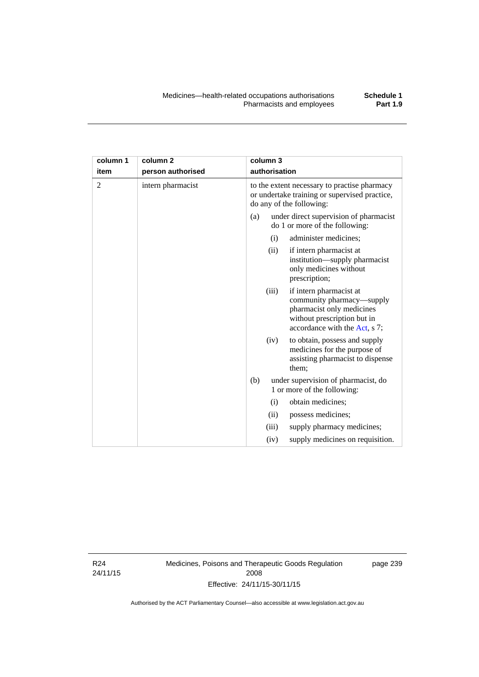| column 1<br>item | column <sub>2</sub><br>person authorised | column 3<br>authorisation                                                                                                                                  |
|------------------|------------------------------------------|------------------------------------------------------------------------------------------------------------------------------------------------------------|
| $\overline{2}$   | intern pharmacist                        | to the extent necessary to practise pharmacy<br>or undertake training or supervised practice,<br>do any of the following:                                  |
|                  |                                          | under direct supervision of pharmacist<br>(a)<br>do 1 or more of the following:                                                                            |
|                  |                                          | administer medicines;<br>(i)                                                                                                                               |
|                  |                                          | if intern pharmacist at<br>(ii)<br>institution—supply pharmacist<br>only medicines without<br>prescription;                                                |
|                  |                                          | if intern pharmacist at<br>(iii)<br>community pharmacy—supply<br>pharmacist only medicines<br>without prescription but in<br>accordance with the Act, s 7; |
|                  |                                          | to obtain, possess and supply<br>(iv)<br>medicines for the purpose of<br>assisting pharmacist to dispense<br>them;                                         |

(b) under supervision of pharmacist, do 1 or more of the following: (i) obtain medicines; (ii) possess medicines;

> (iii) supply pharmacy medicines; (iv) supply medicines on requisition.

R24 24/11/15 Medicines, Poisons and Therapeutic Goods Regulation 2008 Effective: 24/11/15-30/11/15

page 239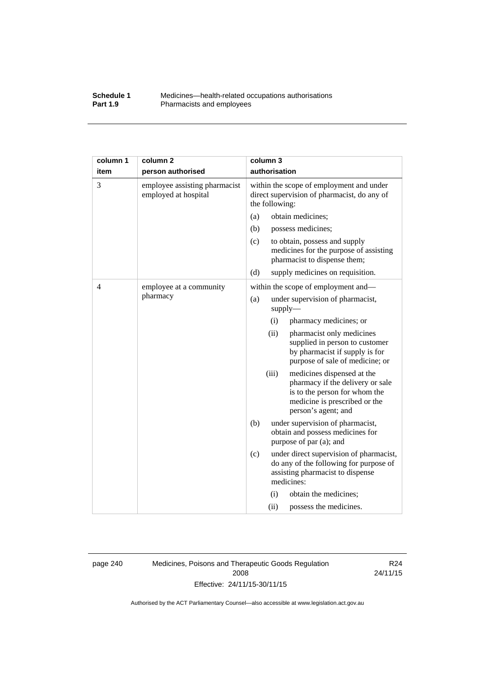## **Schedule 1** Medicines—health-related occupations authorisations<br>**Part 1.9** Pharmacists and employees Pharmacists and employees

| column 1 | column <sub>2</sub>                                   | column 3                                                                                                                                                         |  |  |
|----------|-------------------------------------------------------|------------------------------------------------------------------------------------------------------------------------------------------------------------------|--|--|
| item     | person authorised                                     | authorisation                                                                                                                                                    |  |  |
| 3        | employee assisting pharmacist<br>employed at hospital | within the scope of employment and under<br>direct supervision of pharmacist, do any of<br>the following:                                                        |  |  |
|          |                                                       | obtain medicines;<br>(a)                                                                                                                                         |  |  |
|          |                                                       | (b)<br>possess medicines;                                                                                                                                        |  |  |
|          |                                                       | (c)<br>to obtain, possess and supply<br>medicines for the purpose of assisting<br>pharmacist to dispense them;                                                   |  |  |
|          |                                                       | (d)<br>supply medicines on requisition.                                                                                                                          |  |  |
| 4        | employee at a community                               | within the scope of employment and-                                                                                                                              |  |  |
|          | pharmacy                                              | (a)<br>under supervision of pharmacist,<br>$supply$ —                                                                                                            |  |  |
|          |                                                       | (i)<br>pharmacy medicines; or                                                                                                                                    |  |  |
|          |                                                       | (ii)<br>pharmacist only medicines<br>supplied in person to customer<br>by pharmacist if supply is for<br>purpose of sale of medicine; or                         |  |  |
|          |                                                       | (iii)<br>medicines dispensed at the<br>pharmacy if the delivery or sale<br>is to the person for whom the<br>medicine is prescribed or the<br>person's agent; and |  |  |
|          |                                                       | (b)<br>under supervision of pharmacist,<br>obtain and possess medicines for<br>purpose of par (a); and                                                           |  |  |
|          |                                                       | (c)<br>under direct supervision of pharmacist,<br>do any of the following for purpose of<br>assisting pharmacist to dispense<br>medicines:                       |  |  |
|          |                                                       | obtain the medicines;<br>(i)                                                                                                                                     |  |  |
|          |                                                       | (ii)<br>possess the medicines.                                                                                                                                   |  |  |

page 240 Medicines, Poisons and Therapeutic Goods Regulation 2008 Effective: 24/11/15-30/11/15

R24 24/11/15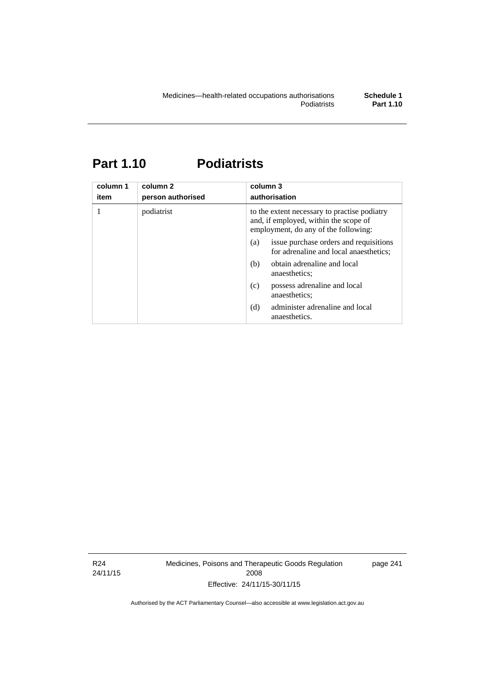# **Part 1.10 Podiatrists**

| column 1<br>item | column 2<br>person authorised | column 3<br>authorisation                                                                                                     |  |
|------------------|-------------------------------|-------------------------------------------------------------------------------------------------------------------------------|--|
| 1                | podiatrist                    | to the extent necessary to practise podiatry<br>and, if employed, within the scope of<br>employment, do any of the following: |  |
|                  |                               | issue purchase orders and requisitions<br>(a)<br>for adrenaline and local anaesthetics;                                       |  |
|                  |                               | obtain adrenaline and local<br>(b)<br>anaesthetics:                                                                           |  |
|                  |                               | possess adrenaline and local<br>(c)<br>anaesthetics;                                                                          |  |
|                  |                               | administer adrenaline and local<br>(d)<br>anaesthetics.                                                                       |  |

R24 24/11/15 Medicines, Poisons and Therapeutic Goods Regulation 2008 Effective: 24/11/15-30/11/15

page 241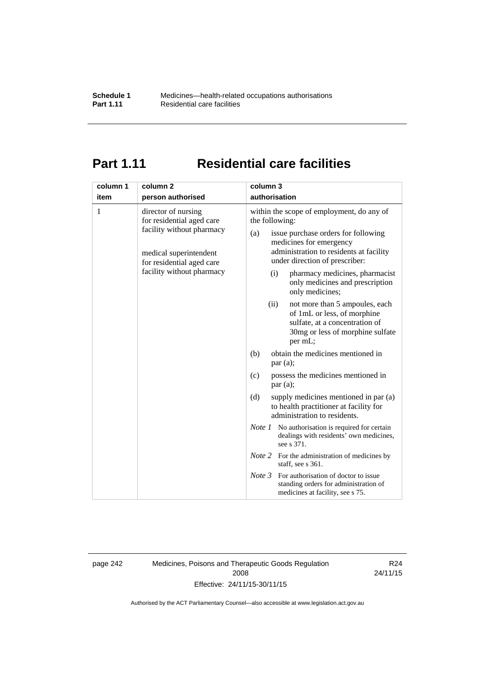# **Part 1.11 Residential care facilities**

| column 1<br>item | column <sub>2</sub><br>person authorised                                                                                                                          | column 3<br>authorisation                                                                                                                                                                                                                                                                                                                                                                                                                                                                                                                                                                                                                                                                                                                                                                                                              |  |
|------------------|-------------------------------------------------------------------------------------------------------------------------------------------------------------------|----------------------------------------------------------------------------------------------------------------------------------------------------------------------------------------------------------------------------------------------------------------------------------------------------------------------------------------------------------------------------------------------------------------------------------------------------------------------------------------------------------------------------------------------------------------------------------------------------------------------------------------------------------------------------------------------------------------------------------------------------------------------------------------------------------------------------------------|--|
| 1                | director of nursing<br>for residential aged care<br>facility without pharmacy<br>medical superintendent<br>for residential aged care<br>facility without pharmacy | within the scope of employment, do any of<br>the following:<br>issue purchase orders for following<br>(a)<br>medicines for emergency<br>administration to residents at facility<br>under direction of prescriber:<br>pharmacy medicines, pharmacist<br>(i)<br>only medicines and prescription<br>only medicines;<br>(ii)<br>not more than 5 ampoules, each<br>of 1mL or less, of morphine<br>sulfate, at a concentration of<br>30mg or less of morphine sulfate<br>per mL;<br>obtain the medicines mentioned in<br>(b)<br>par(a);<br>possess the medicines mentioned in<br>(c)<br>par(a);<br>(d)<br>supply medicines mentioned in par (a)<br>to health practitioner at facility for<br>administration to residents.<br><i>Note 1</i> No authorisation is required for certain<br>dealings with residents' own medicines,<br>see s 371. |  |
|                  |                                                                                                                                                                   |                                                                                                                                                                                                                                                                                                                                                                                                                                                                                                                                                                                                                                                                                                                                                                                                                                        |  |
|                  |                                                                                                                                                                   |                                                                                                                                                                                                                                                                                                                                                                                                                                                                                                                                                                                                                                                                                                                                                                                                                                        |  |
|                  |                                                                                                                                                                   |                                                                                                                                                                                                                                                                                                                                                                                                                                                                                                                                                                                                                                                                                                                                                                                                                                        |  |
|                  |                                                                                                                                                                   |                                                                                                                                                                                                                                                                                                                                                                                                                                                                                                                                                                                                                                                                                                                                                                                                                                        |  |
|                  |                                                                                                                                                                   | <i>Note</i> 2 For the administration of medicines by<br>staff, see s 361.                                                                                                                                                                                                                                                                                                                                                                                                                                                                                                                                                                                                                                                                                                                                                              |  |
|                  |                                                                                                                                                                   | Note 3<br>For authorisation of doctor to issue<br>standing orders for administration of<br>medicines at facility, see s 75.                                                                                                                                                                                                                                                                                                                                                                                                                                                                                                                                                                                                                                                                                                            |  |

page 242 Medicines, Poisons and Therapeutic Goods Regulation 2008 Effective: 24/11/15-30/11/15

R24 24/11/15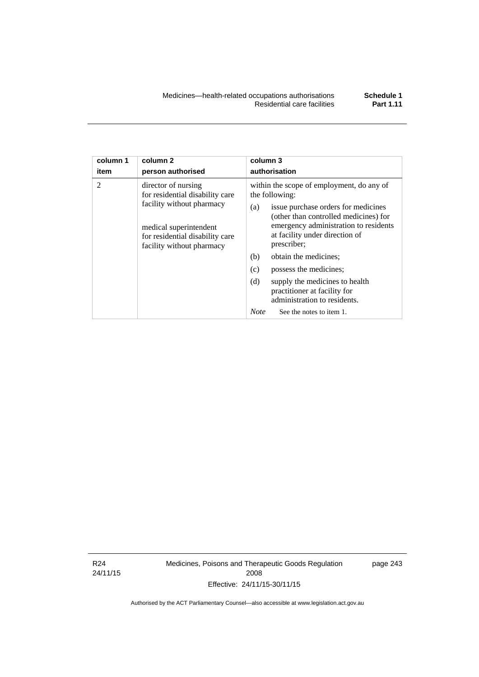| column 1       | column <sub>2</sub>                                                                                                                                                           | column 3                                                                                                                                                                                                                                                                                                                                                                                                                                                          |  |
|----------------|-------------------------------------------------------------------------------------------------------------------------------------------------------------------------------|-------------------------------------------------------------------------------------------------------------------------------------------------------------------------------------------------------------------------------------------------------------------------------------------------------------------------------------------------------------------------------------------------------------------------------------------------------------------|--|
| item           | person authorised                                                                                                                                                             | authorisation                                                                                                                                                                                                                                                                                                                                                                                                                                                     |  |
| $\mathfrak{D}$ | director of nursing<br>for residential disability care<br>facility without pharmacy<br>medical superintendent<br>for residential disability care<br>facility without pharmacy | within the scope of employment, do any of<br>the following:<br>issue purchase orders for medicines<br>(a)<br>(other than controlled medicines) for<br>emergency administration to residents<br>at facility under direction of<br>prescriber;<br>obtain the medicines;<br>(b)<br>(c)<br>possess the medicines;<br>(d)<br>supply the medicines to health<br>practitioner at facility for<br>administration to residents.<br><b>Note</b><br>See the notes to item 1. |  |

R24 24/11/15 Medicines, Poisons and Therapeutic Goods Regulation 2008 Effective: 24/11/15-30/11/15

page 243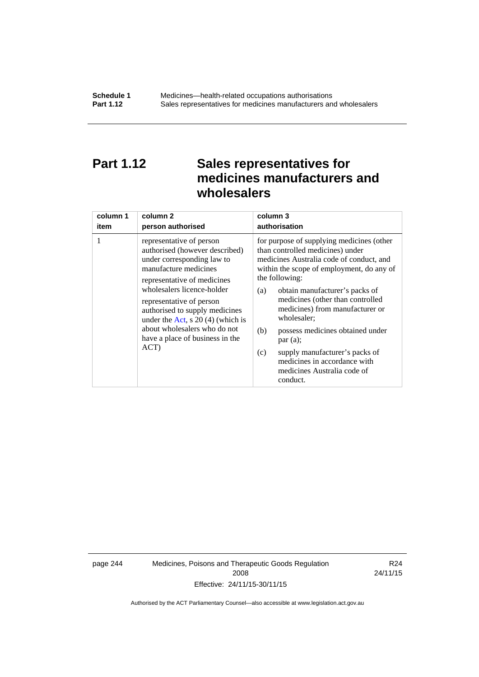# **Part 1.12 Sales representatives for medicines manufacturers and wholesalers**

| column 1 | column <sub>2</sub>                                                                                                                                                                                                                                                                                                                                           | column 3      |
|----------|---------------------------------------------------------------------------------------------------------------------------------------------------------------------------------------------------------------------------------------------------------------------------------------------------------------------------------------------------------------|---------------|
| item     | person authorised                                                                                                                                                                                                                                                                                                                                             | authorisation |
| 1        | representative of person<br>authorised (however described)<br>under corresponding law to<br>manufacture medicines<br>representative of medicines<br>wholesalers licence-holder<br>representative of person<br>authorised to supply medicines<br>under the Act, s $20(4)$ (which is<br>about wholesalers who do not<br>have a place of business in the<br>ACT) |               |

page 244 Medicines, Poisons and Therapeutic Goods Regulation 2008 Effective: 24/11/15-30/11/15

R24 24/11/15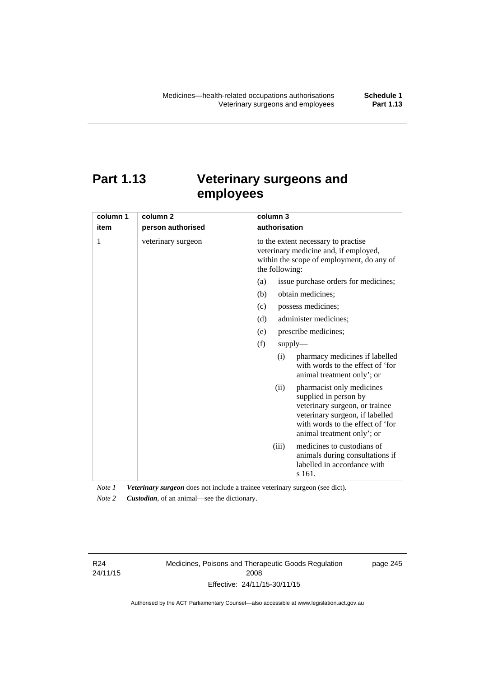# **Part 1.13 Veterinary surgeons and employees**

| column 1 | column <sub>2</sub> | column 3                                                                                                                                                                                          |  |  |
|----------|---------------------|---------------------------------------------------------------------------------------------------------------------------------------------------------------------------------------------------|--|--|
| item     | person authorised   | authorisation                                                                                                                                                                                     |  |  |
| 1        | veterinary surgeon  | to the extent necessary to practise<br>veterinary medicine and, if employed,<br>within the scope of employment, do any of<br>the following:                                                       |  |  |
|          |                     | issue purchase orders for medicines;<br>(a)                                                                                                                                                       |  |  |
|          |                     | (b)<br>obtain medicines;                                                                                                                                                                          |  |  |
|          |                     | possess medicines;<br>(c)                                                                                                                                                                         |  |  |
|          |                     | administer medicines;<br>(d)                                                                                                                                                                      |  |  |
|          |                     | prescribe medicines;<br>(e)                                                                                                                                                                       |  |  |
|          |                     | (f)<br>supply                                                                                                                                                                                     |  |  |
|          |                     | pharmacy medicines if labelled<br>(i)<br>with words to the effect of 'for<br>animal treatment only'; or                                                                                           |  |  |
|          |                     | pharmacist only medicines<br>(ii)<br>supplied in person by<br>veterinary surgeon, or trainee<br>veterinary surgeon, if labelled<br>with words to the effect of 'for<br>animal treatment only'; or |  |  |
|          |                     | medicines to custodians of<br>(iii)<br>animals during consultations if<br>labelled in accordance with<br>s 161.                                                                                   |  |  |

*Note 1 Veterinary surgeon* does not include a trainee veterinary surgeon (see dict). *Note 2 Custodian*, of an animal—see the dictionary.

R24 24/11/15 Medicines, Poisons and Therapeutic Goods Regulation 2008 Effective: 24/11/15-30/11/15

page 245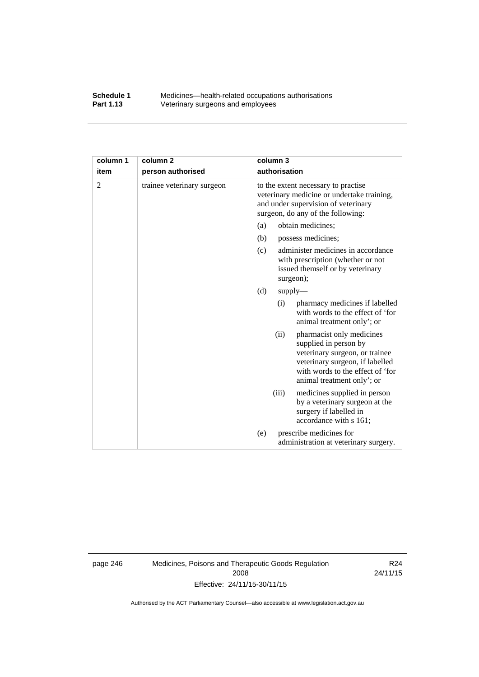## **Schedule 1** Medicines—health-related occupations authorisations<br>**Part 1.13** Veterinary surgeons and employees Veterinary surgeons and employees

| column 1       | column <sub>2</sub>        | column 3                                                                                                                                                                                          |  |
|----------------|----------------------------|---------------------------------------------------------------------------------------------------------------------------------------------------------------------------------------------------|--|
| item           | person authorised          | authorisation                                                                                                                                                                                     |  |
| $\overline{2}$ | trainee veterinary surgeon | to the extent necessary to practise<br>veterinary medicine or undertake training,<br>and under supervision of veterinary<br>surgeon, do any of the following:                                     |  |
|                |                            | obtain medicines;<br>(a)                                                                                                                                                                          |  |
|                |                            | (b)<br>possess medicines;                                                                                                                                                                         |  |
|                |                            | administer medicines in accordance<br>(c)<br>with prescription (whether or not<br>issued themself or by veterinary<br>surgeon);                                                                   |  |
|                |                            | (d)<br>supply                                                                                                                                                                                     |  |
|                |                            | pharmacy medicines if labelled<br>(i)<br>with words to the effect of 'for<br>animal treatment only'; or                                                                                           |  |
|                |                            | (ii)<br>pharmacist only medicines<br>supplied in person by<br>veterinary surgeon, or trainee<br>veterinary surgeon, if labelled<br>with words to the effect of 'for<br>animal treatment only'; or |  |
|                |                            | (iii)<br>medicines supplied in person<br>by a veterinary surgeon at the<br>surgery if labelled in<br>accordance with s 161;                                                                       |  |
|                |                            | prescribe medicines for<br>(e)<br>administration at veterinary surgery.                                                                                                                           |  |

page 246 Medicines, Poisons and Therapeutic Goods Regulation 2008 Effective: 24/11/15-30/11/15

R24 24/11/15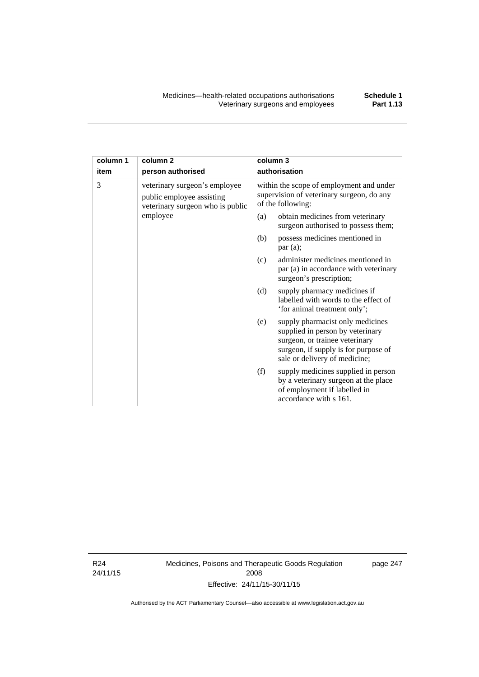| column 1 | column <sub>2</sub>                                                                            | column 3                                                                |                                                                                                                                                                                 |  |
|----------|------------------------------------------------------------------------------------------------|-------------------------------------------------------------------------|---------------------------------------------------------------------------------------------------------------------------------------------------------------------------------|--|
| item     | person authorised                                                                              | authorisation                                                           |                                                                                                                                                                                 |  |
| 3        | veterinary surgeon's employee<br>public employee assisting<br>veterinary surgeon who is public |                                                                         | within the scope of employment and under<br>supervision of veterinary surgeon, do any<br>of the following:                                                                      |  |
| employee | (a)                                                                                            | obtain medicines from veterinary<br>surgeon authorised to possess them; |                                                                                                                                                                                 |  |
|          |                                                                                                | (b)                                                                     | possess medicines mentioned in<br>par(a);                                                                                                                                       |  |
|          |                                                                                                | (c)                                                                     | administer medicines mentioned in<br>par (a) in accordance with veterinary<br>surgeon's prescription;                                                                           |  |
|          |                                                                                                | (d)                                                                     | supply pharmacy medicines if<br>labelled with words to the effect of<br>'for animal treatment only';                                                                            |  |
|          |                                                                                                | (e)                                                                     | supply pharmacist only medicines<br>supplied in person by veterinary<br>surgeon, or trainee veterinary<br>surgeon, if supply is for purpose of<br>sale or delivery of medicine; |  |
|          |                                                                                                | (f)                                                                     | supply medicines supplied in person<br>by a veterinary surgeon at the place<br>of employment if labelled in<br>accordance with s 161.                                           |  |

R24 24/11/15 Medicines, Poisons and Therapeutic Goods Regulation 2008 Effective: 24/11/15-30/11/15

page 247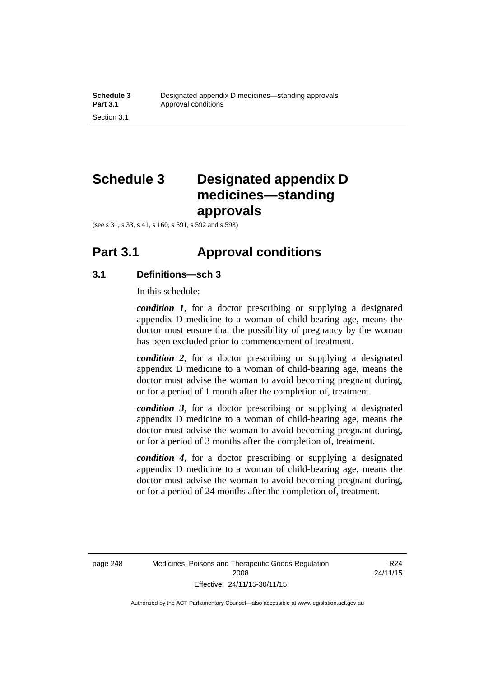# **Schedule 3 Designated appendix D medicines—standing approvals**

(see s 31, s 33, s 41, s 160, s 591, s 592 and s 593)

## **Part 3.1 Approval conditions**

## **3.1 Definitions—sch 3**

In this schedule:

*condition 1*, for a doctor prescribing or supplying a designated appendix D medicine to a woman of child-bearing age, means the doctor must ensure that the possibility of pregnancy by the woman has been excluded prior to commencement of treatment.

*condition 2*, for a doctor prescribing or supplying a designated appendix D medicine to a woman of child-bearing age, means the doctor must advise the woman to avoid becoming pregnant during, or for a period of 1 month after the completion of, treatment.

*condition 3*, for a doctor prescribing or supplying a designated appendix D medicine to a woman of child-bearing age, means the doctor must advise the woman to avoid becoming pregnant during, or for a period of 3 months after the completion of, treatment.

*condition 4*, for a doctor prescribing or supplying a designated appendix D medicine to a woman of child-bearing age, means the doctor must advise the woman to avoid becoming pregnant during, or for a period of 24 months after the completion of, treatment.

R24 24/11/15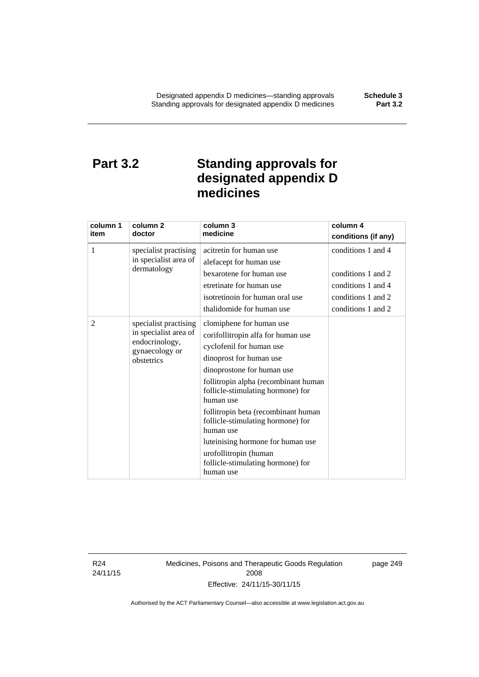# **Part 3.2 Standing approvals for designated appendix D medicines**

| column 1 | column <sub>2</sub>                                                                              | column 3                                                                                                                                                                                    | column 4            |
|----------|--------------------------------------------------------------------------------------------------|---------------------------------------------------------------------------------------------------------------------------------------------------------------------------------------------|---------------------|
| item     | doctor                                                                                           | medicine                                                                                                                                                                                    | conditions (if any) |
| 1        | specialist practising                                                                            | acitretin for human use                                                                                                                                                                     | conditions 1 and 4  |
|          | in specialist area of                                                                            | alefacept for human use                                                                                                                                                                     |                     |
|          | dermatology                                                                                      | bexarotene for human use                                                                                                                                                                    | conditions 1 and 2  |
|          |                                                                                                  | etretinate for human use                                                                                                                                                                    | conditions 1 and 4  |
|          |                                                                                                  | isotretinoin for human oral use                                                                                                                                                             | conditions 1 and 2  |
|          |                                                                                                  | thalidomide for human use                                                                                                                                                                   | conditions 1 and 2  |
| 2        | specialist practising<br>in specialist area of<br>endocrinology,<br>gynaecology or<br>obstetrics | clomiphene for human use<br>corifollitropin alfa for human use<br>cyclofenil for human use<br>dinoprost for human use<br>dinoprostone for human use<br>follitropin alpha (recombinant human |                     |
|          |                                                                                                  | follicle-stimulating hormone) for<br>human use                                                                                                                                              |                     |
|          |                                                                                                  | follitropin beta (recombinant human<br>follicle-stimulating hormone) for<br>human use                                                                                                       |                     |
|          |                                                                                                  | luteinising hormone for human use                                                                                                                                                           |                     |
|          |                                                                                                  | urofollitropin (human<br>follicle-stimulating hormone) for<br>human use                                                                                                                     |                     |

R24 24/11/15 Medicines, Poisons and Therapeutic Goods Regulation 2008 Effective: 24/11/15-30/11/15

page 249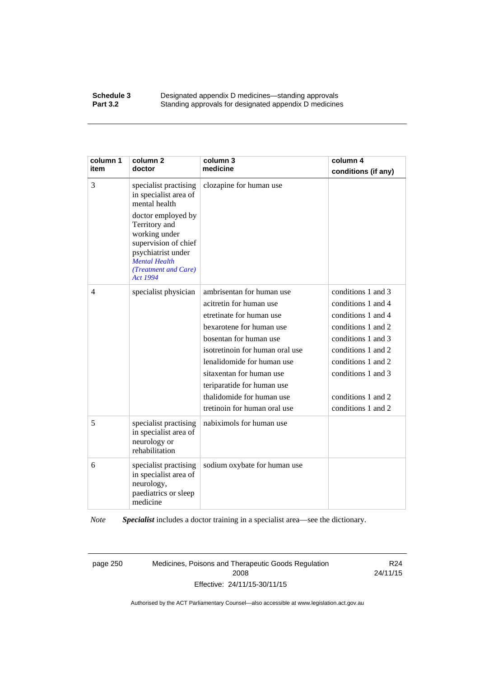### **Schedule 3 Designated appendix D medicines—standing approvals Part 3.2** Standing approvals for designated appendix D medicine Standing approvals for designated appendix D medicines

| column 1<br>item | column <sub>2</sub><br>doctor                                                                                                                                                                                                            | column 3<br>medicine                                                                                                                                                                                                                                                                                                           | column 4<br>conditions (if any)                                                                                                                                                                                          |
|------------------|------------------------------------------------------------------------------------------------------------------------------------------------------------------------------------------------------------------------------------------|--------------------------------------------------------------------------------------------------------------------------------------------------------------------------------------------------------------------------------------------------------------------------------------------------------------------------------|--------------------------------------------------------------------------------------------------------------------------------------------------------------------------------------------------------------------------|
| 3                | specialist practising<br>in specialist area of<br>mental health<br>doctor employed by<br>Territory and<br>working under<br>supervision of chief<br>psychiatrist under<br><b>Mental Health</b><br>(Treatment and Care)<br><b>Act 1994</b> | clozapine for human use                                                                                                                                                                                                                                                                                                        |                                                                                                                                                                                                                          |
| $\overline{4}$   | specialist physician                                                                                                                                                                                                                     | ambrisentan for human use<br>acitretin for human use<br>etretinate for human use<br>bexarotene for human use<br>bosentan for human use<br>isotretinoin for human oral use<br>lenalidomide for human use<br>sitaxentan for human use<br>teriparatide for human use<br>thalidomide for human use<br>tretinoin for human oral use | conditions 1 and 3<br>conditions 1 and 4<br>conditions 1 and 4<br>conditions 1 and 2<br>conditions 1 and 3<br>conditions 1 and 2<br>conditions 1 and 2<br>conditions 1 and 3<br>conditions 1 and 2<br>conditions 1 and 2 |
| 5                | specialist practising<br>in specialist area of<br>neurology or<br>rehabilitation                                                                                                                                                         | nabiximols for human use                                                                                                                                                                                                                                                                                                       |                                                                                                                                                                                                                          |
| 6                | specialist practising<br>in specialist area of<br>neurology,<br>paediatrics or sleep<br>medicine                                                                                                                                         | sodium oxybate for human use                                                                                                                                                                                                                                                                                                   |                                                                                                                                                                                                                          |

*Note Specialist* includes a doctor training in a specialist area—see the dictionary.

page 250 Medicines, Poisons and Therapeutic Goods Regulation 2008 Effective: 24/11/15-30/11/15

R24 24/11/15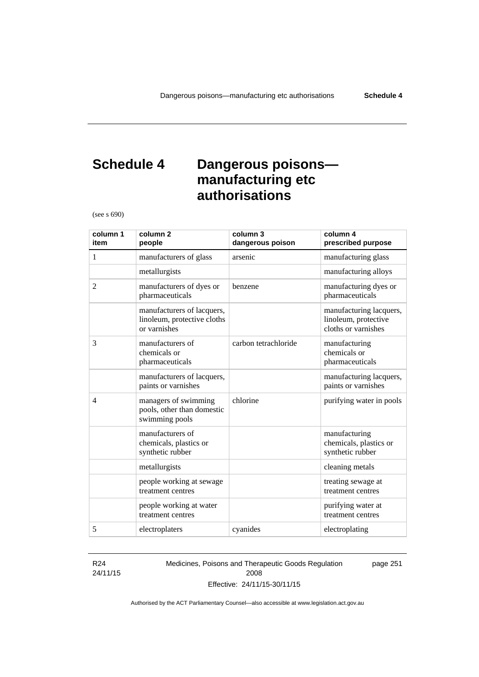# **Schedule 4 Dangerous poisons manufacturing etc authorisations**

(see s 690)

| column 1<br>item | column <sub>2</sub><br>people                                             | column 3<br>dangerous poison | column 4<br>prescribed purpose                                         |
|------------------|---------------------------------------------------------------------------|------------------------------|------------------------------------------------------------------------|
| 1                | manufacturers of glass                                                    | arsenic                      | manufacturing glass                                                    |
|                  | metallurgists                                                             |                              | manufacturing alloys                                                   |
| 2                | manufacturers of dyes or<br>pharmaceuticals                               | benzene                      | manufacturing dyes or<br>pharmaceuticals                               |
|                  | manufacturers of lacquers,<br>linoleum, protective cloths<br>or varnishes |                              | manufacturing lacquers,<br>linoleum, protective<br>cloths or varnishes |
| 3                | manufacturers of<br>chemicals or<br>pharmaceuticals                       | carbon tetrachloride         | manufacturing<br>chemicals or<br>pharmaceuticals                       |
|                  | manufacturers of lacquers,<br>paints or varnishes                         |                              | manufacturing lacquers,<br>paints or varnishes                         |
| $\overline{4}$   | managers of swimming<br>pools, other than domestic<br>swimming pools      | chlorine                     | purifying water in pools                                               |
|                  | manufacturers of<br>chemicals, plastics or<br>synthetic rubber            |                              | manufacturing<br>chemicals, plastics or<br>synthetic rubber            |
|                  | metallurgists                                                             |                              | cleaning metals                                                        |
|                  | people working at sewage<br>treatment centres                             |                              | treating sewage at<br>treatment centres                                |
|                  | people working at water<br>treatment centres                              |                              | purifying water at<br>treatment centres                                |
| 5                | electroplaters                                                            | cyanides                     | electroplating                                                         |

### R24 24/11/15

Medicines, Poisons and Therapeutic Goods Regulation 2008 Effective: 24/11/15-30/11/15

page 251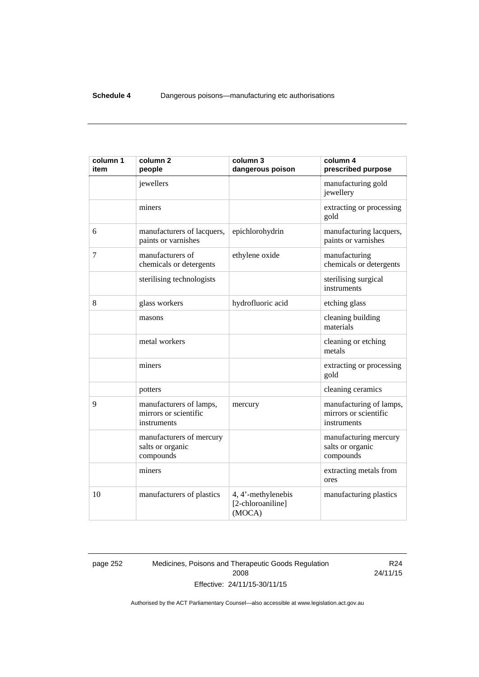| column 1<br>item | column <sub>2</sub><br>people                                   | column 3<br>dangerous poison                      | column 4<br>prescribed purpose                                  |
|------------------|-----------------------------------------------------------------|---------------------------------------------------|-----------------------------------------------------------------|
|                  | jewellers                                                       |                                                   | manufacturing gold<br>jewellery                                 |
|                  | miners                                                          |                                                   | extracting or processing<br>gold                                |
| 6                | manufacturers of lacquers,<br>paints or varnishes               | epichlorohydrin                                   | manufacturing lacquers,<br>paints or varnishes                  |
| $\tau$           | manufacturers of<br>chemicals or detergents                     | ethylene oxide                                    | manufacturing<br>chemicals or detergents                        |
|                  | sterilising technologists                                       |                                                   | sterilising surgical<br>instruments                             |
| 8                | glass workers                                                   | hydrofluoric acid                                 | etching glass                                                   |
|                  | masons                                                          |                                                   | cleaning building<br>materials                                  |
|                  | metal workers                                                   |                                                   | cleaning or etching<br>metals                                   |
|                  | miners                                                          |                                                   | extracting or processing<br>gold                                |
|                  | potters                                                         |                                                   | cleaning ceramics                                               |
| 9                | manufacturers of lamps,<br>mirrors or scientific<br>instruments | mercury                                           | manufacturing of lamps,<br>mirrors or scientific<br>instruments |
|                  | manufacturers of mercury<br>salts or organic<br>compounds       |                                                   | manufacturing mercury<br>salts or organic<br>compounds          |
|                  | miners                                                          |                                                   | extracting metals from<br>ores                                  |
| 10               | manufacturers of plastics                                       | 4, 4'-methylenebis<br>[2-chloroaniline]<br>(MOCA) | manufacturing plastics                                          |

page 252 Medicines, Poisons and Therapeutic Goods Regulation 2008 Effective: 24/11/15-30/11/15

R24 24/11/15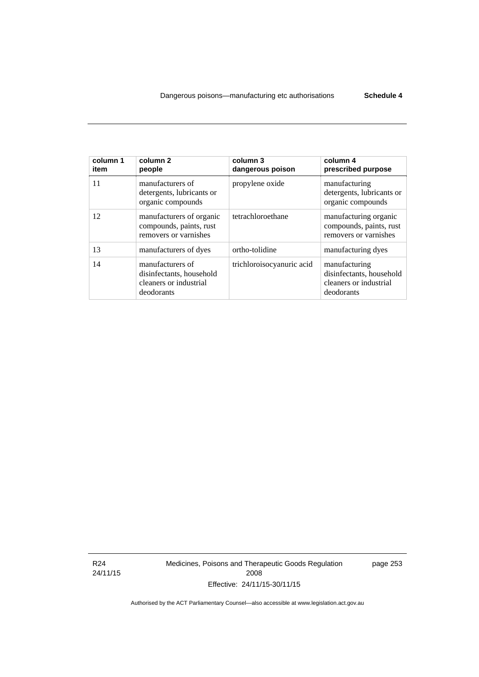| column 1<br>item | column <sub>2</sub><br>people                                                        | column 3<br>dangerous poison | column 4<br>prescribed purpose                                                    |
|------------------|--------------------------------------------------------------------------------------|------------------------------|-----------------------------------------------------------------------------------|
| 11               | manufacturers of<br>detergents, lubricants or<br>organic compounds                   | propylene oxide              | manufacturing<br>detergents, lubricants or<br>organic compounds                   |
| 12               | manufacturers of organic<br>compounds, paints, rust<br>removers or varnishes         | tetrachloroethane            | manufacturing organic<br>compounds, paints, rust<br>removers or varnishes         |
| 13               | manufacturers of dyes                                                                | ortho-tolidine               | manufacturing dyes                                                                |
| 14               | manufacturers of<br>disinfectants, household<br>cleaners or industrial<br>deodorants | trichloroisocyanuric acid    | manufacturing<br>disinfectants, household<br>cleaners or industrial<br>deodorants |

R24 24/11/15 Medicines, Poisons and Therapeutic Goods Regulation 2008 Effective: 24/11/15-30/11/15

page 253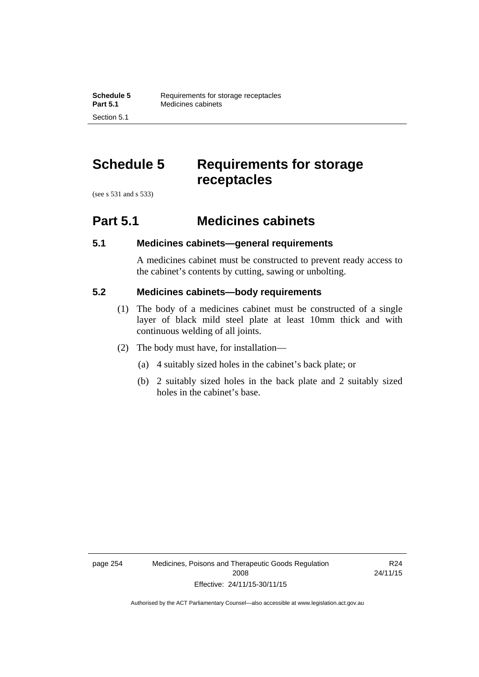# **Schedule 5 Requirements for storage receptacles**

(see s 531 and s 533)

Section 5.1

## **Part 5.1 Medicines cabinets**

## **5.1 Medicines cabinets—general requirements**

A medicines cabinet must be constructed to prevent ready access to the cabinet's contents by cutting, sawing or unbolting.

## **5.2 Medicines cabinets—body requirements**

- (1) The body of a medicines cabinet must be constructed of a single layer of black mild steel plate at least 10mm thick and with continuous welding of all joints.
- (2) The body must have, for installation—
	- (a) 4 suitably sized holes in the cabinet's back plate; or
	- (b) 2 suitably sized holes in the back plate and 2 suitably sized holes in the cabinet's base.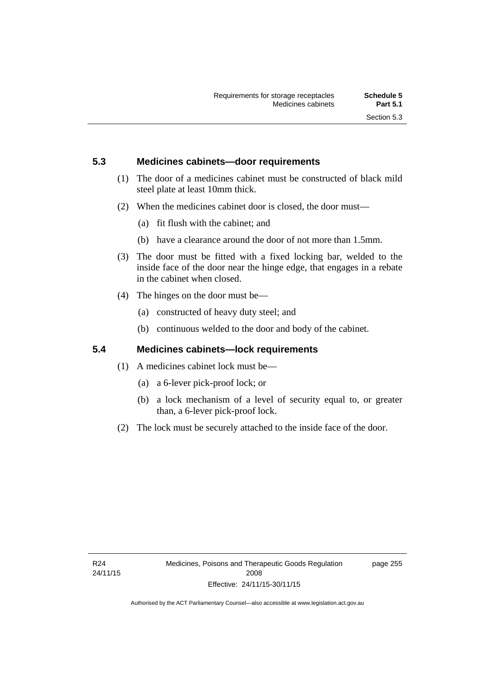## **5.3 Medicines cabinets—door requirements**

- (1) The door of a medicines cabinet must be constructed of black mild steel plate at least 10mm thick.
- (2) When the medicines cabinet door is closed, the door must—
	- (a) fit flush with the cabinet; and
	- (b) have a clearance around the door of not more than 1.5mm.
- (3) The door must be fitted with a fixed locking bar, welded to the inside face of the door near the hinge edge, that engages in a rebate in the cabinet when closed.
- (4) The hinges on the door must be—
	- (a) constructed of heavy duty steel; and
	- (b) continuous welded to the door and body of the cabinet.

## **5.4 Medicines cabinets—lock requirements**

- (1) A medicines cabinet lock must be—
	- (a) a 6-lever pick-proof lock; or
	- (b) a lock mechanism of a level of security equal to, or greater than, a 6-lever pick-proof lock.
- (2) The lock must be securely attached to the inside face of the door.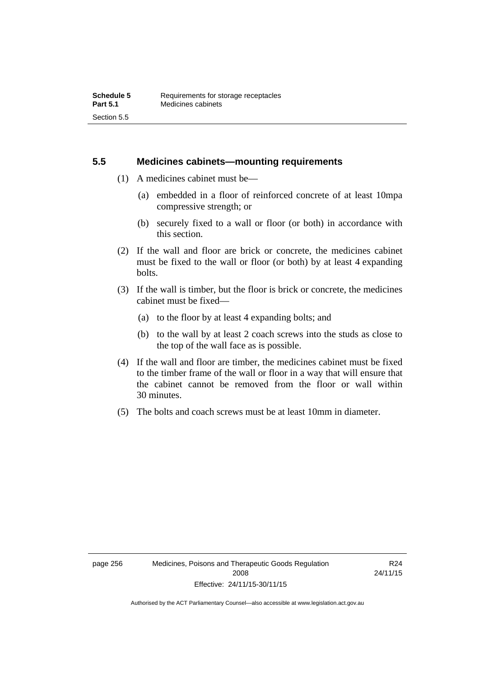## **5.5 Medicines cabinets—mounting requirements**

- (1) A medicines cabinet must be—
	- (a) embedded in a floor of reinforced concrete of at least 10mpa compressive strength; or
	- (b) securely fixed to a wall or floor (or both) in accordance with this section.
- (2) If the wall and floor are brick or concrete, the medicines cabinet must be fixed to the wall or floor (or both) by at least 4 expanding bolts.
- (3) If the wall is timber, but the floor is brick or concrete, the medicines cabinet must be fixed—
	- (a) to the floor by at least 4 expanding bolts; and
	- (b) to the wall by at least 2 coach screws into the studs as close to the top of the wall face as is possible.
- (4) If the wall and floor are timber, the medicines cabinet must be fixed to the timber frame of the wall or floor in a way that will ensure that the cabinet cannot be removed from the floor or wall within 30 minutes.
- (5) The bolts and coach screws must be at least 10mm in diameter.

R24 24/11/15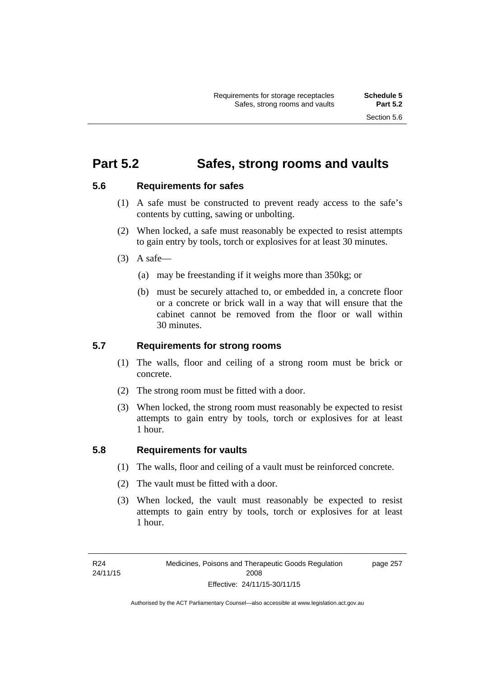## **Part 5.2 Safes, strong rooms and vaults**

## **5.6 Requirements for safes**

- (1) A safe must be constructed to prevent ready access to the safe's contents by cutting, sawing or unbolting.
- (2) When locked, a safe must reasonably be expected to resist attempts to gain entry by tools, torch or explosives for at least 30 minutes.
- $(3)$  A safe-
	- (a) may be freestanding if it weighs more than 350kg; or
	- (b) must be securely attached to, or embedded in, a concrete floor or a concrete or brick wall in a way that will ensure that the cabinet cannot be removed from the floor or wall within 30 minutes.

## **5.7 Requirements for strong rooms**

- (1) The walls, floor and ceiling of a strong room must be brick or concrete.
- (2) The strong room must be fitted with a door.
- (3) When locked, the strong room must reasonably be expected to resist attempts to gain entry by tools, torch or explosives for at least 1 hour.

## **5.8 Requirements for vaults**

- (1) The walls, floor and ceiling of a vault must be reinforced concrete.
- (2) The vault must be fitted with a door.
- (3) When locked, the vault must reasonably be expected to resist attempts to gain entry by tools, torch or explosives for at least 1 hour.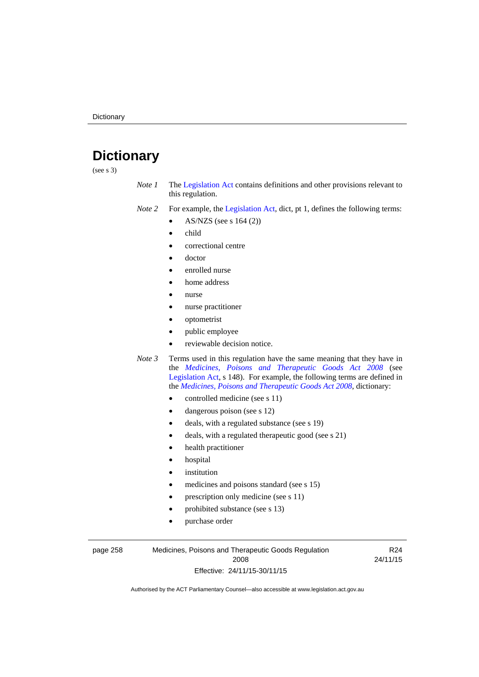# **Dictionary**

(see s 3)

- *Note 1* The [Legislation Act](http://www.legislation.act.gov.au/a/2001-14) contains definitions and other provisions relevant to this regulation.
- *Note 2* For example, the [Legislation Act,](http://www.legislation.act.gov.au/a/2001-14) dict, pt 1, defines the following terms:
	- AS/NZS (see s 164 (2))
	- child
	- correctional centre
	- doctor
	- enrolled nurse
	- home address
	- nurse
	- nurse practitioner
	- optometrist
	- public employee
	- reviewable decision notice.
- *Note 3* Terms used in this regulation have the same meaning that they have in the *[Medicines, Poisons and Therapeutic Goods Act 2008](http://www.legislation.act.gov.au/a/2008-26)* (see [Legislation Act,](http://www.legislation.act.gov.au/a/2001-14) s 148). For example, the following terms are defined in the *[Medicines, Poisons and Therapeutic Goods Act 2008](http://www.legislation.act.gov.au/a/2008-26)*, dictionary:
	- controlled medicine (see s 11)
	- dangerous poison (see s 12)
	- deals, with a regulated substance (see s 19)
	- deals, with a regulated therapeutic good (see s 21)
	- health practitioner
	- hospital
	- institution
	- medicines and poisons standard (see s 15)
	- prescription only medicine (see s 11)
	- prohibited substance (see s 13)
	- purchase order

page 258 Medicines, Poisons and Therapeutic Goods Regulation 2008 Effective: 24/11/15-30/11/15

R24 24/11/15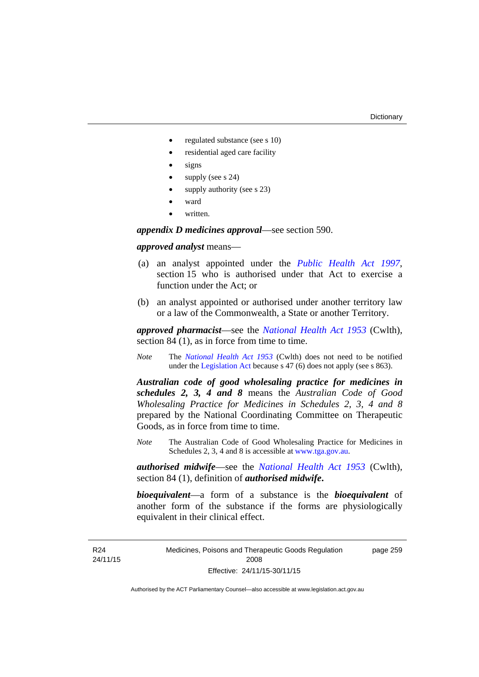- regulated substance (see s 10)
- residential aged care facility
- signs
- supply (see s 24)
- supply authority (see s 23)
- ward
- written.

*appendix D medicines approval*—see section 590.

### *approved analyst* means—

- (a) an analyst appointed under the *[Public Health Act 1997](http://www.legislation.act.gov.au/a/1997-69)*, section 15 who is authorised under that Act to exercise a function under the Act; or
- (b) an analyst appointed or authorised under another territory law or a law of the Commonwealth, a State or another Territory.

*approved pharmacist*––see the *[National Health Act 1953](http://www.comlaw.gov.au/Series/C1953A00095)* (Cwlth), section 84 (1), as in force from time to time.

*Note* The *[National Health Act 1953](http://www.comlaw.gov.au/Series/C1953A00095)* (Cwlth) does not need to be notified under the [Legislation Act](http://www.legislation.act.gov.au/a/2001-14) because s 47 (6) does not apply (see s 863).

*Australian code of good wholesaling practice for medicines in schedules 2, 3, 4 and 8* means the *Australian Code of Good Wholesaling Practice for Medicines in Schedules 2, 3, 4 and 8* prepared by the National Coordinating Committee on Therapeutic Goods, as in force from time to time.

*Note* The Australian Code of Good Wholesaling Practice for Medicines in Schedules 2, 3, 4 and 8 is accessible at [www.tga.gov.au.](http://www.tga.gov.au/)

*authorised midwife*—see the *[National Health Act 1953](http://www.comlaw.gov.au/Series/C1953A00095)* (Cwlth), section 84 (1), definition of *authorised midwife***.**

*bioequivalent*—a form of a substance is the *bioequivalent* of another form of the substance if the forms are physiologically equivalent in their clinical effect.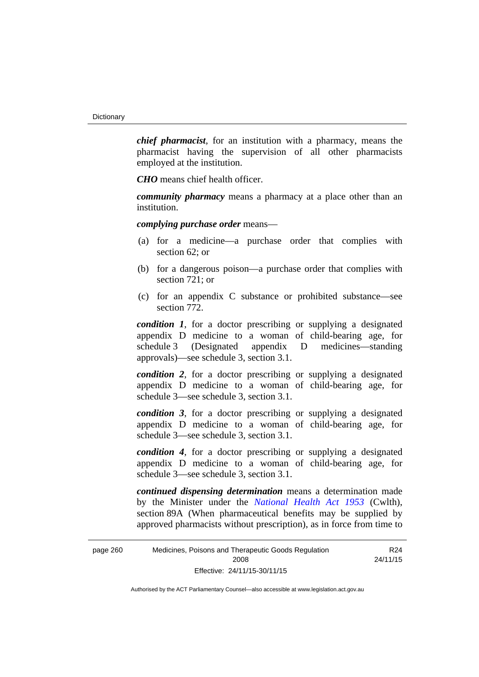*chief pharmacist*, for an institution with a pharmacy, means the pharmacist having the supervision of all other pharmacists employed at the institution.

*CHO* means chief health officer.

*community pharmacy* means a pharmacy at a place other than an institution.

*complying purchase order* means—

- (a) for a medicine—a purchase order that complies with section 62; or
- (b) for a dangerous poison—a purchase order that complies with section 721; or
- (c) for an appendix C substance or prohibited substance—see section 772.

*condition 1*, for a doctor prescribing or supplying a designated appendix D medicine to a woman of child-bearing age, for schedule 3 (Designated appendix D medicines—standing approvals)—see schedule 3, section 3.1.

*condition 2*, for a doctor prescribing or supplying a designated appendix D medicine to a woman of child-bearing age, for schedule 3—see schedule 3, section 3.1.

*condition 3*, for a doctor prescribing or supplying a designated appendix D medicine to a woman of child-bearing age, for schedule 3—see schedule 3, section 3.1.

*condition 4*, for a doctor prescribing or supplying a designated appendix D medicine to a woman of child-bearing age, for schedule 3—see schedule 3, section 3.1.

*continued dispensing determination* means a determination made by the Minister under the *[National Health Act 1953](http://www.comlaw.gov.au/Series/C1953A00095)* (Cwlth), section 89A (When pharmaceutical benefits may be supplied by approved pharmacists without prescription), as in force from time to

R24 24/11/15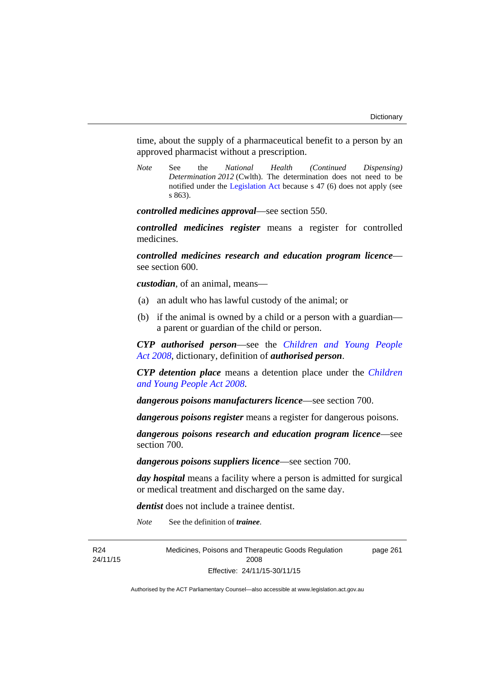time, about the supply of a pharmaceutical benefit to a person by an approved pharmacist without a prescription.

*Note* See the *National Health (Continued Dispensing) Determination 2012* (Cwlth). The determination does not need to be notified under the [Legislation Act](http://www.legislation.act.gov.au/a/2001-14) because s 47 (6) does not apply (see s 863).

*controlled medicines approval*—see section 550.

*controlled medicines register* means a register for controlled medicines.

*controlled medicines research and education program licence* see section 600.

*custodian*, of an animal, means—

- (a) an adult who has lawful custody of the animal; or
- (b) if the animal is owned by a child or a person with a guardian a parent or guardian of the child or person.

*CYP authorised person*—see the *[Children and Young People](http://www.legislation.act.gov.au/a/2008-19)  [Act 2008](http://www.legislation.act.gov.au/a/2008-19)*, dictionary, definition of *authorised person*.

*CYP detention place* means a detention place under the *[Children](http://www.legislation.act.gov.au/a/2008-19)  [and Young People Act 2008](http://www.legislation.act.gov.au/a/2008-19)*.

*dangerous poisons manufacturers licence*—see section 700.

*dangerous poisons register* means a register for dangerous poisons.

*dangerous poisons research and education program licence*—see section 700.

*dangerous poisons suppliers licence*—see section 700.

*day hospital* means a facility where a person is admitted for surgical or medical treatment and discharged on the same day.

*dentist* does not include a trainee dentist.

*Note* See the definition of *trainee*.

R24 24/11/15 Medicines, Poisons and Therapeutic Goods Regulation 2008 Effective: 24/11/15-30/11/15

page 261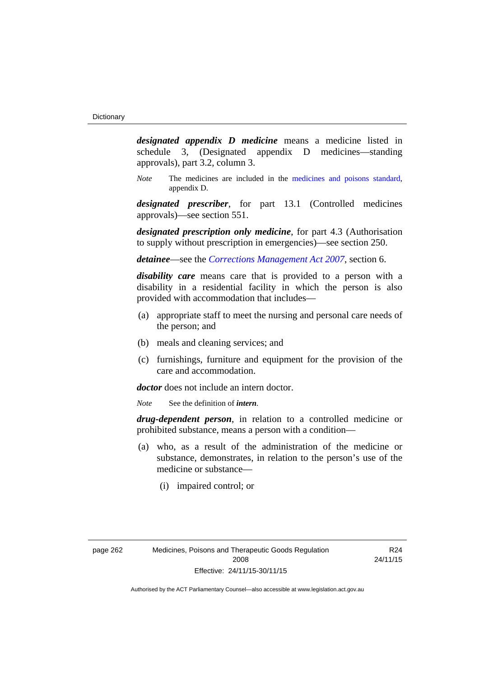*designated appendix D medicine* means a medicine listed in schedule 3, (Designated appendix D medicines—standing approvals), part 3.2, column 3.

*Note* The medicines are included in the [medicines and poisons standard,](http://www.comlaw.gov.au/Series/F2012L01200) appendix D.

*designated prescriber*, for part 13.1 (Controlled medicines approvals)—see section 551.

*designated prescription only medicine*, for part 4.3 (Authorisation to supply without prescription in emergencies)—see section 250.

*detainee*—see the *[Corrections Management Act 2007](http://www.legislation.act.gov.au/a/2007-15)*, section 6.

*disability care* means care that is provided to a person with a disability in a residential facility in which the person is also provided with accommodation that includes—

- (a) appropriate staff to meet the nursing and personal care needs of the person; and
- (b) meals and cleaning services; and
- (c) furnishings, furniture and equipment for the provision of the care and accommodation.

*doctor* does not include an intern doctor.

*Note* See the definition of *intern*.

*drug-dependent person*, in relation to a controlled medicine or prohibited substance, means a person with a condition—

- (a) who, as a result of the administration of the medicine or substance, demonstrates, in relation to the person's use of the medicine or substance—
	- (i) impaired control; or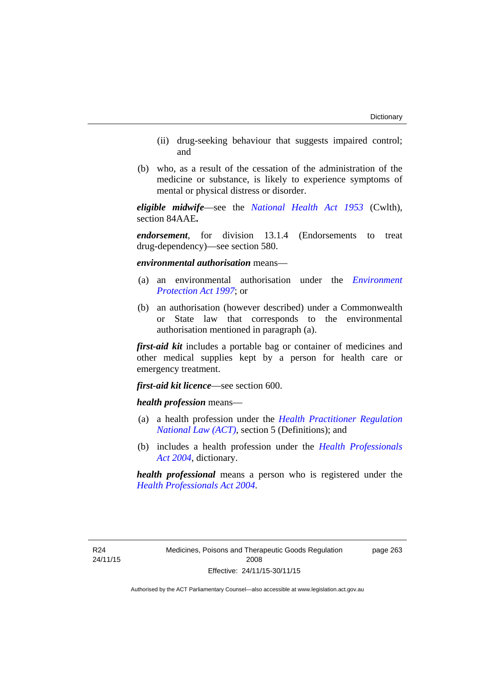- (ii) drug-seeking behaviour that suggests impaired control; and
- (b) who, as a result of the cessation of the administration of the medicine or substance, is likely to experience symptoms of mental or physical distress or disorder.

*eligible midwife*—see the *[National Health Act 1953](http://www.comlaw.gov.au/Series/C1953A00095)* (Cwlth), section 84AAE**.**

*endorsement*, for division 13.1.4 (Endorsements to treat drug-dependency)—see section 580.

*environmental authorisation* means—

- (a) an environmental authorisation under the *[Environment](http://www.legislation.act.gov.au/a/1997-92)  [Protection Act 1997](http://www.legislation.act.gov.au/a/1997-92)*; or
- (b) an authorisation (however described) under a Commonwealth or State law that corresponds to the environmental authorisation mentioned in paragraph (a).

*first-aid kit* includes a portable bag or container of medicines and other medical supplies kept by a person for health care or emergency treatment.

*first-aid kit licence*—see section 600.

*health profession* means—

- (a) a health profession under the *[Health Practitioner Regulation](http://www.legislation.act.gov.au/a/db_39269/default.asp)  [National Law \(ACT\)](http://www.legislation.act.gov.au/a/db_39269/default.asp)*, section 5 (Definitions); and
- (b) includes a health profession under the *[Health Professionals](http://www.legislation.act.gov.au/a/2004-38)  [Act 2004](http://www.legislation.act.gov.au/a/2004-38)*, dictionary.

*health professional* means a person who is registered under the *[Health Professionals Act 2004](http://www.legislation.act.gov.au/a/2004-38)*.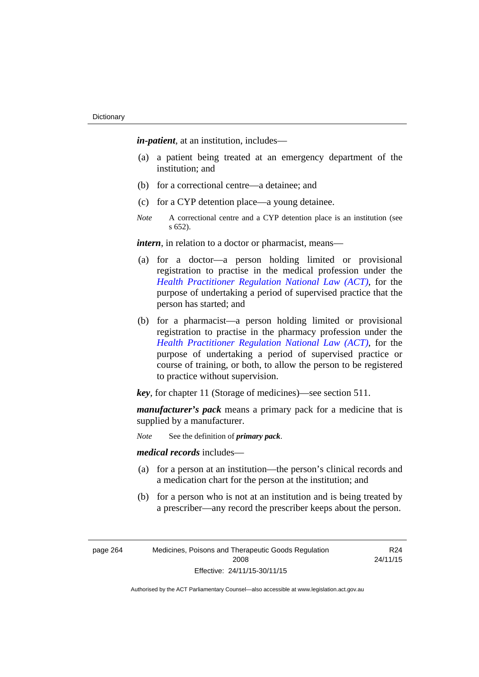*in-patient*, at an institution, includes—

- (a) a patient being treated at an emergency department of the institution; and
- (b) for a correctional centre—a detainee; and
- (c) for a CYP detention place—a young detainee.
- *Note* A correctional centre and a CYP detention place is an institution (see s 652).

*intern*, in relation to a doctor or pharmacist, means—

- (a) for a doctor—a person holding limited or provisional registration to practise in the medical profession under the *[Health Practitioner Regulation National Law \(ACT\)](http://www.legislation.act.gov.au/a/db_39269/default.asp)*, for the purpose of undertaking a period of supervised practice that the person has started; and
- (b) for a pharmacist—a person holding limited or provisional registration to practise in the pharmacy profession under the *[Health Practitioner Regulation National Law \(ACT\)](http://www.legislation.act.gov.au/a/db_39269/default.asp)*, for the purpose of undertaking a period of supervised practice or course of training, or both, to allow the person to be registered to practice without supervision.

*key*, for chapter 11 (Storage of medicines)—see section 511.

*manufacturer's pack* means a primary pack for a medicine that is supplied by a manufacturer.

*Note* See the definition of *primary pack*.

*medical records* includes—

- (a) for a person at an institution—the person's clinical records and a medication chart for the person at the institution; and
- (b) for a person who is not at an institution and is being treated by a prescriber—any record the prescriber keeps about the person.

| page 264 | Medicines, Poisons and Therapeutic Goods Regulation |
|----------|-----------------------------------------------------|
|          | 2008                                                |
|          | Effective: 24/11/15-30/11/15                        |

R24 24/11/15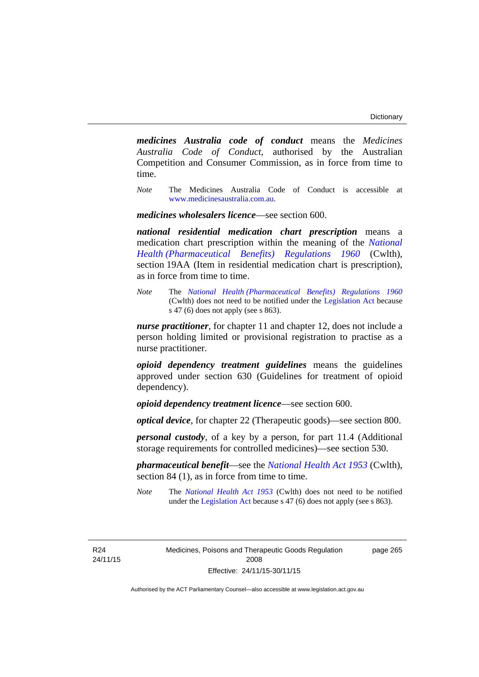*medicines Australia code of conduct* means the *Medicines Australia Code of Conduct*, authorised by the Australian Competition and Consumer Commission, as in force from time to time.

*Note* The Medicines Australia Code of Conduct is accessible at [www.medicinesaustralia.com.au](http://www.medicinesaustralia.com.au/).

*medicines wholesalers licence*—see section 600.

*national residential medication chart prescription* means a medication chart prescription within the meaning of the *[National](http://www.comlaw.gov.au/Series/F1996B02844)  [Health \(Pharmaceutical Benefits\) Regulations 1960](http://www.comlaw.gov.au/Series/F1996B02844)* (Cwlth), section 19AA (Item in residential medication chart is prescription), as in force from time to time.

*Note* The *[National Health \(Pharmaceutical Benefits\) Regulations 1960](http://www.comlaw.gov.au/Series/F1996B02844)* (Cwlth) does not need to be notified under the [Legislation Act](http://www.legislation.act.gov.au/a/2001-14) because s 47 (6) does not apply (see s 863).

*nurse practitioner*, for chapter 11 and chapter 12, does not include a person holding limited or provisional registration to practise as a nurse practitioner.

*opioid dependency treatment guidelines* means the guidelines approved under section 630 (Guidelines for treatment of opioid dependency).

*opioid dependency treatment licence*—see section 600.

*optical device*, for chapter 22 (Therapeutic goods)—see section 800.

*personal custody*, of a key by a person, for part 11.4 (Additional storage requirements for controlled medicines)—see section 530.

*pharmaceutical benefit*—see the *[National Health Act 1953](http://www.comlaw.gov.au/Series/C1953A00095)* (Cwlth), section 84 (1), as in force from time to time.

*Note* The *[National Health Act 1953](http://www.comlaw.gov.au/Series/C1953A00095)* (Cwlth) does not need to be notified under the [Legislation Act](http://www.legislation.act.gov.au/a/2001-14) because s 47 (6) does not apply (see s 863).

R24 24/11/15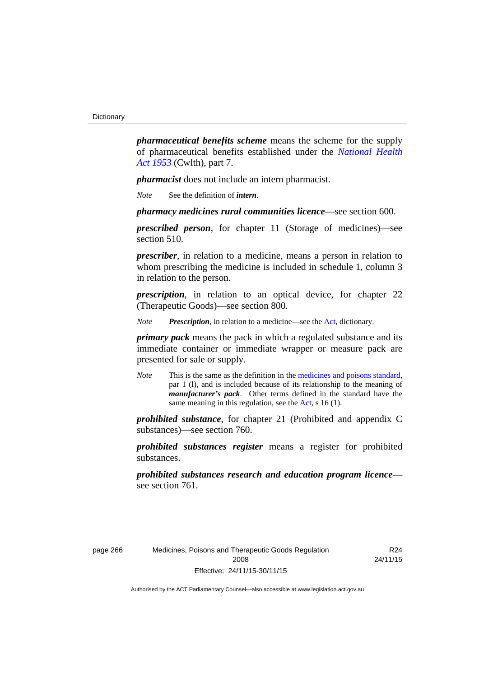*pharmaceutical benefits scheme* means the scheme for the supply of pharmaceutical benefits established under the *[National Health](http://www.comlaw.gov.au/Series/C1953A00095)  [Act 1953](http://www.comlaw.gov.au/Series/C1953A00095)* (Cwlth), part 7.

*pharmacist* does not include an intern pharmacist.

*Note* See the definition of *intern*.

*pharmacy medicines rural communities licence*—see section 600.

*prescribed person*, for chapter 11 (Storage of medicines)—see section 510.

*prescriber*, in relation to a medicine, means a person in relation to whom prescribing the medicine is included in schedule 1, column 3 in relation to the person.

*prescription*, in relation to an optical device, for chapter 22 (Therapeutic Goods)—see section 800.

*Note Prescription*, in relation to a medicine—see the [Act](http://www.legislation.act.gov.au/a/2008-26/default.asp), dictionary.

*primary pack* means the pack in which a regulated substance and its immediate container or immediate wrapper or measure pack are presented for sale or supply.

*Note* This is the same as the definition in the [medicines and poisons standard,](http://www.comlaw.gov.au/Series/F2012L01200) par 1 (l), and is included because of its relationship to the meaning of *manufacturer's pack*. Other terms defined in the standard have the same meaning in this regulation, see the [Act](http://www.legislation.act.gov.au/a/2008-26/default.asp), s 16 (1).

*prohibited substance*, for chapter 21 (Prohibited and appendix C substances)—see section 760.

*prohibited substances register* means a register for prohibited substances.

*prohibited substances research and education program licence* see section 761.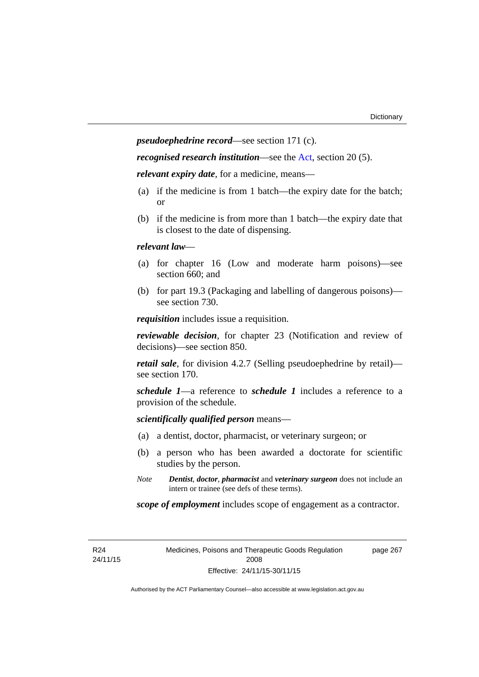*pseudoephedrine record*—see section 171 (c).

*recognised research institution*—see the [Act](http://www.legislation.act.gov.au/a/2008-26/default.asp), section 20 (5).

*relevant expiry date*, for a medicine, means—

- (a) if the medicine is from 1 batch—the expiry date for the batch; or
- (b) if the medicine is from more than 1 batch—the expiry date that is closest to the date of dispensing.

### *relevant law*—

- (a) for chapter 16 (Low and moderate harm poisons)—see section 660; and
- (b) for part 19.3 (Packaging and labelling of dangerous poisons) see section 730.

*requisition* includes issue a requisition.

*reviewable decision*, for chapter 23 (Notification and review of decisions)—see section 850.

*retail sale*, for division 4.2.7 (Selling pseudoephedrine by retail) see section 170.

*schedule 1*—a reference to *schedule 1* includes a reference to a provision of the schedule.

*scientifically qualified person* means—

- (a) a dentist, doctor, pharmacist, or veterinary surgeon; or
- (b) a person who has been awarded a doctorate for scientific studies by the person.
- *Note Dentist*, *doctor*, *pharmacist* and *veterinary surgeon* does not include an intern or trainee (see defs of these terms).

*scope of employment* includes scope of engagement as a contractor.

R24 24/11/15 Medicines, Poisons and Therapeutic Goods Regulation 2008 Effective: 24/11/15-30/11/15

page 267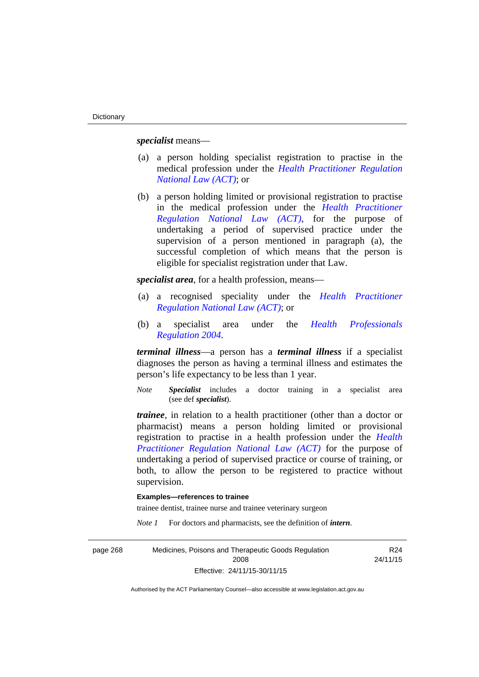*specialist* means—

- (a) a person holding specialist registration to practise in the medical profession under the *[Health Practitioner Regulation](http://www.legislation.act.gov.au/a/db_39269/default.asp)  [National Law \(ACT\)](http://www.legislation.act.gov.au/a/db_39269/default.asp)*; or
- (b) a person holding limited or provisional registration to practise in the medical profession under the *[Health Practitioner](http://www.legislation.act.gov.au/a/db_39269/default.asp)  [Regulation National Law \(ACT\)](http://www.legislation.act.gov.au/a/db_39269/default.asp)*, for the purpose of undertaking a period of supervised practice under the supervision of a person mentioned in paragraph (a), the successful completion of which means that the person is eligible for specialist registration under that Law.

*specialist area*, for a health profession, means—

- (a) a recognised speciality under the *[Health Practitioner](http://www.legislation.act.gov.au/a/db_39269/default.asp)  [Regulation National Law \(ACT\)](http://www.legislation.act.gov.au/a/db_39269/default.asp)*; or
- (b) a specialist area under the *[Health Professionals](http://www.legislation.act.gov.au/sl/2004-41)  [Regulation 2004](http://www.legislation.act.gov.au/sl/2004-41)*.

*terminal illness*—a person has a *terminal illness* if a specialist diagnoses the person as having a terminal illness and estimates the person's life expectancy to be less than 1 year.

*Note Specialist* includes a doctor training in a specialist area (see def *specialist*).

*trainee*, in relation to a health practitioner (other than a doctor or pharmacist) means a person holding limited or provisional registration to practise in a health profession under the *[Health](http://www.legislation.act.gov.au/a/db_39269/default.asp)  [Practitioner Regulation National Law \(ACT\)](http://www.legislation.act.gov.au/a/db_39269/default.asp)* for the purpose of undertaking a period of supervised practice or course of training, or both, to allow the person to be registered to practice without supervision.

### **Examples—references to trainee**

trainee dentist, trainee nurse and trainee veterinary surgeon

*Note 1* For doctors and pharmacists, see the definition of *intern*.

| page 268 | Medicines, Poisons and Therapeutic Goods Regulation | R24      |
|----------|-----------------------------------------------------|----------|
|          | 2008                                                | 24/11/15 |
|          | Effective: 24/11/15-30/11/15                        |          |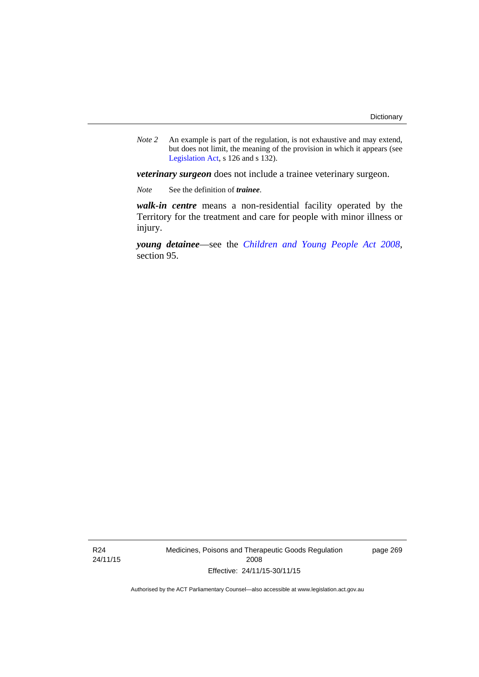*Note 2* An example is part of the regulation, is not exhaustive and may extend, but does not limit, the meaning of the provision in which it appears (see [Legislation Act,](http://www.legislation.act.gov.au/a/2001-14) s 126 and s 132).

*veterinary surgeon* does not include a trainee veterinary surgeon.

*Note* See the definition of *trainee*.

*walk-in centre* means a non-residential facility operated by the Territory for the treatment and care for people with minor illness or injury.

*young detainee*—see the *[Children and Young People Act 2008](http://www.legislation.act.gov.au/a/2008-19)*, section 95.

R24 24/11/15 Medicines, Poisons and Therapeutic Goods Regulation 2008 Effective: 24/11/15-30/11/15

page 269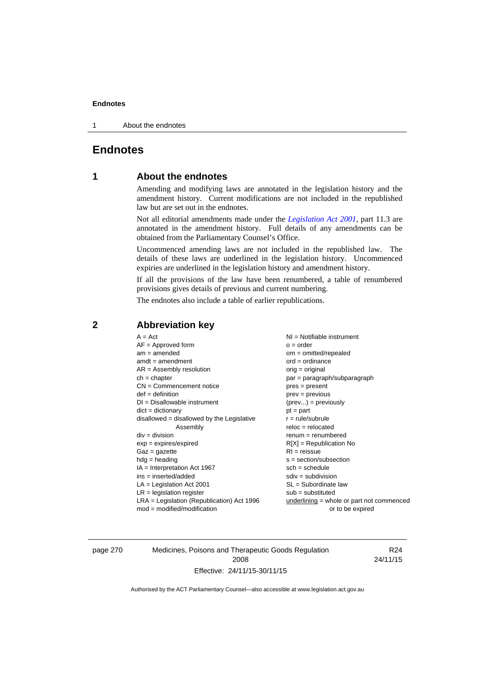1 About the endnotes

# **Endnotes**

# **1 About the endnotes**

Amending and modifying laws are annotated in the legislation history and the amendment history. Current modifications are not included in the republished law but are set out in the endnotes.

Not all editorial amendments made under the *[Legislation Act 2001](http://www.legislation.act.gov.au/a/2001-14)*, part 11.3 are annotated in the amendment history. Full details of any amendments can be obtained from the Parliamentary Counsel's Office.

Uncommenced amending laws are not included in the republished law. The details of these laws are underlined in the legislation history. Uncommenced expiries are underlined in the legislation history and amendment history.

If all the provisions of the law have been renumbered, a table of renumbered provisions gives details of previous and current numbering.

The endnotes also include a table of earlier republications.

| $AF =$ Approved form                         | $o = order$                               |
|----------------------------------------------|-------------------------------------------|
| $am = amended$                               | $om = omitted/repealed$                   |
| $amdt = amendment$                           | $ord = ordinance$                         |
| $AR = Assembly resolution$                   | $orig = original$                         |
| $ch = chapter$                               | par = paragraph/subparagraph              |
| $CN =$ Commencement notice                   | $pres = present$                          |
| $def = definition$                           | $prev = previous$                         |
| $DI = Disallowable instrument$               | $(\text{prev}) = \text{previously}$       |
| $dict = dictionary$                          | $pt = part$                               |
| disallowed = disallowed by the Legislative   | $r = rule/subrule$                        |
| Assembly                                     | $reloc = relocated$                       |
| $div = division$                             | $renum = renumbered$                      |
| $exp = expires/expired$                      | $R[X]$ = Republication No                 |
| $Gaz = gazette$                              | $RI = reissue$                            |
| $hdg = heading$                              | $s = section/subsection$                  |
| $IA = Interpretation Act 1967$               | $sch = schedule$                          |
| $ins = inserted/added$                       | $sdiv = subdivision$                      |
| $LA =$ Legislation Act 2001                  | $SL = Subordinate$ law                    |
| $LR =$ legislation register                  | $sub =$ substituted                       |
| $LRA =$ Legislation (Republication) Act 1996 | underlining = whole or part not commenced |
| $mod = modified/modification$                | or to be expired                          |

# **2 Abbreviation key**

page 270 Medicines, Poisons and Therapeutic Goods Regulation 2008 Effective: 24/11/15-30/11/15

R24 24/11/15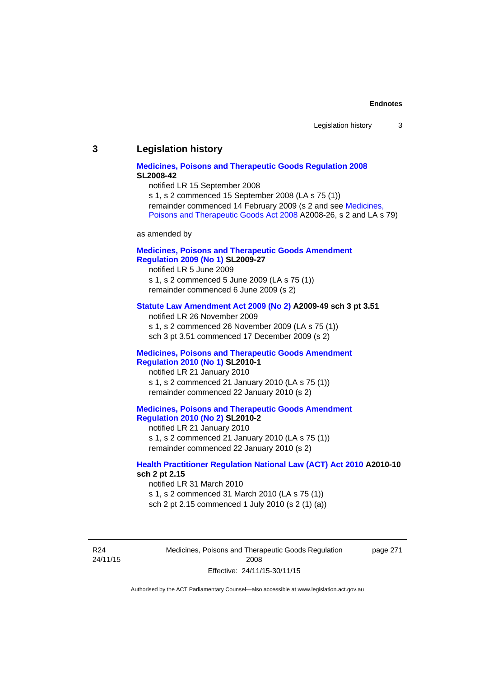### **3 Legislation history**

### **[Medicines, Poisons and Therapeutic Goods Regulation 2008](http://www.legislation.act.gov.au/sl/2008-42) SL2008-42**

notified LR 15 September 2008

s 1, s 2 commenced 15 September 2008 (LA s 75 (1)) remainder commenced 14 February 2009 (s 2 and see [Medicines,](http://www.legislation.act.gov.au/a/2008-26)  [Poisons and Therapeutic Goods Act 2008](http://www.legislation.act.gov.au/a/2008-26) A2008-26, s 2 and LA s 79)

as amended by

### **[Medicines, Poisons and Therapeutic Goods Amendment](http://www.legislation.act.gov.au/sl/2009-27)  [Regulation 2009 \(No 1\)](http://www.legislation.act.gov.au/sl/2009-27) SL2009-27**

notified LR 5 June 2009 s 1, s 2 commenced 5 June 2009 (LA s 75 (1)) remainder commenced 6 June 2009 (s 2)

### **[Statute Law Amendment Act 2009 \(No 2\)](http://www.legislation.act.gov.au/a/2009-49) A2009-49 sch 3 pt 3.51**

notified LR 26 November 2009 s 1, s 2 commenced 26 November 2009 (LA s 75 (1)) sch 3 pt 3.51 commenced 17 December 2009 (s 2)

### **[Medicines, Poisons and Therapeutic Goods Amendment](http://www.legislation.act.gov.au/sl/2010-1)  [Regulation 2010 \(No 1\)](http://www.legislation.act.gov.au/sl/2010-1) SL2010-1**

notified LR 21 January 2010 s 1, s 2 commenced 21 January 2010 (LA s 75 (1)) remainder commenced 22 January 2010 (s 2)

### **[Medicines, Poisons and Therapeutic Goods Amendment](http://www.legislation.act.gov.au/sl/2010-2)  [Regulation 2010 \(No 2\)](http://www.legislation.act.gov.au/sl/2010-2) SL2010-2**

notified LR 21 January 2010 s 1, s 2 commenced 21 January 2010 (LA s 75 (1)) remainder commenced 22 January 2010 (s 2)

### **[Health Practitioner Regulation National Law \(ACT\) Act 2010](http://www.legislation.act.gov.au/a/2010-10) A2010-10 sch 2 pt 2.15**

notified LR 31 March 2010 s 1, s 2 commenced 31 March 2010 (LA s 75 (1)) sch 2 pt 2.15 commenced 1 July 2010 (s 2 (1) (a))

R24 24/11/15 Medicines, Poisons and Therapeutic Goods Regulation 2008 Effective: 24/11/15-30/11/15

page 271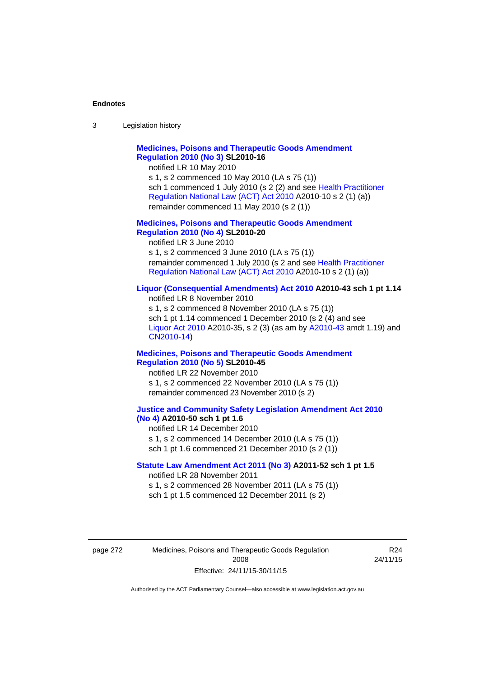| 3 | Legislation history |  |
|---|---------------------|--|
|---|---------------------|--|

## **[Medicines, Poisons and Therapeutic Goods Amendment](http://www.legislation.act.gov.au/sl/2010-16)  [Regulation 2010 \(No 3\)](http://www.legislation.act.gov.au/sl/2010-16) SL2010-16**

notified LR 10 May 2010

s 1, s 2 commenced 10 May 2010 (LA s 75 (1)) sch 1 commenced 1 July 2010 (s 2 (2) and see [Health Practitioner](http://www.legislation.act.gov.au/a/2010-10)  [Regulation National Law \(ACT\) Act 2010](http://www.legislation.act.gov.au/a/2010-10) A2010-10 s 2 (1) (a)) remainder commenced 11 May 2010 (s 2 (1))

### **[Medicines, Poisons and Therapeutic Goods Amendment](http://www.legislation.act.gov.au/sl/2010-20)  [Regulation 2010 \(No 4\)](http://www.legislation.act.gov.au/sl/2010-20) SL2010-20**

notified LR 3 June 2010 s 1, s 2 commenced 3 June 2010 (LA s 75 (1)) remainder commenced 1 July 2010 (s 2 and see [Health Practitioner](http://www.legislation.act.gov.au/a/2010-10)  [Regulation National Law \(ACT\) Act 2010](http://www.legislation.act.gov.au/a/2010-10) A2010-10 s 2 (1) (a))

### **[Liquor \(Consequential Amendments\) Act 2010](http://www.legislation.act.gov.au/a/2010-43) A2010-43 sch 1 pt 1.14**

notified LR 8 November 2010 s 1, s 2 commenced 8 November 2010 (LA s 75 (1)) sch 1 pt 1.14 commenced 1 December 2010 (s 2 (4) and see [Liquor Act 2010](http://www.legislation.act.gov.au/a/2010-35) A2010-35, s 2 (3) (as am by [A2010-43](http://www.legislation.act.gov.au/a/2010-43) amdt 1.19) and [CN2010-14](http://www.legislation.act.gov.au/cn/2010-14/default.asp))

### **[Medicines, Poisons and Therapeutic Goods Amendment](http://www.legislation.act.gov.au/sl/2010-45)  [Regulation 2010 \(No 5\)](http://www.legislation.act.gov.au/sl/2010-45) SL2010-45**

notified LR 22 November 2010 s 1, s 2 commenced 22 November 2010 (LA s 75 (1)) remainder commenced 23 November 2010 (s 2)

### **[Justice and Community Safety Legislation Amendment Act 2010](http://www.legislation.act.gov.au/a/2010-50)  [\(No 4\)](http://www.legislation.act.gov.au/a/2010-50) A2010-50 sch 1 pt 1.6**

notified LR 14 December 2010 s 1, s 2 commenced 14 December 2010 (LA s 75 (1)) sch 1 pt 1.6 commenced 21 December 2010 (s 2 (1))

### **[Statute Law Amendment Act 2011 \(No 3\)](http://www.legislation.act.gov.au/a/2011-52) A2011-52 sch 1 pt 1.5**  notified LR 28 November 2011

s 1, s 2 commenced 28 November 2011 (LA s 75 (1)) sch 1 pt 1.5 commenced 12 December 2011 (s 2)

page 272 Medicines, Poisons and Therapeutic Goods Regulation 2008 Effective: 24/11/15-30/11/15

R24 24/11/15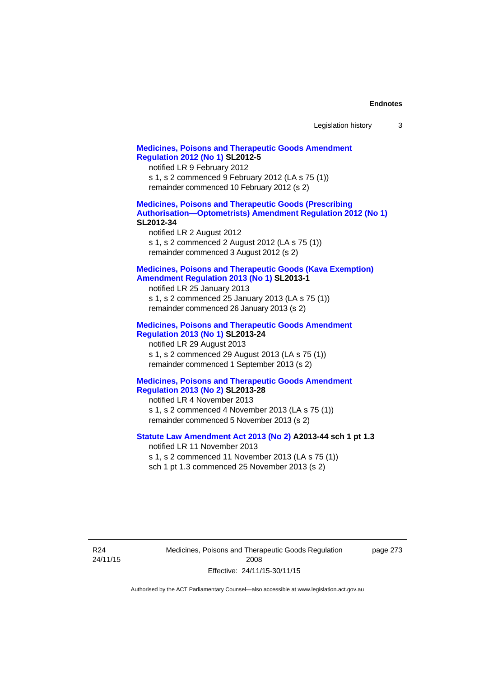| Legislation history |  |  |
|---------------------|--|--|
|---------------------|--|--|

# **[Medicines, Poisons and Therapeutic Goods Amendment](http://www.legislation.act.gov.au/sl/2012-5)  [Regulation 2012 \(No 1\)](http://www.legislation.act.gov.au/sl/2012-5) SL2012-5**  notified LR 9 February 2012 s 1, s 2 commenced 9 February 2012 (LA s 75 (1)) remainder commenced 10 February 2012 (s 2) **[Medicines, Poisons and Therapeutic Goods \(Prescribing](http://www.legislation.act.gov.au/sl/2012-34)  [Authorisation—Optometrists\) Amendment Regulation 2012 \(No 1\)](http://www.legislation.act.gov.au/sl/2012-34) SL2012-34**  notified LR 2 August 2012 s 1, s 2 commenced 2 August 2012 (LA s 75 (1)) remainder commenced 3 August 2012 (s 2) **[Medicines, Poisons and Therapeutic Goods \(Kava Exemption\)](http://www.legislation.act.gov.au/sl/2013-1/default.asp)  [Amendment Regulation 2013 \(No 1\)](http://www.legislation.act.gov.au/sl/2013-1/default.asp) SL2013-1**  notified LR 25 January 2013 s 1, s 2 commenced 25 January 2013 (LA s 75 (1)) remainder commenced 26 January 2013 (s 2) **[Medicines, Poisons and Therapeutic Goods Amendment](http://www.legislation.act.gov.au/sl/2013-24/default.asp)  [Regulation 2013 \(No 1\)](http://www.legislation.act.gov.au/sl/2013-24/default.asp) SL2013-24**  notified LR 29 August 2013 s 1, s 2 commenced 29 August 2013 (LA s 75 (1)) remainder commenced 1 September 2013 (s 2) **[Medicines, Poisons and Therapeutic Goods Amendment](http://www.legislation.act.gov.au/sl/2013-28)  [Regulation 2013 \(No 2\)](http://www.legislation.act.gov.au/sl/2013-28) SL2013-28**  notified LR 4 November 2013 s 1, s 2 commenced 4 November 2013 (LA s 75 (1)) remainder commenced 5 November 2013 (s 2) **[Statute Law Amendment Act 2013 \(No 2\)](http://www.legislation.act.gov.au/a/2013-44) A2013-44 sch 1 pt 1.3**  notified LR 11 November 2013 s 1, s 2 commenced 11 November 2013 (LA s 75 (1)) sch 1 pt 1.3 commenced 25 November 2013 (s 2)

page 273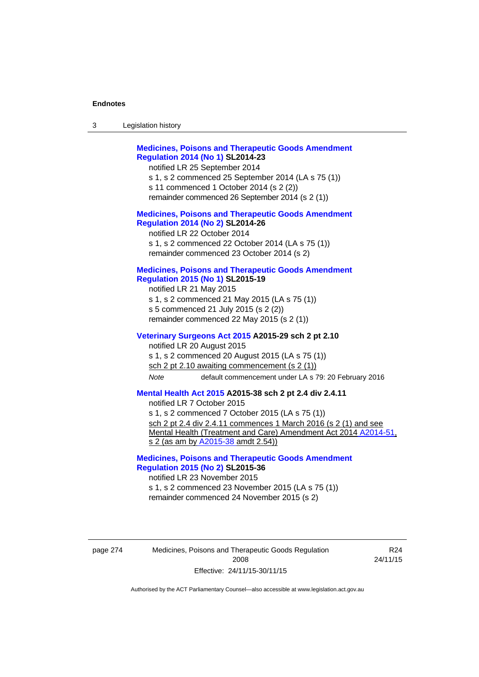| Legislation history<br>3 |  |
|--------------------------|--|
|--------------------------|--|

# **[Medicines, Poisons and Therapeutic Goods Amendment](http://www.legislation.act.gov.au/sl/2014-23)  [Regulation 2014 \(No 1\)](http://www.legislation.act.gov.au/sl/2014-23) SL2014-23**

notified LR 25 September 2014

- s 1, s 2 commenced 25 September 2014 (LA s 75 (1))
- s 11 commenced 1 October 2014 (s 2 (2))
- remainder commenced 26 September 2014 (s 2 (1))

### **[Medicines, Poisons and Therapeutic Goods Amendment](http://www.legislation.act.gov.au/sl/2014-26)  [Regulation 2014 \(No 2\)](http://www.legislation.act.gov.au/sl/2014-26) SL2014-26**

notified LR 22 October 2014 s 1, s 2 commenced 22 October 2014 (LA s 75 (1)) remainder commenced 23 October 2014 (s 2)

### **[Medicines, Poisons and Therapeutic Goods Amendment](http://www.legislation.act.gov.au/sl/2015-19)  [Regulation 2015 \(No 1\)](http://www.legislation.act.gov.au/sl/2015-19) SL2015-19**

notified LR 21 May 2015 s 1, s 2 commenced 21 May 2015 (LA s 75 (1)) s 5 commenced 21 July 2015 (s 2 (2)) remainder commenced 22 May 2015 (s 2 (1))

### **[Veterinary Surgeons Act 2015](http://www.legislation.act.gov.au/a/2015-29/default.asp) A2015-29 sch 2 pt 2.10**

notified LR 20 August 2015 s 1, s 2 commenced 20 August 2015 (LA s 75 (1)) sch 2 pt 2.10 awaiting commencement (s 2 (1)) *Note* default commencement under LA s 79: 20 February 2016

**[Mental Health Act 2015](http://www.legislation.act.gov.au/a/2015-38) A2015-38 sch 2 pt 2.4 div 2.4.11** 

notified LR 7 October 2015

s 1, s 2 commenced 7 October 2015 (LA s 75 (1)) sch 2 pt 2.4 div 2.4.11 commences 1 March 2016 (s 2 (1) and see Mental Health (Treatment and Care) Amendment Act 2014 [A2014-51,](http://www.legislation.act.gov.au/a/2014-51/default.asp) s 2 (as am by [A2015-38](http://www.legislation.act.gov.au/a/2015-38) amdt 2.54))

**[Medicines, Poisons and Therapeutic Goods Amendment](http://www.legislation.act.gov.au/sl/2015-36)  [Regulation 2015 \(No 2\)](http://www.legislation.act.gov.au/sl/2015-36) SL2015-36** 

notified LR 23 November 2015 s 1, s 2 commenced 23 November 2015 (LA s 75 (1)) remainder commenced 24 November 2015 (s 2)

page 274 Medicines, Poisons and Therapeutic Goods Regulation 2008 Effective: 24/11/15-30/11/15

R24 24/11/15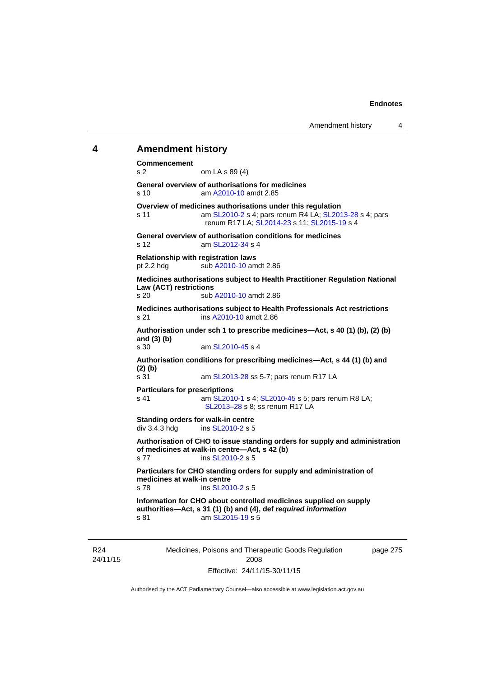### **4 Amendment history**

**Commencement**  s 2 om LA s 89 (4) **General overview of authorisations for medicines**  s 10 am [A2010-10](http://www.legislation.act.gov.au/a/2010-10) amdt 2.85 **Overview of medicines authorisations under this regulation**  s 11 am [SL2010-2](http://www.legislation.act.gov.au/sl/2010-2) s 4; pars renum R4 LA; [SL2013-28](http://www.legislation.act.gov.au/sl/2013-28) s 4; pars renum R17 LA; [SL2014-23](http://www.legislation.act.gov.au/sl/2014-23) s 11; [SL2015-19](http://www.legislation.act.gov.au/sl/2015-19) s 4 **General overview of authorisation conditions for medicines**  s 12 am [SL2012-34](http://www.legislation.act.gov.au/sl/2012-34) s 4 **Relationship with registration laws**  pt 2.2 hdg sub [A2010-10](http://www.legislation.act.gov.au/a/2010-10) amdt 2.86 **Medicines authorisations subject to Health Practitioner Regulation National Law (ACT) restrictions**  sub [A2010-10](http://www.legislation.act.gov.au/a/2010-10) amdt 2.86 **Medicines authorisations subject to Health Professionals Act restrictions**  s 21 ins [A2010-10](http://www.legislation.act.gov.au/a/2010-10) amdt 2.86 **Authorisation under sch 1 to prescribe medicines—Act, s 40 (1) (b), (2) (b) and (3) (b)**  s 30 am [SL2010-45](http://www.legislation.act.gov.au/sl/2010-45) s 4 **Authorisation conditions for prescribing medicines—Act, s 44 (1) (b) and (2) (b)**  s 31 am [SL2013-28](http://www.legislation.act.gov.au/sl/2013-28) ss 5-7; pars renum R17 LA **Particulars for prescriptions**  s 41 **am [SL2010-1](http://www.legislation.act.gov.au/sl/2010-1) s 4; [SL2010-45](http://www.legislation.act.gov.au/sl/2010-45) s 5; pars renum R8 LA;** [SL2013–28](http://www.legislation.act.gov.au/sl/2013-28) s 8; ss renum R17 LA **Standing orders for walk-in centre**   $div 3.4.3$  hdg ins  $SL2010-2$  s 5 **Authorisation of CHO to issue standing orders for supply and administration of medicines at walk-in centre—Act, s 42 (b)**  s 77 ins [SL2010-2](http://www.legislation.act.gov.au/sl/2010-2) s 5 **Particulars for CHO standing orders for supply and administration of medicines at walk-in centre**  s 78 ins [SL2010-2](http://www.legislation.act.gov.au/sl/2010-2) s 5 **Information for CHO about controlled medicines supplied on supply authorities—Act, s 31 (1) (b) and (4), def** *required information*  s 81 am SL 2015-19 s 5

R24 24/11/15 Medicines, Poisons and Therapeutic Goods Regulation 2008 Effective: 24/11/15-30/11/15

page 275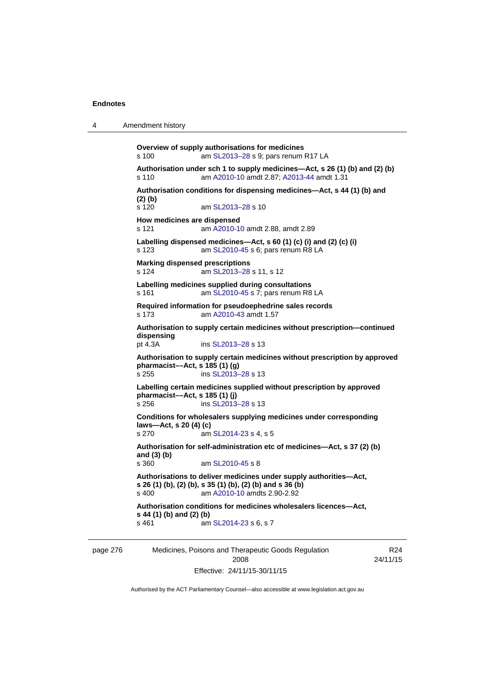| Amendment history |  |
|-------------------|--|
|                   |  |

**Overview of supply authorisations for medicines**  s 100 am [SL2013–28](http://www.legislation.act.gov.au/sl/2013-28) s 9; pars renum R17 LA **Authorisation under sch 1 to supply medicines—Act, s 26 (1) (b) and (2) (b)**  s 110 am [A2010-10](http://www.legislation.act.gov.au/a/2010-10) amdt 2.87; [A2013-44](http://www.legislation.act.gov.au/a/2013-44) amdt 1.31 **Authorisation conditions for dispensing medicines—Act, s 44 (1) (b) and (2) (b)**  s 120 am [SL2013–28](http://www.legislation.act.gov.au/sl/2013-28) s 10 **How medicines are dispensed**  s 121 am [A2010-10](http://www.legislation.act.gov.au/a/2010-10) amdt 2.88, amdt 2.89 **Labelling dispensed medicines—Act, s 60 (1) (c) (i) and (2) (c) (i)**  s 123 am [SL2010-45](http://www.legislation.act.gov.au/sl/2010-45) s 6; pars renum R8 LA **Marking dispensed prescriptions**  s 124 **am [SL2013–28](http://www.legislation.act.gov.au/sl/2013-28) s 11, s 12 Labelling medicines supplied during consultations**  s 161 **am [SL2010-45](http://www.legislation.act.gov.au/sl/2010-45) s 7; pars renum R8 LA Required information for pseudoephedrine sales records**  s 173 am [A2010-43](http://www.legislation.act.gov.au/a/2010-43) amdt 1.57 **Authorisation to supply certain medicines without prescription—continued dispensing**  pt 4.3A ins [SL2013–28](http://www.legislation.act.gov.au/sl/2013-28) s 13 **Authorisation to supply certain medicines without prescription by approved pharmacist––Act, s 185 (1) (g)**  s 255 ins [SL2013–28](http://www.legislation.act.gov.au/sl/2013-28) s 13 **Labelling certain medicines supplied without prescription by approved pharmacist––Act, s 185 (1) (j)**  s 256 ins [SL2013–28](http://www.legislation.act.gov.au/sl/2013-28) s 13 **Conditions for wholesalers supplying medicines under corresponding laws—Act, s 20 (4) (c)**  s 270 am [SL2014-23](http://www.legislation.act.gov.au/sl/2014-23) s 4, s 5 **Authorisation for self-administration etc of medicines—Act, s 37 (2) (b) and (3) (b)**  am [SL2010-45](http://www.legislation.act.gov.au/sl/2010-45) s 8 **Authorisations to deliver medicines under supply authorities—Act, s 26 (1) (b), (2) (b), s 35 (1) (b), (2) (b) and s 36 (b)**<br>s 400 **am A2010-10** amdts 2.90-2.92 am [A2010-10](http://www.legislation.act.gov.au/a/2010-10) amdts 2.90-2.92 **Authorisation conditions for medicines wholesalers licences—Act, s 44 (1) (b) and (2) (b)**  s 461 **am [SL2014-23](http://www.legislation.act.gov.au/sl/2014-23) s 6, s 7** 

page 276 Medicines, Poisons and Therapeutic Goods Regulation 2008 Effective: 24/11/15-30/11/15

R24 24/11/15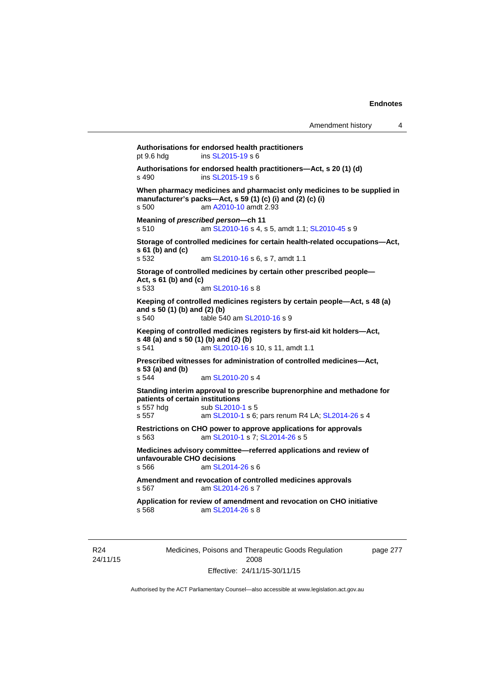```
Authorisations for endorsed health practitioners 
pt 9.6 hdg ins SL2015-19 s 6 
Authorisations for endorsed health practitioners—Act, s 20 (1) (d) s 490 \frac{\text{S L2015-19 S}}{6}SL2015-19 s 6
When pharmacy medicines and pharmacist only medicines to be supplied in 
manufacturer's packs—Act, s 59 (1) (c) (i) and (2) (c) (i) 
s 500 am A2010-10 amdt 2.93
Meaning of prescribed person—ch 11 
s 510 am SL2010-16 s 4, s 5, amdt 1.1; SL2010-45 s 9 
Storage of controlled medicines for certain health-related occupations—Act, 
s 61 (b) and (c) 
                  SL2010-16 s 6, s 7, amdt 1.1
Storage of controlled medicines by certain other prescribed people—
Act, s 61 (b) and (c) 
s 533 am SL2010-16 s 8 
Keeping of controlled medicines registers by certain people—Act, s 48 (a) 
and s 50 (1) (b) and (2) (b) 
s 540 table 540 am SL2010-16 s 9 
Keeping of controlled medicines registers by first-aid kit holders—Act, 
s 48 (a) and s 50 (1) (b) and (2) (b)<br>s 541 am SL2010-16 s
                 SL2010-16 s 10, s 11, amdt 1.1
Prescribed witnesses for administration of controlled medicines—Act, 
s 53 (a) and (b) 
                  SL2010-20 s 4
Standing interim approval to prescribe buprenorphine and methadone for 
patients of certain institutions 
SL2010-1 s 5
s 557  SL2010-1SL2014-26 s 4
Restrictions on CHO power to approve applications for approvals 
s 563 am SL2010-1 s 7; SL2014-26 s 5 
Medicines advisory committee—referred applications and review of 
unfavourable CHO decisions 
s 566 am SL2014-26 s 6 
Amendment and revocation of controlled medicines approvals 
s 567 am SL2014-26 s 7 
Application for review of amendment and revocation on CHO initiative 
s 568 am SL2014-26 s 8
```
R24 24/11/15 Medicines, Poisons and Therapeutic Goods Regulation 2008 Effective: 24/11/15-30/11/15

page 277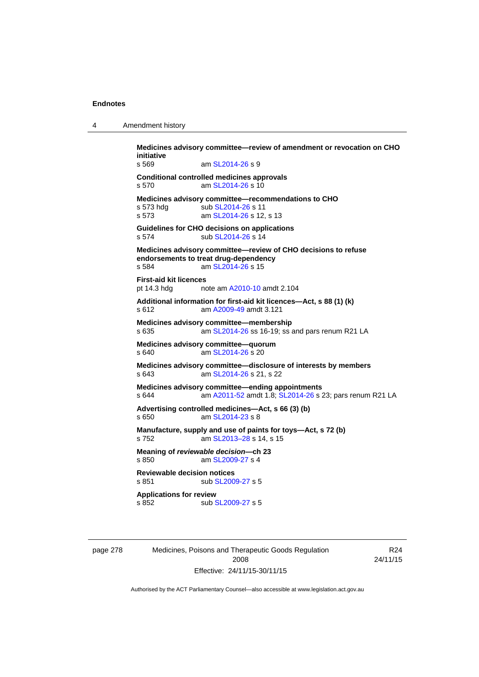| 4 | Amendment history |
|---|-------------------|
|---|-------------------|

**Medicines advisory committee—review of amendment or revocation on CHO initiative**  s 569 am [SL2014-26](http://www.legislation.act.gov.au/sl/2014-26) s 9 **Conditional controlled medicines approvals**  s 570 am [SL2014-26](http://www.legislation.act.gov.au/sl/2014-26) s 10 **Medicines advisory committee—recommendations to CHO**  s 573 hdg sub [SL2014-26](http://www.legislation.act.gov.au/sl/2014-26) s 11 s 573 **am [SL2014-26](http://www.legislation.act.gov.au/sl/2014-26) s 12, s 13 Guidelines for CHO decisions on applications**  s 574 sub [SL2014-26](http://www.legislation.act.gov.au/sl/2014-26) s 14 **Medicines advisory committee—review of CHO decisions to refuse endorsements to treat drug-dependency**  s 584 **am [SL2014-26](http://www.legislation.act.gov.au/sl/2014-26) s 15 First-aid kit licences**  pt 14.3 hdg note am [A2010-10](http://www.legislation.act.gov.au/a/2010-10) amdt 2.104 **Additional information for first-aid kit licences—Act, s 88 (1) (k)**  s 612 am [A2009-49](http://www.legislation.act.gov.au/a/2009-49) amdt 3.121 **Medicines advisory committee—membership**  s 635 am [SL2014-26](http://www.legislation.act.gov.au/sl/2014-26) ss 16-19; ss and pars renum R21 LA **Medicines advisory committee—quorum**  s 640 am [SL2014-26](http://www.legislation.act.gov.au/sl/2014-26) s 20 **Medicines advisory committee—disclosure of interests by members**  s 643 am [SL2014-26](http://www.legislation.act.gov.au/sl/2014-26) s 21, s 22 **Medicines advisory committee—ending appointments**  s 644 am [A2011-52](http://www.legislation.act.gov.au/a/2011-52) amdt 1.8; [SL2014-26](http://www.legislation.act.gov.au/sl/2014-26) s 23; pars renum R21 LA **Advertising controlled medicines—Act, s 66 (3) (b)**  s 650 am [SL2014-23](http://www.legislation.act.gov.au/sl/2014-23) s 8 **Manufacture, supply and use of paints for toys—Act, s 72 (b)**  s 752 am [SL2013–28](http://www.legislation.act.gov.au/sl/2013-28) s 14, s 15 **Meaning of** *reviewable decision—***ch 23**  s 850 am [SL2009-27](http://www.legislation.act.gov.au/sl/2009-27) s 4 **Reviewable decision notices**  sub [SL2009-27](http://www.legislation.act.gov.au/sl/2009-27) s 5 **Applications for review**  s 852 sub [SL2009-27](http://www.legislation.act.gov.au/sl/2009-27) s 5

page 278 Medicines, Poisons and Therapeutic Goods Regulation 2008 Effective: 24/11/15-30/11/15

R24 24/11/15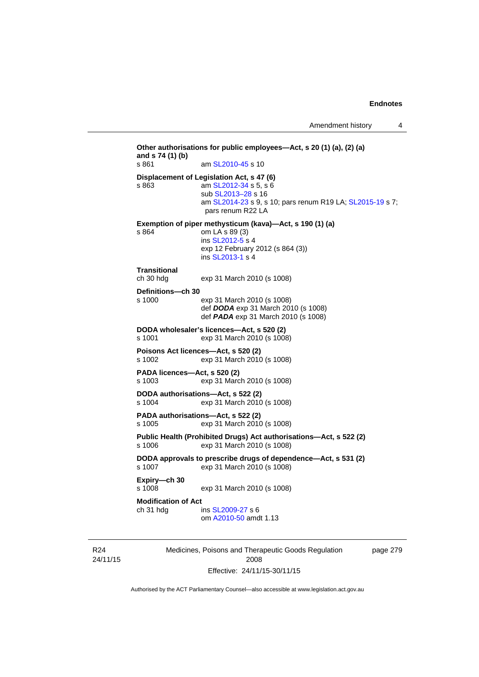**Other authorisations for public employees—Act, s 20 (1) (a), (2) (a) and s 74 (1) (b)**  s 861 am [SL2010-45](http://www.legislation.act.gov.au/sl/2010-45) s 10 **Displacement of Legislation Act, s 47 (6)**  s 863 am [SL2012-34](http://www.legislation.act.gov.au/sl/2012-34) s 5, s 6 sub [SL2013–28](http://www.legislation.act.gov.au/sl/2013-28) s 16 am [SL2014-23](http://www.legislation.act.gov.au/sl/2014-23) s 9, s 10; pars renum R19 LA; [SL2015-19](http://www.legislation.act.gov.au/sl/2015-19) s 7; pars renum R22 LA **Exemption of piper methysticum (kava)—Act, s 190 (1) (a)**  s 864 om LA s 89 (3) ins [SL2012-5](http://www.legislation.act.gov.au/sl/2012-5) s 4 exp 12 February 2012 (s 864 (3)) ins [SL2013-1](http://www.legislation.act.gov.au/sl/2013-1/default.asp) s 4 **Transitional**  exp 31 March 2010 (s 1008) **Definitions—ch 30**  s 1000 exp 31 March 2010 (s 1008) def *DODA* exp 31 March 2010 (s 1008) def *PADA* exp 31 March 2010 (s 1008) **DODA wholesaler's licences—Act, s 520 (2)**  s 1001 exp 31 March 2010 (s 1008) **Poisons Act licences—Act, s 520 (2)**  s 1002 exp 31 March 2010 (s 1008) **PADA licences—Act, s 520 (2)**  s 1003 exp 31 March 2010 (s 1008) **DODA authorisations—Act, s 522 (2)**  s 1004 exp 31 March 2010 (s 1008) **PADA authorisations—Act, s 522 (2)**  s 1005 exp 31 March 2010 (s 1008) **Public Health (Prohibited Drugs) Act authorisations—Act, s 522 (2)** s 1006 exp 31 March 2010 (s 1008) exp 31 March 2010 (s 1008) **DODA approvals to prescribe drugs of dependence—Act, s 531 (2)**  s 1007 exp 31 March 2010 (s 1008) **Expiry—ch 30**  exp 31 March 2010 (s 1008) **Modification of Act**  ch 31 hdg ins [SL2009-27](http://www.legislation.act.gov.au/sl/2009-27) s 6 om [A2010-50](http://www.legislation.act.gov.au/a/2010-50) amdt 1.13

R24 24/11/15 Medicines, Poisons and Therapeutic Goods Regulation 2008 Effective: 24/11/15-30/11/15

page 279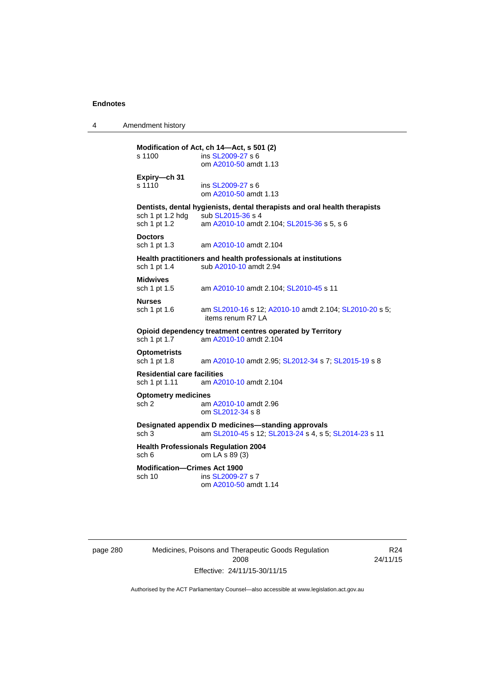4 Amendment history

**Modification of Act, ch 14—Act, s 501 (2)**  s 1100 ins [SL2009-27](http://www.legislation.act.gov.au/sl/2009-27) s 6 om [A2010-50](http://www.legislation.act.gov.au/a/2010-50) amdt 1.13 **Expiry—ch 31**  s 1110 **ins [SL2009-27](http://www.legislation.act.gov.au/sl/2009-27) s 6**  om [A2010-50](http://www.legislation.act.gov.au/a/2010-50) amdt 1.13 **Dentists, dental hygienists, dental therapists and oral health therapists**  sch 1 pt 1.2 hdg  $\frac{1}{2}$  sub [SL2015-36](http://www.legislation.act.gov.au/sl/2015-36) s 4<br>sch 1 pt 1.2 am A2010-10 amdt am [A2010-10](http://www.legislation.act.gov.au/a/2010-10) amdt 2.104; [SL2015-36](http://www.legislation.act.gov.au/sl/2015-36) s 5, s 6 **Doctors** sch 1 pt 1.3 am [A2010-10](http://www.legislation.act.gov.au/a/2010-10) amdt 2.104 **Health practitioners and health professionals at institutions**  sch 1 pt 1.4 sub [A2010-10](http://www.legislation.act.gov.au/a/2010-10) amdt 2.94 **Midwives**<br>sch 1 pt 1.5 am [A2010-10](http://www.legislation.act.gov.au/a/2010-10) amdt 2.104; [SL2010-45](http://www.legislation.act.gov.au/sl/2010-45) s 11 **Nurses**  sch 1 pt 1.6 am [SL2010-16](http://www.legislation.act.gov.au/sl/2010-16) s 12; [A2010-10](http://www.legislation.act.gov.au/a/2010-10) amdt 2.104; [SL2010-20](http://www.legislation.act.gov.au/sl/2010-20) s 5; items renum R7 LA **Opioid dependency treatment centres operated by Territory**<br>sch 1 pt 1.7 am A2010-10 amdt 2.104 am [A2010-10](http://www.legislation.act.gov.au/a/2010-10) amdt 2.104 **Optometrists**  sch 1 pt 1.8 am [A2010-10](http://www.legislation.act.gov.au/a/2010-10) amdt 2.95; [SL2012-34](http://www.legislation.act.gov.au/sl/2012-34) s 7; [SL2015-19](http://www.legislation.act.gov.au/sl/2015-19) s 8 **Residential care facilities**  sch 1 pt 1.11 am [A2010-10](http://www.legislation.act.gov.au/a/2010-10) amdt 2.104 **Optometry medicines**  sch 2 am [A2010-10](http://www.legislation.act.gov.au/a/2010-10) amdt 2.96 om [SL2012-34](http://www.legislation.act.gov.au/sl/2012-34) s 8 **Designated appendix D medicines—standing approvals**  sch 3 am [SL2010-45](http://www.legislation.act.gov.au/sl/2010-45) s 12; [SL2013-24](http://www.legislation.act.gov.au/sl/2013-24/default.asp) s 4, s 5; [SL2014-23](http://www.legislation.act.gov.au/sl/2014-23/default.asp) s 11 **Health Professionals Regulation 2004**<br>sch 6 om LA s 89 (3) om  $LA$  s 89 (3) **Modification—Crimes Act 1900**  sch 10 ins [SL2009-27](http://www.legislation.act.gov.au/sl/2009-27) s 7 om [A2010-50](http://www.legislation.act.gov.au/a/2010-50) amdt 1.14

page 280 Medicines, Poisons and Therapeutic Goods Regulation 2008 Effective: 24/11/15-30/11/15

R24 24/11/15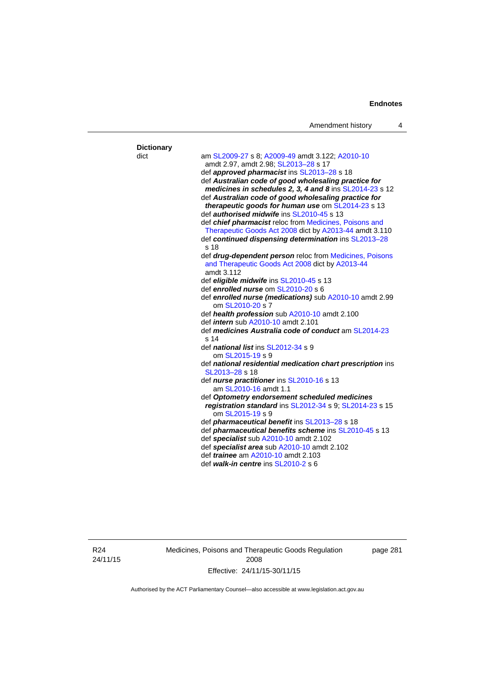|                   | Amendment history                                                            | 4 |
|-------------------|------------------------------------------------------------------------------|---|
| <b>Dictionary</b> |                                                                              |   |
| dict              | am SL2009-27 s 8; A2009-49 amdt 3.122; A2010-10                              |   |
|                   | amdt 2.97, amdt 2.98; SL2013-28 s 17                                         |   |
|                   | def approved pharmacist ins SL2013-28 s 18                                   |   |
|                   | def Australian code of good wholesaling practice for                         |   |
|                   | medicines in schedules 2, 3, 4 and 8 ins SL2014-23 s 12                      |   |
|                   | def Australian code of good wholesaling practice for                         |   |
|                   | therapeutic goods for human use om SL2014-23 s 13                            |   |
|                   | def <i>authorised midwife</i> ins SL2010-45 s 13                             |   |
|                   | def chief pharmacist reloc from Medicines, Poisons and                       |   |
|                   | Therapeutic Goods Act 2008 dict by A2013-44 amdt 3.110                       |   |
|                   | def continued dispensing determination ins SL2013-28                         |   |
|                   | s 18                                                                         |   |
|                   | def drug-dependent person reloc from Medicines, Poisons                      |   |
|                   | and Therapeutic Goods Act 2008 dict by A2013-44                              |   |
|                   | amdt 3.112                                                                   |   |
|                   | def eligible midwife ins SL2010-45 s 13                                      |   |
|                   | def enrolled nurse om SL2010-20 s 6                                          |   |
|                   | def enrolled nurse (medications) sub A2010-10 amdt 2.99                      |   |
|                   | om SL2010-20 s 7                                                             |   |
|                   | def health profession sub A2010-10 amdt 2.100                                |   |
|                   | def <i>intern</i> sub A2010-10 amdt 2.101                                    |   |
|                   | def medicines Australia code of conduct am SL2014-23                         |   |
|                   | s 14                                                                         |   |
|                   | def national list ins SL2012-34 s 9                                          |   |
|                   | om SL2015-19 s 9                                                             |   |
|                   | def national residential medication chart prescription ins<br>SL2013-28 s 18 |   |
|                   |                                                                              |   |
|                   | def nurse practitioner ins SL2010-16 s 13<br>am SL2010-16 amdt 1.1           |   |
|                   | def Optometry endorsement scheduled medicines                                |   |
|                   | registration standard ins SL2012-34 s 9; SL2014-23 s 15                      |   |
|                   | om SL2015-19 s 9                                                             |   |
|                   | def <i>pharmaceutical benefit</i> ins SL2013-28 s 18                         |   |
|                   | def <i>pharmaceutical benefits scheme</i> ins SL2010-45 s 13                 |   |
|                   | def specialist sub A2010-10 amdt 2.102                                       |   |
|                   | def specialist area sub A2010-10 amdt 2.102                                  |   |
|                   | def <i>trainee</i> am A2010-10 amdt 2.103                                    |   |
|                   | def walk-in centre ins SL2010-2 s 6                                          |   |

R24 24/11/15 **Dictionary** 

Medicines, Poisons and Therapeutic Goods Regulation 2008 Effective: 24/11/15-30/11/15

page 281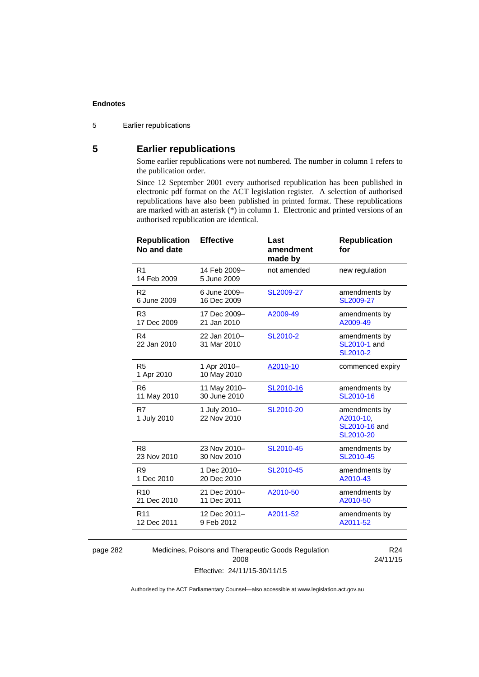5 Earlier republications

# **5 Earlier republications**

Some earlier republications were not numbered. The number in column 1 refers to the publication order.

Since 12 September 2001 every authorised republication has been published in electronic pdf format on the ACT legislation register. A selection of authorised republications have also been published in printed format. These republications are marked with an asterisk (\*) in column 1. Electronic and printed versions of an authorised republication are identical.

| <b>Republication</b><br>No and date | <b>Effective</b>            | Last<br>amendment<br>made by | <b>Republication</b><br>for                              |
|-------------------------------------|-----------------------------|------------------------------|----------------------------------------------------------|
| R <sub>1</sub><br>14 Feb 2009       | 14 Feb 2009-<br>5 June 2009 | not amended                  | new regulation                                           |
| R <sub>2</sub>                      | 6 June 2009-                | SL2009-27                    | amendments by                                            |
| 6 June 2009                         | 16 Dec 2009                 |                              | SL2009-27                                                |
| R <sub>3</sub>                      | 17 Dec 2009-                | A2009-49                     | amendments by                                            |
| 17 Dec 2009                         | 21 Jan 2010                 |                              | A2009-49                                                 |
| R <sub>4</sub><br>22 Jan 2010       | 22 Jan 2010-<br>31 Mar 2010 | SL2010-2                     | amendments by<br>SL2010-1 and<br>SL2010-2                |
| R <sub>5</sub><br>1 Apr 2010        | 1 Apr 2010-<br>10 May 2010  | A2010-10                     | commenced expiry                                         |
| R <sub>6</sub>                      | 11 May 2010-                | SL2010-16                    | amendments by                                            |
| 11 May 2010                         | 30 June 2010                |                              | SL2010-16                                                |
| R7<br>1 July 2010                   | 1 July 2010-<br>22 Nov 2010 | SL2010-20                    | amendments by<br>A2010-10,<br>SL2010-16 and<br>SL2010-20 |
| R <sub>8</sub>                      | 23 Nov 2010-                | SL2010-45                    | amendments by                                            |
| 23 Nov 2010                         | 30 Nov 2010                 |                              | SL2010-45                                                |
| R <sub>9</sub>                      | 1 Dec 2010-                 | SL2010-45                    | amendments by                                            |
| 1 Dec 2010                          | 20 Dec 2010                 |                              | A2010-43                                                 |
| R <sub>10</sub>                     | 21 Dec 2010-                | A2010-50                     | amendments by                                            |
| 21 Dec 2010                         | 11 Dec 2011                 |                              | A2010-50                                                 |
| R <sub>11</sub>                     | 12 Dec 2011-                | A2011-52                     | amendments by                                            |
| 12 Dec 2011                         | 9 Feb 2012                  |                              | A2011-52                                                 |
|                                     |                             |                              |                                                          |

page 282 Medicines, Poisons and Therapeutic Goods Regulation 2008 Effective: 24/11/15-30/11/15

R24 24/11/15